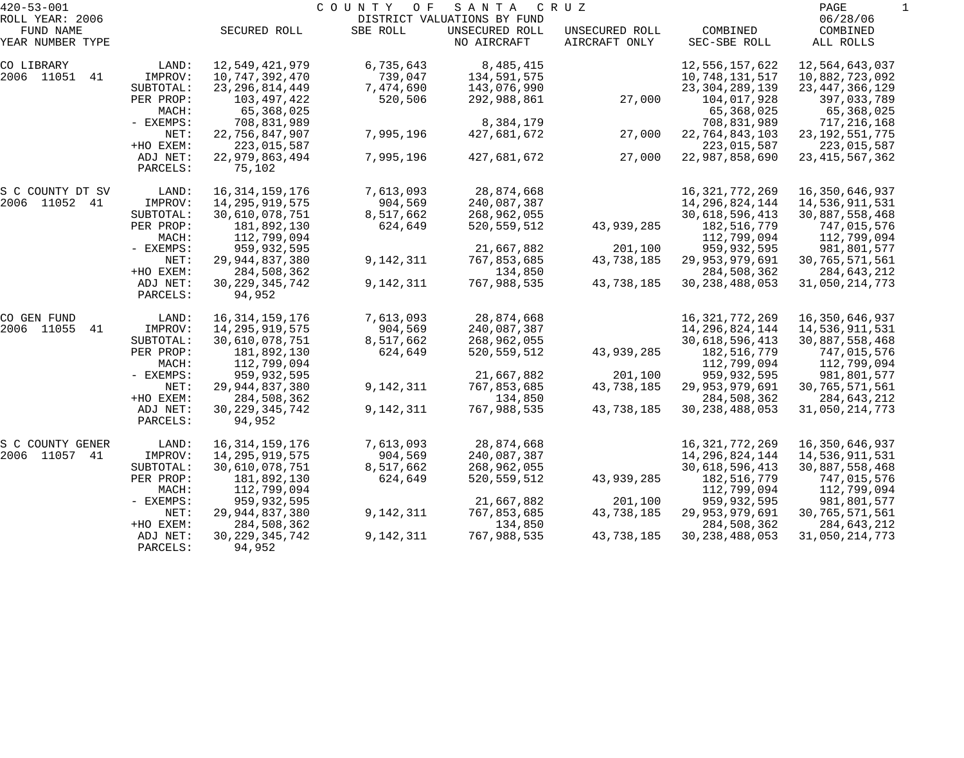| $420 - 53 - 001$             |           |                   | COUNTY<br>O F | SANTA                                         | CRUZ           |                   | PAGE                 |  |
|------------------------------|-----------|-------------------|---------------|-----------------------------------------------|----------------|-------------------|----------------------|--|
| ROLL YEAR: 2006<br>FUND NAME |           | SECURED ROLL      | SBE ROLL      | DISTRICT VALUATIONS BY FUND<br>UNSECURED ROLL | UNSECURED ROLL | COMBINED          | 06/28/06<br>COMBINED |  |
| YEAR NUMBER TYPE             |           |                   |               | NO AIRCRAFT                                   | AIRCRAFT ONLY  | SEC-SBE ROLL      | ALL ROLLS            |  |
| CO LIBRARY                   | LAND:     | 12,549,421,979    | 6,735,643     | 8,485,415                                     |                | 12,556,157,622    | 12,564,643,037       |  |
| 2006 11051 41                | IMPROV:   | 10,747,392,470    | 739,047       | 134,591,575                                   |                | 10,748,131,517    | 10,882,723,092       |  |
|                              | SUBTOTAL: | 23, 296, 814, 449 | 7,474,690     | 143,076,990                                   |                | 23, 304, 289, 139 | 23, 447, 366, 129    |  |
|                              | PER PROP: | 103,497,422       | 520,506       | 292,988,861                                   | 27,000         | 104,017,928       | 397,033,789          |  |
|                              | MACH:     | 65,368,025        |               |                                               |                | 65,368,025        | 65,368,025           |  |
|                              | - EXEMPS: | 708,831,989       |               | 8,384,179                                     |                | 708,831,989       | 717,216,168          |  |
|                              | NET:      | 22,756,847,907    | 7,995,196     | 427,681,672                                   | 27,000         | 22,764,843,103    | 23, 192, 551, 775    |  |
|                              | +HO EXEM: | 223,015,587       |               |                                               |                | 223,015,587       | 223,015,587          |  |
|                              | ADJ NET:  | 22,979,863,494    | 7,995,196     | 427,681,672                                   | 27,000         | 22,987,858,690    | 23, 415, 567, 362    |  |
|                              | PARCELS:  | 75,102            |               |                                               |                |                   |                      |  |
| S C COUNTY DT SV             | LAND:     | 16, 314, 159, 176 | 7,613,093     | 28,874,668                                    |                | 16, 321, 772, 269 | 16, 350, 646, 937    |  |
| 2006 11052 41                | IMPROV:   | 14,295,919,575    | 904,569       | 240,087,387                                   |                | 14, 296, 824, 144 | 14,536,911,531       |  |
|                              | SUBTOTAL: | 30,610,078,751    | 8,517,662     | 268,962,055                                   |                | 30,618,596,413    | 30,887,558,468       |  |
|                              | PER PROP: | 181,892,130       | 624,649       | 520, 559, 512                                 | 43,939,285     | 182, 516, 779     | 747,015,576          |  |
|                              | MACH:     | 112,799,094       |               |                                               |                | 112,799,094       | 112,799,094          |  |
|                              | - EXEMPS: | 959,932,595       |               | 21,667,882                                    | 201,100        | 959,932,595       | 981,801,577          |  |
|                              | NET:      | 29, 944, 837, 380 | 9,142,311     | 767,853,685                                   | 43,738,185     | 29,953,979,691    | 30,765,571,561       |  |
|                              | +HO EXEM: | 284,508,362       |               | 134,850                                       |                | 284,508,362       | 284,643,212          |  |
|                              | ADJ NET:  | 30, 229, 345, 742 | 9,142,311     | 767,988,535                                   | 43,738,185     | 30, 238, 488, 053 | 31,050,214,773       |  |
|                              | PARCELS:  | 94,952            |               |                                               |                |                   |                      |  |
| CO GEN FUND                  | LAND:     | 16, 314, 159, 176 | 7,613,093     | 28,874,668                                    |                | 16, 321, 772, 269 | 16,350,646,937       |  |
| 2006 11055<br>41             | IMPROV:   | 14,295,919,575    | 904,569       | 240,087,387                                   |                | 14, 296, 824, 144 | 14,536,911,531       |  |
|                              | SUBTOTAL: | 30,610,078,751    | 8,517,662     | 268,962,055                                   |                | 30,618,596,413    | 30,887,558,468       |  |
|                              | PER PROP: | 181,892,130       | 624,649       | 520, 559, 512                                 | 43,939,285     | 182,516,779       | 747,015,576          |  |
|                              | MACH:     | 112,799,094       |               |                                               |                | 112,799,094       | 112,799,094          |  |
|                              | - EXEMPS: | 959,932,595       |               | 21,667,882                                    | 201,100        | 959,932,595       | 981,801,577          |  |
|                              | NET:      | 29, 944, 837, 380 | 9,142,311     | 767,853,685                                   | 43,738,185     | 29,953,979,691    | 30,765,571,561       |  |
|                              | +HO EXEM: | 284,508,362       |               | 134,850                                       |                | 284,508,362       | 284,643,212          |  |
|                              | ADJ NET:  | 30, 229, 345, 742 | 9,142,311     | 767,988,535                                   | 43,738,185     | 30, 238, 488, 053 | 31,050,214,773       |  |
|                              | PARCELS:  | 94,952            |               |                                               |                |                   |                      |  |
| S C COUNTY GENER             | LAND:     | 16, 314, 159, 176 | 7,613,093     | 28,874,668                                    |                | 16, 321, 772, 269 | 16,350,646,937       |  |
| 2006 11057 41                | IMPROV:   | 14, 295, 919, 575 | 904,569       | 240,087,387                                   |                | 14, 296, 824, 144 | 14,536,911,531       |  |
|                              | SUBTOTAL: | 30,610,078,751    | 8,517,662     | 268,962,055                                   |                | 30,618,596,413    | 30,887,558,468       |  |
|                              | PER PROP: | 181,892,130       | 624,649       | 520, 559, 512                                 | 43,939,285     | 182,516,779       | 747,015,576          |  |
|                              | MACH:     | 112,799,094       |               |                                               |                | 112,799,094       | 112,799,094          |  |
|                              | - EXEMPS: | 959,932,595       |               | 21,667,882                                    | 201,100        | 959,932,595       | 981,801,577          |  |
|                              | NET:      | 29, 944, 837, 380 | 9,142,311     | 767,853,685                                   | 43,738,185     | 29,953,979,691    | 30,765,571,561       |  |
|                              | +HO EXEM: | 284,508,362       |               | 134,850                                       |                | 284,508,362       | 284,643,212          |  |
|                              | ADJ NET:  | 30, 229, 345, 742 | 9,142,311     | 767,988,535                                   | 43,738,185     | 30, 238, 488, 053 | 31,050,214,773       |  |
|                              | PARCELS:  | 94,952            |               |                                               |                |                   |                      |  |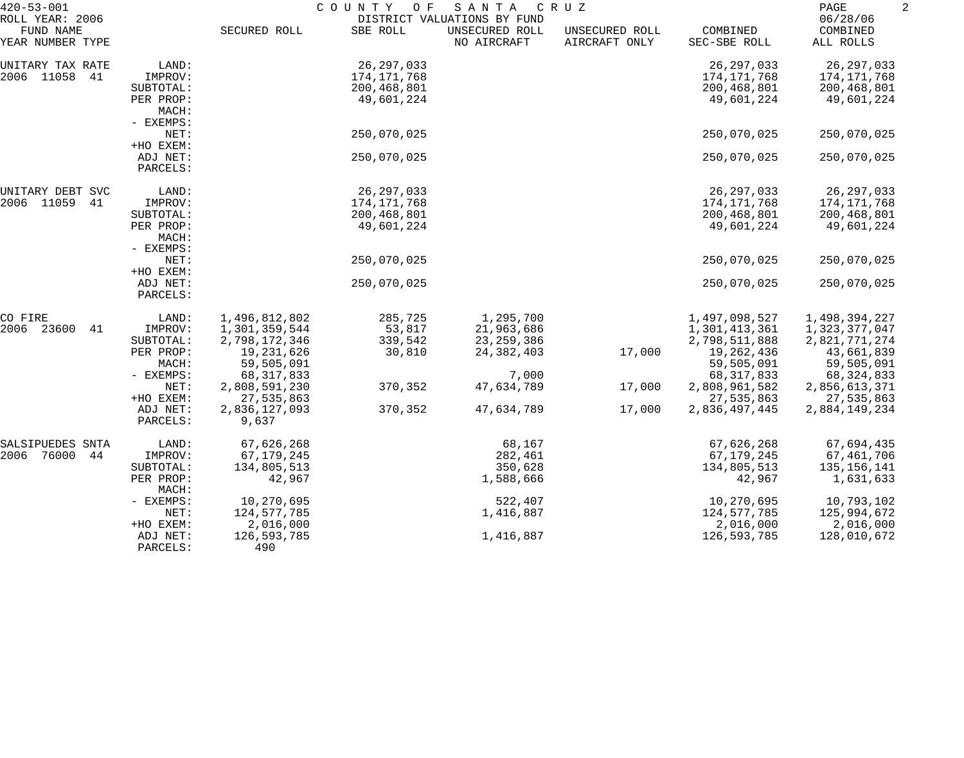| $420 - 53 - 001$<br>ROLL YEAR: 2006 |           | COUNTY<br>O F<br>SANTA<br>C R U Z<br>DISTRICT VALUATIONS BY FUND |              |                               |                                 |                          |                                   | 2 |
|-------------------------------------|-----------|------------------------------------------------------------------|--------------|-------------------------------|---------------------------------|--------------------------|-----------------------------------|---|
| FUND NAME<br>YEAR NUMBER TYPE       |           | SECURED ROLL                                                     | SBE ROLL     | UNSECURED ROLL<br>NO AIRCRAFT | UNSECURED ROLL<br>AIRCRAFT ONLY | COMBINED<br>SEC-SBE ROLL | 06/28/06<br>COMBINED<br>ALL ROLLS |   |
| UNITARY TAX RATE                    | LAND:     |                                                                  | 26, 297, 033 |                               |                                 | 26, 297, 033             | 26,297,033                        |   |
| 2006 11058<br>41                    | IMPROV:   |                                                                  | 174,171,768  |                               |                                 | 174, 171, 768            | 174,171,768                       |   |
|                                     | SUBTOTAL: |                                                                  | 200,468,801  |                               |                                 | 200,468,801              | 200,468,801                       |   |
|                                     | PER PROP: |                                                                  | 49,601,224   |                               |                                 | 49,601,224               | 49,601,224                        |   |
|                                     | MACH:     |                                                                  |              |                               |                                 |                          |                                   |   |
|                                     | - EXEMPS: |                                                                  |              |                               |                                 |                          |                                   |   |
|                                     | NET:      |                                                                  | 250,070,025  |                               |                                 | 250,070,025              | 250,070,025                       |   |
|                                     | +HO EXEM: |                                                                  |              |                               |                                 |                          |                                   |   |
|                                     | ADJ NET:  |                                                                  | 250,070,025  |                               |                                 | 250,070,025              | 250,070,025                       |   |
|                                     | PARCELS:  |                                                                  |              |                               |                                 |                          |                                   |   |
| UNITARY DEBT SVC                    | LAND:     |                                                                  | 26, 297, 033 |                               |                                 | 26, 297, 033             | 26, 297, 033                      |   |
| 2006 11059<br>41                    | IMPROV:   |                                                                  | 174,171,768  |                               |                                 | 174,171,768              | 174,171,768                       |   |
|                                     | SUBTOTAL: |                                                                  | 200,468,801  |                               |                                 | 200,468,801              | 200,468,801                       |   |
|                                     | PER PROP: |                                                                  | 49,601,224   |                               |                                 | 49,601,224               | 49,601,224                        |   |
|                                     | MACH:     |                                                                  |              |                               |                                 |                          |                                   |   |
| - EXEMPS:<br>NET:<br>+HO EXEM:      |           |                                                                  |              |                               |                                 |                          |                                   |   |
|                                     |           |                                                                  | 250,070,025  |                               |                                 | 250,070,025              | 250,070,025                       |   |
|                                     |           |                                                                  |              |                               |                                 |                          |                                   |   |
|                                     | ADJ NET:  |                                                                  | 250,070,025  |                               |                                 | 250,070,025              | 250,070,025                       |   |
|                                     | PARCELS:  |                                                                  |              |                               |                                 |                          |                                   |   |
| CO FIRE                             | LAND:     | 1,496,812,802                                                    | 285,725      | 1,295,700                     |                                 | 1,497,098,527            | 1,498,394,227                     |   |
| 2006<br>23600<br>41                 | IMPROV:   | 1,301,359,544                                                    | 53,817       | 21,963,686                    |                                 | 1,301,413,361            | 1,323,377,047                     |   |
|                                     | SUBTOTAL: | 2,798,172,346                                                    | 339,542      | 23, 259, 386                  |                                 | 2,798,511,888            | 2,821,771,274                     |   |
|                                     | PER PROP: | 19,231,626                                                       | 30,810       | 24, 382, 403                  | 17,000                          | 19,262,436               | 43,661,839                        |   |
|                                     | MACH:     | 59,505,091                                                       |              |                               |                                 | 59,505,091               | 59,505,091                        |   |
|                                     | - EXEMPS: | 68, 317, 833                                                     |              | 7,000                         |                                 | 68, 317, 833             | 68, 324, 833                      |   |
|                                     | NET:      | 2,808,591,230                                                    | 370,352      | 47,634,789                    | 17,000                          | 2,808,961,582            | 2,856,613,371                     |   |
|                                     | +HO EXEM: | 27,535,863                                                       |              |                               |                                 | 27,535,863               | 27,535,863                        |   |
|                                     | ADJ NET:  | 2,836,127,093                                                    | 370,352      | 47,634,789                    | 17,000                          | 2,836,497,445            | 2,884,149,234                     |   |
|                                     | PARCELS:  | 9,637                                                            |              |                               |                                 |                          |                                   |   |
| SALSIPUEDES SNTA                    | LAND:     | 67,626,268                                                       |              | 68,167                        |                                 | 67,626,268               | 67,694,435                        |   |
| 2006<br>76000<br>44                 | IMPROV:   | 67,179,245                                                       |              | 282,461                       |                                 | 67,179,245               | 67,461,706                        |   |
|                                     | SUBTOTAL: | 134,805,513                                                      |              | 350,628                       |                                 | 134,805,513              | 135,156,141                       |   |
|                                     | PER PROP: | 42,967                                                           |              | 1,588,666                     |                                 | 42,967                   | 1,631,633                         |   |
|                                     | MACH:     |                                                                  |              |                               |                                 |                          |                                   |   |
|                                     | - EXEMPS: | 10,270,695                                                       |              | 522,407                       |                                 | 10,270,695               | 10,793,102                        |   |
|                                     | NET:      | 124,577,785                                                      |              | 1,416,887                     |                                 | 124,577,785              | 125,994,672                       |   |
|                                     | +HO EXEM: | 2,016,000                                                        |              |                               |                                 | 2,016,000                | 2,016,000                         |   |
|                                     | ADJ NET:  | 126,593,785                                                      |              | 1,416,887                     |                                 | 126,593,785              | 128,010,672                       |   |
|                                     | PARCELS:  | 490                                                              |              |                               |                                 |                          |                                   |   |
|                                     |           |                                                                  |              |                               |                                 |                          |                                   |   |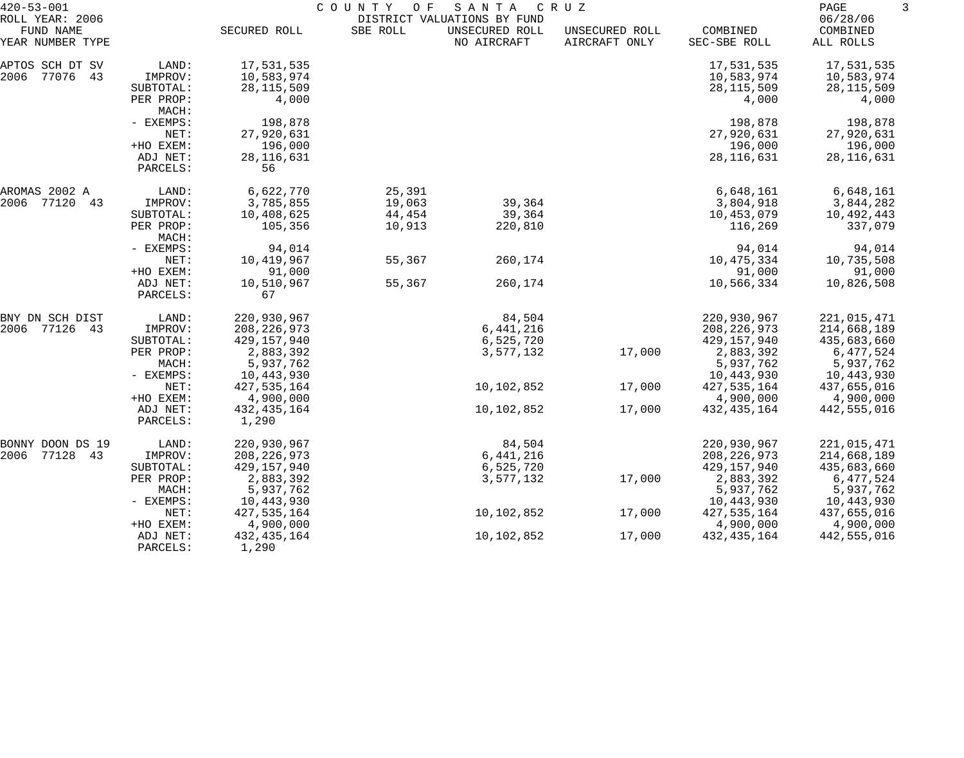| $420 - 53 - 001$                                 |                               | COUNTY<br>O F<br>SANTA<br>C R U Z<br>DISTRICT VALUATIONS BY FUND |                  |                               |                                 |                                          |                                          |
|--------------------------------------------------|-------------------------------|------------------------------------------------------------------|------------------|-------------------------------|---------------------------------|------------------------------------------|------------------------------------------|
| ROLL YEAR: 2006<br>FUND NAME<br>YEAR NUMBER TYPE |                               | SECURED ROLL                                                     | SBE ROLL         | UNSECURED ROLL<br>NO AIRCRAFT | UNSECURED ROLL<br>AIRCRAFT ONLY | COMBINED<br>SEC-SBE ROLL                 | 06/28/06<br>COMBINED<br>ALL ROLLS        |
| APTOS SCH DT SV<br>2006<br>77076 43              | LAND:<br>IMPROV:<br>SUBTOTAL: | 17,531,535<br>10,583,974<br>28, 115, 509                         |                  |                               |                                 | 17,531,535<br>10,583,974<br>28, 115, 509 | 17,531,535<br>10,583,974<br>28, 115, 509 |
|                                                  | PER PROP:<br>MACH:            | 4,000                                                            |                  |                               |                                 | 4,000                                    | 4,000                                    |
|                                                  | - EXEMPS:<br>NET:             | 198,878<br>27,920,631                                            |                  |                               |                                 | 198,878<br>27,920,631                    | 198,878<br>27,920,631                    |
|                                                  | +HO EXEM:                     | 196,000                                                          |                  |                               |                                 | 196,000                                  | 196,000                                  |
|                                                  | ADJ NET:<br>PARCELS:          | 28, 116, 631<br>56                                               |                  |                               |                                 | 28, 116, 631                             | 28, 116, 631                             |
| AROMAS 2002 A                                    | LAND:                         | 6,622,770                                                        | 25,391           |                               |                                 | 6,648,161                                | 6,648,161                                |
| 2006<br>77120<br>43                              | IMPROV:<br>SUBTOTAL:          | 3,785,855<br>10,408,625                                          | 19,063<br>44,454 | 39,364<br>39,364              |                                 | 3,804,918<br>10,453,079                  | 3,844,282<br>10,492,443                  |
|                                                  | PER PROP:<br>MACH:            | 105,356                                                          | 10,913           | 220,810                       |                                 | 116,269                                  | 337,079                                  |
|                                                  | - EXEMPS:                     | 94,014                                                           |                  |                               |                                 | 94,014                                   | 94,014                                   |
| NET:<br>+HO EXEM:                                |                               | 10,419,967                                                       | 55,367           | 260,174                       |                                 | 10,475,334                               | 10,735,508                               |
|                                                  | ADJ NET:                      | 91,000<br>10,510,967                                             | 55,367           | 260,174                       |                                 | 91,000<br>10,566,334                     | 91,000<br>10,826,508                     |
|                                                  | PARCELS:                      | 67                                                               |                  |                               |                                 |                                          |                                          |
| BNY DN SCH DIST                                  | LAND:                         | 220,930,967                                                      |                  | 84,504                        |                                 | 220,930,967                              | 221,015,471                              |
| 2006<br>77126<br>43                              | IMPROV:                       | 208, 226, 973                                                    |                  | 6,441,216                     |                                 | 208, 226, 973                            | 214,668,189                              |
|                                                  | SUBTOTAL:                     | 429,157,940                                                      |                  | 6,525,720                     |                                 | 429,157,940                              | 435,683,660                              |
|                                                  | PER PROP:<br>MACH:            | 2,883,392<br>5,937,762                                           |                  | 3,577,132                     | 17,000                          | 2,883,392<br>5,937,762                   | 6,477,524<br>5,937,762                   |
|                                                  | - EXEMPS:                     | 10,443,930                                                       |                  |                               |                                 | 10,443,930                               | 10,443,930                               |
|                                                  | NET:                          | 427,535,164                                                      |                  | 10,102,852                    | 17,000                          | 427,535,164                              | 437,655,016                              |
|                                                  | +HO EXEM:                     | 4,900,000                                                        |                  |                               |                                 | 4,900,000                                | 4,900,000                                |
|                                                  | ADJ NET:<br>PARCELS:          | 432, 435, 164<br>1,290                                           |                  | 10,102,852                    | 17,000                          | 432, 435, 164                            | 442,555,016                              |
| BONNY DOON DS 19                                 | LAND:                         | 220,930,967                                                      |                  | 84,504                        |                                 | 220,930,967                              | 221,015,471                              |
| 77128 43<br>2006                                 | IMPROV:                       | 208, 226, 973                                                    |                  | 6,441,216                     |                                 | 208, 226, 973                            | 214,668,189                              |
|                                                  | SUBTOTAL:                     | 429, 157, 940                                                    |                  | 6,525,720                     |                                 | 429, 157, 940                            | 435,683,660                              |
|                                                  | PER PROP:                     | 2,883,392                                                        |                  | 3,577,132                     | 17,000                          | 2,883,392                                | 6,477,524                                |
|                                                  | MACH:                         | 5,937,762                                                        |                  |                               |                                 | 5,937,762                                | 5,937,762                                |
|                                                  | - EXEMPS:<br>NET:             | 10,443,930<br>427,535,164                                        |                  | 10,102,852                    | 17,000                          | 10,443,930<br>427, 535, 164              | 10,443,930<br>437,655,016                |
|                                                  | +HO EXEM:                     | 4,900,000                                                        |                  |                               |                                 | 4,900,000                                | 4,900,000                                |
|                                                  | ADJ NET:                      | 432, 435, 164                                                    |                  | 10,102,852                    | 17,000                          | 432, 435, 164                            | 442,555,016                              |
|                                                  | PARCELS:                      | 1,290                                                            |                  |                               |                                 |                                          |                                          |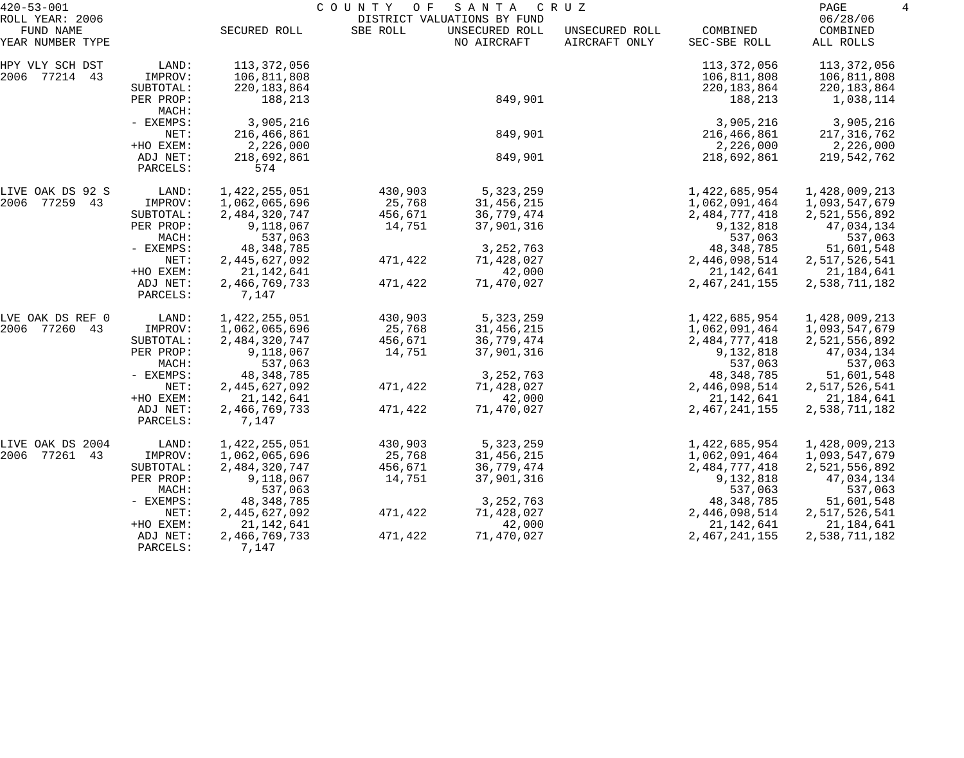| $420 - 53 - 001$                                 |                                   | COUNTY<br>SANTA<br>O F<br>C R U Z<br>DISTRICT VALUATIONS BY FUND |          |                               |                                 |                                             |                                             |
|--------------------------------------------------|-----------------------------------|------------------------------------------------------------------|----------|-------------------------------|---------------------------------|---------------------------------------------|---------------------------------------------|
| ROLL YEAR: 2006<br>FUND NAME<br>YEAR NUMBER TYPE |                                   | SECURED ROLL                                                     | SBE ROLL | UNSECURED ROLL<br>NO AIRCRAFT | UNSECURED ROLL<br>AIRCRAFT ONLY | COMBINED<br>SEC-SBE ROLL                    | 06/28/06<br>COMBINED<br>ALL ROLLS           |
| HPY VLY SCH DST<br>2006 77214 43                 | LAND:<br>IMPROV:<br>SUBTOTAL:     | 113,372,056<br>106,811,808<br>220, 183, 864                      |          |                               |                                 | 113,372,056<br>106,811,808<br>220, 183, 864 | 113,372,056<br>106,811,808<br>220, 183, 864 |
|                                                  | PER PROP:<br>MACH:                | 188,213                                                          |          | 849,901                       |                                 | 188,213                                     | 1,038,114                                   |
|                                                  | - EXEMPS:                         | 3,905,216                                                        |          |                               |                                 | 3,905,216                                   | 3,905,216                                   |
|                                                  | NET:                              | 216,466,861                                                      |          | 849,901                       |                                 | 216,466,861                                 | 217,316,762                                 |
|                                                  | +HO EXEM:<br>ADJ NET:<br>PARCELS: | 2,226,000<br>218,692,861<br>574                                  |          | 849,901                       |                                 | 2,226,000<br>218,692,861                    | 2,226,000<br>219,542,762                    |
| LIVE OAK DS 92 S                                 | LAND:                             | 1,422,255,051                                                    | 430,903  | 5,323,259                     |                                 | 1,422,685,954                               | 1,428,009,213                               |
| 2006 77259 43                                    | IMPROV:                           | 1,062,065,696                                                    | 25,768   | 31, 456, 215                  |                                 | 1,062,091,464                               | 1,093,547,679                               |
|                                                  | SUBTOTAL:                         | 2,484,320,747                                                    | 456,671  | 36,779,474                    |                                 | 2,484,777,418                               | 2,521,556,892                               |
|                                                  | PER PROP:                         | 9,118,067                                                        | 14,751   | 37,901,316                    |                                 | 9,132,818                                   | 47,034,134                                  |
|                                                  | MACH:<br>- EXEMPS:                | 537,063<br>48, 348, 785                                          |          | 3, 252, 763                   |                                 | 537,063<br>48, 348, 785                     | 537,063                                     |
|                                                  | NET:                              | 2,445,627,092                                                    | 471,422  | 71,428,027                    |                                 | 2,446,098,514                               | 51,601,548<br>2,517,526,541                 |
|                                                  | +HO EXEM:                         | 21, 142, 641                                                     |          | 42,000                        |                                 | 21, 142, 641                                | 21,184,641                                  |
|                                                  | ADJ NET:<br>PARCELS:              | 2,466,769,733<br>7,147                                           | 471,422  | 71,470,027                    |                                 | 2, 467, 241, 155                            | 2,538,711,182                               |
| LVE OAK DS REF 0                                 | LAND:                             | 1,422,255,051                                                    | 430,903  | 5,323,259                     |                                 | 1,422,685,954                               | 1,428,009,213                               |
| 2006 77260 43                                    | IMPROV:                           | 1,062,065,696                                                    | 25,768   | 31,456,215                    |                                 | 1,062,091,464                               | 1,093,547,679                               |
|                                                  | SUBTOTAL:                         | 2,484,320,747                                                    | 456,671  | 36,779,474                    |                                 | 2,484,777,418                               | 2,521,556,892                               |
|                                                  | PER PROP:<br>MACH:                | 9,118,067<br>537,063                                             | 14,751   | 37,901,316                    |                                 | 9,132,818<br>537,063                        | 47,034,134<br>537,063                       |
|                                                  | - EXEMPS:                         | 48, 348, 785                                                     |          | 3, 252, 763                   |                                 | 48, 348, 785                                | 51,601,548                                  |
|                                                  | NET:                              | 2,445,627,092                                                    | 471,422  | 71,428,027                    |                                 | 2,446,098,514                               | 2,517,526,541                               |
|                                                  | +HO EXEM:                         | 21, 142, 641                                                     |          | 42,000                        |                                 | 21, 142, 641                                | 21,184,641                                  |
|                                                  | ADJ NET:<br>PARCELS:              | 2,466,769,733<br>7,147                                           | 471,422  | 71,470,027                    |                                 | 2,467,241,155                               | 2,538,711,182                               |
| LIVE OAK DS 2004                                 | LAND:                             | 1,422,255,051                                                    | 430,903  | 5,323,259                     |                                 | 1,422,685,954                               | 1,428,009,213                               |
| 2006 77261 43                                    | IMPROV:                           | 1,062,065,696                                                    | 25,768   | 31,456,215                    |                                 | 1,062,091,464                               | 1,093,547,679                               |
|                                                  | SUBTOTAL:                         | 2,484,320,747                                                    | 456,671  | 36,779,474                    |                                 | 2,484,777,418                               | 2,521,556,892                               |
|                                                  | PER PROP:                         | 9,118,067                                                        | 14,751   | 37,901,316                    |                                 | 9,132,818                                   | 47,034,134                                  |
|                                                  | MACH:                             | 537,063                                                          |          |                               |                                 | 537,063                                     | 537,063                                     |
|                                                  | - EXEMPS:                         | 48, 348, 785                                                     |          | 3, 252, 763                   |                                 | 48, 348, 785                                | 51,601,548                                  |
|                                                  | NET:                              | 2,445,627,092                                                    | 471,422  | 71,428,027                    |                                 | 2,446,098,514                               | 2,517,526,541                               |
|                                                  | +HO EXEM:                         | 21, 142, 641                                                     |          | 42,000                        |                                 | 21, 142, 641                                | 21,184,641                                  |
|                                                  | ADJ NET:<br>PARCELS:              | 2,466,769,733<br>7,147                                           | 471,422  | 71,470,027                    |                                 | 2,467,241,155                               | 2,538,711,182                               |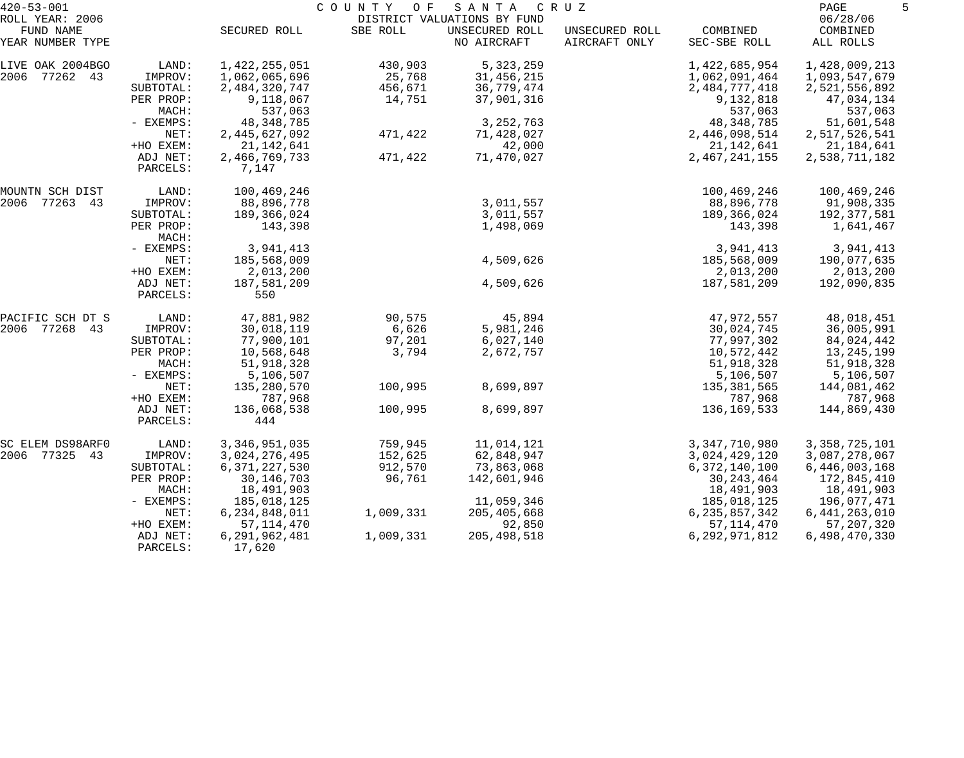| $420 - 53 - 001$                                 |                      | COUNTY<br>SANTA<br>C R U Z<br>O F<br>DISTRICT VALUATIONS BY FUND |           |                               |                                 |                          |                                   |  |
|--------------------------------------------------|----------------------|------------------------------------------------------------------|-----------|-------------------------------|---------------------------------|--------------------------|-----------------------------------|--|
| ROLL YEAR: 2006<br>FUND NAME<br>YEAR NUMBER TYPE |                      | SECURED ROLL                                                     | SBE ROLL  | UNSECURED ROLL<br>NO AIRCRAFT | UNSECURED ROLL<br>AIRCRAFT ONLY | COMBINED<br>SEC-SBE ROLL | 06/28/06<br>COMBINED<br>ALL ROLLS |  |
| LIVE OAK 2004BGO                                 | LAND:                | 1,422,255,051                                                    | 430,903   | 5,323,259                     |                                 | 1,422,685,954            | 1,428,009,213                     |  |
| 2006 77262 43                                    | IMPROV:              | 1,062,065,696                                                    | 25,768    | 31,456,215                    |                                 | 1,062,091,464            | 1,093,547,679                     |  |
|                                                  | SUBTOTAL:            | 2,484,320,747                                                    | 456,671   | 36,779,474                    |                                 | 2,484,777,418            | 2,521,556,892                     |  |
|                                                  | PER PROP:            | 9,118,067                                                        | 14,751    | 37,901,316                    |                                 | 9,132,818                | 47,034,134                        |  |
|                                                  | MACH:                | 537,063                                                          |           |                               |                                 | 537,063                  | 537,063                           |  |
|                                                  | - EXEMPS:            | 48, 348, 785                                                     |           | 3, 252, 763                   |                                 | 48, 348, 785             | 51,601,548                        |  |
|                                                  | NET:                 | 2,445,627,092                                                    | 471,422   | 71,428,027                    |                                 | 2,446,098,514            | 2,517,526,541                     |  |
|                                                  | +HO EXEM:            | 21, 142, 641                                                     |           | 42,000                        |                                 | 21, 142, 641             | 21,184,641                        |  |
|                                                  | ADJ NET:<br>PARCELS: | 2,466,769,733<br>7,147                                           | 471,422   | 71,470,027                    |                                 | 2,467,241,155            | 2,538,711,182                     |  |
| MOUNTN SCH DIST                                  | LAND:                | 100,469,246                                                      |           |                               |                                 | 100,469,246              | 100,469,246                       |  |
| 2006 77263 43                                    | IMPROV:              | 88,896,778                                                       |           | 3,011,557                     |                                 | 88,896,778               | 91,908,335                        |  |
|                                                  | SUBTOTAL:            | 189,366,024                                                      |           | 3,011,557                     |                                 | 189,366,024              | 192,377,581                       |  |
|                                                  | PER PROP:<br>MACH:   | 143,398                                                          |           | 1,498,069                     |                                 | 143,398                  | 1,641,467                         |  |
|                                                  | - EXEMPS:            | 3,941,413                                                        |           |                               |                                 | 3,941,413                | 3,941,413                         |  |
|                                                  | NET:                 | 185,568,009                                                      |           | 4,509,626                     |                                 | 185,568,009              | 190,077,635                       |  |
|                                                  | +HO EXEM:            | 2,013,200                                                        |           |                               |                                 | 2,013,200                | 2,013,200                         |  |
|                                                  | ADJ NET:<br>PARCELS: | 187,581,209<br>550                                               |           | 4,509,626                     |                                 | 187,581,209              | 192,090,835                       |  |
| PACIFIC SCH DT S                                 | LAND:                | 47,881,982                                                       | 90,575    | 45,894                        |                                 | 47,972,557               | 48,018,451                        |  |
| 2006 77268 43                                    | IMPROV:              | 30,018,119                                                       | 6,626     | 5,981,246                     |                                 | 30,024,745               | 36,005,991                        |  |
|                                                  | SUBTOTAL:            | 77,900,101                                                       | 97,201    | 6,027,140                     |                                 | 77,997,302               | 84,024,442                        |  |
|                                                  | PER PROP:            | 10,568,648                                                       | 3,794     | 2,672,757                     |                                 | 10,572,442               | 13,245,199                        |  |
|                                                  | MACH:                | 51,918,328                                                       |           |                               |                                 | 51,918,328               | 51,918,328                        |  |
|                                                  | - EXEMPS:            | 5,106,507                                                        |           |                               |                                 | 5,106,507                | 5,106,507                         |  |
|                                                  | NET:                 | 135,280,570                                                      | 100,995   | 8,699,897                     |                                 | 135,381,565              | 144,081,462                       |  |
|                                                  | +HO EXEM:            | 787,968                                                          |           |                               |                                 | 787,968                  | 787,968                           |  |
|                                                  | ADJ NET:<br>PARCELS: | 136,068,538<br>444                                               | 100,995   | 8,699,897                     |                                 | 136, 169, 533            | 144,869,430                       |  |
| SC ELEM DS98ARF0                                 | LAND:                | 3,346,951,035                                                    | 759,945   | 11,014,121                    |                                 | 3, 347, 710, 980         | 3, 358, 725, 101                  |  |
| 2006 77325 43                                    | IMPROV:              | 3,024,276,495                                                    | 152,625   | 62,848,947                    |                                 | 3,024,429,120            | 3,087,278,067                     |  |
|                                                  | SUBTOTAL:            | 6, 371, 227, 530                                                 | 912,570   | 73,863,068                    |                                 | 6, 372, 140, 100         | 6,446,003,168                     |  |
|                                                  | PER PROP:            | 30, 146, 703                                                     | 96,761    | 142,601,946                   |                                 | 30, 243, 464             | 172,845,410                       |  |
|                                                  | MACH:                | 18,491,903                                                       |           |                               |                                 | 18,491,903               | 18,491,903                        |  |
|                                                  | - EXEMPS:            | 185,018,125                                                      |           | 11,059,346                    |                                 | 185,018,125              | 196,077,471                       |  |
|                                                  | NET:                 | 6, 234, 848, 011                                                 | 1,009,331 | 205,405,668                   |                                 | 6, 235, 857, 342         | 6, 441, 263, 010                  |  |
|                                                  | +HO EXEM:            | 57, 114, 470                                                     |           | 92,850                        |                                 | 57, 114, 470             | 57, 207, 320                      |  |
|                                                  | ADJ NET:<br>PARCELS: | 6,291,962,481<br>17,620                                          | 1,009,331 | 205,498,518                   |                                 | 6, 292, 971, 812         | 6,498,470,330                     |  |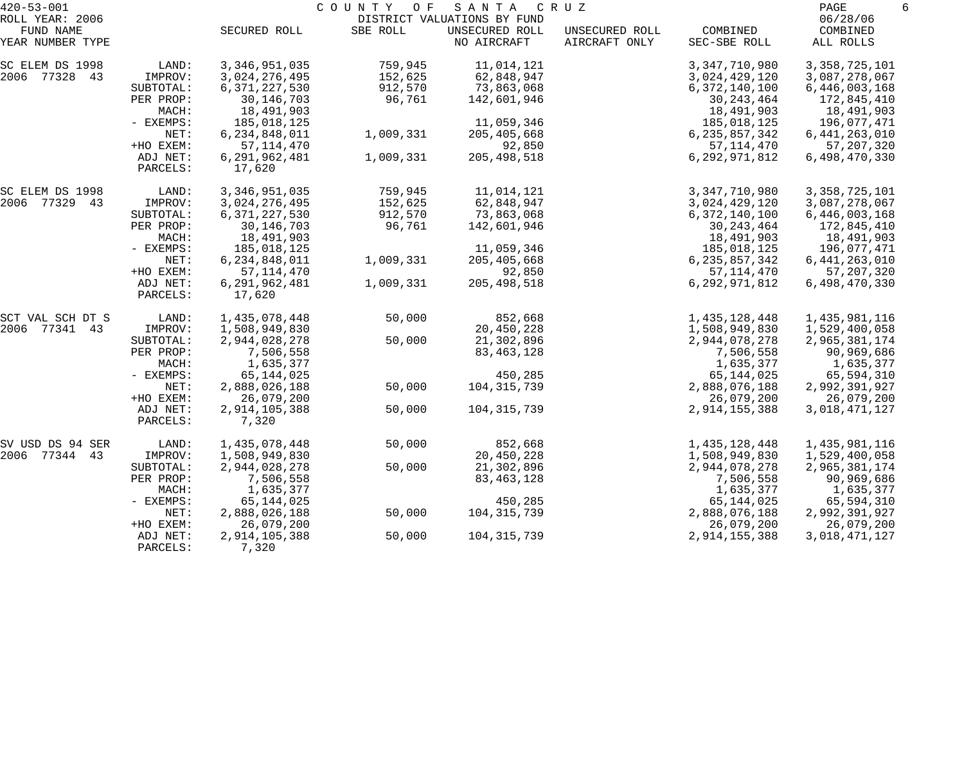| $420 - 53 - 001$                                 |                      | COUNTY<br>SANTA<br>O F<br>C R U Z<br>DISTRICT VALUATIONS BY FUND |           |                               |                                 |                          |                                   |
|--------------------------------------------------|----------------------|------------------------------------------------------------------|-----------|-------------------------------|---------------------------------|--------------------------|-----------------------------------|
| ROLL YEAR: 2006<br>FUND NAME<br>YEAR NUMBER TYPE |                      | SECURED ROLL                                                     | SBE ROLL  | UNSECURED ROLL<br>NO AIRCRAFT | UNSECURED ROLL<br>AIRCRAFT ONLY | COMBINED<br>SEC-SBE ROLL | 06/28/06<br>COMBINED<br>ALL ROLLS |
| SC ELEM DS 1998                                  | LAND:                | 3, 346, 951, 035                                                 | 759,945   | 11,014,121                    |                                 | 3, 347, 710, 980         | 3, 358, 725, 101                  |
| 2006 77328 43                                    | IMPROV:              | 3,024,276,495                                                    | 152,625   | 62,848,947                    |                                 | 3,024,429,120            | 3,087,278,067                     |
|                                                  | SUBTOTAL:            | 6, 371, 227, 530                                                 | 912,570   | 73,863,068                    |                                 | 6,372,140,100            | 6,446,003,168                     |
|                                                  | PER PROP:            | 30, 146, 703                                                     | 96,761    | 142,601,946                   |                                 | 30, 243, 464             | 172,845,410                       |
|                                                  | MACH:                | 18,491,903                                                       |           |                               |                                 | 18,491,903               | 18,491,903                        |
|                                                  | - EXEMPS:            | 185,018,125                                                      |           | 11,059,346                    |                                 | 185,018,125              | 196,077,471                       |
|                                                  | NET:                 | 6,234,848,011                                                    | 1,009,331 | 205, 405, 668                 |                                 | 6, 235, 857, 342         | 6,441,263,010                     |
|                                                  | +HO EXEM:            | 57, 114, 470                                                     |           | 92,850                        |                                 | 57, 114, 470             | 57, 207, 320                      |
|                                                  | ADJ NET:<br>PARCELS: | 6,291,962,481<br>17,620                                          | 1,009,331 | 205, 498, 518                 |                                 | 6,292,971,812            | 6,498,470,330                     |
| SC ELEM DS 1998                                  | LAND:                | 3, 346, 951, 035                                                 | 759,945   | 11,014,121                    |                                 | 3, 347, 710, 980         | 3, 358, 725, 101                  |
| 2006 77329 43                                    | IMPROV:              | 3,024,276,495                                                    | 152,625   | 62,848,947                    |                                 | 3,024,429,120            | 3,087,278,067                     |
|                                                  | SUBTOTAL:            | 6, 371, 227, 530                                                 | 912,570   | 73,863,068                    |                                 | 6,372,140,100            | 6,446,003,168                     |
|                                                  | PER PROP:            | 30, 146, 703                                                     | 96,761    | 142,601,946                   |                                 | 30, 243, 464             | 172,845,410                       |
|                                                  | MACH:                | 18,491,903                                                       |           |                               |                                 | 18,491,903               | 18,491,903                        |
|                                                  | - EXEMPS:            | 185,018,125                                                      |           | 11,059,346                    |                                 | 185,018,125              | 196,077,471                       |
|                                                  | NET:                 | 6, 234, 848, 011                                                 | 1,009,331 | 205, 405, 668                 |                                 | 6, 235, 857, 342         | 6, 441, 263, 010                  |
|                                                  | +HO EXEM:            | 57, 114, 470                                                     |           | 92,850                        |                                 | 57, 114, 470             | 57, 207, 320                      |
|                                                  | ADJ NET:<br>PARCELS: | 6,291,962,481<br>17,620                                          | 1,009,331 | 205, 498, 518                 |                                 | 6,292,971,812            | 6,498,470,330                     |
| SCT VAL SCH DT S                                 | LAND:                | 1,435,078,448                                                    | 50,000    | 852,668                       |                                 | 1,435,128,448            | 1,435,981,116                     |
| 2006 77341 43                                    | IMPROV:              | 1,508,949,830                                                    |           | 20,450,228                    |                                 | 1,508,949,830            | 1,529,400,058                     |
|                                                  | SUBTOTAL:            | 2,944,028,278                                                    | 50,000    | 21,302,896                    |                                 | 2,944,078,278            | 2,965,381,174                     |
|                                                  | PER PROP:            | 7,506,558                                                        |           | 83, 463, 128                  |                                 | 7,506,558                | 90,969,686                        |
|                                                  | MACH:                | 1,635,377                                                        |           |                               |                                 | 1,635,377                | 1,635,377                         |
|                                                  | - EXEMPS:            | 65, 144, 025                                                     |           | 450,285                       |                                 | 65,144,025               | 65,594,310                        |
|                                                  | NET:                 | 2,888,026,188                                                    | 50,000    | 104,315,739                   |                                 | 2,888,076,188            | 2,992,391,927                     |
|                                                  | +HO EXEM:            | 26,079,200                                                       |           |                               |                                 | 26,079,200               | 26,079,200                        |
|                                                  | ADJ NET:<br>PARCELS: | 2,914,105,388<br>7,320                                           | 50,000    | 104, 315, 739                 |                                 | 2,914,155,388            | 3,018,471,127                     |
| SV USD DS 94 SER                                 | LAND:                | 1,435,078,448                                                    | 50,000    | 852,668                       |                                 | 1,435,128,448            | 1,435,981,116                     |
| 2006 77344 43                                    | IMPROV:              | 1,508,949,830                                                    |           | 20,450,228                    |                                 | 1,508,949,830            | 1,529,400,058                     |
|                                                  | SUBTOTAL:            | 2,944,028,278                                                    | 50,000    | 21,302,896                    |                                 | 2,944,078,278            | 2,965,381,174                     |
|                                                  | PER PROP:            | 7,506,558                                                        |           | 83, 463, 128                  |                                 | 7,506,558                | 90,969,686                        |
|                                                  | MACH:                | 1,635,377                                                        |           |                               |                                 | 1,635,377                | 1,635,377                         |
|                                                  | - EXEMPS:            | 65, 144, 025                                                     |           | 450,285                       |                                 | 65, 144, 025             | 65,594,310                        |
|                                                  | NET:                 | 2,888,026,188                                                    | 50,000    | 104, 315, 739                 |                                 | 2,888,076,188            | 2,992,391,927                     |
|                                                  | +HO EXEM:            | 26,079,200                                                       |           |                               |                                 | 26,079,200               | 26,079,200                        |
|                                                  | ADJ NET:<br>PARCELS: | 2,914,105,388<br>7,320                                           | 50,000    | 104, 315, 739                 |                                 | 2,914,155,388            | 3,018,471,127                     |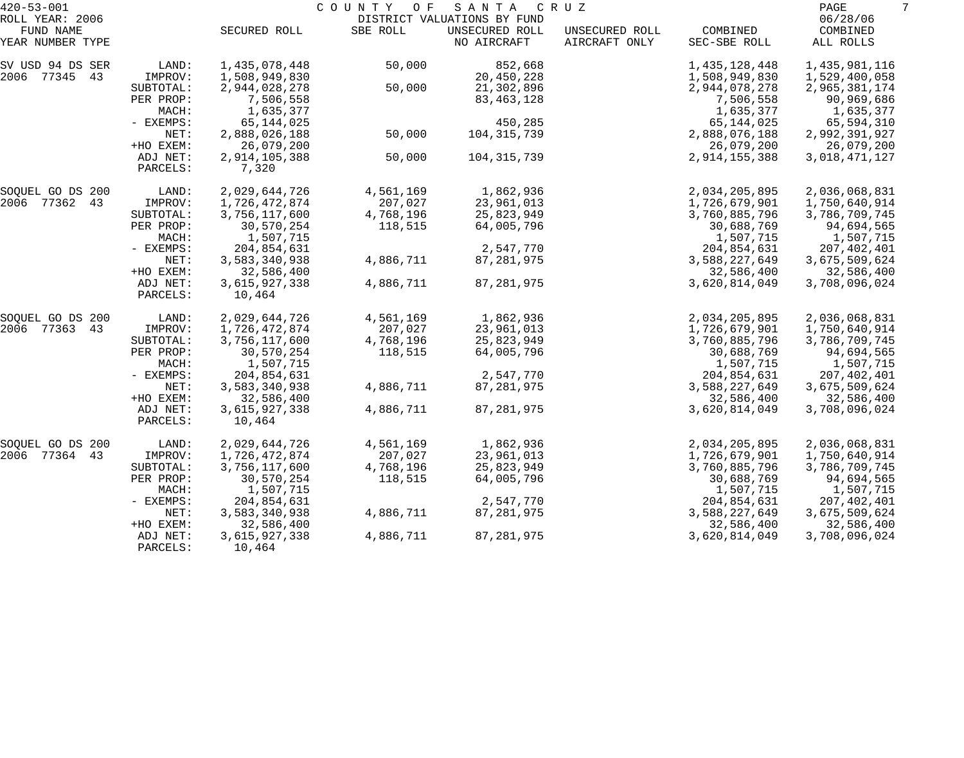| $420 - 53 - 001$    |                      | COUNTY OF<br>SANTA<br>C R U Z |           |                             |                |               |               |  |
|---------------------|----------------------|-------------------------------|-----------|-----------------------------|----------------|---------------|---------------|--|
| ROLL YEAR: 2006     |                      |                               |           | DISTRICT VALUATIONS BY FUND |                |               | 06/28/06      |  |
| FUND NAME           |                      | SECURED ROLL                  | SBE ROLL  | UNSECURED ROLL              | UNSECURED ROLL | COMBINED      | COMBINED      |  |
| YEAR NUMBER TYPE    |                      |                               |           | NO AIRCRAFT                 | AIRCRAFT ONLY  | SEC-SBE ROLL  | ALL ROLLS     |  |
| SV USD 94 DS SER    | LAND:                | 1,435,078,448                 | 50,000    | 852,668                     |                | 1,435,128,448 | 1,435,981,116 |  |
| 2006<br>77345 43    | IMPROV:              | 1,508,949,830                 |           | 20,450,228                  |                | 1,508,949,830 | 1,529,400,058 |  |
|                     | SUBTOTAL:            | 2,944,028,278                 | 50,000    | 21,302,896                  |                | 2,944,078,278 | 2,965,381,174 |  |
|                     | PER PROP:            | 7,506,558                     |           | 83, 463, 128                |                | 7,506,558     | 90,969,686    |  |
|                     | MACH:                | 1,635,377                     |           |                             |                | 1,635,377     | 1,635,377     |  |
|                     | - EXEMPS:            | 65,144,025                    |           | 450,285                     |                | 65, 144, 025  | 65,594,310    |  |
|                     | NET:                 | 2,888,026,188                 | 50,000    | 104, 315, 739               |                | 2,888,076,188 | 2,992,391,927 |  |
|                     | +HO EXEM:            | 26,079,200                    |           |                             |                | 26,079,200    | 26,079,200    |  |
|                     | ADJ NET:<br>PARCELS: | 2,914,105,388<br>7,320        | 50,000    | 104, 315, 739               |                | 2,914,155,388 | 3,018,471,127 |  |
| SOQUEL GO DS 200    | LAND:                | 2,029,644,726                 | 4,561,169 | 1,862,936                   |                | 2,034,205,895 | 2,036,068,831 |  |
| 2006<br>77362 43    | IMPROV:              | 1,726,472,874                 | 207,027   | 23,961,013                  |                | 1,726,679,901 | 1,750,640,914 |  |
|                     | SUBTOTAL:            | 3,756,117,600                 | 4,768,196 | 25,823,949                  |                | 3,760,885,796 | 3,786,709,745 |  |
|                     | PER PROP:            | 30,570,254                    | 118,515   | 64,005,796                  |                | 30,688,769    | 94,694,565    |  |
|                     | MACH:                | 1,507,715                     |           |                             |                | 1,507,715     | 1,507,715     |  |
|                     | - EXEMPS:            | 204,854,631                   |           | 2,547,770                   |                | 204,854,631   | 207,402,401   |  |
|                     | NET:                 | 3,583,340,938                 | 4,886,711 | 87, 281, 975                |                | 3,588,227,649 | 3,675,509,624 |  |
|                     | +HO EXEM:            | 32,586,400                    |           |                             |                | 32,586,400    | 32,586,400    |  |
|                     | ADJ NET:<br>PARCELS: | 3,615,927,338<br>10,464       | 4,886,711 | 87, 281, 975                |                | 3,620,814,049 | 3,708,096,024 |  |
|                     |                      |                               |           |                             |                |               |               |  |
| SOQUEL GO DS 200    | LAND:                | 2,029,644,726                 | 4,561,169 | 1,862,936                   |                | 2,034,205,895 | 2,036,068,831 |  |
| 2006<br>77363<br>43 | IMPROV:              | 1,726,472,874                 | 207,027   | 23,961,013                  |                | 1,726,679,901 | 1,750,640,914 |  |
|                     | SUBTOTAL:            | 3,756,117,600                 | 4,768,196 | 25,823,949                  |                | 3,760,885,796 | 3,786,709,745 |  |
|                     | PER PROP:            | 30,570,254                    | 118,515   | 64,005,796                  |                | 30,688,769    | 94,694,565    |  |
|                     | MACH:                | 1,507,715                     |           |                             |                | 1,507,715     | 1,507,715     |  |
|                     | - EXEMPS:            | 204,854,631                   |           | 2,547,770                   |                | 204,854,631   | 207,402,401   |  |
|                     | NET:                 | 3,583,340,938                 | 4,886,711 | 87, 281, 975                |                | 3,588,227,649 | 3,675,509,624 |  |
|                     | +HO EXEM:            | 32,586,400                    |           |                             |                | 32,586,400    | 32,586,400    |  |
|                     | ADJ NET:<br>PARCELS: | 3,615,927,338<br>10,464       | 4,886,711 | 87, 281, 975                |                | 3,620,814,049 | 3,708,096,024 |  |
| SOQUEL GO DS 200    | LAND:                | 2,029,644,726                 | 4,561,169 | 1,862,936                   |                | 2,034,205,895 | 2,036,068,831 |  |
| 2006 77364<br>43    | IMPROV:              | 1,726,472,874                 | 207,027   | 23,961,013                  |                | 1,726,679,901 | 1,750,640,914 |  |
|                     | SUBTOTAL:            | 3,756,117,600                 | 4,768,196 | 25,823,949                  |                | 3,760,885,796 | 3,786,709,745 |  |
|                     | PER PROP:            | 30,570,254                    | 118,515   | 64,005,796                  |                | 30,688,769    | 94,694,565    |  |
|                     | MACH:                | 1,507,715                     |           |                             |                | 1,507,715     | 1,507,715     |  |
|                     | - EXEMPS:            | 204,854,631                   |           | 2,547,770                   |                | 204,854,631   | 207,402,401   |  |
|                     | NET:                 | 3,583,340,938                 | 4,886,711 | 87, 281, 975                |                | 3,588,227,649 | 3,675,509,624 |  |
|                     | +HO EXEM:            | 32,586,400                    |           |                             |                | 32,586,400    | 32,586,400    |  |
|                     | ADJ NET:             | 3,615,927,338                 | 4,886,711 | 87, 281, 975                |                | 3,620,814,049 | 3,708,096,024 |  |
|                     | PARCELS:             | 10,464                        |           |                             |                |               |               |  |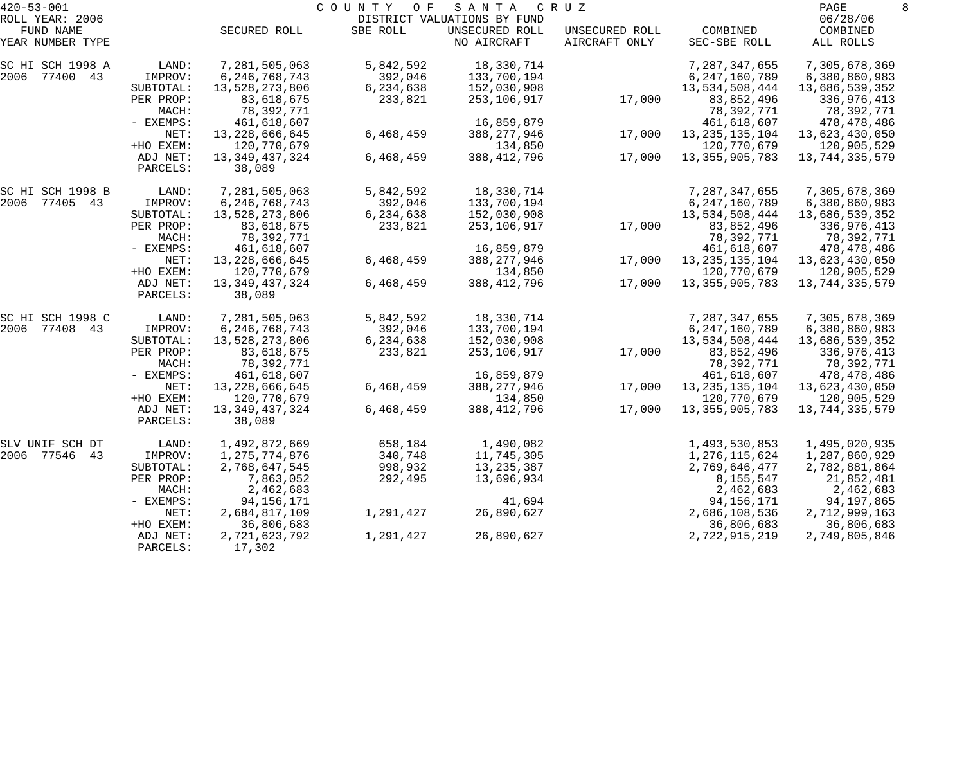| $420 - 53 - 001$             |                      |                             | COUNTY<br>O F | SANTA                                         | C R U Z           |                          | PAGE                      | 8 |
|------------------------------|----------------------|-----------------------------|---------------|-----------------------------------------------|-------------------|--------------------------|---------------------------|---|
| ROLL YEAR: 2006<br>FUND NAME |                      | SECURED ROLL                | SBE ROLL      | DISTRICT VALUATIONS BY FUND<br>UNSECURED ROLL | UNSECURED ROLL    | COMBINED                 | 06/28/06<br>COMBINED      |   |
| YEAR NUMBER TYPE             |                      |                             |               | NO AIRCRAFT                                   | AIRCRAFT ONLY     | SEC-SBE ROLL             | ALL ROLLS                 |   |
| SC HI SCH 1998 A             | LAND:                | 7,281,505,063               | 5,842,592     | 18,330,714                                    |                   | 7,287,347,655            | 7,305,678,369             |   |
| 2006 77400 43                | IMPROV:              | 6, 246, 768, 743            | 392,046       | 133,700,194                                   |                   | 6, 247, 160, 789         | 6,380,860,983             |   |
|                              | SUBTOTAL:            | 13,528,273,806              | 6,234,638     | 152,030,908                                   |                   | 13,534,508,444           | 13,686,539,352            |   |
|                              | PER PROP:<br>MACH:   | 83,618,675<br>78,392,771    | 233,821       | 253,106,917                                   | 17,000            | 83,852,496<br>78,392,771 | 336,976,413<br>78,392,771 |   |
|                              | - EXEMPS:            | 461,618,607                 |               | 16,859,879                                    |                   | 461,618,607              | 478,478,486               |   |
|                              | NET:                 | 13, 228, 666, 645           | 6,468,459     | 388, 277, 946                                 | 17,000            | 13, 235, 135, 104        | 13,623,430,050            |   |
|                              | +HO EXEM:            | 120,770,679                 |               | 134,850                                       |                   | 120,770,679              | 120,905,529               |   |
|                              | ADJ NET:             | 13, 349, 437, 324           | 6,468,459     | 388, 412, 796                                 | 17,000            | 13, 355, 905, 783        | 13,744,335,579            |   |
|                              | PARCELS:             | 38,089                      |               |                                               |                   |                          |                           |   |
| SC HI SCH 1998 B             | LAND:                | 7,281,505,063               | 5,842,592     | 18,330,714                                    |                   | 7,287,347,655            | 7,305,678,369             |   |
| 2006 77405 43                | IMPROV:              | 6, 246, 768, 743            | 392,046       | 133,700,194                                   |                   | 6, 247, 160, 789         | 6,380,860,983             |   |
|                              | SUBTOTAL:            | 13,528,273,806              | 6,234,638     | 152,030,908                                   |                   | 13,534,508,444           | 13,686,539,352            |   |
|                              | PER PROP:            | 83,618,675                  | 233,821       | 253,106,917                                   | 17,000            | 83,852,496               | 336,976,413               |   |
|                              | MACH:                | 78,392,771                  |               |                                               |                   | 78,392,771               | 78,392,771                |   |
|                              | - EXEMPS:            | 461,618,607                 |               | 16,859,879                                    |                   | 461,618,607              | 478,478,486               |   |
| NET:                         | 13,228,666,645       | 6,468,459                   | 388, 277, 946 | 17,000                                        | 13, 235, 135, 104 | 13,623,430,050           |                           |   |
|                              | +HO EXEM:            | 120,770,679                 |               | 134,850                                       |                   | 120,770,679              | 120,905,529               |   |
|                              | ADJ NET:<br>PARCELS: | 13, 349, 437, 324<br>38,089 | 6,468,459     | 388, 412, 796                                 | 17,000            | 13, 355, 905, 783        | 13,744,335,579            |   |
| SC HI SCH 1998 C             | LAND:                | 7,281,505,063               | 5,842,592     | 18,330,714                                    |                   | 7,287,347,655            | 7,305,678,369             |   |
| 2006 77408 43                | IMPROV:              | 6, 246, 768, 743            | 392,046       | 133,700,194                                   |                   | 6, 247, 160, 789         | 6,380,860,983             |   |
|                              | SUBTOTAL:            | 13,528,273,806              | 6,234,638     | 152,030,908                                   |                   | 13,534,508,444           | 13,686,539,352            |   |
|                              | PER PROP:            | 83,618,675                  | 233,821       | 253,106,917                                   | 17,000            | 83,852,496               | 336,976,413               |   |
|                              | MACH:                | 78,392,771                  |               |                                               |                   | 78,392,771               | 78,392,771                |   |
|                              | - EXEMPS:            | 461,618,607                 |               | 16,859,879                                    |                   | 461,618,607              | 478,478,486               |   |
|                              | NET:                 | 13, 228, 666, 645           | 6,468,459     | 388, 277, 946                                 | 17,000            | 13, 235, 135, 104        | 13,623,430,050            |   |
|                              | +HO EXEM:            | 120,770,679                 |               | 134,850                                       |                   | 120,770,679              | 120,905,529               |   |
|                              | ADJ NET:<br>PARCELS: | 13, 349, 437, 324<br>38,089 | 6,468,459     | 388, 412, 796                                 | 17,000            | 13, 355, 905, 783        | 13,744,335,579            |   |
| SLV UNIF SCH DT              | LAND:                | 1,492,872,669               | 658,184       | 1,490,082                                     |                   | 1,493,530,853            | 1,495,020,935             |   |
| 2006 77546 43                | IMPROV:              | 1,275,774,876               | 340,748       | 11,745,305                                    |                   | 1,276,115,624            | 1,287,860,929             |   |
|                              | SUBTOTAL:            | 2,768,647,545               | 998,932       | 13, 235, 387                                  |                   | 2,769,646,477            | 2,782,881,864             |   |
|                              | PER PROP:            | 7,863,052                   | 292,495       | 13,696,934                                    |                   | 8,155,547                | 21,852,481                |   |
|                              | MACH:                | 2,462,683                   |               |                                               |                   | 2,462,683                | 2,462,683                 |   |
|                              | $-$ EXEMPS:          | 94, 156, 171                |               | 41,694                                        |                   | 94, 156, 171             | 94,197,865                |   |
|                              | NET:                 | 2,684,817,109               | 1,291,427     | 26,890,627                                    |                   | 2,686,108,536            | 2,712,999,163             |   |
|                              | +HO EXEM:            | 36,806,683                  |               |                                               |                   | 36,806,683               | 36,806,683                |   |
|                              | ADJ NET:<br>PARCELS: | 2,721,623,792<br>17,302     | 1,291,427     | 26,890,627                                    |                   | 2,722,915,219            | 2,749,805,846             |   |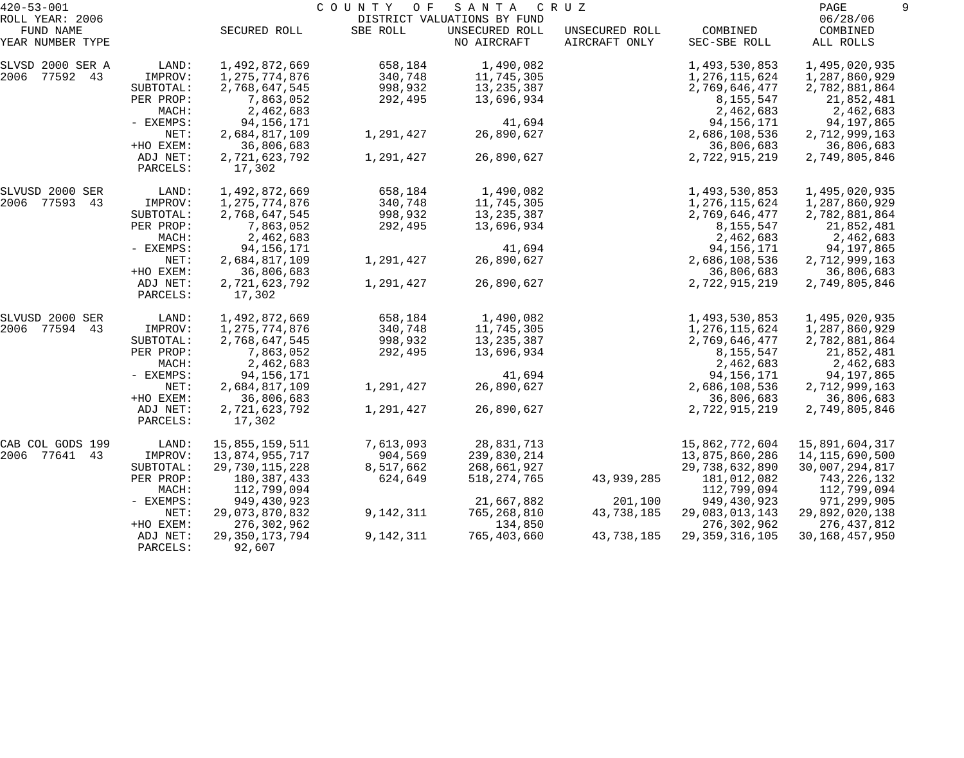| $420 - 53 - 001$              |                      |                             | COUNTY<br>O F | SANTA                         | C R U Z                         |                          | PAGE                  |
|-------------------------------|----------------------|-----------------------------|---------------|-------------------------------|---------------------------------|--------------------------|-----------------------|
| ROLL YEAR: 2006               |                      |                             |               | DISTRICT VALUATIONS BY FUND   |                                 |                          | 06/28/06              |
| FUND NAME<br>YEAR NUMBER TYPE |                      | SECURED ROLL                | SBE ROLL      | UNSECURED ROLL<br>NO AIRCRAFT | UNSECURED ROLL<br>AIRCRAFT ONLY | COMBINED<br>SEC-SBE ROLL | COMBINED<br>ALL ROLLS |
| SLVSD 2000 SER A              | LAND:                | 1,492,872,669               | 658,184       | 1,490,082                     |                                 | 1,493,530,853            | 1,495,020,935         |
| 77592 43<br>2006              | IMPROV:              | 1,275,774,876               | 340,748       | 11,745,305                    |                                 | 1,276,115,624            | 1,287,860,929         |
|                               | SUBTOTAL:            | 2,768,647,545               | 998,932       | 13,235,387                    |                                 | 2,769,646,477            | 2,782,881,864         |
|                               | PER PROP:            | 7,863,052                   | 292,495       | 13,696,934                    |                                 | 8,155,547                | 21,852,481            |
|                               | MACH:                | 2,462,683                   |               |                               |                                 | 2,462,683                | 2,462,683             |
|                               | - EXEMPS:            | 94, 156, 171                |               | 41,694                        |                                 | 94, 156, 171             | 94,197,865            |
|                               | NET:                 | 2,684,817,109               | 1,291,427     | 26,890,627                    |                                 | 2,686,108,536            | 2,712,999,163         |
|                               | +HO EXEM:            | 36,806,683                  |               |                               |                                 | 36,806,683               | 36,806,683            |
|                               | ADJ NET:<br>PARCELS: | 2,721,623,792<br>17,302     | 1,291,427     | 26,890,627                    |                                 | 2,722,915,219            | 2,749,805,846         |
| SLVUSD 2000 SER               | LAND:                | 1,492,872,669               | 658,184       | 1,490,082                     |                                 | 1,493,530,853            | 1,495,020,935         |
| 2006 77593<br>43              | IMPROV:              | 1,275,774,876               | 340,748       | 11,745,305                    |                                 | 1,276,115,624            | 1,287,860,929         |
|                               | SUBTOTAL:            | 2,768,647,545               | 998,932       | 13,235,387                    |                                 | 2,769,646,477            | 2,782,881,864         |
|                               | PER PROP:            | 7,863,052                   | 292,495       | 13,696,934                    |                                 | 8,155,547                | 21,852,481            |
|                               | MACH:                | 2,462,683                   |               |                               |                                 | 2,462,683                | 2,462,683             |
|                               | - EXEMPS:            | 94, 156, 171                |               | 41,694                        |                                 | 94,156,171               | 94,197,865            |
|                               | NET:                 | 2,684,817,109               | 1,291,427     | 26,890,627                    |                                 | 2,686,108,536            | 2,712,999,163         |
|                               | +HO EXEM:            | 36,806,683                  |               |                               |                                 | 36,806,683               | 36,806,683            |
|                               | ADJ NET:<br>PARCELS: | 2,721,623,792<br>17,302     | 1,291,427     | 26,890,627                    |                                 | 2,722,915,219            | 2,749,805,846         |
| SLVUSD 2000 SER               | LAND:                | 1,492,872,669               | 658,184       | 1,490,082                     |                                 | 1,493,530,853            | 1,495,020,935         |
| 2006<br>77594 43              | IMPROV:              | 1,275,774,876               | 340,748       | 11,745,305                    |                                 | 1,276,115,624            | 1,287,860,929         |
|                               | SUBTOTAL:            | 2,768,647,545               | 998,932       | 13, 235, 387                  |                                 | 2,769,646,477            | 2,782,881,864         |
|                               | PER PROP:            | 7,863,052                   | 292,495       | 13,696,934                    |                                 | 8,155,547                | 21,852,481            |
|                               | MACH:                | 2,462,683                   |               |                               |                                 | 2,462,683                | 2,462,683             |
|                               | - EXEMPS:            | 94,156,171                  |               | 41,694                        |                                 | 94, 156, 171             | 94,197,865            |
|                               | NET:                 | 2,684,817,109               | 1,291,427     | 26,890,627                    |                                 | 2,686,108,536            | 2,712,999,163         |
|                               | +HO EXEM:            | 36,806,683                  |               |                               |                                 | 36,806,683               | 36,806,683            |
|                               | ADJ NET:<br>PARCELS: | 2,721,623,792<br>17,302     | 1,291,427     | 26,890,627                    |                                 | 2,722,915,219            | 2,749,805,846         |
| CAB COL GODS 199              | LAND:                | 15,855,159,511              | 7,613,093     | 28,831,713                    |                                 | 15,862,772,604           | 15,891,604,317        |
| 77641<br>2006<br>43           | IMPROV:              | 13,874,955,717              | 904,569       | 239,830,214                   |                                 | 13,875,860,286           | 14, 115, 690, 500     |
|                               | SUBTOTAL:            | 29,730,115,228              | 8,517,662     | 268,661,927                   |                                 | 29,738,632,890           | 30,007,294,817        |
|                               | PER PROP:            | 180,387,433                 | 624,649       | 518, 274, 765                 | 43,939,285                      | 181,012,082              | 743,226,132           |
|                               | MACH:                | 112,799,094                 |               |                               |                                 | 112,799,094              | 112,799,094           |
|                               | $-$ EXEMPS:          | 949,430,923                 |               | 21,667,882                    | 201,100                         | 949,430,923              | 971,299,905           |
|                               | NET:                 | 29,073,870,832              | 9,142,311     | 765,268,810                   | 43,738,185                      | 29,083,013,143           | 29,892,020,138        |
|                               | +HO EXEM:            | 276,302,962                 |               | 134,850                       |                                 | 276,302,962              | 276,437,812           |
|                               | ADJ NET:<br>PARCELS: | 29, 350, 173, 794<br>92,607 | 9,142,311     | 765,403,660                   | 43,738,185                      | 29, 359, 316, 105        | 30, 168, 457, 950     |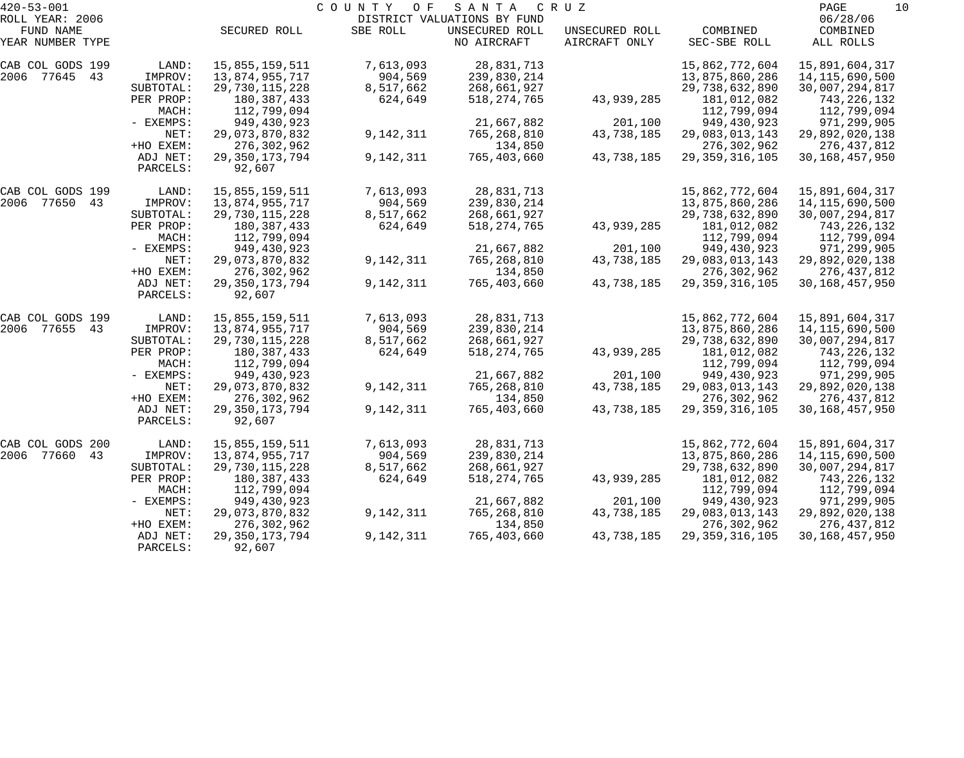| $420 - 53 - 001$    |           |                   | COUNTY<br>O F | SANTA                       | C R U Z        |                   | PAGE<br>10        |
|---------------------|-----------|-------------------|---------------|-----------------------------|----------------|-------------------|-------------------|
| ROLL YEAR: 2006     |           |                   |               | DISTRICT VALUATIONS BY FUND |                |                   | 06/28/06          |
| FUND NAME           |           | SECURED ROLL      | SBE ROLL      | UNSECURED ROLL              | UNSECURED ROLL | COMBINED          | COMBINED          |
| YEAR NUMBER TYPE    |           |                   |               | NO AIRCRAFT                 | AIRCRAFT ONLY  | SEC-SBE ROLL      | ALL ROLLS         |
| CAB COL GODS 199    | LAND:     | 15,855,159,511    | 7,613,093     | 28,831,713                  |                | 15,862,772,604    | 15,891,604,317    |
| 2006 77645 43       | IMPROV:   | 13,874,955,717    | 904,569       | 239,830,214                 |                | 13,875,860,286    | 14, 115, 690, 500 |
|                     | SUBTOTAL: | 29,730,115,228    | 8,517,662     | 268,661,927                 |                | 29,738,632,890    | 30,007,294,817    |
|                     | PER PROP: | 180,387,433       | 624,649       | 518, 274, 765               | 43,939,285     | 181,012,082       | 743,226,132       |
|                     | MACH:     | 112,799,094       |               |                             |                | 112,799,094       | 112,799,094       |
|                     | - EXEMPS: | 949,430,923       |               | 21,667,882                  | 201,100        | 949,430,923       | 971,299,905       |
|                     | NET:      | 29,073,870,832    | 9,142,311     | 765,268,810                 | 43,738,185     | 29,083,013,143    | 29,892,020,138    |
|                     | +HO EXEM: | 276,302,962       |               | 134,850                     |                | 276, 302, 962     | 276,437,812       |
|                     | ADJ NET:  | 29, 350, 173, 794 | 9,142,311     | 765,403,660                 | 43,738,185     | 29, 359, 316, 105 | 30, 168, 457, 950 |
|                     | PARCELS:  | 92,607            |               |                             |                |                   |                   |
| CAB COL GODS 199    | LAND:     | 15,855,159,511    | 7,613,093     | 28,831,713                  |                | 15,862,772,604    | 15,891,604,317    |
| 2006 77650<br>43    | IMPROV:   | 13,874,955,717    | 904,569       | 239,830,214                 |                | 13,875,860,286    | 14, 115, 690, 500 |
|                     | SUBTOTAL: | 29,730,115,228    | 8,517,662     | 268,661,927                 |                | 29,738,632,890    | 30,007,294,817    |
|                     | PER PROP: | 180,387,433       | 624,649       | 518, 274, 765               | 43,939,285     | 181,012,082       | 743,226,132       |
|                     | MACH:     | 112,799,094       |               |                             |                | 112,799,094       | 112,799,094       |
|                     | - EXEMPS: | 949,430,923       |               | 21,667,882                  | 201,100        | 949,430,923       | 971,299,905       |
|                     | NET:      | 29,073,870,832    | 9,142,311     | 765,268,810                 | 43,738,185     | 29,083,013,143    | 29,892,020,138    |
|                     | +HO EXEM: | 276,302,962       |               | 134,850                     |                | 276,302,962       | 276,437,812       |
|                     | ADJ NET:  | 29, 350, 173, 794 | 9,142,311     | 765,403,660                 | 43,738,185     | 29, 359, 316, 105 | 30, 168, 457, 950 |
|                     | PARCELS:  | 92,607            |               |                             |                |                   |                   |
| CAB COL GODS 199    | LAND:     | 15,855,159,511    | 7,613,093     | 28,831,713                  |                | 15,862,772,604    | 15,891,604,317    |
| 2006 77655<br>43    | IMPROV:   | 13,874,955,717    | 904,569       | 239,830,214                 |                | 13,875,860,286    | 14, 115, 690, 500 |
|                     | SUBTOTAL: | 29,730,115,228    | 8,517,662     | 268,661,927                 |                | 29,738,632,890    | 30,007,294,817    |
|                     | PER PROP: | 180,387,433       | 624,649       | 518, 274, 765               | 43,939,285     | 181,012,082       | 743,226,132       |
|                     | MACH:     | 112,799,094       |               |                             |                | 112,799,094       | 112,799,094       |
|                     | - EXEMPS: | 949,430,923       |               | 21,667,882                  | 201,100        | 949,430,923       | 971,299,905       |
|                     | NET:      | 29,073,870,832    | 9,142,311     | 765,268,810                 | 43,738,185     | 29,083,013,143    | 29,892,020,138    |
|                     | +HO EXEM: | 276,302,962       |               | 134,850                     |                | 276, 302, 962     | 276,437,812       |
|                     | ADJ NET:  | 29, 350, 173, 794 | 9,142,311     | 765,403,660                 | 43,738,185     | 29, 359, 316, 105 | 30, 168, 457, 950 |
|                     | PARCELS:  | 92,607            |               |                             |                |                   |                   |
| CAB COL GODS 200    | LAND:     | 15,855,159,511    | 7,613,093     | 28,831,713                  |                | 15,862,772,604    | 15,891,604,317    |
| 2006<br>77660<br>43 | IMPROV:   | 13,874,955,717    | 904,569       | 239,830,214                 |                | 13,875,860,286    | 14, 115, 690, 500 |
|                     | SUBTOTAL: | 29,730,115,228    | 8,517,662     | 268,661,927                 |                | 29,738,632,890    | 30,007,294,817    |
|                     | PER PROP: | 180, 387, 433     | 624,649       | 518, 274, 765               | 43,939,285     | 181,012,082       | 743,226,132       |
|                     | MACH:     | 112,799,094       |               |                             |                | 112,799,094       | 112,799,094       |
|                     | - EXEMPS: | 949,430,923       |               | 21,667,882                  | 201,100        | 949,430,923       | 971,299,905       |
|                     | NET:      | 29,073,870,832    | 9,142,311     | 765,268,810                 | 43,738,185     | 29,083,013,143    | 29,892,020,138    |
|                     | +HO EXEM: | 276,302,962       |               | 134,850                     |                | 276,302,962       | 276,437,812       |
|                     | ADJ NET:  | 29, 350, 173, 794 | 9,142,311     | 765,403,660                 | 43,738,185     | 29, 359, 316, 105 | 30, 168, 457, 950 |
|                     | PARCELS:  | 92,607            |               |                             |                |                   |                   |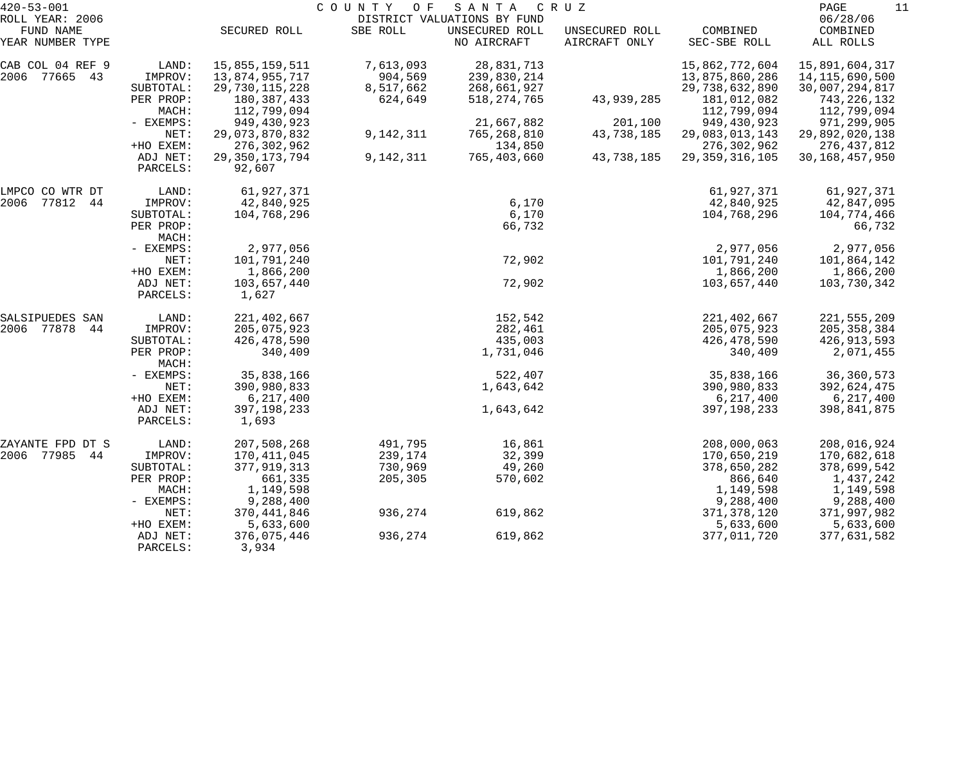| $420 - 53 - 001$              |                      | COUNTY OF<br>SANTA<br>C R U Z |           |                               |                                 |                            |                       |  |  |
|-------------------------------|----------------------|-------------------------------|-----------|-------------------------------|---------------------------------|----------------------------|-----------------------|--|--|
| ROLL YEAR: 2006               |                      |                               |           | DISTRICT VALUATIONS BY FUND   |                                 |                            | 06/28/06              |  |  |
| FUND NAME<br>YEAR NUMBER TYPE |                      | SECURED ROLL                  | SBE ROLL  | UNSECURED ROLL<br>NO AIRCRAFT | UNSECURED ROLL<br>AIRCRAFT ONLY | COMBINED<br>SEC-SBE ROLL   | COMBINED<br>ALL ROLLS |  |  |
| CAB COL 04 REF 9              | LAND:                | 15,855,159,511                | 7,613,093 | 28,831,713                    |                                 | 15,862,772,604             | 15,891,604,317        |  |  |
| 2006 77665 43                 | IMPROV:              | 13,874,955,717                | 904,569   | 239,830,214                   |                                 | 13,875,860,286             |                       |  |  |
|                               |                      |                               |           |                               |                                 |                            | 14, 115, 690, 500     |  |  |
|                               | SUBTOTAL:            | 29,730,115,228                | 8,517,662 | 268,661,927                   |                                 | 29,738,632,890             | 30,007,294,817        |  |  |
|                               | PER PROP:<br>MACH:   | 180, 387, 433                 | 624,649   | 518, 274, 765                 | 43,939,285                      | 181,012,082<br>112,799,094 | 743,226,132           |  |  |
|                               | - EXEMPS:            | 112,799,094                   |           | 21,667,882                    | 201,100                         |                            | 112,799,094           |  |  |
|                               |                      | 949, 430, 923                 |           |                               | 43,738,185                      | 949,430,923                | 971,299,905           |  |  |
|                               | NET:                 | 29,073,870,832                | 9,142,311 | 765,268,810                   |                                 | 29,083,013,143             | 29,892,020,138        |  |  |
|                               | +HO EXEM:            | 276,302,962                   |           | 134,850                       |                                 | 276, 302, 962              | 276,437,812           |  |  |
|                               | ADJ NET:<br>PARCELS: | 29, 350, 173, 794<br>92,607   | 9,142,311 | 765,403,660                   | 43,738,185                      | 29, 359, 316, 105          | 30, 168, 457, 950     |  |  |
| LMPCO CO WTR DT               | LAND:                | 61,927,371                    |           |                               |                                 | 61,927,371                 | 61,927,371            |  |  |
| 77812<br>2006<br>44           | IMPROV:              | 42,840,925                    |           | 6,170                         |                                 | 42,840,925                 | 42,847,095            |  |  |
|                               | SUBTOTAL:            | 104,768,296                   |           | 6,170                         |                                 | 104,768,296                | 104,774,466           |  |  |
|                               | PER PROP:<br>MACH:   |                               |           | 66,732                        |                                 |                            | 66,732                |  |  |
|                               | - EXEMPS:            | 2,977,056                     |           |                               |                                 | 2,977,056                  | 2,977,056             |  |  |
|                               | NET:                 | 101,791,240                   |           | 72,902                        |                                 | 101,791,240                | 101,864,142           |  |  |
|                               | +HO EXEM:            | 1,866,200                     |           |                               |                                 | 1,866,200                  | 1,866,200             |  |  |
|                               | ADJ NET:             | 103,657,440                   |           | 72,902                        |                                 | 103,657,440                | 103,730,342           |  |  |
|                               | PARCELS:             | 1,627                         |           |                               |                                 |                            |                       |  |  |
| SALSIPUEDES SAN               | LAND:                | 221,402,667                   |           | 152,542                       |                                 | 221,402,667                | 221, 555, 209         |  |  |
| 2006 77878<br>44              | IMPROV:              | 205,075,923                   |           | 282,461                       |                                 | 205,075,923                | 205, 358, 384         |  |  |
|                               | SUBTOTAL:            | 426, 478, 590                 |           | 435,003                       |                                 | 426, 478, 590              | 426,913,593           |  |  |
|                               | PER PROP:<br>MACH:   | 340,409                       |           | 1,731,046                     |                                 | 340,409                    | 2,071,455             |  |  |
|                               | - EXEMPS:            | 35,838,166                    |           | 522,407                       |                                 | 35,838,166                 | 36, 360, 573          |  |  |
|                               | NET:                 | 390,980,833                   |           | 1,643,642                     |                                 | 390,980,833                | 392,624,475           |  |  |
|                               | +HO EXEM:            | 6,217,400                     |           |                               |                                 | 6, 217, 400                | 6,217,400             |  |  |
|                               | ADJ NET:<br>PARCELS: | 397, 198, 233<br>1,693        |           | 1,643,642                     |                                 | 397, 198, 233              | 398,841,875           |  |  |
| ZAYANTE FPD DT S              | LAND:                | 207,508,268                   | 491,795   | 16,861                        |                                 | 208,000,063                | 208,016,924           |  |  |
| 2006 77985<br>44              | IMPROV:              | 170,411,045                   | 239,174   | 32,399                        |                                 | 170,650,219                | 170,682,618           |  |  |
|                               | SUBTOTAL:            | 377, 919, 313                 | 730,969   | 49,260                        |                                 | 378,650,282                | 378,699,542           |  |  |
|                               | PER PROP:            | 661,335                       | 205,305   | 570,602                       |                                 | 866,640                    | 1,437,242             |  |  |
|                               | MACH:                | 1,149,598                     |           |                               |                                 | 1,149,598                  | 1,149,598             |  |  |
|                               | - EXEMPS:            | 9,288,400                     |           |                               |                                 | 9,288,400                  | 9,288,400             |  |  |
|                               | NET:                 | 370,441,846                   | 936,274   | 619,862                       |                                 | 371, 378, 120              | 371,997,982           |  |  |
|                               | +HO EXEM:            | 5,633,600                     |           |                               |                                 | 5,633,600                  | 5,633,600             |  |  |
|                               | ADJ NET:             | 376,075,446                   | 936,274   | 619,862                       |                                 | 377,011,720                | 377,631,582           |  |  |
|                               | PARCELS:             | 3,934                         |           |                               |                                 |                            |                       |  |  |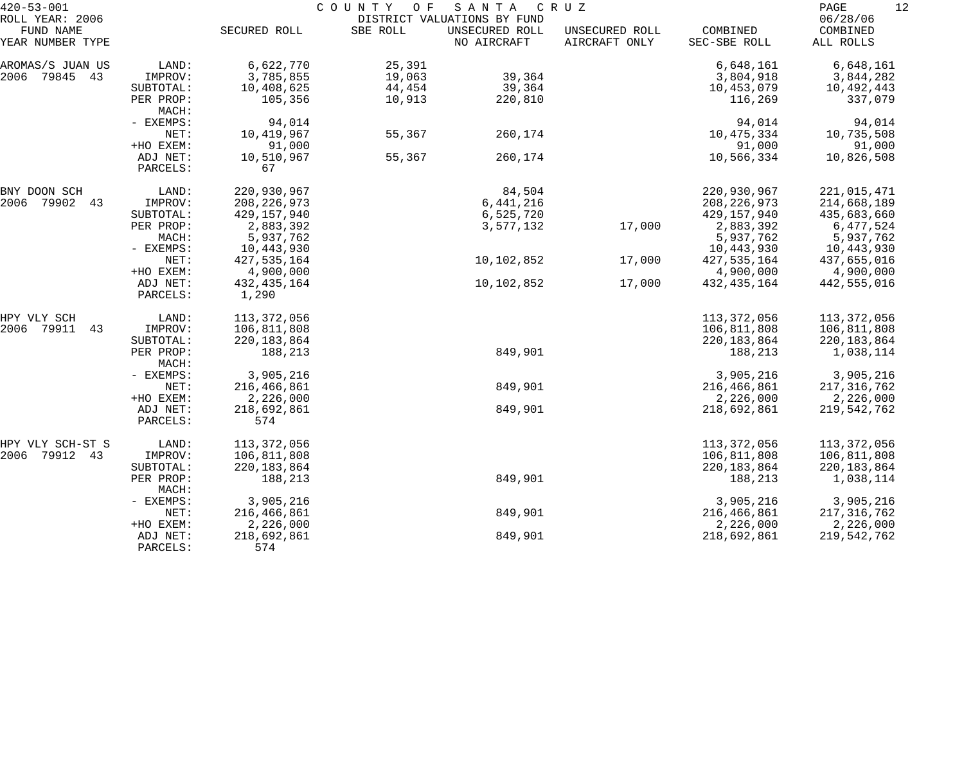| $420 - 53 - 001$    |                    | COUNTY OF<br>SANTA<br>C R U Z |          |                             |                |               |               |  |
|---------------------|--------------------|-------------------------------|----------|-----------------------------|----------------|---------------|---------------|--|
| ROLL YEAR: 2006     |                    |                               |          | DISTRICT VALUATIONS BY FUND |                |               | 06/28/06      |  |
| FUND NAME           |                    | SECURED ROLL                  | SBE ROLL | UNSECURED ROLL              | UNSECURED ROLL | COMBINED      | COMBINED      |  |
| YEAR NUMBER TYPE    |                    |                               |          | NO AIRCRAFT                 | AIRCRAFT ONLY  | SEC-SBE ROLL  | ALL ROLLS     |  |
| AROMAS/S JUAN US    | LAND:              | 6,622,770                     | 25,391   |                             |                | 6,648,161     | 6,648,161     |  |
| 2006<br>79845<br>43 | IMPROV:            | 3,785,855                     | 19,063   | 39,364                      |                | 3,804,918     | 3,844,282     |  |
|                     | SUBTOTAL:          | 10,408,625                    | 44,454   | 39,364                      |                | 10,453,079    | 10,492,443    |  |
|                     | PER PROP:          | 105,356                       | 10,913   | 220,810                     |                | 116,269       | 337,079       |  |
|                     | MACH:              |                               |          |                             |                |               |               |  |
|                     | - EXEMPS:          | 94,014                        |          |                             |                | 94,014        | 94,014        |  |
|                     | NET:               | 10,419,967                    | 55,367   | 260,174                     |                | 10,475,334    | 10,735,508    |  |
|                     | +HO EXEM:          | 91,000                        |          |                             |                | 91,000        | 91,000        |  |
|                     | ADJ NET:           | 10,510,967                    | 55,367   | 260,174                     |                | 10,566,334    | 10,826,508    |  |
|                     | PARCELS:           | 67                            |          |                             |                |               |               |  |
| BNY DOON SCH        | LAND:              | 220,930,967                   |          | 84,504                      |                | 220,930,967   | 221,015,471   |  |
| 2006<br>79902<br>43 | IMPROV:            | 208, 226, 973                 |          | 6,441,216                   |                | 208, 226, 973 | 214,668,189   |  |
|                     | SUBTOTAL:          | 429, 157, 940                 |          | 6,525,720                   |                | 429, 157, 940 | 435,683,660   |  |
|                     | PER PROP:          | 2,883,392                     |          | 3,577,132                   | 17,000         | 2,883,392     | 6,477,524     |  |
|                     | MACH:              | 5,937,762                     |          |                             |                | 5,937,762     | 5,937,762     |  |
|                     | - EXEMPS:          | 10,443,930                    |          |                             |                | 10,443,930    | 10,443,930    |  |
|                     | NET:               | 427, 535, 164                 |          | 10,102,852                  | 17,000         | 427,535,164   | 437,655,016   |  |
|                     | +HO EXEM:          | 4,900,000                     |          |                             |                | 4,900,000     | 4,900,000     |  |
|                     | ADJ NET:           | 432, 435, 164                 |          | 10,102,852                  | 17,000         | 432, 435, 164 | 442,555,016   |  |
|                     | PARCELS:           | 1,290                         |          |                             |                |               |               |  |
| HPY VLY SCH         | LAND:              | 113,372,056                   |          |                             |                | 113,372,056   | 113,372,056   |  |
| 79911<br>2006<br>43 | IMPROV:            | 106,811,808                   |          |                             |                | 106,811,808   | 106,811,808   |  |
|                     | SUBTOTAL:          | 220, 183, 864                 |          |                             |                | 220, 183, 864 | 220, 183, 864 |  |
|                     | PER PROP:<br>MACH: | 188,213                       |          | 849,901                     |                | 188,213       | 1,038,114     |  |
|                     | - EXEMPS:          | 3,905,216                     |          |                             |                | 3,905,216     | 3,905,216     |  |
|                     | NET:               | 216,466,861                   |          | 849,901                     |                | 216,466,861   | 217, 316, 762 |  |
|                     | +HO EXEM:          | 2,226,000                     |          |                             |                | 2,226,000     | 2,226,000     |  |
|                     | ADJ NET:           | 218,692,861                   |          | 849,901                     |                | 218,692,861   | 219,542,762   |  |
|                     | PARCELS:           | 574                           |          |                             |                |               |               |  |
| HPY VLY SCH-ST S    | LAND:              | 113,372,056                   |          |                             |                | 113, 372, 056 | 113,372,056   |  |
| 2006<br>79912<br>43 | IMPROV:            | 106,811,808                   |          |                             |                | 106,811,808   | 106,811,808   |  |
|                     | SUBTOTAL:          | 220, 183, 864                 |          |                             |                | 220, 183, 864 | 220, 183, 864 |  |
|                     | PER PROP:<br>MACH: | 188,213                       |          | 849,901                     |                | 188,213       | 1,038,114     |  |
|                     | - EXEMPS:          | 3,905,216                     |          |                             |                | 3,905,216     | 3,905,216     |  |
|                     | NET:               | 216,466,861                   |          | 849,901                     |                | 216,466,861   | 217, 316, 762 |  |
|                     | +HO EXEM:          | 2,226,000                     |          |                             |                | 2,226,000     | 2,226,000     |  |
|                     | ADJ NET:           | 218,692,861                   |          | 849,901                     |                | 218,692,861   | 219,542,762   |  |
|                     | PARCELS:           | 574                           |          |                             |                |               |               |  |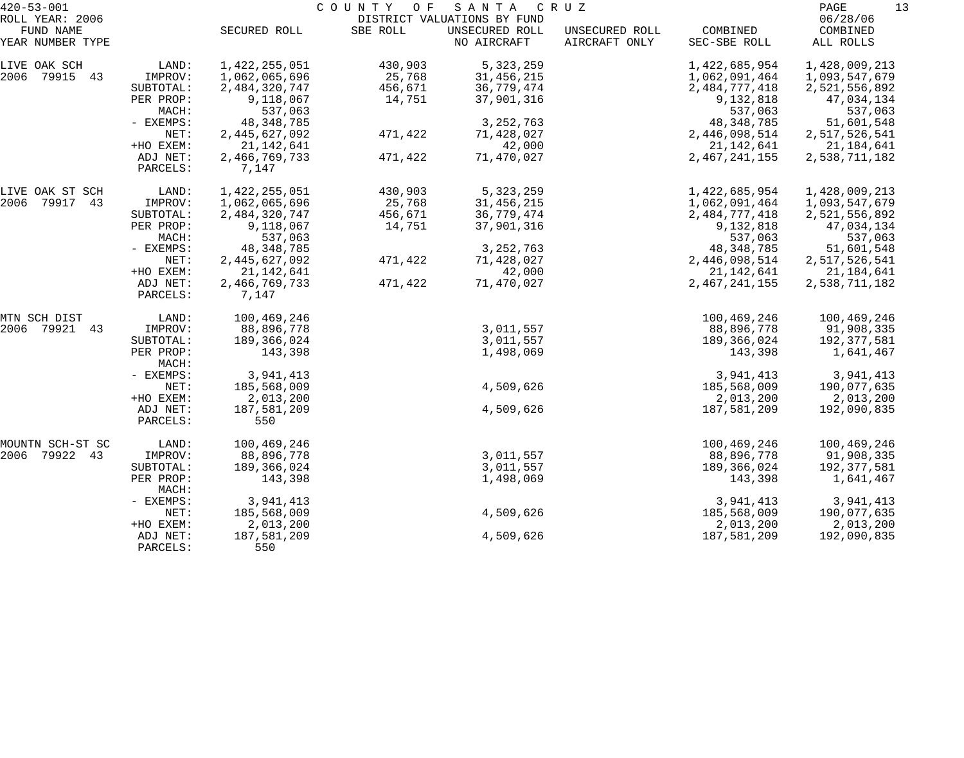| $420 - 53 - 001$              |                       | COUNTY OF<br>SANTA<br>C R U Z |          |                               |                                 |                               |                             |  |
|-------------------------------|-----------------------|-------------------------------|----------|-------------------------------|---------------------------------|-------------------------------|-----------------------------|--|
| ROLL YEAR: 2006               |                       |                               |          | DISTRICT VALUATIONS BY FUND   |                                 |                               | 06/28/06                    |  |
| FUND NAME<br>YEAR NUMBER TYPE |                       | SECURED ROLL                  | SBE ROLL | UNSECURED ROLL<br>NO AIRCRAFT | UNSECURED ROLL<br>AIRCRAFT ONLY | COMBINED<br>SEC-SBE ROLL      | COMBINED<br>ALL ROLLS       |  |
| LIVE OAK SCH                  | LAND:                 | 1,422,255,051                 | 430,903  | 5, 323, 259                   |                                 | 1,422,685,954                 | 1,428,009,213               |  |
| 2006 79915 43                 | IMPROV:               | 1,062,065,696                 | 25,768   | 31, 456, 215                  |                                 | 1,062,091,464                 | 1,093,547,679               |  |
|                               | SUBTOTAL:             | 2,484,320,747                 | 456,671  | 36,779,474                    |                                 | 2,484,777,418                 | 2,521,556,892               |  |
|                               | PER PROP:             | 9,118,067                     | 14,751   | 37,901,316                    |                                 | 9,132,818                     | 47,034,134                  |  |
|                               | MACH:                 | 537,063                       |          |                               |                                 | 537,063                       | 537,063                     |  |
|                               | - EXEMPS:             | 48, 348, 785                  |          | 3, 252, 763                   |                                 | 48, 348, 785                  | 51,601,548                  |  |
|                               | NET:                  | 2,445,627,092                 | 471,422  | 71,428,027                    |                                 | 2,446,098,514                 | 2,517,526,541               |  |
|                               | +HO EXEM:             | 21, 142, 641                  |          | 42,000                        |                                 | 21,142,641                    | 21,184,641                  |  |
|                               | ADJ NET:              | 2,466,769,733                 | 471,422  | 71,470,027                    |                                 | 2,467,241,155                 | 2,538,711,182               |  |
|                               | PARCELS:              | 7,147                         |          |                               |                                 |                               |                             |  |
| LIVE OAK ST SCH               | LAND:                 | 1,422,255,051                 | 430,903  | 5,323,259                     |                                 | 1,422,685,954                 | 1,428,009,213               |  |
| 2006<br>79917<br>43           | IMPROV:               | 1,062,065,696                 | 25,768   | 31, 456, 215                  |                                 | 1,062,091,464                 | 1,093,547,679               |  |
|                               | SUBTOTAL:             | 2,484,320,747                 | 456,671  | 36,779,474                    |                                 | 2,484,777,418                 | 2,521,556,892               |  |
|                               | PER PROP:             | 9,118,067                     | 14,751   | 37,901,316                    |                                 | 9,132,818                     | 47,034,134                  |  |
|                               | MACH:                 | 537,063                       |          |                               |                                 | 537,063                       | 537,063                     |  |
|                               | - EXEMPS:             | 48, 348, 785                  |          | 3, 252, 763                   |                                 | 48, 348, 785                  | 51,601,548                  |  |
|                               | NET:                  | 2,445,627,092                 | 471,422  | 71,428,027                    |                                 | 2,446,098,514                 | 2,517,526,541               |  |
|                               | +HO EXEM:<br>ADJ NET: | 21, 142, 641                  | 471,422  | 42,000<br>71,470,027          |                                 | 21, 142, 641<br>2,467,241,155 | 21,184,641<br>2,538,711,182 |  |
|                               | PARCELS:              | 2,466,769,733<br>7,147        |          |                               |                                 |                               |                             |  |
| MTN SCH DIST                  | LAND:                 | 100,469,246                   |          |                               |                                 | 100,469,246                   | 100,469,246                 |  |
| 2006 79921<br>43              | IMPROV:               | 88,896,778                    |          | 3,011,557                     |                                 | 88,896,778                    | 91,908,335                  |  |
|                               | SUBTOTAL:             | 189,366,024                   |          | 3,011,557                     |                                 | 189,366,024                   | 192, 377, 581               |  |
|                               | PER PROP:<br>MACH:    | 143,398                       |          | 1,498,069                     |                                 | 143,398                       | 1,641,467                   |  |
|                               | - EXEMPS:             | 3,941,413                     |          |                               |                                 | 3,941,413                     | 3,941,413                   |  |
|                               | NET:                  | 185,568,009                   |          | 4,509,626                     |                                 | 185,568,009                   | 190,077,635                 |  |
|                               | +HO EXEM:             | 2,013,200                     |          |                               |                                 | 2,013,200                     | 2,013,200                   |  |
|                               | ADJ NET:              | 187,581,209                   |          | 4,509,626                     |                                 | 187,581,209                   | 192,090,835                 |  |
|                               | PARCELS:              | 550                           |          |                               |                                 |                               |                             |  |
| MOUNTN SCH-ST SC              | LAND:                 | 100,469,246                   |          |                               |                                 | 100,469,246                   | 100,469,246                 |  |
| 2006 79922 43                 | IMPROV:               | 88,896,778                    |          | 3,011,557                     |                                 | 88,896,778                    | 91,908,335                  |  |
|                               | SUBTOTAL:             | 189,366,024                   |          | 3,011,557                     |                                 | 189,366,024                   | 192,377,581                 |  |
|                               | PER PROP:<br>MACH:    | 143,398                       |          | 1,498,069                     |                                 | 143,398                       | 1,641,467                   |  |
|                               | - EXEMPS:             | 3,941,413                     |          |                               |                                 | 3,941,413                     | 3,941,413                   |  |
|                               | NET:                  | 185,568,009                   |          | 4,509,626                     |                                 | 185,568,009                   | 190,077,635                 |  |
|                               | +HO EXEM:             | 2,013,200                     |          |                               |                                 | 2,013,200                     | 2,013,200                   |  |
|                               | ADJ NET:<br>PARCELS:  | 187,581,209<br>550            |          | 4,509,626                     |                                 | 187,581,209                   | 192,090,835                 |  |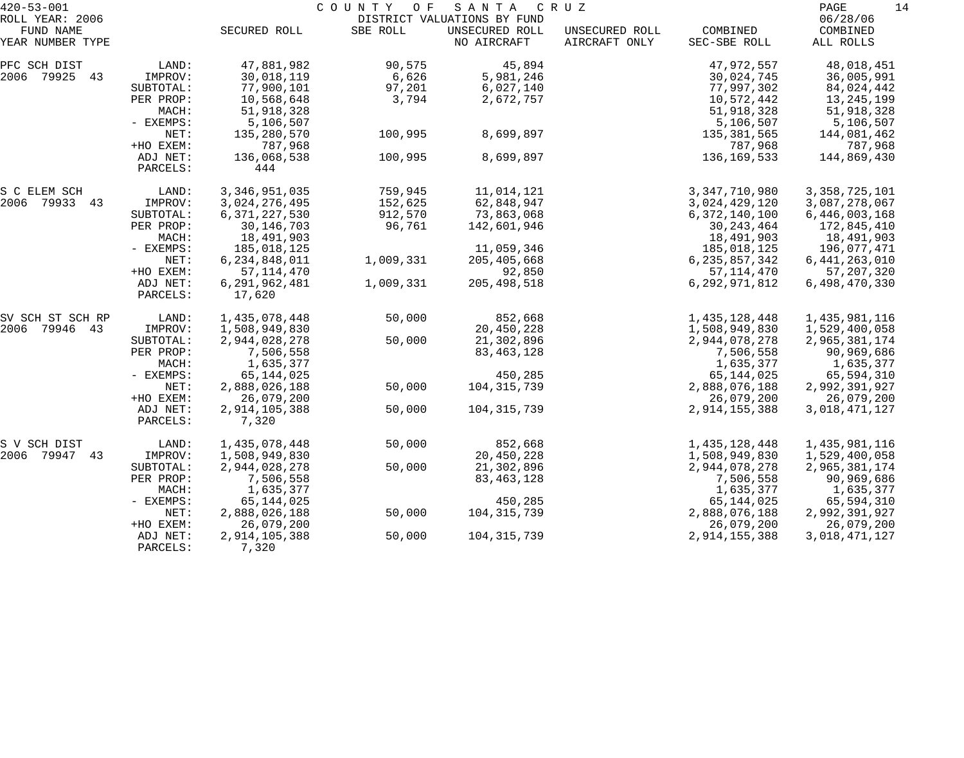| $420 - 53 - 001$ |           |                  | COUNTY OF | SANTA                       | C R U Z        |                  | 14<br>PAGE       |
|------------------|-----------|------------------|-----------|-----------------------------|----------------|------------------|------------------|
| ROLL YEAR: 2006  |           |                  |           | DISTRICT VALUATIONS BY FUND |                |                  | 06/28/06         |
| FUND NAME        |           | SECURED ROLL     | SBE ROLL  | UNSECURED ROLL              | UNSECURED ROLL | COMBINED         | COMBINED         |
| YEAR NUMBER TYPE |           |                  |           | NO AIRCRAFT                 | AIRCRAFT ONLY  | SEC-SBE ROLL     | ALL ROLLS        |
| PFC SCH DIST     | LAND:     | 47,881,982       | 90,575    | 45,894                      |                | 47,972,557       | 48,018,451       |
| 2006 79925 43    | IMPROV:   | 30,018,119       | 6,626     | 5,981,246                   |                | 30,024,745       | 36,005,991       |
|                  | SUBTOTAL: | 77,900,101       | 97,201    | 6,027,140                   |                | 77,997,302       | 84,024,442       |
|                  | PER PROP: | 10,568,648       | 3,794     | 2,672,757                   |                | 10,572,442       | 13,245,199       |
|                  | MACH:     | 51,918,328       |           |                             |                | 51,918,328       | 51,918,328       |
|                  | - EXEMPS: | 5,106,507        |           |                             |                | 5,106,507        | 5,106,507        |
|                  | NET:      | 135,280,570      | 100,995   | 8,699,897                   |                | 135,381,565      | 144,081,462      |
|                  | +HO EXEM: | 787,968          |           |                             |                | 787,968          | 787,968          |
|                  | ADJ NET:  | 136,068,538      | 100,995   | 8,699,897                   |                | 136, 169, 533    | 144,869,430      |
|                  | PARCELS:  | 444              |           |                             |                |                  |                  |
| S C ELEM SCH     | LAND:     | 3, 346, 951, 035 | 759,945   | 11,014,121                  |                | 3, 347, 710, 980 | 3, 358, 725, 101 |
| 2006 79933 43    | IMPROV:   | 3,024,276,495    | 152,625   | 62,848,947                  |                | 3,024,429,120    | 3,087,278,067    |
|                  | SUBTOTAL: | 6, 371, 227, 530 | 912,570   | 73,863,068                  |                | 6,372,140,100    | 6,446,003,168    |
|                  | PER PROP: | 30, 146, 703     | 96,761    | 142,601,946                 |                | 30, 243, 464     | 172,845,410      |
|                  | MACH:     | 18,491,903       |           |                             |                | 18,491,903       | 18,491,903       |
|                  | - EXEMPS: | 185,018,125      |           | 11,059,346                  |                | 185,018,125      | 196,077,471      |
|                  | NET:      | 6,234,848,011    | 1,009,331 | 205, 405, 668               |                | 6, 235, 857, 342 | 6, 441, 263, 010 |
|                  | +HO EXEM: | 57, 114, 470     |           | 92,850                      |                | 57, 114, 470     | 57, 207, 320     |
|                  | ADJ NET:  | 6,291,962,481    | 1,009,331 | 205, 498, 518               |                | 6,292,971,812    | 6,498,470,330    |
|                  | PARCELS:  | 17,620           |           |                             |                |                  |                  |
| SV SCH ST SCH RP | LAND:     | 1,435,078,448    | 50,000    | 852,668                     |                | 1,435,128,448    | 1,435,981,116    |
| 2006 79946 43    | IMPROV:   | 1,508,949,830    |           | 20,450,228                  |                | 1,508,949,830    | 1,529,400,058    |
|                  | SUBTOTAL: | 2,944,028,278    | 50,000    | 21,302,896                  |                | 2,944,078,278    | 2,965,381,174    |
|                  | PER PROP: | 7,506,558        |           | 83, 463, 128                |                | 7,506,558        | 90,969,686       |
|                  | MACH:     | 1,635,377        |           |                             |                | 1,635,377        | 1,635,377        |
|                  | - EXEMPS: | 65, 144, 025     |           | 450,285                     |                | 65, 144, 025     | 65,594,310       |
|                  | NET:      | 2,888,026,188    | 50,000    | 104, 315, 739               |                | 2,888,076,188    | 2,992,391,927    |
|                  | +HO EXEM: | 26,079,200       |           |                             |                | 26,079,200       | 26,079,200       |
|                  | ADJ NET:  | 2,914,105,388    | 50,000    | 104, 315, 739               |                | 2,914,155,388    | 3,018,471,127    |
|                  | PARCELS:  | 7,320            |           |                             |                |                  |                  |
| S V SCH DIST     | LAND:     | 1,435,078,448    | 50,000    | 852,668                     |                | 1,435,128,448    | 1,435,981,116    |
| 2006 79947<br>43 | IMPROV:   | 1,508,949,830    |           | 20,450,228                  |                | 1,508,949,830    | 1,529,400,058    |
|                  | SUBTOTAL: | 2,944,028,278    | 50,000    | 21,302,896                  |                | 2,944,078,278    | 2,965,381,174    |
|                  | PER PROP: | 7,506,558        |           | 83, 463, 128                |                | 7,506,558        | 90,969,686       |
|                  | MACH:     | 1,635,377        |           |                             |                | 1,635,377        | 1,635,377        |
|                  | - EXEMPS: | 65,144,025       |           | 450,285                     |                | 65,144,025       | 65,594,310       |
|                  | NET:      | 2,888,026,188    | 50,000    | 104, 315, 739               |                | 2,888,076,188    | 2,992,391,927    |
|                  | +HO EXEM: | 26,079,200       |           |                             |                | 26,079,200       | 26,079,200       |
|                  | ADJ NET:  | 2,914,105,388    | 50,000    | 104, 315, 739               |                | 2,914,155,388    | 3,018,471,127    |
|                  | PARCELS:  | 7,320            |           |                             |                |                  |                  |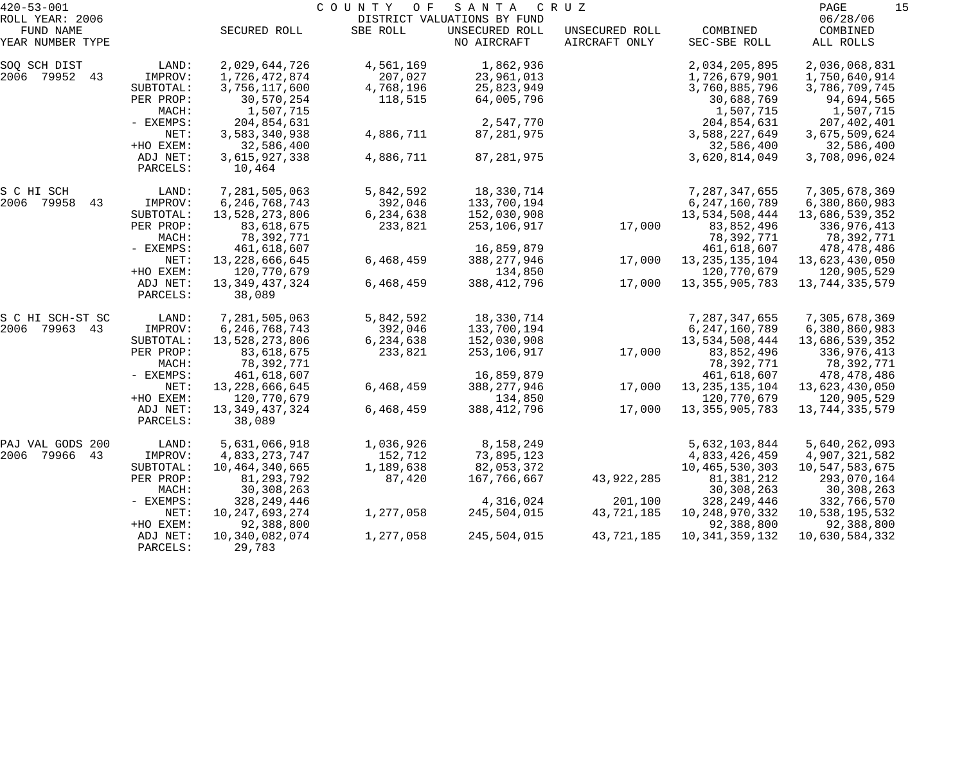| $420 - 53 - 001$              |             |                   | COUNTY<br>O F | SANTA                         | C R U Z                         |                          | 15<br>PAGE            |
|-------------------------------|-------------|-------------------|---------------|-------------------------------|---------------------------------|--------------------------|-----------------------|
| ROLL YEAR: 2006               |             |                   |               | DISTRICT VALUATIONS BY FUND   |                                 |                          | 06/28/06              |
| FUND NAME<br>YEAR NUMBER TYPE |             | SECURED ROLL      | SBE ROLL      | UNSECURED ROLL<br>NO AIRCRAFT | UNSECURED ROLL<br>AIRCRAFT ONLY | COMBINED<br>SEC-SBE ROLL | COMBINED<br>ALL ROLLS |
|                               |             |                   |               |                               |                                 |                          |                       |
| SOQ SCH DIST                  | LAND:       | 2,029,644,726     | 4,561,169     | 1,862,936                     |                                 | 2,034,205,895            | 2,036,068,831         |
| 2006 79952 43                 | IMPROV:     | 1,726,472,874     | 207,027       | 23,961,013                    |                                 | 1,726,679,901            | 1,750,640,914         |
|                               | SUBTOTAL:   | 3,756,117,600     | 4,768,196     | 25,823,949                    |                                 | 3,760,885,796            | 3,786,709,745         |
|                               | PER PROP:   | 30,570,254        | 118,515       | 64,005,796                    |                                 | 30,688,769               | 94,694,565            |
|                               | MACH:       | 1,507,715         |               |                               |                                 | 1,507,715                | 1,507,715             |
|                               | - EXEMPS:   | 204,854,631       |               | 2,547,770                     |                                 | 204,854,631              | 207,402,401           |
|                               | NET:        | 3,583,340,938     | 4,886,711     | 87,281,975                    |                                 | 3,588,227,649            | 3,675,509,624         |
|                               | +HO EXEM:   | 32,586,400        |               |                               |                                 | 32,586,400               | 32,586,400            |
|                               | ADJ NET:    | 3,615,927,338     | 4,886,711     | 87, 281, 975                  |                                 | 3,620,814,049            | 3,708,096,024         |
|                               | PARCELS:    | 10,464            |               |                               |                                 |                          |                       |
| S C HI SCH                    | LAND:       | 7,281,505,063     | 5,842,592     | 18,330,714                    |                                 | 7,287,347,655            | 7,305,678,369         |
| 2006<br>79958<br>43           | IMPROV:     | 6, 246, 768, 743  | 392,046       | 133,700,194                   |                                 | 6,247,160,789            | 6,380,860,983         |
|                               | SUBTOTAL:   | 13,528,273,806    | 6,234,638     | 152,030,908                   |                                 | 13,534,508,444           | 13,686,539,352        |
|                               | PER PROP:   | 83,618,675        | 233,821       | 253,106,917                   | 17,000                          | 83,852,496               | 336,976,413           |
|                               | MACH:       | 78,392,771        |               |                               |                                 | 78,392,771               | 78,392,771            |
|                               | - EXEMPS:   | 461,618,607       |               | 16,859,879                    |                                 | 461,618,607              | 478,478,486           |
|                               | NET:        | 13, 228, 666, 645 | 6,468,459     | 388, 277, 946                 | 17,000                          | 13, 235, 135, 104        | 13,623,430,050        |
|                               | +HO EXEM:   | 120,770,679       |               | 134,850                       |                                 | 120,770,679              | 120,905,529           |
|                               | ADJ NET:    | 13, 349, 437, 324 | 6,468,459     | 388, 412, 796                 | 17,000                          | 13, 355, 905, 783        | 13,744,335,579        |
|                               | PARCELS:    | 38,089            |               |                               |                                 |                          |                       |
| S C HI SCH-ST SC              | LAND:       | 7,281,505,063     | 5,842,592     | 18,330,714                    |                                 | 7,287,347,655            | 7,305,678,369         |
| 79963<br>2006<br>43           | IMPROV:     | 6, 246, 768, 743  | 392,046       | 133,700,194                   |                                 | 6, 247, 160, 789         | 6,380,860,983         |
|                               | SUBTOTAL:   | 13,528,273,806    | 6,234,638     | 152,030,908                   |                                 | 13,534,508,444           | 13,686,539,352        |
|                               | PER PROP:   | 83,618,675        | 233,821       | 253,106,917                   | 17,000                          | 83,852,496               | 336,976,413           |
|                               | MACH:       | 78,392,771        |               |                               |                                 | 78,392,771               | 78,392,771            |
|                               | - EXEMPS:   | 461,618,607       |               | 16,859,879                    |                                 | 461,618,607              | 478,478,486           |
|                               | NET:        | 13, 228, 666, 645 | 6,468,459     | 388, 277, 946                 | 17,000                          | 13, 235, 135, 104        | 13,623,430,050        |
|                               | +HO EXEM:   | 120,770,679       |               | 134,850                       |                                 | 120,770,679              | 120,905,529           |
|                               | ADJ NET:    | 13, 349, 437, 324 | 6,468,459     | 388, 412, 796                 | 17,000                          | 13, 355, 905, 783        | 13,744,335,579        |
|                               | PARCELS:    | 38,089            |               |                               |                                 |                          |                       |
| PAJ VAL GODS 200              | LAND:       | 5,631,066,918     | 1,036,926     | 8,158,249                     |                                 | 5,632,103,844            | 5,640,262,093         |
| 2006 79966<br>43              | IMPROV:     | 4,833,273,747     | 152,712       | 73,895,123                    |                                 | 4,833,426,459            | 4,907,321,582         |
|                               | SUBTOTAL:   | 10,464,340,665    | 1,189,638     | 82,053,372                    |                                 | 10,465,530,303           | 10,547,583,675        |
|                               | PER PROP:   | 81,293,792        | 87,420        | 167,766,667                   | 43,922,285                      | 81,381,212               | 293,070,164           |
|                               | MACH:       | 30, 308, 263      |               |                               |                                 | 30, 308, 263             | 30, 308, 263          |
|                               | $-$ EXEMPS: | 328, 249, 446     |               | 4,316,024                     | 201,100                         | 328, 249, 446            | 332,766,570           |
|                               | NET:        | 10, 247, 693, 274 | 1,277,058     | 245,504,015                   | 43,721,185                      | 10, 248, 970, 332        | 10,538,195,532        |
|                               | +HO EXEM:   | 92,388,800        |               |                               |                                 | 92,388,800               | 92,388,800            |
|                               | ADJ NET:    | 10,340,082,074    | 1,277,058     | 245,504,015                   | 43,721,185                      | 10, 341, 359, 132        | 10,630,584,332        |
|                               | PARCELS:    | 29,783            |               |                               |                                 |                          |                       |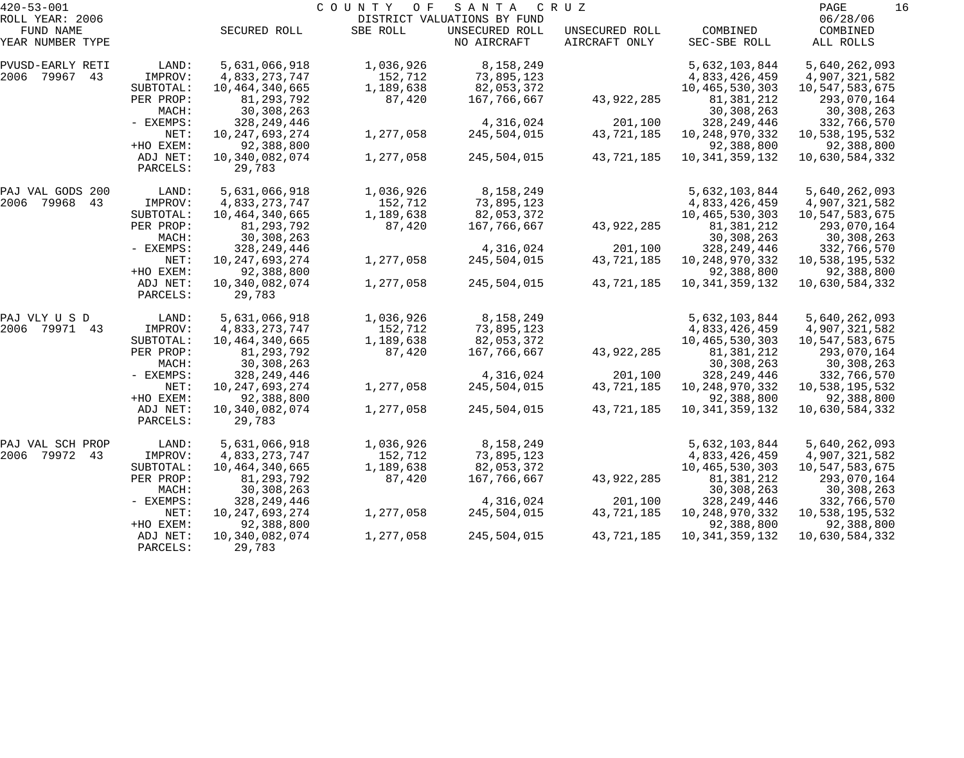| $420 - 53 - 001$              |                      |                          | COUNTY<br>O F | SANTA                         | C R U Z                         |                          | 16<br>PAGE            |
|-------------------------------|----------------------|--------------------------|---------------|-------------------------------|---------------------------------|--------------------------|-----------------------|
| ROLL YEAR: 2006               |                      |                          |               | DISTRICT VALUATIONS BY FUND   |                                 |                          | 06/28/06              |
| FUND NAME<br>YEAR NUMBER TYPE |                      | SECURED ROLL             | SBE ROLL      | UNSECURED ROLL<br>NO AIRCRAFT | UNSECURED ROLL<br>AIRCRAFT ONLY | COMBINED<br>SEC-SBE ROLL | COMBINED<br>ALL ROLLS |
| PVUSD-EARLY RETI              | LAND:                | 5,631,066,918            | 1,036,926     | 8,158,249                     |                                 | 5,632,103,844            | 5,640,262,093         |
| 2006<br>79967<br>43           | IMPROV:              | 4,833,273,747            | 152,712       | 73,895,123                    |                                 | 4,833,426,459            | 4,907,321,582         |
|                               | SUBTOTAL:            | 10,464,340,665           | 1,189,638     | 82,053,372                    |                                 | 10,465,530,303           | 10,547,583,675        |
|                               | PER PROP:            | 81,293,792               | 87,420        | 167,766,667                   | 43,922,285                      | 81,381,212               | 293,070,164           |
|                               | MACH:                | 30,308,263               |               |                               |                                 | 30,308,263               | 30,308,263            |
|                               | - EXEMPS:            | 328, 249, 446            |               | 4,316,024                     | 201,100                         | 328, 249, 446            | 332,766,570           |
|                               | NET:                 | 10, 247, 693, 274        | 1,277,058     | 245,504,015                   | 43,721,185                      | 10, 248, 970, 332        | 10,538,195,532        |
|                               | +HO EXEM:            | 92,388,800               |               |                               |                                 | 92,388,800               | 92,388,800            |
|                               | ADJ NET:<br>PARCELS: | 10,340,082,074<br>29,783 | 1,277,058     | 245,504,015                   | 43,721,185                      | 10, 341, 359, 132        | 10,630,584,332        |
| PAJ VAL GODS 200              | LAND:                | 5,631,066,918            | 1,036,926     | 8,158,249                     |                                 | 5,632,103,844            | 5,640,262,093         |
| 2006<br>79968<br>43           | IMPROV:              | 4,833,273,747            | 152,712       | 73,895,123                    |                                 | 4,833,426,459            | 4,907,321,582         |
|                               | SUBTOTAL:            | 10,464,340,665           | 1,189,638     | 82,053,372                    |                                 | 10, 465, 530, 303        | 10,547,583,675        |
|                               | PER PROP:            | 81,293,792               | 87,420        | 167,766,667                   | 43,922,285                      | 81,381,212               | 293,070,164           |
|                               | MACH:                | 30,308,263               |               |                               |                                 | 30,308,263               | 30,308,263            |
|                               | - EXEMPS:            | 328, 249, 446            |               | 4,316,024                     | 201,100                         | 328, 249, 446            | 332,766,570           |
|                               | NET:                 | 10, 247, 693, 274        | 1,277,058     | 245,504,015                   | 43,721,185                      | 10, 248, 970, 332        | 10,538,195,532        |
|                               | +HO EXEM:            | 92,388,800               |               |                               |                                 | 92,388,800               | 92,388,800            |
|                               | ADJ NET:<br>PARCELS: | 10,340,082,074<br>29,783 | 1,277,058     | 245,504,015                   | 43,721,185                      | 10, 341, 359, 132        | 10,630,584,332        |
| PAJ VLY U S D                 | LAND:                | 5,631,066,918            | 1,036,926     | 8,158,249                     |                                 | 5,632,103,844            | 5,640,262,093         |
| 2006 79971 43                 | IMPROV:              | 4,833,273,747            | 152,712       | 73,895,123                    |                                 | 4,833,426,459            | 4,907,321,582         |
|                               | SUBTOTAL:            | 10,464,340,665           | 1,189,638     | 82,053,372                    |                                 | 10,465,530,303           | 10,547,583,675        |
|                               | PER PROP:            | 81,293,792               | 87,420        | 167,766,667                   | 43,922,285                      | 81,381,212               | 293,070,164           |
|                               | MACH:                | 30,308,263               |               |                               |                                 | 30,308,263               | 30,308,263            |
|                               | - EXEMPS:            | 328, 249, 446            |               | 4,316,024                     | 201,100                         | 328, 249, 446            | 332,766,570           |
|                               | NET:                 | 10, 247, 693, 274        | 1,277,058     | 245,504,015                   | 43,721,185                      | 10, 248, 970, 332        | 10,538,195,532        |
|                               | +HO EXEM:            | 92,388,800               |               |                               |                                 | 92,388,800               | 92,388,800            |
|                               | ADJ NET:<br>PARCELS: | 10,340,082,074<br>29,783 | 1,277,058     | 245,504,015                   | 43,721,185                      | 10, 341, 359, 132        | 10,630,584,332        |
| PAJ VAL SCH PROP              | LAND:                | 5,631,066,918            | 1,036,926     | 8,158,249                     |                                 | 5,632,103,844            | 5,640,262,093         |
| 2006 79972 43                 | IMPROV:              | 4,833,273,747            | 152,712       | 73,895,123                    |                                 | 4,833,426,459            | 4,907,321,582         |
|                               | SUBTOTAL:            | 10,464,340,665           | 1,189,638     | 82,053,372                    |                                 | 10,465,530,303           | 10,547,583,675        |
|                               | PER PROP:            | 81, 293, 792             | 87,420        | 167,766,667                   | 43,922,285                      | 81,381,212               | 293,070,164           |
|                               | MACH:                | 30,308,263               |               |                               |                                 | 30,308,263               | 30,308,263            |
|                               | - EXEMPS:            | 328,249,446              |               | 4,316,024                     | 201,100                         | 328, 249, 446            | 332,766,570           |
|                               | NET:                 | 10, 247, 693, 274        | 1,277,058     | 245,504,015                   | 43,721,185                      | 10,248,970,332           | 10,538,195,532        |
|                               | +HO EXEM:            | 92,388,800               |               |                               |                                 | 92,388,800               | 92,388,800            |
|                               | ADJ NET:             | 10,340,082,074           | 1,277,058     | 245,504,015                   | 43,721,185                      | 10, 341, 359, 132        | 10,630,584,332        |
|                               | PARCELS:             | 29,783                   |               |                               |                                 |                          |                       |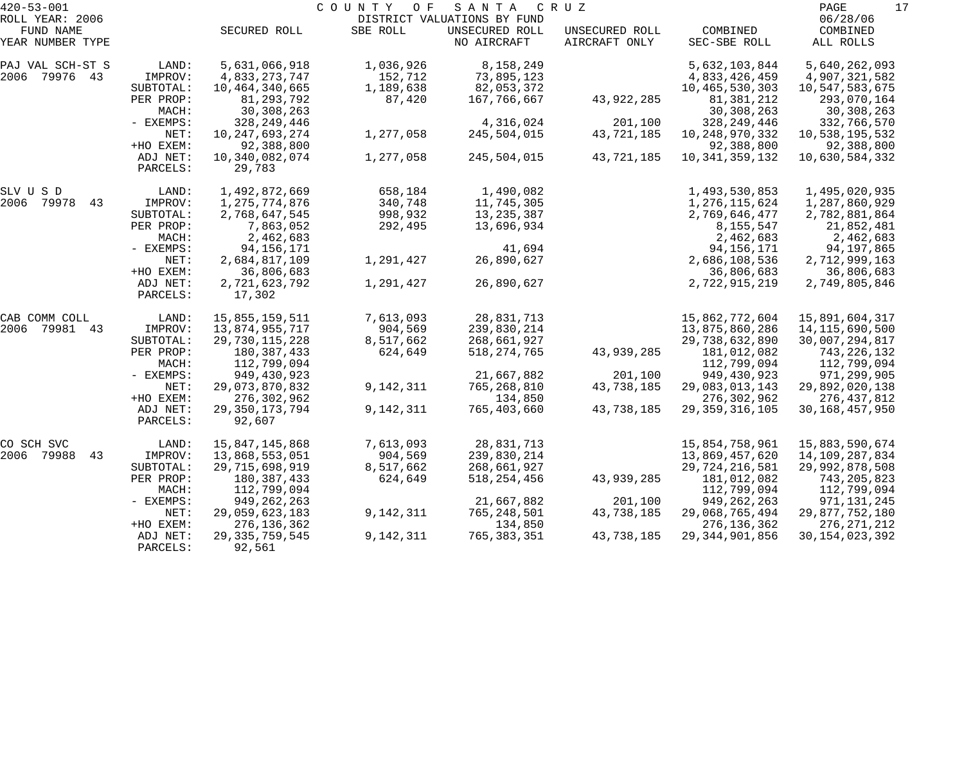| $420 - 53 - 001$              |                      |                          | COUNTY<br>O F | SANTA                         | C R U Z                         |                          | 17<br>PAGE                |
|-------------------------------|----------------------|--------------------------|---------------|-------------------------------|---------------------------------|--------------------------|---------------------------|
| ROLL YEAR: 2006               |                      |                          |               | DISTRICT VALUATIONS BY FUND   |                                 |                          | 06/28/06                  |
| FUND NAME<br>YEAR NUMBER TYPE |                      | SECURED ROLL             | SBE ROLL      | UNSECURED ROLL<br>NO AIRCRAFT | UNSECURED ROLL<br>AIRCRAFT ONLY | COMBINED<br>SEC-SBE ROLL | COMBINED<br>ALL ROLLS     |
| PAJ VAL SCH-ST S              | LAND:                | 5,631,066,918            | 1,036,926     | 8,158,249                     |                                 | 5,632,103,844            | 5,640,262,093             |
| 2006 79976 43                 | IMPROV:              | 4,833,273,747            | 152,712       | 73,895,123                    |                                 | 4,833,426,459            | 4,907,321,582             |
|                               | SUBTOTAL:            | 10,464,340,665           | 1,189,638     | 82,053,372                    |                                 | 10,465,530,303           | 10,547,583,675            |
|                               | PER PROP:<br>MACH:   | 81,293,792<br>30,308,263 | 87,420        | 167,766,667                   | 43,922,285                      | 81,381,212<br>30,308,263 | 293,070,164<br>30,308,263 |
|                               | - EXEMPS:            | 328,249,446              |               | 4,316,024                     | 201,100                         | 328, 249, 446            | 332,766,570               |
|                               | NET:                 | 10, 247, 693, 274        | 1,277,058     | 245,504,015                   | 43,721,185                      | 10, 248, 970, 332        | 10,538,195,532            |
|                               | +HO EXEM:            | 92,388,800               |               |                               |                                 | 92,388,800               | 92,388,800                |
|                               | ADJ NET:<br>PARCELS: | 10,340,082,074<br>29,783 | 1,277,058     | 245,504,015                   | 43,721,185                      | 10, 341, 359, 132        | 10,630,584,332            |
|                               |                      |                          |               |                               |                                 |                          |                           |
| SLV U S D                     | LAND:                | 1,492,872,669            | 658,184       | 1,490,082                     |                                 | 1,493,530,853            | 1,495,020,935             |
| 2006 79978<br>43              | IMPROV:              | 1,275,774,876            | 340,748       | 11,745,305                    |                                 | 1,276,115,624            | 1,287,860,929             |
|                               | SUBTOTAL:            | 2,768,647,545            | 998,932       | 13, 235, 387                  |                                 | 2,769,646,477            | 2,782,881,864             |
|                               | PER PROP:            | 7,863,052                | 292,495       | 13,696,934                    |                                 | 8,155,547                | 21,852,481                |
|                               | MACH:                | 2,462,683                |               |                               |                                 | 2,462,683                | 2,462,683                 |
|                               | - EXEMPS:            | 94, 156, 171             |               | 41,694                        |                                 | 94, 156, 171             | 94,197,865                |
|                               | NET:                 | 2,684,817,109            | 1,291,427     | 26,890,627                    |                                 | 2,686,108,536            | 2,712,999,163             |
|                               | +HO EXEM:            | 36,806,683               |               |                               |                                 | 36,806,683               | 36,806,683                |
|                               | ADJ NET:<br>PARCELS: | 2,721,623,792<br>17,302  | 1,291,427     | 26,890,627                    |                                 | 2,722,915,219            | 2,749,805,846             |
| CAB COMM COLL                 | LAND:                | 15,855,159,511           | 7,613,093     | 28,831,713                    |                                 | 15,862,772,604           | 15,891,604,317            |
| 2006 79981 43                 | IMPROV:              | 13,874,955,717           | 904,569       | 239,830,214                   |                                 | 13,875,860,286           | 14, 115, 690, 500         |
|                               | SUBTOTAL:            | 29,730,115,228           | 8,517,662     | 268,661,927                   |                                 | 29,738,632,890           | 30,007,294,817            |
|                               | PER PROP:            | 180,387,433              | 624,649       | 518, 274, 765                 | 43,939,285                      | 181,012,082              | 743,226,132               |
|                               | MACH:                | 112,799,094              |               |                               |                                 | 112,799,094              | 112,799,094               |
|                               | - EXEMPS:            | 949,430,923              |               | 21,667,882                    | 201,100                         | 949,430,923              | 971,299,905               |
|                               | NET:                 | 29,073,870,832           | 9,142,311     | 765,268,810                   | 43,738,185                      | 29,083,013,143           | 29,892,020,138            |
|                               | +HO EXEM:            | 276,302,962              |               | 134,850                       |                                 | 276,302,962              | 276,437,812               |
|                               | ADJ NET:             | 29, 350, 173, 794        | 9,142,311     | 765,403,660                   | 43,738,185                      | 29, 359, 316, 105        | 30, 168, 457, 950         |
|                               | PARCELS:             | 92,607                   |               |                               |                                 |                          |                           |
| CO SCH SVC                    | LAND:                | 15,847,145,868           | 7,613,093     | 28,831,713                    |                                 | 15,854,758,961           | 15,883,590,674            |
| 2006 79988<br>43              | IMPROV:              | 13,868,553,051           | 904,569       | 239,830,214                   |                                 | 13,869,457,620           | 14,109,287,834            |
|                               | SUBTOTAL:            | 29,715,698,919           | 8,517,662     | 268,661,927                   |                                 | 29,724,216,581           | 29,992,878,508            |
|                               | PER PROP:            | 180, 387, 433            | 624,649       | 518, 254, 456                 | 43,939,285                      | 181,012,082              | 743,205,823               |
|                               | MACH:                | 112,799,094              |               |                               |                                 | 112,799,094              | 112,799,094               |
|                               | - EXEMPS:            | 949, 262, 263            |               | 21,667,882                    | 201,100                         | 949, 262, 263            | 971, 131, 245             |
|                               | NET:                 | 29,059,623,183           | 9,142,311     | 765,248,501                   | 43,738,185                      | 29,068,765,494           | 29,877,752,180            |
|                               | +HO EXEM:            | 276, 136, 362            |               | 134,850                       |                                 | 276, 136, 362            | 276, 271, 212             |
|                               | ADJ NET:             | 29, 335, 759, 545        | 9,142,311     | 765,383,351                   | 43,738,185                      | 29, 344, 901, 856        | 30, 154, 023, 392         |
|                               | PARCELS:             | 92,561                   |               |                               |                                 |                          |                           |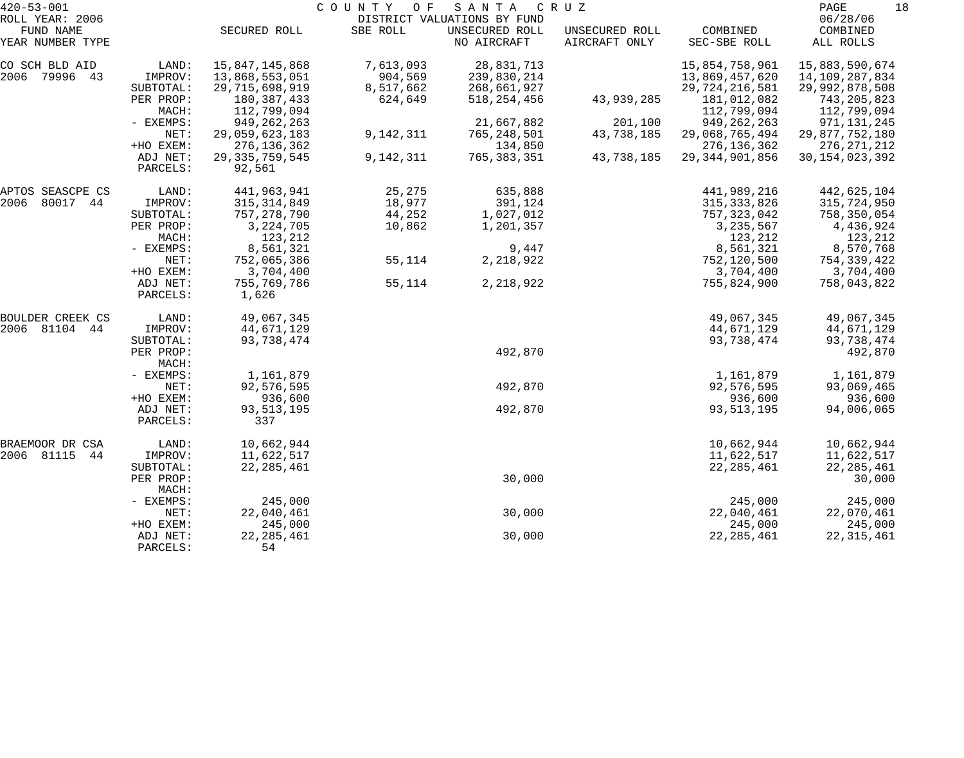| $420 - 53 - 001$              |                      |                      | C O U N T Y<br>O F | SANTA                         | C R U Z                         |                          | 18<br>PAGE            |
|-------------------------------|----------------------|----------------------|--------------------|-------------------------------|---------------------------------|--------------------------|-----------------------|
| ROLL YEAR: 2006               |                      |                      |                    | DISTRICT VALUATIONS BY FUND   |                                 |                          | 06/28/06              |
| FUND NAME<br>YEAR NUMBER TYPE |                      | SECURED ROLL         | SBE ROLL           | UNSECURED ROLL<br>NO AIRCRAFT | UNSECURED ROLL<br>AIRCRAFT ONLY | COMBINED<br>SEC-SBE ROLL | COMBINED<br>ALL ROLLS |
| CO SCH BLD AID                | LAND:                | 15,847,145,868       | 7,613,093          | 28,831,713                    |                                 | 15,854,758,961           | 15,883,590,674        |
| 2006<br>79996 43              | IMPROV:              | 13,868,553,051       | 904,569            | 239,830,214                   |                                 | 13,869,457,620           | 14,109,287,834        |
|                               | SUBTOTAL:            | 29,715,698,919       | 8,517,662          | 268,661,927                   |                                 | 29, 724, 216, 581        | 29,992,878,508        |
|                               | PER PROP:            | 180,387,433          | 624,649            | 518, 254, 456                 | 43,939,285                      | 181,012,082              | 743,205,823           |
|                               | MACH:                | 112,799,094          |                    |                               |                                 | 112,799,094              | 112,799,094           |
|                               | - EXEMPS:            | 949, 262, 263        |                    | 21,667,882                    | 201,100                         | 949, 262, 263            | 971, 131, 245         |
|                               | NET:                 | 29,059,623,183       | 9,142,311          | 765, 248, 501                 | 43,738,185                      | 29,068,765,494           | 29,877,752,180        |
|                               | +HO EXEM:            | 276, 136, 362        |                    | 134,850                       |                                 | 276, 136, 362            | 276, 271, 212         |
|                               | ADJ NET:             | 29, 335, 759, 545    | 9,142,311          | 765, 383, 351                 | 43,738,185                      | 29, 344, 901, 856        | 30, 154, 023, 392     |
|                               | PARCELS:             | 92,561               |                    |                               |                                 |                          |                       |
| APTOS SEASCPE CS              | LAND:                | 441,963,941          | 25,275             | 635,888                       |                                 | 441,989,216              | 442,625,104           |
| 2006<br>80017 44              | IMPROV:              | 315, 314, 849        | 18,977             | 391,124                       |                                 | 315, 333, 826            | 315,724,950           |
|                               | SUBTOTAL:            | 757, 278, 790        | 44,252             | 1,027,012                     |                                 | 757, 323, 042            | 758,350,054           |
|                               | PER PROP:            | 3, 224, 705          | 10,862             | 1,201,357                     |                                 | 3, 235, 567              | 4,436,924             |
|                               | MACH:                | 123,212              |                    |                               |                                 | 123,212                  | 123,212               |
|                               | - EXEMPS:            | 8,561,321            |                    | 9,447                         |                                 | 8,561,321                | 8,570,768             |
|                               | NET:                 | 752,065,386          | 55,114             | 2,218,922                     |                                 | 752,120,500              | 754,339,422           |
|                               | +HO EXEM:            | 3,704,400            |                    |                               |                                 | 3,704,400                | 3,704,400             |
|                               | ADJ NET:<br>PARCELS: | 755,769,786<br>1,626 | 55,114             | 2,218,922                     |                                 | 755,824,900              | 758,043,822           |
| BOULDER CREEK CS              | LAND:                | 49,067,345           |                    |                               |                                 | 49,067,345               | 49,067,345            |
| 2006<br>81104 44              | IMPROV:              | 44,671,129           |                    |                               |                                 | 44,671,129               | 44,671,129            |
|                               | SUBTOTAL:            | 93,738,474           |                    |                               |                                 | 93,738,474               | 93,738,474            |
|                               | PER PROP:<br>MACH:   |                      |                    | 492,870                       |                                 |                          | 492,870               |
|                               | - EXEMPS:            | 1,161,879            |                    |                               |                                 | 1,161,879                | 1,161,879             |
|                               | NET:                 | 92,576,595           |                    | 492,870                       |                                 | 92,576,595               | 93,069,465            |
|                               | +HO EXEM:            | 936,600              |                    |                               |                                 | 936,600                  | 936,600               |
|                               | ADJ NET:             | 93, 513, 195         |                    | 492,870                       |                                 | 93, 513, 195             | 94,006,065            |
|                               | PARCELS:             | 337                  |                    |                               |                                 |                          |                       |
| BRAEMOOR DR CSA               | LAND:                | 10,662,944           |                    |                               |                                 | 10,662,944               | 10,662,944            |
| 2006<br>81115<br>44           | IMPROV:              | 11,622,517           |                    |                               |                                 | 11,622,517               | 11,622,517            |
|                               | SUBTOTAL:            | 22, 285, 461         |                    |                               |                                 | 22, 285, 461             | 22, 285, 461          |
|                               | PER PROP:<br>MACH:   |                      |                    | 30,000                        |                                 |                          | 30,000                |
|                               | - EXEMPS:            | 245,000              |                    |                               |                                 | 245,000                  | 245,000               |
|                               | NET:                 | 22,040,461           |                    | 30,000                        |                                 | 22,040,461               | 22,070,461            |
|                               | +HO EXEM:            | 245,000              |                    |                               |                                 | 245,000                  | 245,000               |
|                               | ADJ NET:             | 22, 285, 461         |                    | 30,000                        |                                 | 22, 285, 461             | 22, 315, 461          |
|                               | PARCELS:             | 54                   |                    |                               |                                 |                          |                       |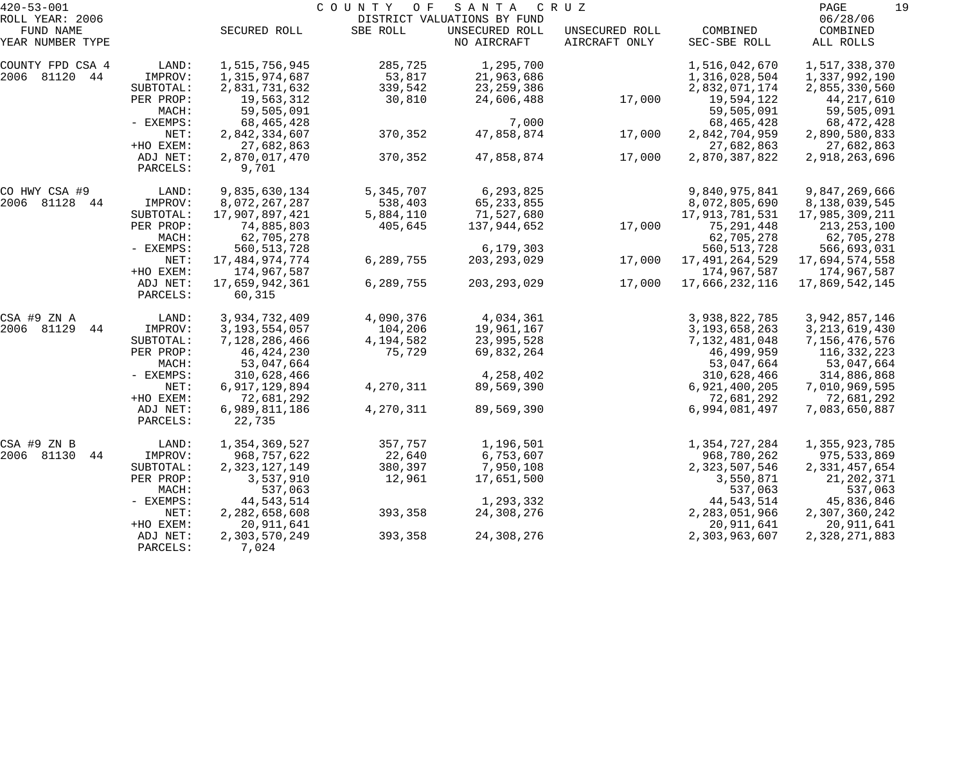| $420 - 53 - 001$              |                      |                         | COUNTY<br>O F | SANTA                         | C R U Z                         |                          | PAGE<br>19            |
|-------------------------------|----------------------|-------------------------|---------------|-------------------------------|---------------------------------|--------------------------|-----------------------|
| ROLL YEAR: 2006               |                      |                         |               | DISTRICT VALUATIONS BY FUND   |                                 |                          | 06/28/06              |
| FUND NAME<br>YEAR NUMBER TYPE |                      | SECURED ROLL            | SBE ROLL      | UNSECURED ROLL<br>NO AIRCRAFT | UNSECURED ROLL<br>AIRCRAFT ONLY | COMBINED<br>SEC-SBE ROLL | COMBINED<br>ALL ROLLS |
| COUNTY FPD CSA 4              | LAND:                | 1,515,756,945           | 285,725       | 1,295,700                     |                                 | 1,516,042,670            | 1,517,338,370         |
| 2006 81120 44                 | IMPROV:              | 1,315,974,687           | 53,817        | 21,963,686                    |                                 | 1,316,028,504            | 1,337,992,190         |
|                               | SUBTOTAL:            | 2,831,731,632           | 339,542       | 23, 259, 386                  |                                 | 2,832,071,174            | 2,855,330,560         |
|                               | PER PROP:            | 19,563,312              | 30,810        | 24,606,488                    | 17,000                          | 19,594,122               | 44, 217, 610          |
|                               | MACH:                | 59,505,091              |               |                               |                                 | 59,505,091               | 59,505,091            |
|                               | - EXEMPS:            | 68,465,428              |               | 7,000                         |                                 | 68, 465, 428             | 68,472,428            |
|                               | NET:                 | 2,842,334,607           | 370,352       | 47,858,874                    | 17,000                          | 2,842,704,959            | 2,890,580,833         |
|                               | +HO EXEM:            | 27,682,863              |               |                               |                                 | 27,682,863               | 27,682,863            |
|                               | ADJ NET:             | 2,870,017,470           | 370,352       | 47,858,874                    | 17,000                          | 2,870,387,822            | 2,918,263,696         |
|                               | PARCELS:             | 9,701                   |               |                               |                                 |                          |                       |
| CO HWY CSA #9                 | LAND:                | 9,835,630,134           | 5,345,707     | 6,293,825                     |                                 | 9,840,975,841            | 9,847,269,666         |
| 2006 81128<br>44              | IMPROV:              | 8,072,267,287           | 538,403       | 65, 233, 855                  |                                 | 8,072,805,690            | 8,138,039,545         |
|                               | SUBTOTAL:            | 17,907,897,421          | 5,884,110     | 71,527,680                    |                                 | 17,913,781,531           | 17,985,309,211        |
|                               | PER PROP:            | 74,885,803              | 405,645       | 137,944,652                   | 17,000                          | 75,291,448               | 213,253,100           |
|                               | MACH:                | 62,705,278              |               |                               |                                 | 62,705,278               | 62,705,278            |
|                               | - EXEMPS:            | 560, 513, 728           |               | 6,179,303                     |                                 | 560, 513, 728            | 566,693,031           |
|                               | NET:                 | 17,484,974,774          | 6,289,755     | 203, 293, 029                 | 17,000                          | 17, 491, 264, 529        | 17,694,574,558        |
|                               | +HO EXEM:            | 174,967,587             |               |                               |                                 | 174,967,587              | 174,967,587           |
|                               | ADJ NET:             | 17,659,942,361          | 6,289,755     | 203, 293, 029                 | 17,000                          | 17,666,232,116           | 17,869,542,145        |
|                               | PARCELS:             | 60,315                  |               |                               |                                 |                          |                       |
| CSA #9 ZN A                   | LAND:                | 3,934,732,409           | 4,090,376     | 4,034,361                     |                                 | 3,938,822,785            | 3,942,857,146         |
| 2006<br>81129<br>44           | IMPROV:              | 3, 193, 554, 057        | 104,206       | 19,961,167                    |                                 | 3, 193, 658, 263         | 3, 213, 619, 430      |
|                               | SUBTOTAL:            | 7,128,286,466           | 4,194,582     | 23,995,528                    |                                 | 7,132,481,048            | 7,156,476,576         |
|                               | PER PROP:            | 46, 424, 230            | 75,729        | 69,832,264                    |                                 | 46,499,959               | 116,332,223           |
|                               | MACH:                | 53,047,664              |               |                               |                                 | 53,047,664               | 53,047,664            |
|                               | - EXEMPS:            | 310,628,466             |               | 4,258,402                     |                                 | 310,628,466              | 314,886,868           |
|                               | NET:                 | 6,917,129,894           | 4,270,311     | 89,569,390                    |                                 | 6,921,400,205            | 7,010,969,595         |
|                               | +HO EXEM:            | 72,681,292              |               |                               |                                 | 72,681,292               | 72,681,292            |
|                               | ADJ NET:<br>PARCELS: | 6,989,811,186<br>22,735 | 4,270,311     | 89,569,390                    |                                 | 6,994,081,497            | 7,083,650,887         |
|                               |                      |                         |               |                               |                                 |                          |                       |
| CSA #9 ZN B                   | LAND:                | 1,354,369,527           | 357,757       | 1,196,501                     |                                 | 1,354,727,284            | 1,355,923,785         |
| 2006 81130<br>44              | IMPROV:              | 968,757,622             | 22,640        | 6,753,607                     |                                 | 968,780,262              | 975,533,869           |
|                               | SUBTOTAL:            | 2,323,127,149           | 380,397       | 7,950,108                     |                                 | 2,323,507,546            | 2,331,457,654         |
|                               | PER PROP:            | 3,537,910               | 12,961        | 17,651,500                    |                                 | 3,550,871                | 21, 202, 371          |
|                               | MACH:                | 537,063                 |               |                               |                                 | 537,063                  | 537,063               |
|                               | $-$ EXEMPS:          | 44, 543, 514            |               | 1,293,332                     |                                 | 44, 543, 514             | 45,836,846            |
|                               | NET:                 | 2,282,658,608           | 393,358       | 24,308,276                    |                                 | 2,283,051,966            | 2,307,360,242         |
|                               | +HO EXEM:            | 20,911,641              |               |                               |                                 | 20,911,641               | 20,911,641            |
|                               | ADJ NET:             | 2,303,570,249           | 393,358       | 24,308,276                    |                                 | 2,303,963,607            | 2,328,271,883         |
|                               | PARCELS:             | 7,024                   |               |                               |                                 |                          |                       |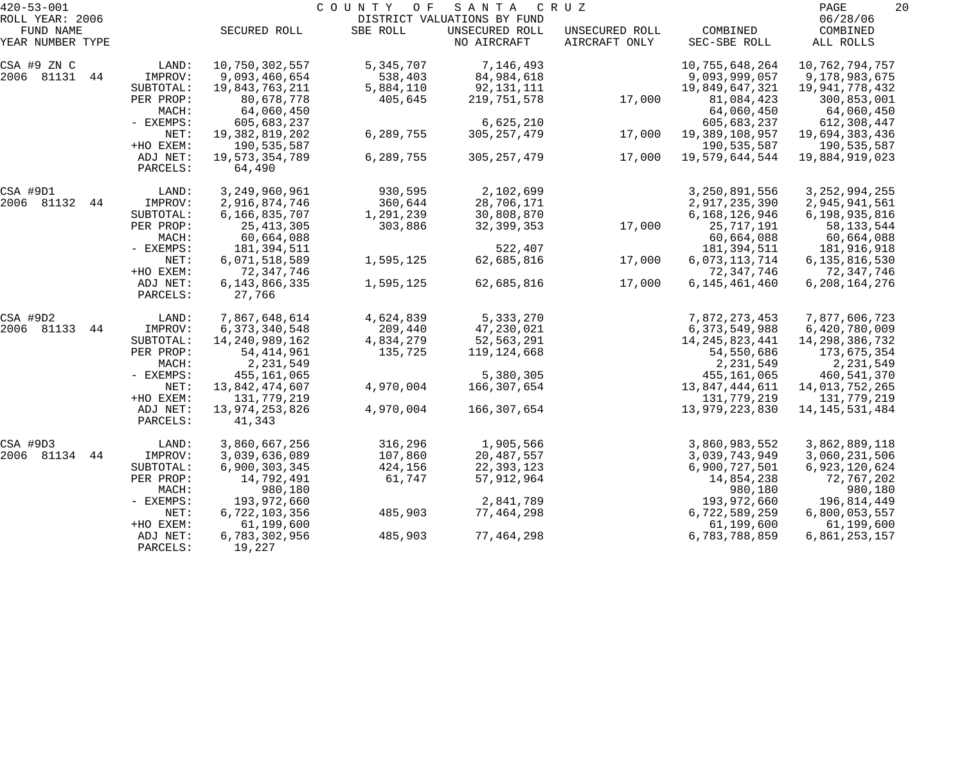| $420 - 53 - 001$<br>ROLL YEAR: 2006 |                      |                               | COUNTY<br>O F | SANTA<br>DISTRICT VALUATIONS BY FUND | C R U Z                         |                               | 20<br>PAGE<br>06/28/06        |
|-------------------------------------|----------------------|-------------------------------|---------------|--------------------------------------|---------------------------------|-------------------------------|-------------------------------|
| FUND NAME<br>YEAR NUMBER TYPE       |                      | SECURED ROLL                  | SBE ROLL      | UNSECURED ROLL<br>NO AIRCRAFT        | UNSECURED ROLL<br>AIRCRAFT ONLY | COMBINED<br>SEC-SBE ROLL      | COMBINED<br>ALL ROLLS         |
| CSA #9 ZN C                         | LAND:                | 10,750,302,557                | 5,345,707     | 7,146,493                            |                                 | 10,755,648,264                | 10,762,794,757                |
| 2006 81131 44                       | IMPROV:              | 9,093,460,654                 | 538,403       | 84,984,618                           |                                 | 9,093,999,057                 | 9,178,983,675                 |
|                                     | SUBTOTAL:            | 19,843,763,211                | 5,884,110     | 92,131,111                           |                                 | 19,849,647,321                | 19,941,778,432                |
|                                     | PER PROP:            | 80,678,778                    | 405,645       | 219,751,578                          | 17,000                          | 81,084,423                    | 300,853,001                   |
|                                     | MACH:                | 64,060,450                    |               |                                      |                                 | 64,060,450                    | 64,060,450                    |
|                                     | - EXEMPS:            | 605,683,237                   |               | 6,625,210                            |                                 | 605,683,237                   | 612,308,447                   |
|                                     | NET:<br>+HO EXEM:    | 19,382,819,202                | 6,289,755     | 305, 257, 479                        | 17,000                          | 19,389,108,957<br>190,535,587 | 19,694,383,436                |
|                                     | ADJ NET:             | 190,535,587<br>19,573,354,789 | 6,289,755     | 305, 257, 479                        | 17,000                          | 19,579,644,544                | 190,535,587<br>19,884,919,023 |
|                                     | PARCELS:             | 64,490                        |               |                                      |                                 |                               |                               |
| CSA #9D1                            | LAND:                | 3,249,960,961                 | 930,595       | 2,102,699                            |                                 | 3,250,891,556                 | 3, 252, 994, 255              |
| 2006 81132<br>44                    | IMPROV:              | 2,916,874,746                 | 360,644       | 28,706,171                           |                                 | 2,917,235,390                 | 2,945,941,561                 |
|                                     | SUBTOTAL:            | 6,166,835,707                 | 1,291,239     | 30,808,870                           |                                 | 6,168,126,946                 | 6,198,935,816                 |
|                                     | PER PROP:            | 25, 413, 305                  | 303,886       | 32, 399, 353                         | 17,000                          | 25,717,191                    | 58, 133, 544                  |
|                                     | MACH:                | 60,664,088                    |               |                                      |                                 | 60,664,088                    | 60,664,088                    |
|                                     | - EXEMPS:            | 181,394,511                   |               | 522,407                              |                                 | 181, 394, 511                 | 181,916,918                   |
|                                     | NET:                 | 6,071,518,589                 | 1,595,125     | 62,685,816                           | 17,000                          | 6,073,113,714                 | 6,135,816,530                 |
|                                     | +HO EXEM:            | 72,347,746                    |               |                                      |                                 | 72, 347, 746                  | 72,347,746                    |
|                                     | ADJ NET:<br>PARCELS: | 6, 143, 866, 335<br>27,766    | 1,595,125     | 62,685,816                           | 17,000                          | 6,145,461,460                 | 6, 208, 164, 276              |
| CSA #9D2                            | LAND:                | 7,867,648,614                 | 4,624,839     | 5,333,270                            |                                 | 7,872,273,453                 | 7,877,606,723                 |
| 2006 81133<br>44                    | IMPROV:              | 6, 373, 340, 548              | 209,440       | 47,230,021                           |                                 | 6,373,549,988                 | 6,420,780,009                 |
|                                     | SUBTOTAL:            | 14, 240, 989, 162             | 4,834,279     | 52,563,291                           |                                 | 14, 245, 823, 441             | 14,298,386,732                |
|                                     | PER PROP:            | 54, 414, 961                  | 135,725       | 119,124,668                          |                                 | 54,550,686                    | 173,675,354                   |
|                                     | MACH:                | 2,231,549                     |               |                                      |                                 | 2,231,549                     | 2,231,549                     |
|                                     | - EXEMPS:            | 455,161,065                   |               | 5,380,305                            |                                 | 455,161,065                   | 460,541,370                   |
|                                     | NET:                 | 13,842,474,607                | 4,970,004     | 166,307,654                          |                                 | 13,847,444,611                | 14,013,752,265                |
|                                     | +HO EXEM:            | 131,779,219                   |               |                                      |                                 | 131,779,219                   | 131,779,219                   |
|                                     | ADJ NET:<br>PARCELS: | 13,974,253,826<br>41,343      | 4,970,004     | 166,307,654                          |                                 | 13,979,223,830                | 14, 145, 531, 484             |
| CSA #9D3                            | LAND:                | 3,860,667,256                 | 316,296       | 1,905,566                            |                                 | 3,860,983,552                 | 3,862,889,118                 |
| 2006 81134<br>44                    | IMPROV:              | 3,039,636,089                 | 107,860       | 20,487,557                           |                                 | 3,039,743,949                 | 3,060,231,506                 |
|                                     | SUBTOTAL:            | 6,900,303,345                 | 424,156       | 22, 393, 123                         |                                 | 6,900,727,501                 | 6,923,120,624                 |
|                                     | PER PROP:            | 14,792,491                    | 61,747        | 57,912,964                           |                                 | 14,854,238                    | 72,767,202                    |
|                                     | MACH:                | 980,180                       |               |                                      |                                 | 980,180                       | 980,180                       |
|                                     | - EXEMPS:            | 193,972,660                   |               | 2,841,789                            |                                 | 193,972,660                   | 196,814,449                   |
|                                     | NET:                 | 6,722,103,356                 | 485,903       | 77,464,298                           |                                 | 6,722,589,259                 | 6,800,053,557                 |
|                                     | +HO EXEM:            | 61,199,600                    |               |                                      |                                 | 61,199,600                    | 61,199,600                    |
|                                     | ADJ NET:<br>PARCELS: | 6,783,302,956<br>19,227       | 485,903       | 77,464,298                           |                                 | 6,783,788,859                 | 6,861,253,157                 |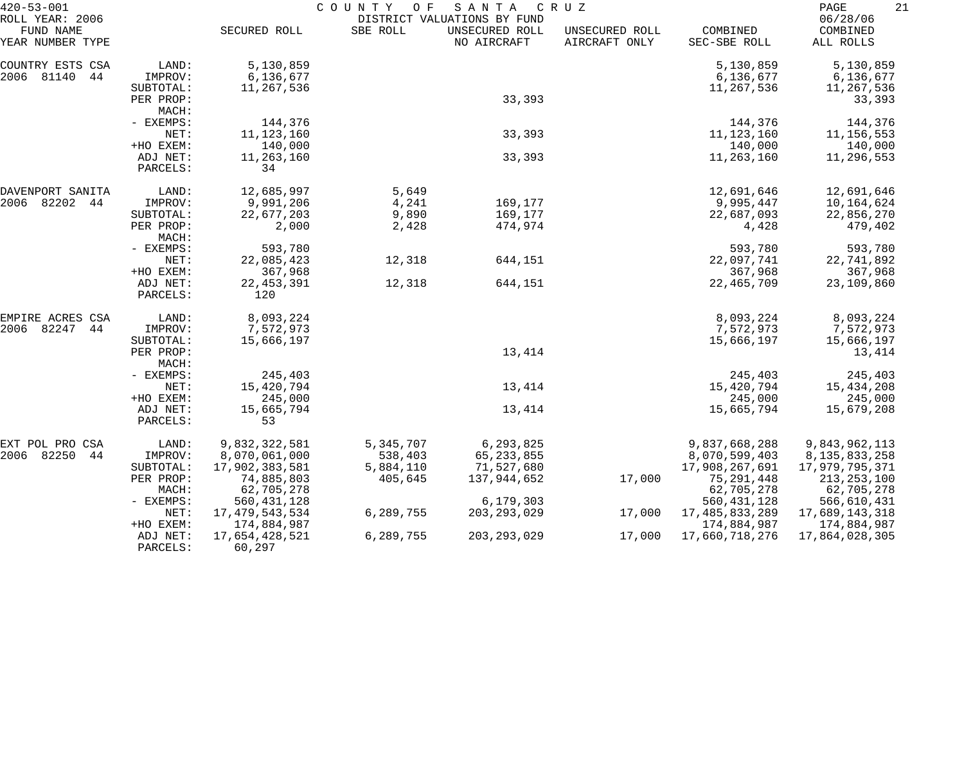| $420 - 53 - 001$                                 |                      |                          | COUNTY OF | SANTA                                                        | C R U Z                         |                          | PAGE<br>21                        |
|--------------------------------------------------|----------------------|--------------------------|-----------|--------------------------------------------------------------|---------------------------------|--------------------------|-----------------------------------|
| ROLL YEAR: 2006<br>FUND NAME<br>YEAR NUMBER TYPE |                      | SECURED ROLL             | SBE ROLL  | DISTRICT VALUATIONS BY FUND<br>UNSECURED ROLL<br>NO AIRCRAFT | UNSECURED ROLL<br>AIRCRAFT ONLY | COMBINED<br>SEC-SBE ROLL | 06/28/06<br>COMBINED<br>ALL ROLLS |
| COUNTRY ESTS CSA                                 | LAND:                | 5,130,859                |           |                                                              |                                 | 5,130,859                | 5,130,859                         |
| 2006 81140<br>44                                 | IMPROV:              | 6,136,677                |           |                                                              |                                 | 6,136,677                | 6,136,677                         |
|                                                  | SUBTOTAL:            | 11,267,536               |           |                                                              |                                 | 11,267,536               | 11,267,536                        |
|                                                  | PER PROP:            |                          |           | 33,393                                                       |                                 |                          | 33,393                            |
|                                                  | MACH:                |                          |           |                                                              |                                 |                          |                                   |
|                                                  | - EXEMPS:            | 144,376                  |           |                                                              |                                 | 144,376                  | 144,376                           |
|                                                  | NET:                 | 11, 123, 160             |           | 33,393                                                       |                                 | 11, 123, 160             | 11,156,553                        |
|                                                  | +HO EXEM:            | 140,000                  |           |                                                              |                                 | 140,000                  | 140,000                           |
|                                                  | ADJ NET:<br>PARCELS: | 11,263,160<br>34         |           | 33,393                                                       |                                 | 11,263,160               | 11,296,553                        |
|                                                  |                      |                          |           |                                                              |                                 |                          |                                   |
| DAVENPORT SANITA                                 | LAND:                | 12,685,997               | 5,649     |                                                              |                                 | 12,691,646               | 12,691,646                        |
| 2006<br>82202<br>44                              | IMPROV:              | 9,991,206                | 4,241     | 169,177                                                      |                                 | 9,995,447                | 10,164,624                        |
|                                                  | SUBTOTAL:            | 22,677,203               | 9,890     | 169,177                                                      |                                 | 22,687,093               | 22,856,270                        |
|                                                  | PER PROP:            | 2,000                    | 2,428     | 474,974                                                      |                                 | 4,428                    | 479,402                           |
|                                                  | MACH:                |                          |           |                                                              |                                 |                          |                                   |
|                                                  | - EXEMPS:            | 593,780                  |           |                                                              |                                 | 593,780                  | 593,780                           |
|                                                  | NET:                 | 22,085,423               | 12,318    | 644,151                                                      |                                 | 22,097,741               | 22,741,892                        |
|                                                  | +HO EXEM:            | 367,968                  |           |                                                              |                                 | 367,968                  | 367,968                           |
|                                                  | ADJ NET:<br>PARCELS: | 22, 453, 391<br>120      | 12,318    | 644,151                                                      |                                 | 22, 465, 709             | 23,109,860                        |
| EMPIRE ACRES CSA                                 | LAND:                | 8,093,224                |           |                                                              |                                 | 8,093,224                | 8,093,224                         |
| 2006<br>82247<br>44                              | IMPROV:              | 7,572,973                |           |                                                              |                                 | 7,572,973                | 7,572,973                         |
|                                                  | SUBTOTAL:            | 15,666,197               |           |                                                              |                                 | 15,666,197               | 15,666,197                        |
|                                                  | PER PROP:            |                          |           | 13,414                                                       |                                 |                          | 13,414                            |
|                                                  | MACH:                |                          |           |                                                              |                                 |                          |                                   |
|                                                  | - EXEMPS:            | 245,403                  |           |                                                              |                                 | 245,403                  | 245,403                           |
|                                                  | NET:                 | 15,420,794               |           | 13,414                                                       |                                 | 15,420,794               | 15,434,208                        |
|                                                  | +HO EXEM:            | 245,000                  |           |                                                              |                                 | 245,000                  | 245,000                           |
|                                                  | ADJ NET:<br>PARCELS: | 15,665,794<br>53         |           | 13,414                                                       |                                 | 15,665,794               | 15,679,208                        |
| EXT POL PRO CSA                                  | LAND:                | 9,832,322,581            | 5,345,707 | 6,293,825                                                    |                                 | 9,837,668,288            | 9,843,962,113                     |
| 2006 82250<br>44                                 | IMPROV:              | 8,070,061,000            | 538,403   | 65, 233, 855                                                 |                                 | 8,070,599,403            | 8, 135, 833, 258                  |
|                                                  | SUBTOTAL:            | 17,902,383,581           | 5,884,110 | 71,527,680                                                   |                                 | 17,908,267,691           | 17,979,795,371                    |
|                                                  | PER PROP:            | 74,885,803               | 405,645   | 137,944,652                                                  | 17,000                          | 75,291,448               | 213, 253, 100                     |
|                                                  | MACH:                | 62,705,278               |           |                                                              |                                 | 62,705,278               | 62,705,278                        |
|                                                  | - EXEMPS:            | 560, 431, 128            |           | 6,179,303                                                    |                                 | 560, 431, 128            | 566,610,431                       |
|                                                  | NET:                 | 17, 479, 543, 534        | 6,289,755 | 203, 293, 029                                                | 17,000                          | 17,485,833,289           | 17,689,143,318                    |
|                                                  | +HO EXEM:            | 174,884,987              |           |                                                              |                                 | 174,884,987              | 174,884,987                       |
|                                                  | ADJ NET:<br>PARCELS: | 17,654,428,521<br>60,297 | 6,289,755 | 203, 293, 029                                                | 17,000                          | 17,660,718,276           | 17,864,028,305                    |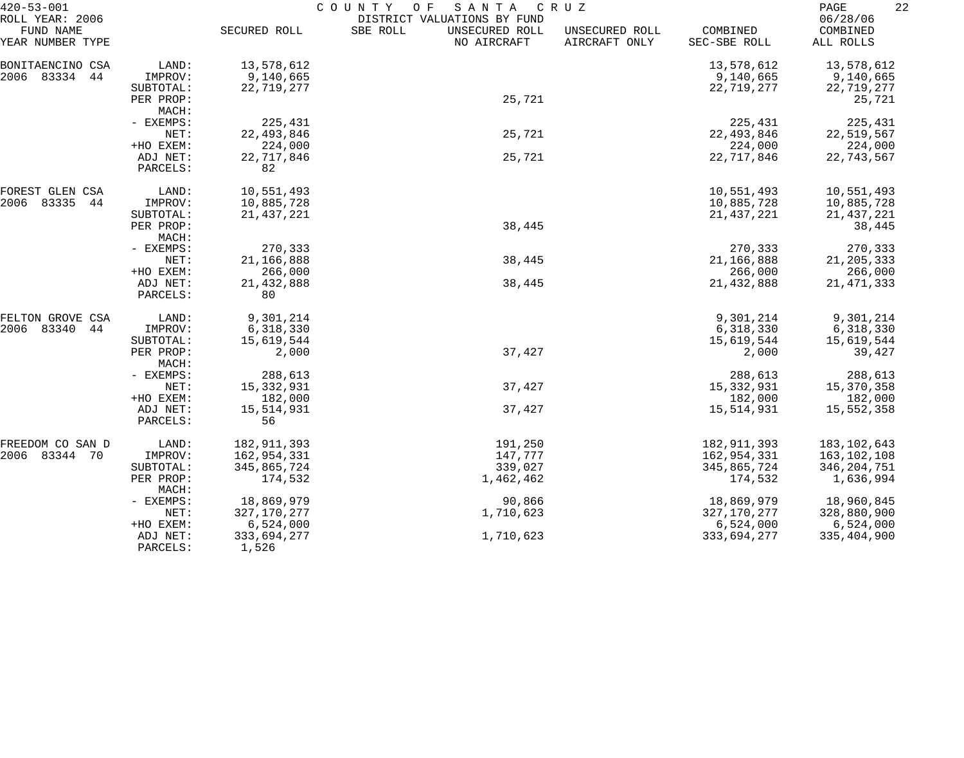| $420 - 53 - 001$                                 |                      | COUNTY<br>O F<br>SANTA<br>CRUZ |                                                                          |                                 |                          |                                   |  |
|--------------------------------------------------|----------------------|--------------------------------|--------------------------------------------------------------------------|---------------------------------|--------------------------|-----------------------------------|--|
| ROLL YEAR: 2006<br>FUND NAME<br>YEAR NUMBER TYPE |                      | SECURED ROLL                   | DISTRICT VALUATIONS BY FUND<br>SBE ROLL<br>UNSECURED ROLL<br>NO AIRCRAFT | UNSECURED ROLL<br>AIRCRAFT ONLY | COMBINED<br>SEC-SBE ROLL | 06/28/06<br>COMBINED<br>ALL ROLLS |  |
| BONITAENCINO CSA                                 | LAND:                | 13,578,612                     |                                                                          |                                 | 13,578,612               | 13,578,612                        |  |
| 2006<br>83334<br>44                              | IMPROV:              | 9,140,665                      |                                                                          |                                 | 9,140,665                | 9,140,665                         |  |
|                                                  | SUBTOTAL:            | 22,719,277                     |                                                                          |                                 | 22,719,277               | 22,719,277                        |  |
|                                                  | PER PROP:            |                                | 25,721                                                                   |                                 |                          | 25,721                            |  |
|                                                  | MACH:                |                                |                                                                          |                                 |                          |                                   |  |
|                                                  | - EXEMPS:            | 225,431                        |                                                                          |                                 | 225,431                  | 225,431                           |  |
|                                                  | NET:                 | 22, 493, 846                   | 25,721                                                                   |                                 | 22, 493, 846             | 22,519,567                        |  |
|                                                  | +HO EXEM:            | 224,000                        |                                                                          |                                 | 224,000                  | 224,000                           |  |
|                                                  | ADJ NET:             | 22,717,846                     | 25,721                                                                   |                                 | 22,717,846               | 22,743,567                        |  |
|                                                  | PARCELS:             | 82                             |                                                                          |                                 |                          |                                   |  |
| FOREST GLEN CSA                                  | LAND:                | 10,551,493                     |                                                                          |                                 | 10,551,493               | 10,551,493                        |  |
| 83335<br>2006<br>44                              | IMPROV:              | 10,885,728                     |                                                                          |                                 | 10,885,728               | 10,885,728                        |  |
|                                                  | SUBTOTAL:            | 21, 437, 221                   |                                                                          |                                 | 21, 437, 221             | 21, 437, 221                      |  |
|                                                  | PER PROP:            |                                | 38,445                                                                   |                                 |                          | 38,445                            |  |
|                                                  | MACH:                |                                |                                                                          |                                 |                          |                                   |  |
|                                                  | - EXEMPS:            | 270,333                        |                                                                          |                                 | 270,333                  | 270,333                           |  |
|                                                  | NET:                 | 21,166,888                     | 38,445                                                                   |                                 | 21,166,888               | 21, 205, 333                      |  |
|                                                  | +HO EXEM:            | 266,000                        |                                                                          |                                 | 266,000                  | 266,000                           |  |
|                                                  | ADJ NET:<br>PARCELS: | 21, 432, 888<br>80             | 38,445                                                                   |                                 | 21,432,888               | 21, 471, 333                      |  |
| FELTON GROVE CSA                                 | LAND:                | 9,301,214                      |                                                                          |                                 | 9,301,214                | 9,301,214                         |  |
| 2006<br>83340<br>44                              | IMPROV:              | 6,318,330                      |                                                                          |                                 | 6,318,330                | 6,318,330                         |  |
|                                                  | SUBTOTAL:            | 15,619,544                     |                                                                          |                                 | 15,619,544               | 15,619,544                        |  |
|                                                  | PER PROP:<br>MACH:   | 2,000                          | 37,427                                                                   |                                 | 2,000                    | 39,427                            |  |
|                                                  | - EXEMPS:            | 288,613                        |                                                                          |                                 | 288,613                  | 288,613                           |  |
|                                                  | NET:                 | 15, 332, 931                   | 37,427                                                                   |                                 | 15,332,931               | 15,370,358                        |  |
|                                                  | +HO EXEM:            | 182,000                        |                                                                          |                                 | 182,000                  | 182,000                           |  |
|                                                  | ADJ NET:             | 15,514,931                     | 37,427                                                                   |                                 | 15,514,931               | 15,552,358                        |  |
|                                                  | PARCELS:             | 56                             |                                                                          |                                 |                          |                                   |  |
| FREEDOM CO SAN D                                 | LAND:                | 182, 911, 393                  | 191,250                                                                  |                                 | 182, 911, 393            | 183,102,643                       |  |
| 2006 83344 70                                    | IMPROV:              | 162,954,331                    | 147,777                                                                  |                                 | 162,954,331              | 163,102,108                       |  |
|                                                  | SUBTOTAL:            | 345,865,724                    | 339,027                                                                  |                                 | 345,865,724              | 346, 204, 751                     |  |
|                                                  | PER PROP:<br>MACH:   | 174,532                        | 1,462,462                                                                |                                 | 174,532                  | 1,636,994                         |  |
|                                                  | - EXEMPS:            | 18,869,979                     | 90,866                                                                   |                                 | 18,869,979               | 18,960,845                        |  |
|                                                  | NET:                 | 327, 170, 277                  | 1,710,623                                                                |                                 | 327,170,277              | 328,880,900                       |  |
|                                                  | +HO EXEM:            | 6,524,000                      |                                                                          |                                 | 6,524,000                | 6,524,000                         |  |
|                                                  | ADJ NET:<br>PARCELS: | 333,694,277<br>1,526           | 1,710,623                                                                |                                 | 333,694,277              | 335,404,900                       |  |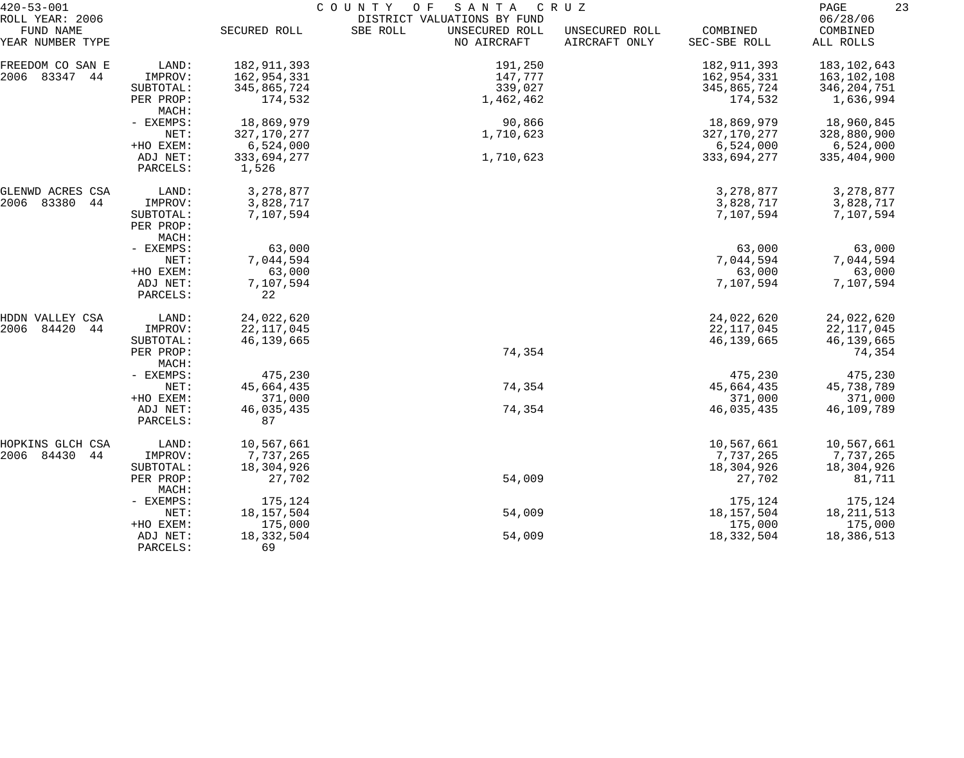| $420 - 53 - 001$              |                        |                      | COUNTY<br>O F<br>SANTA                    | C R U Z                         |                          | 23<br>PAGE            |
|-------------------------------|------------------------|----------------------|-------------------------------------------|---------------------------------|--------------------------|-----------------------|
| ROLL YEAR: 2006               |                        |                      | DISTRICT VALUATIONS BY FUND               |                                 |                          | 06/28/06              |
| FUND NAME<br>YEAR NUMBER TYPE |                        | SECURED ROLL         | SBE ROLL<br>UNSECURED ROLL<br>NO AIRCRAFT | UNSECURED ROLL<br>AIRCRAFT ONLY | COMBINED<br>SEC-SBE ROLL | COMBINED<br>ALL ROLLS |
| FREEDOM CO SAN E              | LAND:                  | 182, 911, 393        | 191,250                                   |                                 | 182, 911, 393            | 183,102,643           |
| 2006 83347 44                 | IMPROV:                | 162,954,331          | 147,777                                   |                                 | 162,954,331              | 163,102,108           |
|                               | SUBTOTAL:              | 345,865,724          | 339,027                                   |                                 | 345,865,724              | 346,204,751           |
|                               | PER PROP:<br>MACH:     | 174,532              | 1,462,462                                 |                                 | 174,532                  | 1,636,994             |
|                               | - EXEMPS:              | 18,869,979           | 90,866                                    |                                 | 18,869,979               | 18,960,845            |
|                               | NET:                   | 327, 170, 277        | 1,710,623                                 |                                 | 327,170,277              | 328,880,900           |
|                               | +HO EXEM:              | 6,524,000            |                                           |                                 | 6,524,000                | 6,524,000             |
|                               | ADJ NET:<br>PARCELS:   | 333,694,277<br>1,526 | 1,710,623                                 |                                 | 333,694,277              | 335,404,900           |
| GLENWD ACRES CSA              | LAND:                  | 3,278,877            |                                           |                                 | 3,278,877                | 3,278,877             |
| 2006 83380<br>44              | IMPROV:                | 3,828,717            |                                           |                                 | 3,828,717                | 3,828,717             |
|                               | SUBTOTAL:<br>PER PROP: | 7,107,594            |                                           |                                 | 7,107,594                | 7,107,594             |
|                               | MACH:<br>- EXEMPS:     | 63,000               |                                           |                                 | 63,000                   | 63,000                |
|                               | NET:                   | 7,044,594            |                                           |                                 | 7,044,594                | 7,044,594             |
|                               | +HO EXEM:              | 63,000               |                                           |                                 | 63,000                   | 63,000                |
|                               | ADJ NET:               | 7,107,594            |                                           |                                 | 7,107,594                | 7,107,594             |
|                               | PARCELS:               | 22                   |                                           |                                 |                          |                       |
| HDDN VALLEY CSA               | LAND:                  | 24,022,620           |                                           |                                 | 24,022,620               | 24,022,620            |
| 2006<br>84420<br>44           | IMPROV:                | 22, 117, 045         |                                           |                                 | 22, 117, 045             | 22, 117, 045          |
|                               | SUBTOTAL:              | 46,139,665           |                                           |                                 | 46,139,665               | 46,139,665            |
|                               | PER PROP:<br>MACH:     |                      | 74,354                                    |                                 |                          | 74,354                |
|                               | - EXEMPS:              | 475,230              |                                           |                                 | 475,230                  | 475,230               |
|                               | NET:                   | 45,664,435           | 74,354                                    |                                 | 45,664,435               | 45,738,789            |
|                               | +HO EXEM:              | 371,000              |                                           |                                 | 371,000                  | 371,000               |
|                               | ADJ NET:<br>PARCELS:   | 46,035,435<br>87     | 74,354                                    |                                 | 46,035,435               | 46,109,789            |
| HOPKINS GLCH CSA              | LAND:                  | 10,567,661           |                                           |                                 | 10,567,661               | 10,567,661            |
| 2006 84430<br>44              | IMPROV:                | 7,737,265            |                                           |                                 | 7,737,265                | 7,737,265             |
|                               | SUBTOTAL:              | 18,304,926           |                                           |                                 | 18,304,926               | 18,304,926            |
|                               | PER PROP:<br>MACH:     | 27,702               | 54,009                                    |                                 | 27,702                   | 81,711                |
|                               | - EXEMPS:              | 175,124              |                                           |                                 | 175,124                  | 175,124               |
|                               | NET:                   | 18, 157, 504         | 54,009                                    |                                 | 18,157,504               | 18, 211, 513          |
|                               | +HO EXEM:              | 175,000              |                                           |                                 | 175,000                  | 175,000               |
|                               | ADJ NET:               | 18, 332, 504         | 54,009                                    |                                 | 18,332,504               | 18,386,513            |
|                               | PARCELS:               | 69                   |                                           |                                 |                          |                       |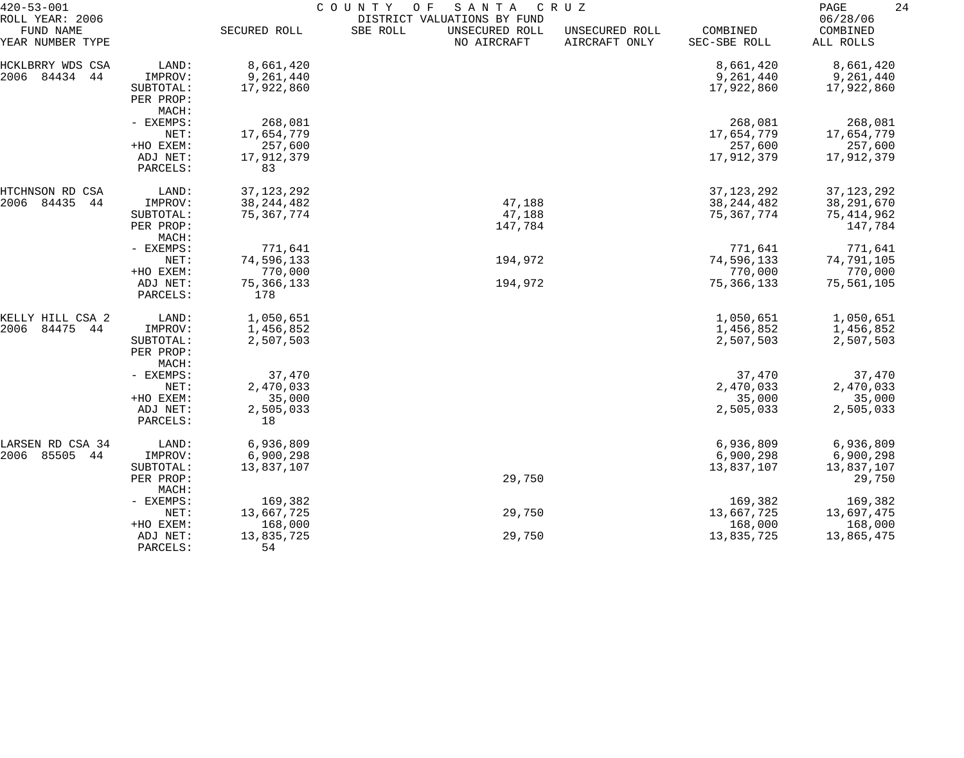| $420 - 53 - 001$                                 |                      |                     | COUNTY<br>SANTA<br>O F                                                   | C R U Z                         |                          | 24<br>PAGE                        |
|--------------------------------------------------|----------------------|---------------------|--------------------------------------------------------------------------|---------------------------------|--------------------------|-----------------------------------|
| ROLL YEAR: 2006<br>FUND NAME<br>YEAR NUMBER TYPE |                      | SECURED ROLL        | DISTRICT VALUATIONS BY FUND<br>SBE ROLL<br>UNSECURED ROLL<br>NO AIRCRAFT | UNSECURED ROLL<br>AIRCRAFT ONLY | COMBINED<br>SEC-SBE ROLL | 06/28/06<br>COMBINED<br>ALL ROLLS |
| HCKLBRRY WDS<br>CSA                              | LAND:                | 8,661,420           |                                                                          |                                 | 8,661,420                | 8,661,420                         |
| 84434<br>2006<br>44                              | IMPROV:              | 9,261,440           |                                                                          |                                 | 9,261,440                | 9,261,440                         |
|                                                  | SUBTOTAL:            | 17,922,860          |                                                                          |                                 | 17,922,860               | 17,922,860                        |
|                                                  | PER PROP:            |                     |                                                                          |                                 |                          |                                   |
|                                                  | MACH:                |                     |                                                                          |                                 |                          |                                   |
|                                                  | - EXEMPS:            | 268,081             |                                                                          |                                 | 268,081                  | 268,081                           |
|                                                  | NET:                 | 17,654,779          |                                                                          |                                 | 17,654,779               | 17,654,779                        |
|                                                  | +HO EXEM:            | 257,600             |                                                                          |                                 | 257,600                  | 257,600                           |
|                                                  | ADJ NET:             | 17,912,379          |                                                                          |                                 | 17,912,379               | 17,912,379                        |
|                                                  | PARCELS:             | 83                  |                                                                          |                                 |                          |                                   |
| HTCHNSON RD CSA                                  | LAND:                | 37, 123, 292        |                                                                          |                                 | 37, 123, 292             | 37, 123, 292                      |
| 2006<br>84435<br>44                              | IMPROV:              | 38, 244, 482        | 47,188                                                                   |                                 | 38, 244, 482             | 38, 291, 670                      |
|                                                  | SUBTOTAL:            | 75, 367, 774        | 47,188                                                                   |                                 | 75, 367, 774             | 75, 414, 962                      |
|                                                  | PER PROP:            |                     | 147,784                                                                  |                                 |                          | 147,784                           |
|                                                  | MACH:                |                     |                                                                          |                                 |                          |                                   |
|                                                  | - EXEMPS:            | 771,641             |                                                                          |                                 | 771,641                  | 771,641                           |
|                                                  | NET:                 | 74,596,133          | 194,972                                                                  |                                 | 74,596,133               | 74,791,105                        |
|                                                  | +HO EXEM:            | 770,000             |                                                                          |                                 | 770,000                  | 770,000                           |
|                                                  | ADJ NET:<br>PARCELS: | 75, 366, 133<br>178 | 194,972                                                                  |                                 | 75, 366, 133             | 75,561,105                        |
| KELLY HILL CSA 2                                 | LAND:                | 1,050,651           |                                                                          |                                 | 1,050,651                | 1,050,651                         |
| 84475<br>2006<br>44                              | IMPROV:              | 1,456,852           |                                                                          |                                 | 1,456,852                | 1,456,852                         |
|                                                  | SUBTOTAL:            | 2,507,503           |                                                                          |                                 | 2,507,503                | 2,507,503                         |
|                                                  | PER PROP:            |                     |                                                                          |                                 |                          |                                   |
|                                                  | MACH:                |                     |                                                                          |                                 |                          |                                   |
|                                                  | - EXEMPS:            | 37,470              |                                                                          |                                 | 37,470                   | 37,470                            |
|                                                  | NET:                 | 2,470,033           |                                                                          |                                 | 2,470,033                | 2,470,033                         |
|                                                  | +HO EXEM:            | 35,000              |                                                                          |                                 | 35,000                   | 35,000                            |
|                                                  | ADJ NET:             | 2,505,033           |                                                                          |                                 | 2,505,033                | 2,505,033                         |
|                                                  | PARCELS:             | 18                  |                                                                          |                                 |                          |                                   |
| LARSEN RD CSA 34                                 | LAND:                | 6,936,809           |                                                                          |                                 | 6,936,809                | 6,936,809                         |
| 85505<br>2006<br>44                              | IMPROV:              | 6,900,298           |                                                                          |                                 | 6,900,298                | 6,900,298                         |
|                                                  | SUBTOTAL:            | 13,837,107          |                                                                          |                                 | 13,837,107               | 13,837,107                        |
|                                                  | PER PROP:<br>MACH:   |                     | 29,750                                                                   |                                 |                          | 29,750                            |
|                                                  | - EXEMPS:            | 169,382             |                                                                          |                                 | 169,382                  | 169,382                           |
|                                                  | NET:                 | 13,667,725          | 29,750                                                                   |                                 | 13,667,725               | 13,697,475                        |
|                                                  | +HO EXEM:            | 168,000             |                                                                          |                                 | 168,000                  | 168,000                           |
|                                                  | ADJ NET:             | 13,835,725          | 29,750                                                                   |                                 | 13,835,725               | 13,865,475                        |
|                                                  | PARCELS:             | 54                  |                                                                          |                                 |                          |                                   |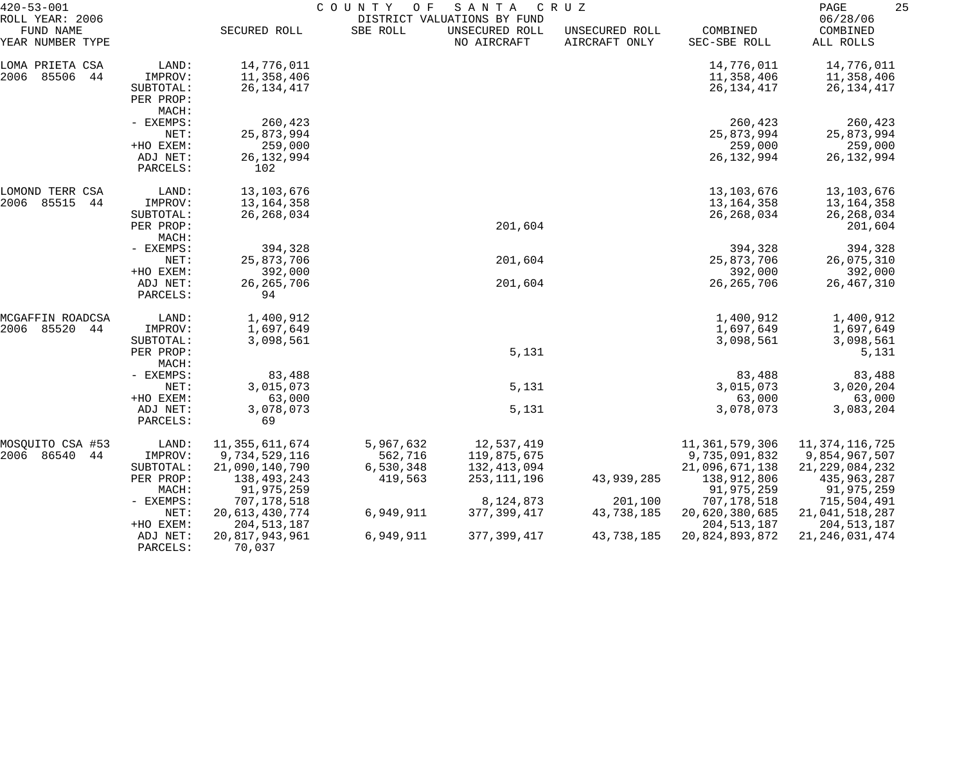| $420 - 53 - 001$                                 |                                            | COUNTY<br>SANTA<br>CRUZ<br>O F              |                      |                                                              |                                 |                                              |                                                  |  |
|--------------------------------------------------|--------------------------------------------|---------------------------------------------|----------------------|--------------------------------------------------------------|---------------------------------|----------------------------------------------|--------------------------------------------------|--|
| ROLL YEAR: 2006<br>FUND NAME<br>YEAR NUMBER TYPE |                                            | SECURED ROLL                                | SBE ROLL             | DISTRICT VALUATIONS BY FUND<br>UNSECURED ROLL<br>NO AIRCRAFT | UNSECURED ROLL<br>AIRCRAFT ONLY | COMBINED<br>SEC-SBE ROLL                     | 06/28/06<br>COMBINED<br>ALL ROLLS                |  |
| LOMA PRIETA CSA<br>2006<br>85506<br>44           | LAND:<br>IMPROV:<br>SUBTOTAL:<br>PER PROP: | 14,776,011<br>11,358,406<br>26, 134, 417    |                      |                                                              |                                 | 14,776,011<br>11,358,406<br>26, 134, 417     | 14,776,011<br>11,358,406<br>26, 134, 417         |  |
|                                                  | MACH:                                      |                                             |                      |                                                              |                                 |                                              |                                                  |  |
|                                                  | - EXEMPS:<br>NET:<br>+HO EXEM:             | 260,423<br>25,873,994<br>259,000            |                      |                                                              |                                 | 260,423<br>25,873,994<br>259,000             | 260,423<br>25,873,994<br>259,000                 |  |
|                                                  | ADJ NET:<br>PARCELS:                       | 26, 132, 994<br>102                         |                      |                                                              |                                 | 26, 132, 994                                 | 26, 132, 994                                     |  |
| LOMOND TERR CSA<br>85515<br>2006<br>44           | LAND:<br>IMPROV:<br>SUBTOTAL:              | 13,103,676<br>13, 164, 358<br>26, 268, 034  |                      |                                                              |                                 | 13, 103, 676<br>13, 164, 358<br>26, 268, 034 | 13,103,676<br>13,164,358<br>26, 268, 034         |  |
|                                                  | PER PROP:<br>MACH:                         |                                             |                      | 201,604                                                      |                                 |                                              | 201,604                                          |  |
|                                                  | - EXEMPS:<br>NET:                          | 394,328<br>25,873,706                       |                      | 201,604                                                      |                                 | 394,328<br>25,873,706                        | 394,328<br>26,075,310                            |  |
|                                                  | +HO EXEM:<br>ADJ NET:<br>PARCELS:          | 392,000<br>26, 265, 706<br>94               |                      | 201,604                                                      |                                 | 392,000<br>26, 265, 706                      | 392,000<br>26, 467, 310                          |  |
| MCGAFFIN ROADCSA<br>85520<br>2006<br>44          | LAND:<br>IMPROV:                           | 1,400,912<br>1,697,649                      |                      |                                                              |                                 | 1,400,912<br>1,697,649                       | 1,400,912<br>1,697,649                           |  |
|                                                  | SUBTOTAL:<br>PER PROP:<br>MACH:            | 3,098,561                                   |                      | 5,131                                                        |                                 | 3,098,561                                    | 3,098,561<br>5,131                               |  |
|                                                  | - EXEMPS:<br>NET:                          | 83,488<br>3,015,073                         |                      | 5,131                                                        |                                 | 83,488<br>3,015,073                          | 83,488<br>3,020,204                              |  |
|                                                  | +HO EXEM:<br>ADJ NET:<br>PARCELS:          | 63,000<br>3,078,073<br>69                   |                      | 5,131                                                        |                                 | 63,000<br>3,078,073                          | 63,000<br>3,083,204                              |  |
| MOSQUITO CSA #53<br>2006 86540<br>44             | LAND:<br>IMPROV:                           | 11,355,611,674<br>9,734,529,116             | 5,967,632<br>562,716 | 12,537,419<br>119,875,675                                    |                                 | 11,361,579,306<br>9,735,091,832              | 11,374,116,725<br>9,854,967,507                  |  |
|                                                  | SUBTOTAL:<br>PER PROP:<br>MACH:            | 21,090,140,790<br>138,493,243<br>91,975,259 | 6,530,348<br>419,563 | 132, 413, 094<br>253, 111, 196                               | 43,939,285                      | 21,096,671,138<br>138,912,806<br>91,975,259  | 21, 229, 084, 232<br>435, 963, 287<br>91,975,259 |  |
|                                                  | $-$ EXEMPS:<br>NET:                        | 707,178,518<br>20, 613, 430, 774            | 6,949,911            | 8,124,873<br>377, 399, 417                                   | 201,100<br>43,738,185           | 707,178,518<br>20,620,380,685                | 715,504,491<br>21,041,518,287                    |  |
|                                                  | +HO EXEM:<br>ADJ NET:<br>PARCELS:          | 204, 513, 187<br>20,817,943,961<br>70,037   | 6,949,911            | 377, 399, 417                                                | 43,738,185                      | 204, 513, 187<br>20,824,893,872              | 204, 513, 187<br>21, 246, 031, 474               |  |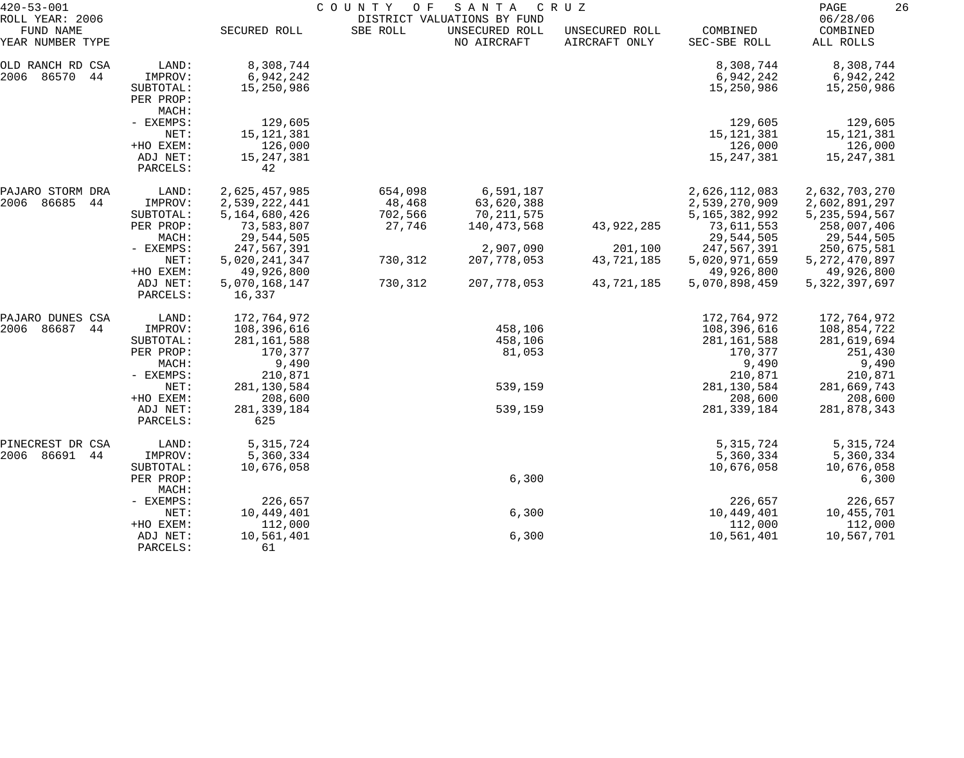| $420 - 53 - 001$                                 |                                                         | COUNTY OF<br>SANTA<br>C R U Z<br>DISTRICT VALUATIONS BY FUND              |                                        |                                                      |                                     |                                                                           |                                                                                 |  |
|--------------------------------------------------|---------------------------------------------------------|---------------------------------------------------------------------------|----------------------------------------|------------------------------------------------------|-------------------------------------|---------------------------------------------------------------------------|---------------------------------------------------------------------------------|--|
| ROLL YEAR: 2006<br>FUND NAME<br>YEAR NUMBER TYPE |                                                         | SECURED ROLL                                                              | SBE ROLL                               | UNSECURED ROLL<br>NO AIRCRAFT                        | UNSECURED ROLL<br>AIRCRAFT ONLY     | COMBINED<br>SEC-SBE ROLL                                                  | 06/28/06<br>COMBINED<br>ALL ROLLS                                               |  |
| OLD RANCH RD CSA<br>2006 86570<br>44             | LAND:<br>IMPROV:<br>SUBTOTAL:<br>PER PROP:<br>MACH:     | 8,308,744<br>6,942,242<br>15,250,986                                      |                                        |                                                      |                                     | 8,308,744<br>6,942,242<br>15,250,986                                      | 8,308,744<br>6,942,242<br>15,250,986                                            |  |
|                                                  | - EXEMPS:<br>NET:<br>+HO EXEM:<br>ADJ NET:<br>PARCELS:  | 129,605<br>15, 121, 381<br>126,000<br>15, 247, 381<br>42                  |                                        |                                                      |                                     | 129,605<br>15, 121, 381<br>126,000<br>15, 247, 381                        | 129,605<br>15,121,381<br>126,000<br>15,247,381                                  |  |
| PAJARO STORM DRA<br>86685<br>2006<br>44          | LAND:<br>IMPROV:<br>SUBTOTAL:<br>PER PROP:              | 2,625,457,985<br>2,539,222,441<br>5,164,680,426<br>73,583,807             | 654,098<br>48,468<br>702,566<br>27,746 | 6,591,187<br>63,620,388<br>70,211,575<br>140,473,568 | 43,922,285                          | 2,626,112,083<br>2,539,270,909<br>5, 165, 382, 992<br>73,611,553          | 2,632,703,270<br>2,602,891,297<br>5, 235, 594, 567<br>258,007,406               |  |
|                                                  | MACH:<br>- EXEMPS:<br>NET:<br>+HO EXEM:<br>ADJ NET:     | 29,544,505<br>247,567,391<br>5,020,241,347<br>49,926,800<br>5,070,168,147 | 730,312<br>730,312                     | 2,907,090<br>207,778,053<br>207,778,053              | 201,100<br>43,721,185<br>43,721,185 | 29,544,505<br>247,567,391<br>5,020,971,659<br>49,926,800<br>5,070,898,459 | 29,544,505<br>250,675,581<br>5, 272, 470, 897<br>49,926,800<br>5, 322, 397, 697 |  |
| PAJARO DUNES CSA                                 | PARCELS:<br>LAND:                                       | 16,337<br>172,764,972                                                     |                                        |                                                      |                                     | 172,764,972                                                               | 172,764,972                                                                     |  |
| 86687<br>2006<br>44                              | IMPROV:<br>SUBTOTAL:<br>PER PROP:<br>MACH:<br>- EXEMPS: | 108,396,616<br>281, 161, 588<br>170,377<br>9,490<br>210,871               |                                        | 458,106<br>458,106<br>81,053                         |                                     | 108,396,616<br>281, 161, 588<br>170,377<br>9,490<br>210,871               | 108,854,722<br>281,619,694<br>251,430<br>9,490<br>210,871                       |  |
|                                                  | NET:<br>+HO EXEM:<br>ADJ NET:<br>PARCELS:               | 281,130,584<br>208,600<br>281, 339, 184<br>625                            |                                        | 539,159<br>539,159                                   |                                     | 281, 130, 584<br>208,600<br>281, 339, 184                                 | 281,669,743<br>208,600<br>281,878,343                                           |  |
| PINECREST DR CSA<br>2006 86691<br>44             | LAND:<br>IMPROV:<br>SUBTOTAL:<br>PER PROP:              | 5, 315, 724<br>5,360,334<br>10,676,058                                    |                                        | 6,300                                                |                                     | 5, 315, 724<br>5,360,334<br>10,676,058                                    | 5, 315, 724<br>5,360,334<br>10,676,058<br>6,300                                 |  |
|                                                  | MACH:<br>- EXEMPS:                                      | 226,657                                                                   |                                        |                                                      |                                     | 226,657                                                                   | 226,657                                                                         |  |
|                                                  | NET:<br>+HO EXEM:<br>ADJ NET:<br>PARCELS:               | 10,449,401<br>112,000<br>10,561,401<br>61                                 |                                        | 6,300<br>6,300                                       |                                     | 10,449,401<br>112,000<br>10,561,401                                       | 10,455,701<br>112,000<br>10,567,701                                             |  |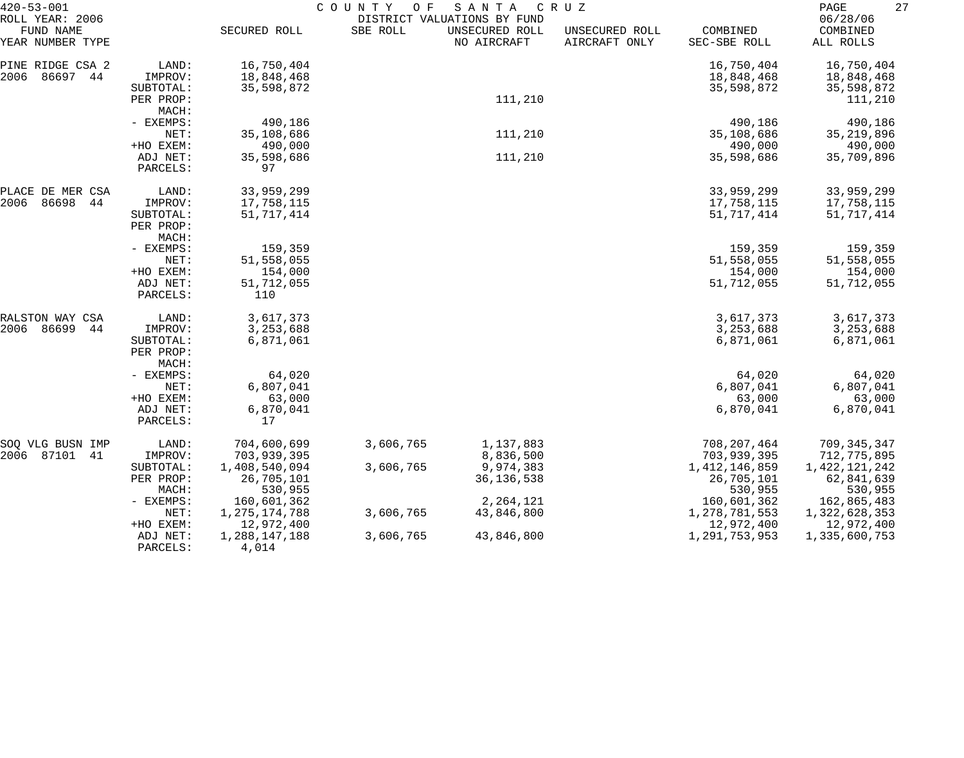| $420 - 53 - 001$                                 |                                            |                                        | COUNTY<br>O F | SANTA                                                        | C R U Z                         |                                           | 27<br>PAGE                             |
|--------------------------------------------------|--------------------------------------------|----------------------------------------|---------------|--------------------------------------------------------------|---------------------------------|-------------------------------------------|----------------------------------------|
| ROLL YEAR: 2006<br>FUND NAME<br>YEAR NUMBER TYPE |                                            | SECURED ROLL                           | SBE ROLL      | DISTRICT VALUATIONS BY FUND<br>UNSECURED ROLL<br>NO AIRCRAFT | UNSECURED ROLL<br>AIRCRAFT ONLY | COMBINED<br>SEC-SBE ROLL                  | 06/28/06<br>COMBINED<br>ALL ROLLS      |
| PINE RIDGE CSA 2<br>2006<br>86697 44             | LAND:<br>IMPROV:<br>SUBTOTAL:              | 16,750,404<br>18,848,468<br>35,598,872 |               |                                                              |                                 | 16,750,404<br>18,848,468<br>35,598,872    | 16,750,404<br>18,848,468<br>35,598,872 |
|                                                  | PER PROP:<br>MACH:                         |                                        |               | 111,210                                                      |                                 |                                           | 111,210                                |
|                                                  | - EXEMPS:<br>NET:<br>+HO EXEM:             | 490,186<br>35,108,686<br>490,000       |               | 111,210                                                      |                                 | 490,186<br>35,108,686<br>490,000          | 490,186<br>35, 219, 896<br>490,000     |
|                                                  | ADJ NET:<br>PARCELS:                       | 35,598,686<br>97                       |               | 111,210                                                      |                                 | 35,598,686                                | 35,709,896                             |
| PLACE DE MER CSA<br>2006<br>86698<br>44          | LAND:<br>IMPROV:                           | 33,959,299<br>17,758,115               |               |                                                              |                                 | 33,959,299<br>17,758,115                  | 33,959,299<br>17,758,115               |
|                                                  | SUBTOTAL:<br>PER PROP:<br>MACH:            | 51, 717, 414                           |               |                                                              |                                 | 51,717,414                                | 51,717,414                             |
|                                                  | - EXEMPS:<br>NET:                          | 159,359<br>51,558,055                  |               |                                                              |                                 | 159,359<br>51,558,055                     | 159,359<br>51,558,055                  |
|                                                  | +HO EXEM:<br>ADJ NET:<br>PARCELS:          | 154,000<br>51,712,055<br>110           |               |                                                              |                                 | 154,000<br>51,712,055                     | 154,000<br>51,712,055                  |
| RALSTON WAY CSA                                  | LAND:                                      | 3,617,373                              |               |                                                              |                                 | 3,617,373                                 | 3,617,373                              |
| 2006<br>86699<br>44                              | IMPROV:<br>SUBTOTAL:<br>PER PROP:<br>MACH: | 3, 253, 688<br>6,871,061               |               |                                                              |                                 | 3,253,688<br>6,871,061                    | 3,253,688<br>6,871,061                 |
|                                                  | - EXEMPS:<br>NET:                          | 64,020<br>6,807,041                    |               |                                                              |                                 | 64,020<br>6,807,041                       | 64,020<br>6,807,041                    |
|                                                  | +HO EXEM:                                  | 63,000                                 |               |                                                              |                                 | 63,000                                    | 63,000                                 |
|                                                  | ADJ NET:<br>PARCELS:                       | 6,870,041<br>17                        |               |                                                              |                                 | 6,870,041                                 | 6,870,041                              |
| SOQ VLG BUSN IMP<br>2006 87101<br>41             | LAND:<br>IMPROV:                           | 704,600,699<br>703,939,395             | 3,606,765     | 1,137,883<br>8,836,500                                       |                                 | 708, 207, 464<br>703,939,395              | 709,345,347<br>712,775,895             |
|                                                  | SUBTOTAL:<br>PER PROP:<br>MACH:            | 1,408,540,094<br>26,705,101<br>530,955 | 3,606,765     | 9,974,383<br>36, 136, 538                                    |                                 | 1, 412, 146, 859<br>26,705,101<br>530,955 | 1,422,121,242<br>62,841,639<br>530,955 |
|                                                  | - EXEMPS:                                  | 160,601,362                            |               | 2,264,121                                                    |                                 | 160,601,362                               | 162,865,483                            |
|                                                  | NET:<br>+HO EXEM:                          | 1, 275, 174, 788<br>12,972,400         | 3,606,765     | 43,846,800                                                   |                                 | 1,278,781,553<br>12,972,400               | 1,322,628,353<br>12,972,400            |
|                                                  | ADJ NET:<br>PARCELS:                       | 1,288,147,188<br>4,014                 | 3,606,765     | 43,846,800                                                   |                                 | 1,291,753,953                             | 1,335,600,753                          |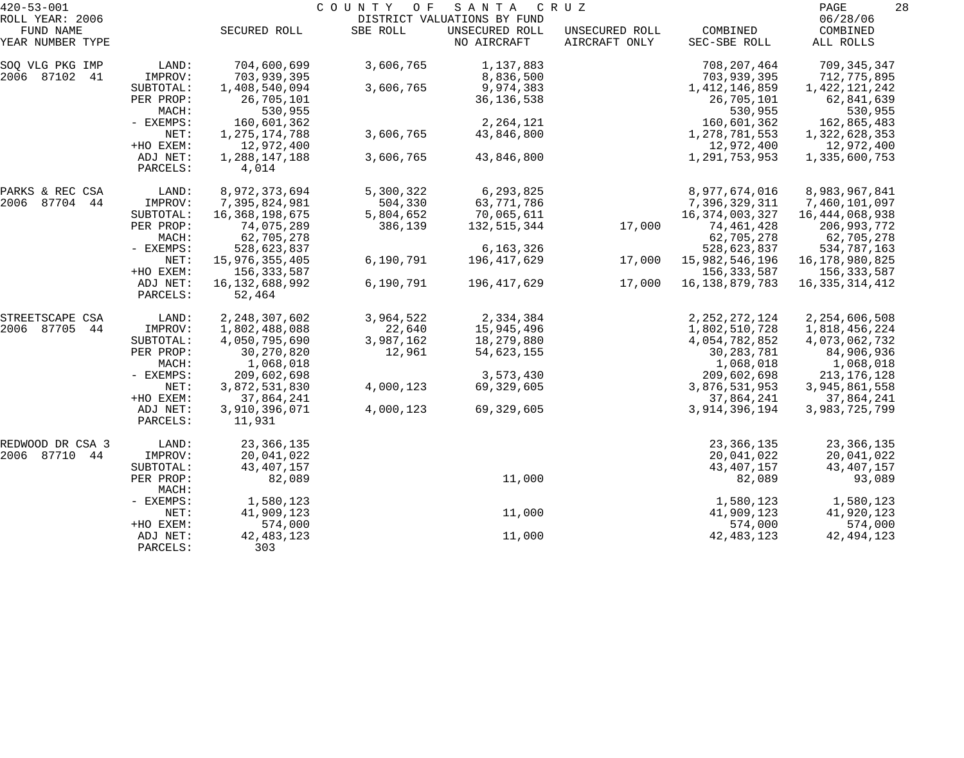| $420 - 53 - 001$              |                      | COUNTY<br>O F<br>SANTA<br>C R U Z |           |                               |                                 |                          |                       |  |  |
|-------------------------------|----------------------|-----------------------------------|-----------|-------------------------------|---------------------------------|--------------------------|-----------------------|--|--|
| ROLL YEAR: 2006               |                      |                                   |           | DISTRICT VALUATIONS BY FUND   |                                 |                          | 06/28/06              |  |  |
| FUND NAME<br>YEAR NUMBER TYPE |                      | SECURED ROLL                      | SBE ROLL  | UNSECURED ROLL<br>NO AIRCRAFT | UNSECURED ROLL<br>AIRCRAFT ONLY | COMBINED<br>SEC-SBE ROLL | COMBINED<br>ALL ROLLS |  |  |
| SOQ VLG PKG IMP               | LAND:                | 704,600,699                       | 3,606,765 | 1,137,883                     |                                 | 708, 207, 464            | 709, 345, 347         |  |  |
| 2006 87102 41                 | IMPROV:              | 703,939,395                       |           | 8,836,500                     |                                 | 703,939,395              | 712,775,895           |  |  |
|                               | SUBTOTAL:            | 1,408,540,094                     | 3,606,765 | 9,974,383                     |                                 | 1, 412, 146, 859         | 1,422,121,242         |  |  |
|                               | PER PROP:<br>MACH:   | 26,705,101<br>530,955             |           | 36, 136, 538                  |                                 | 26,705,101<br>530,955    | 62,841,639<br>530,955 |  |  |
|                               | - EXEMPS:            | 160,601,362                       |           | 2, 264, 121                   |                                 | 160,601,362              | 162,865,483           |  |  |
|                               | NET:                 | 1, 275, 174, 788                  | 3,606,765 | 43,846,800                    |                                 | 1,278,781,553            | 1,322,628,353         |  |  |
|                               | +HO EXEM:            | 12,972,400                        |           |                               |                                 | 12,972,400               | 12,972,400            |  |  |
|                               | ADJ NET:<br>PARCELS: | 1,288,147,188<br>4,014            | 3,606,765 | 43,846,800                    |                                 | 1,291,753,953            | 1,335,600,753         |  |  |
| PARKS & REC CSA               | LAND:                | 8,972,373,694                     | 5,300,322 | 6,293,825                     |                                 | 8,977,674,016            | 8,983,967,841         |  |  |
| 2006 87704 44                 | IMPROV:              | 7,395,824,981                     | 504,330   | 63,771,786                    |                                 | 7,396,329,311            | 7,460,101,097         |  |  |
|                               | SUBTOTAL:            | 16,368,198,675                    | 5,804,652 | 70,065,611                    |                                 | 16, 374, 003, 327        | 16, 444, 068, 938     |  |  |
|                               | PER PROP:            | 74,075,289                        | 386,139   | 132,515,344                   | 17,000                          | 74,461,428               | 206,993,772           |  |  |
|                               | MACH:                | 62,705,278                        |           |                               |                                 | 62,705,278               | 62,705,278            |  |  |
|                               | - EXEMPS:            | 528,623,837                       |           | 6, 163, 326                   |                                 | 528,623,837              | 534,787,163           |  |  |
|                               | NET:                 | 15,976,355,405                    | 6,190,791 | 196,417,629                   | 17,000                          | 15,982,546,196           | 16,178,980,825        |  |  |
|                               | +HO EXEM:            | 156,333,587                       |           |                               |                                 | 156, 333, 587            | 156,333,587           |  |  |
|                               | ADJ NET:<br>PARCELS: | 16, 132, 688, 992<br>52,464       | 6,190,791 | 196,417,629                   | 17,000                          | 16, 138, 879, 783        | 16, 335, 314, 412     |  |  |
| STREETSCAPE CSA               | LAND:                | 2, 248, 307, 602                  | 3,964,522 | 2,334,384                     |                                 | 2, 252, 272, 124         | 2, 254, 606, 508      |  |  |
| 2006 87705<br>44              | IMPROV:              | 1,802,488,088                     | 22,640    | 15,945,496                    |                                 | 1,802,510,728            | 1,818,456,224         |  |  |
|                               | SUBTOTAL:            | 4,050,795,690                     | 3,987,162 | 18,279,880                    |                                 | 4,054,782,852            | 4,073,062,732         |  |  |
|                               | PER PROP:            | 30,270,820                        | 12,961    | 54,623,155                    |                                 | 30, 283, 781             | 84,906,936            |  |  |
|                               | MACH:                | 1,068,018                         |           |                               |                                 | 1,068,018                | 1,068,018             |  |  |
|                               | - EXEMPS:            | 209,602,698                       |           | 3,573,430                     |                                 | 209,602,698              | 213, 176, 128         |  |  |
|                               | NET:                 | 3,872,531,830                     | 4,000,123 | 69,329,605                    |                                 | 3,876,531,953            | 3,945,861,558         |  |  |
|                               | +HO EXEM:            | 37,864,241                        |           |                               |                                 | 37,864,241               | 37,864,241            |  |  |
|                               | ADJ NET:<br>PARCELS: | 3,910,396,071<br>11,931           | 4,000,123 | 69,329,605                    |                                 | 3,914,396,194            | 3,983,725,799         |  |  |
| REDWOOD DR CSA 3              | LAND:                | 23, 366, 135                      |           |                               |                                 | 23, 366, 135             | 23, 366, 135          |  |  |
| 2006 87710 44                 | IMPROV:              | 20,041,022                        |           |                               |                                 | 20,041,022               | 20,041,022            |  |  |
|                               | SUBTOTAL:            | 43, 407, 157                      |           |                               |                                 | 43, 407, 157             | 43, 407, 157          |  |  |
|                               | PER PROP:<br>MACH:   | 82,089                            |           | 11,000                        |                                 | 82,089                   | 93,089                |  |  |
|                               | - EXEMPS:            | 1,580,123                         |           |                               |                                 | 1,580,123                | 1,580,123             |  |  |
|                               | NET:                 | 41,909,123                        |           | 11,000                        |                                 | 41,909,123               | 41,920,123            |  |  |
|                               | +HO EXEM:            | 574,000                           |           |                               |                                 | 574,000                  | 574,000               |  |  |
|                               | ADJ NET:<br>PARCELS: | 42, 483, 123<br>303               |           | 11,000                        |                                 | 42, 483, 123             | 42, 494, 123          |  |  |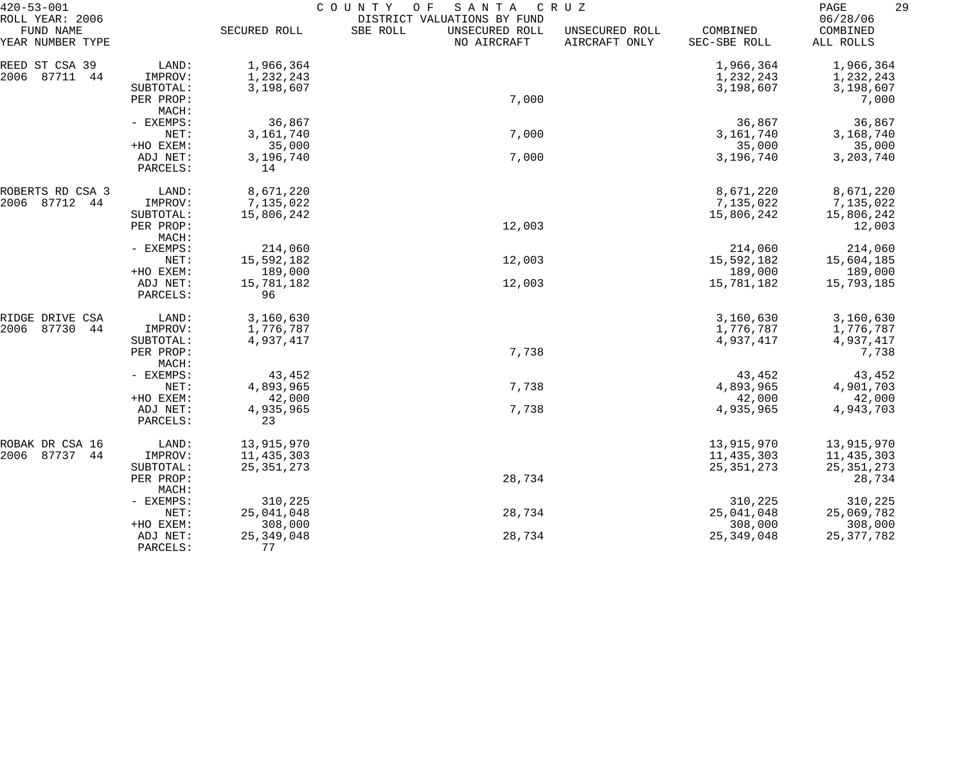| $420 - 53 - 001$                                 |                        | COUNTY<br>O F<br>SANTA<br>CRUZ |                                                                          |                                 |                          |                                   |  |  |
|--------------------------------------------------|------------------------|--------------------------------|--------------------------------------------------------------------------|---------------------------------|--------------------------|-----------------------------------|--|--|
| ROLL YEAR: 2006<br>FUND NAME<br>YEAR NUMBER TYPE |                        | SECURED ROLL                   | DISTRICT VALUATIONS BY FUND<br>SBE ROLL<br>UNSECURED ROLL<br>NO AIRCRAFT | UNSECURED ROLL<br>AIRCRAFT ONLY | COMBINED<br>SEC-SBE ROLL | 06/28/06<br>COMBINED<br>ALL ROLLS |  |  |
| REED ST CSA 39                                   | LAND:                  | 1,966,364                      |                                                                          |                                 | 1,966,364                | 1,966,364                         |  |  |
| 2006<br>87711<br>-44                             | IMPROV:                | 1,232,243                      |                                                                          |                                 | 1,232,243                | 1,232,243                         |  |  |
|                                                  | SUBTOTAL:              | 3,198,607                      |                                                                          |                                 | 3,198,607                | 3,198,607                         |  |  |
|                                                  | PER PROP:              |                                | 7,000                                                                    |                                 |                          | 7,000                             |  |  |
|                                                  | MACH:                  |                                |                                                                          |                                 |                          |                                   |  |  |
|                                                  | - EXEMPS:              | 36,867                         |                                                                          |                                 | 36,867                   | 36,867                            |  |  |
|                                                  | NET:                   | 3,161,740                      | 7,000                                                                    |                                 | 3, 161, 740              | 3,168,740                         |  |  |
|                                                  | +HO EXEM:              | 35,000                         |                                                                          |                                 | 35,000                   | 35,000                            |  |  |
|                                                  | ADJ NET:<br>PARCELS:   | 3,196,740<br>14                | 7,000                                                                    |                                 | 3,196,740                | 3, 203, 740                       |  |  |
| ROBERTS RD CSA 3                                 | LAND:                  | 8,671,220                      |                                                                          |                                 | 8,671,220                | 8,671,220                         |  |  |
| 2006<br>87712<br>44                              | IMPROV:                | 7,135,022                      |                                                                          |                                 | 7,135,022                | 7,135,022                         |  |  |
|                                                  | SUBTOTAL:              | 15,806,242                     |                                                                          |                                 | 15,806,242               | 15,806,242                        |  |  |
|                                                  | PER PROP:<br>MACH:     |                                | 12,003                                                                   |                                 |                          | 12,003                            |  |  |
|                                                  | - EXEMPS:              | 214,060                        |                                                                          |                                 | 214,060                  | 214,060                           |  |  |
|                                                  | NET:                   | 15,592,182                     | 12,003                                                                   |                                 | 15,592,182               | 15,604,185                        |  |  |
|                                                  | +HO EXEM:              | 189,000                        |                                                                          |                                 | 189,000                  | 189,000                           |  |  |
|                                                  | ADJ NET:<br>PARCELS:   | 15,781,182<br>96               | 12,003                                                                   |                                 | 15,781,182               | 15,793,185                        |  |  |
| RIDGE DRIVE CSA                                  | LAND:                  | 3,160,630                      |                                                                          |                                 | 3,160,630                | 3,160,630                         |  |  |
| 87730<br>2006<br>44                              | IMPROV:                | 1,776,787                      |                                                                          |                                 | 1,776,787                | 1,776,787                         |  |  |
|                                                  | SUBTOTAL:              | 4,937,417                      |                                                                          |                                 | 4,937,417                | 4,937,417                         |  |  |
|                                                  | PER PROP:<br>MACH:     |                                | 7,738                                                                    |                                 |                          | 7,738                             |  |  |
|                                                  | - EXEMPS:              | 43,452                         |                                                                          |                                 | 43,452                   | 43,452                            |  |  |
|                                                  | NET:                   | 4,893,965                      | 7,738                                                                    |                                 | 4,893,965                | 4,901,703                         |  |  |
|                                                  | +HO EXEM:              | 42,000                         |                                                                          |                                 | 42,000                   | 42,000                            |  |  |
|                                                  | ADJ NET:<br>PARCELS:   | 4,935,965<br>23                | 7,738                                                                    |                                 | 4,935,965                | 4,943,703                         |  |  |
| ROBAK DR CSA 16                                  | LAND:                  | 13,915,970                     |                                                                          |                                 | 13,915,970               | 13,915,970                        |  |  |
| 2006<br>87737 44                                 | IMPROV:                | 11,435,303                     |                                                                          |                                 | 11, 435, 303             | 11,435,303                        |  |  |
|                                                  | SUBTOTAL:<br>PER PROP: | 25, 351, 273                   | 28,734                                                                   |                                 | 25, 351, 273             | 25, 351, 273<br>28,734            |  |  |
|                                                  | MACH:                  |                                |                                                                          |                                 |                          |                                   |  |  |
|                                                  | - EXEMPS:<br>NET:      | 310,225<br>25,041,048          | 28,734                                                                   |                                 | 310,225<br>25,041,048    | 310,225<br>25,069,782             |  |  |
|                                                  | +HO EXEM:              | 308,000                        |                                                                          |                                 | 308,000                  | 308,000                           |  |  |
|                                                  | ADJ NET:               | 25, 349, 048                   | 28,734                                                                   |                                 | 25, 349, 048             | 25, 377, 782                      |  |  |
|                                                  | PARCELS:               | 77                             |                                                                          |                                 |                          |                                   |  |  |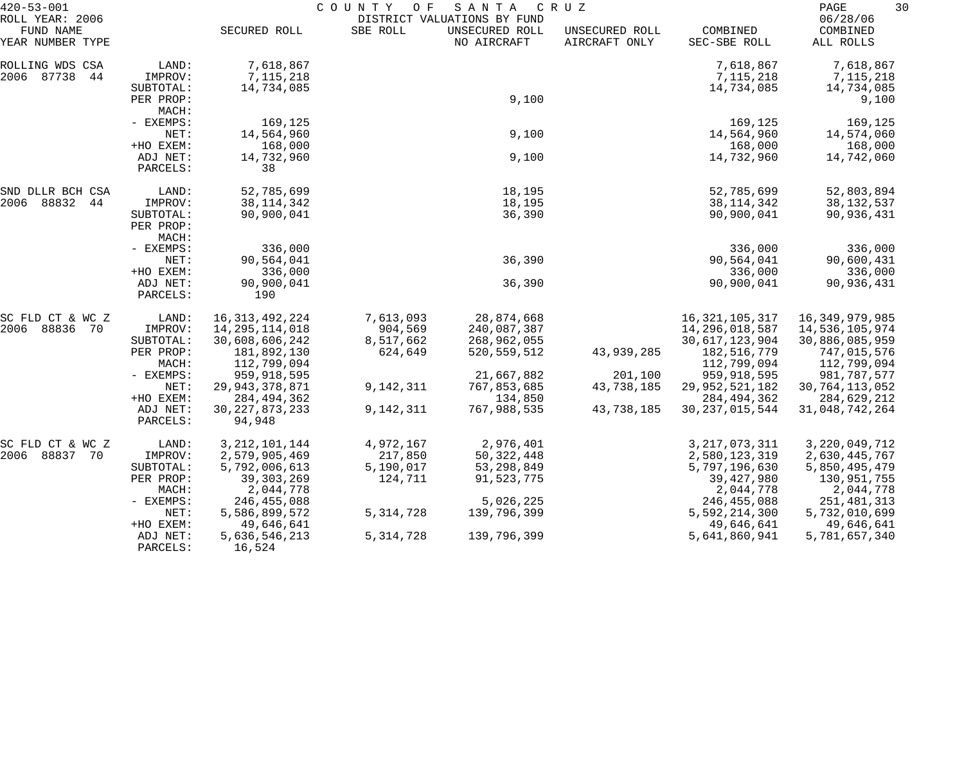| $420 - 53 - 001$                                 |                                            | COUNTY<br>O F<br>SANTA<br>C R U Z<br>DISTRICT VALUATIONS BY FUND |                      |                               |                                 |                                            |                                           |
|--------------------------------------------------|--------------------------------------------|------------------------------------------------------------------|----------------------|-------------------------------|---------------------------------|--------------------------------------------|-------------------------------------------|
| ROLL YEAR: 2006<br>FUND NAME<br>YEAR NUMBER TYPE |                                            | SECURED ROLL                                                     | SBE ROLL             | UNSECURED ROLL<br>NO AIRCRAFT | UNSECURED ROLL<br>AIRCRAFT ONLY | COMBINED<br>SEC-SBE ROLL                   | 06/28/06<br>COMBINED<br>ALL ROLLS         |
| ROLLING WDS CSA<br>2006 87738<br>44              | LAND:<br>IMPROV:<br>SUBTOTAL:              | 7,618,867<br>7,115,218<br>14,734,085                             |                      |                               |                                 | 7,618,867<br>7,115,218<br>14,734,085       | 7,618,867<br>7,115,218<br>14,734,085      |
|                                                  | PER PROP:<br>MACH:                         |                                                                  |                      | 9,100                         |                                 |                                            | 9,100                                     |
|                                                  | - EXEMPS:<br>NET:                          | 169,125<br>14,564,960                                            |                      | 9,100                         |                                 | 169,125<br>14,564,960                      | 169,125<br>14,574,060                     |
|                                                  | +HO EXEM:<br>ADJ NET:<br>PARCELS:          | 168,000<br>14,732,960<br>38                                      |                      | 9,100                         |                                 | 168,000<br>14,732,960                      | 168,000<br>14,742,060                     |
| SND DLLR BCH CSA                                 | LAND:                                      | 52,785,699                                                       |                      | 18,195                        |                                 | 52,785,699                                 | 52,803,894                                |
| 2006 88832 44                                    | IMPROV:<br>SUBTOTAL:<br>PER PROP:<br>MACH: | 38, 114, 342<br>90,900,041                                       |                      | 18,195<br>36,390              |                                 | 38, 114, 342<br>90,900,041                 | 38, 132, 537<br>90,936,431                |
|                                                  | - EXEMPS:<br>NET:                          | 336,000<br>90,564,041                                            |                      | 36,390                        |                                 | 336,000<br>90,564,041                      | 336,000<br>90,600,431                     |
|                                                  | +HO EXEM:<br>ADJ NET:<br>PARCELS:          | 336,000<br>90,900,041<br>190                                     |                      | 36,390                        |                                 | 336,000<br>90,900,041                      | 336,000<br>90,936,431                     |
| SC FLD CT & WC Z                                 | LAND:                                      | 16, 313, 492, 224                                                | 7,613,093            | 28,874,668                    |                                 | 16, 321, 105, 317                          | 16,349,979,985                            |
| 2006 88836<br>70                                 | IMPROV:<br>SUBTOTAL:                       | 14,295,114,018<br>30,608,606,242                                 | 904,569<br>8,517,662 | 240,087,387<br>268,962,055    |                                 | 14,296,018,587<br>30, 617, 123, 904        | 14,536,105,974<br>30,886,085,959          |
|                                                  | PER PROP:<br>MACH:                         | 181,892,130<br>112,799,094                                       | 624,649              | 520, 559, 512                 | 43,939,285                      | 182,516,779<br>112,799,094                 | 747,015,576<br>112,799,094                |
|                                                  | - EXEMPS:                                  | 959,918,595                                                      |                      | 21,667,882                    | 201,100                         | 959,918,595                                | 981,787,577                               |
|                                                  | NET:                                       | 29, 943, 378, 871                                                | 9,142,311            | 767,853,685                   | 43,738,185                      | 29, 952, 521, 182                          | 30, 764, 113, 052                         |
|                                                  | +HO EXEM:<br>ADJ NET:<br>PARCELS:          | 284, 494, 362<br>30, 227, 873, 233<br>94,948                     | 9,142,311            | 134,850<br>767,988,535        | 43,738,185                      | 284, 494, 362<br>30, 237, 015, 544         | 284,629,212<br>31,048,742,264             |
| SC FLD CT & WC Z                                 | LAND:                                      | 3, 212, 101, 144                                                 | 4,972,167            | 2,976,401                     |                                 | 3, 217, 073, 311                           | 3, 220, 049, 712                          |
| 2006 88837 70                                    | IMPROV:                                    | 2,579,905,469                                                    | 217,850              | 50,322,448                    |                                 | 2,580,123,319                              | 2,630,445,767                             |
|                                                  | SUBTOTAL:<br>PER PROP:<br>MACH:            | 5,792,006,613<br>39, 303, 269<br>2,044,778                       | 5,190,017<br>124,711 | 53,298,849<br>91,523,775      |                                 | 5,797,196,630<br>39, 427, 980<br>2,044,778 | 5,850,495,479<br>130,951,755<br>2,044,778 |
|                                                  | - EXEMPS:                                  | 246, 455, 088                                                    |                      | 5,026,225                     |                                 | 246,455,088                                | 251,481,313                               |
|                                                  | NET:<br>+HO EXEM:                          | 5,586,899,572<br>49,646,641                                      | 5, 314, 728          | 139,796,399                   |                                 | 5,592,214,300<br>49,646,641                | 5,732,010,699<br>49,646,641               |
|                                                  | ADJ NET:<br>PARCELS:                       | 5,636,546,213<br>16,524                                          | 5, 314, 728          | 139,796,399                   |                                 | 5,641,860,941                              | 5,781,657,340                             |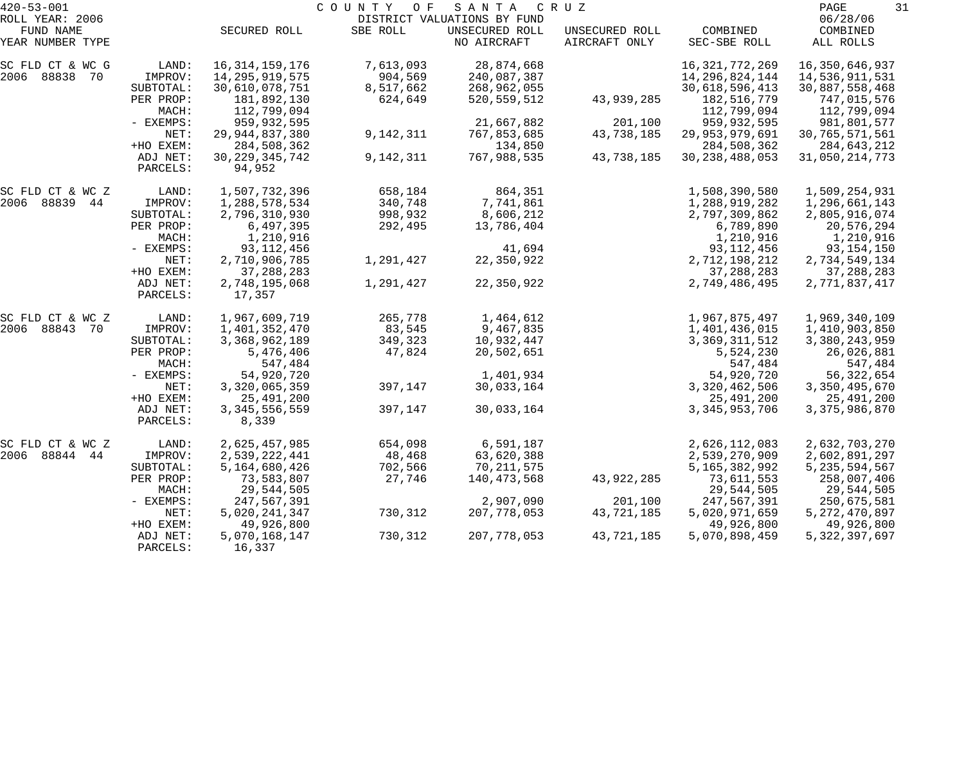| $420 - 53 - 001$             |                      |                             | COUNTY OF | SANTA                                         | C R U Z        |                              | PAGE<br>31                 |
|------------------------------|----------------------|-----------------------------|-----------|-----------------------------------------------|----------------|------------------------------|----------------------------|
| ROLL YEAR: 2006<br>FUND NAME |                      | SECURED ROLL                | SBE ROLL  | DISTRICT VALUATIONS BY FUND<br>UNSECURED ROLL | UNSECURED ROLL | COMBINED                     | 06/28/06<br>COMBINED       |
| YEAR NUMBER TYPE             |                      |                             |           | NO AIRCRAFT                                   | AIRCRAFT ONLY  | SEC-SBE ROLL                 | ALL ROLLS                  |
| SC FLD CT & WC G             | LAND:                | 16, 314, 159, 176           | 7,613,093 | 28,874,668                                    |                | 16, 321, 772, 269            | 16,350,646,937             |
| 2006 88838 70                | IMPROV:              | 14,295,919,575              | 904,569   | 240,087,387                                   |                | 14, 296, 824, 144            | 14,536,911,531             |
|                              | SUBTOTAL:            | 30,610,078,751              | 8,517,662 | 268,962,055                                   |                | 30,618,596,413               | 30,887,558,468             |
|                              | PER PROP:<br>MACH:   | 181,892,130<br>112,799,094  | 624,649   | 520, 559, 512                                 | 43,939,285     | 182, 516, 779<br>112,799,094 | 747,015,576<br>112,799,094 |
|                              | - EXEMPS:            | 959,932,595                 |           | 21,667,882                                    | 201,100        | 959, 932, 595                | 981,801,577                |
|                              | NET:                 | 29, 944, 837, 380           | 9,142,311 | 767,853,685                                   | 43,738,185     | 29,953,979,691               | 30, 765, 571, 561          |
|                              | +HO EXEM:            | 284,508,362                 |           | 134,850                                       |                | 284,508,362                  | 284,643,212                |
|                              | ADJ NET:<br>PARCELS: | 30, 229, 345, 742<br>94,952 | 9,142,311 | 767,988,535                                   | 43,738,185     | 30, 238, 488, 053            | 31,050,214,773             |
| SC FLD CT & WC Z             | LAND:                | 1,507,732,396               | 658,184   | 864,351                                       |                | 1,508,390,580                | 1,509,254,931              |
| 2006 88839 44                | IMPROV:              | 1,288,578,534               | 340,748   | 7,741,861                                     |                | 1,288,919,282                | 1,296,661,143              |
|                              | SUBTOTAL:            | 2,796,310,930               | 998,932   | 8,606,212                                     |                | 2,797,309,862                | 2,805,916,074              |
|                              | PER PROP:            | 6,497,395                   | 292,495   | 13,786,404                                    |                | 6,789,890                    | 20,576,294                 |
|                              | MACH:                | 1,210,916                   |           |                                               |                | 1,210,916                    | 1,210,916                  |
|                              | - EXEMPS:            | 93, 112, 456                |           | 41,694                                        |                | 93, 112, 456                 | 93, 154, 150               |
|                              | NET:                 | 2,710,906,785               | 1,291,427 | 22,350,922                                    |                | 2,712,198,212                | 2,734,549,134              |
|                              | +HO EXEM:            | 37, 288, 283                |           |                                               |                | 37, 288, 283                 | 37, 288, 283               |
|                              | ADJ NET:<br>PARCELS: | 2,748,195,068<br>17,357     | 1,291,427 | 22,350,922                                    |                | 2,749,486,495                | 2,771,837,417              |
| SC FLD CT & WC Z             | LAND:                | 1,967,609,719               | 265,778   | 1,464,612                                     |                | 1,967,875,497                | 1,969,340,109              |
| 2006 88843 70                | IMPROV:              | 1,401,352,470               | 83,545    | 9,467,835                                     |                | 1,401,436,015                | 1,410,903,850              |
|                              | SUBTOTAL:            | 3,368,962,189               | 349,323   | 10,932,447                                    |                | 3, 369, 311, 512             | 3,380,243,959              |
|                              | PER PROP:<br>MACH:   | 5,476,406<br>547,484        | 47,824    | 20,502,651                                    |                | 5,524,230<br>547,484         | 26,026,881<br>547,484      |
|                              | - EXEMPS:            | 54,920,720                  |           | 1,401,934                                     |                | 54,920,720                   | 56,322,654                 |
|                              | NET:                 | 3,320,065,359               | 397,147   | 30,033,164                                    |                | 3,320,462,506                | 3,350,495,670              |
|                              | +HO EXEM:            | 25,491,200                  |           |                                               |                | 25,491,200                   | 25,491,200                 |
|                              | ADJ NET:<br>PARCELS: | 3, 345, 556, 559<br>8,339   | 397,147   | 30,033,164                                    |                | 3, 345, 953, 706             | 3, 375, 986, 870           |
| SC FLD CT & WC Z             | LAND:                | 2,625,457,985               | 654,098   | 6,591,187                                     |                | 2,626,112,083                | 2,632,703,270              |
| 2006 88844<br>44             | IMPROV:              | 2,539,222,441               | 48,468    | 63,620,388                                    |                | 2,539,270,909                | 2,602,891,297              |
|                              | SUBTOTAL:            | 5,164,680,426               | 702,566   | 70,211,575                                    |                | 5, 165, 382, 992             | 5, 235, 594, 567           |
|                              | PER PROP:            | 73,583,807                  | 27,746    | 140, 473, 568                                 | 43,922,285     | 73,611,553                   | 258,007,406                |
|                              | MACH:                | 29,544,505                  |           |                                               |                | 29,544,505                   | 29,544,505                 |
|                              | $-$ EXEMPS:          | 247,567,391                 |           | 2,907,090                                     | 201,100        | 247,567,391                  | 250,675,581                |
|                              | NET:                 | 5,020,241,347               | 730,312   | 207,778,053                                   | 43,721,185     | 5,020,971,659                | 5, 272, 470, 897           |
|                              | +HO EXEM:            | 49,926,800                  |           |                                               |                | 49,926,800                   | 49,926,800                 |
|                              | ADJ NET:<br>PARCELS: | 5,070,168,147<br>16,337     | 730,312   | 207,778,053                                   | 43,721,185     | 5,070,898,459                | 5, 322, 397, 697           |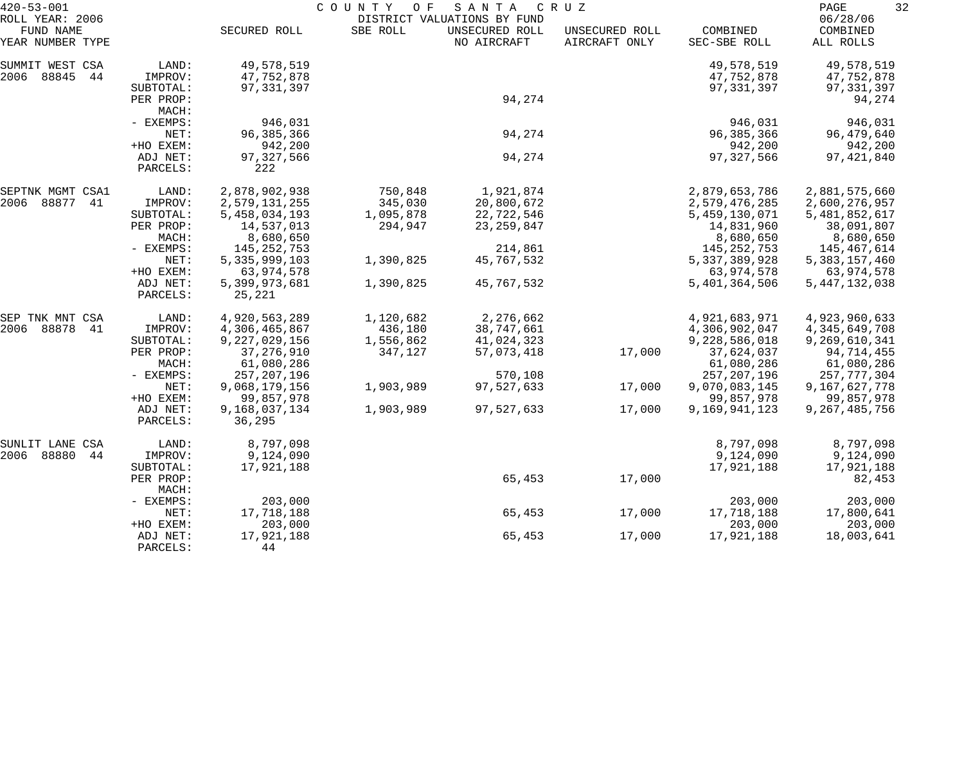| $420 - 53 - 001$             |                      |                         | COUNTY<br>O F | SANTA                                         | C R U Z        |                  | 32<br>PAGE           |  |
|------------------------------|----------------------|-------------------------|---------------|-----------------------------------------------|----------------|------------------|----------------------|--|
| ROLL YEAR: 2006<br>FUND NAME |                      | SECURED ROLL            | SBE ROLL      | DISTRICT VALUATIONS BY FUND<br>UNSECURED ROLL | UNSECURED ROLL | COMBINED         | 06/28/06<br>COMBINED |  |
| YEAR NUMBER TYPE             |                      |                         |               | NO AIRCRAFT                                   | AIRCRAFT ONLY  | SEC-SBE ROLL     | ALL ROLLS            |  |
| SUMMIT WEST CSA              | LAND:                | 49,578,519              |               |                                               |                | 49,578,519       | 49,578,519           |  |
| 2006 88845<br>44             | IMPROV:              | 47,752,878              |               |                                               |                | 47,752,878       | 47,752,878           |  |
|                              | SUBTOTAL:            | 97, 331, 397            |               |                                               |                | 97, 331, 397     | 97, 331, 397         |  |
|                              | PER PROP:            |                         |               | 94,274                                        |                |                  | 94,274               |  |
|                              | MACH:                |                         |               |                                               |                |                  |                      |  |
|                              | - EXEMPS:            | 946,031                 |               |                                               |                | 946,031          | 946,031              |  |
|                              | NET:                 | 96, 385, 366            |               | 94,274                                        |                | 96, 385, 366     | 96,479,640           |  |
|                              | +HO EXEM:            | 942,200                 |               |                                               |                | 942,200          | 942,200              |  |
|                              | ADJ NET:<br>PARCELS: | 97, 327, 566<br>222     |               | 94,274                                        |                | 97, 327, 566     | 97, 421, 840         |  |
| SEPTNK MGMT CSA1             | LAND:                | 2,878,902,938           | 750,848       | 1,921,874                                     |                | 2,879,653,786    | 2,881,575,660        |  |
| 2006 88877<br>41             | IMPROV:              | 2,579,131,255           | 345,030       | 20,800,672                                    |                | 2,579,476,285    | 2,600,276,957        |  |
|                              | SUBTOTAL:            | 5,458,034,193           | 1,095,878     | 22,722,546                                    |                | 5,459,130,071    | 5,481,852,617        |  |
|                              | PER PROP:            | 14,537,013              | 294,947       | 23, 259, 847                                  |                | 14,831,960       | 38,091,807           |  |
|                              | MACH:                | 8,680,650               |               |                                               |                | 8,680,650        | 8,680,650            |  |
|                              | - EXEMPS:            | 145, 252, 753           |               | 214,861                                       |                | 145, 252, 753    | 145,467,614          |  |
|                              | NET:                 | 5, 335, 999, 103        | 1,390,825     | 45,767,532                                    |                | 5, 337, 389, 928 | 5, 383, 157, 460     |  |
|                              | +HO EXEM:            | 63,974,578              |               |                                               |                | 63,974,578       | 63,974,578           |  |
|                              | ADJ NET:<br>PARCELS: | 5,399,973,681<br>25,221 | 1,390,825     | 45,767,532                                    |                | 5,401,364,506    | 5, 447, 132, 038     |  |
| SEP TNK MNT CSA              | LAND:                | 4,920,563,289           | 1,120,682     | 2,276,662                                     |                | 4,921,683,971    | 4,923,960,633        |  |
| 2006 88878<br>-41            | IMPROV:              | 4,306,465,867           | 436,180       | 38,747,661                                    |                | 4,306,902,047    | 4, 345, 649, 708     |  |
|                              | SUBTOTAL:            | 9,227,029,156           | 1,556,862     | 41,024,323                                    |                | 9,228,586,018    | 9,269,610,341        |  |
|                              | PER PROP:            | 37, 276, 910            | 347,127       | 57,073,418                                    | 17,000         | 37,624,037       | 94,714,455           |  |
|                              | MACH:                | 61,080,286              |               |                                               |                | 61,080,286       | 61,080,286           |  |
|                              | - EXEMPS:            | 257, 207, 196           |               | 570,108                                       |                | 257, 207, 196    | 257,777,304          |  |
|                              | NET:                 | 9,068,179,156           | 1,903,989     | 97,527,633                                    | 17,000         | 9,070,083,145    | 9,167,627,778        |  |
|                              | +HO EXEM:            | 99,857,978              |               |                                               |                | 99,857,978       | 99,857,978           |  |
|                              | ADJ NET:<br>PARCELS: | 9,168,037,134<br>36,295 | 1,903,989     | 97,527,633                                    | 17,000         | 9,169,941,123    | 9,267,485,756        |  |
| CSA<br>SUNLIT LANE           | LAND:                | 8,797,098               |               |                                               |                | 8,797,098        | 8,797,098            |  |
| 2006 88880<br>44             | IMPROV:              | 9,124,090               |               |                                               |                | 9,124,090        | 9,124,090            |  |
|                              | SUBTOTAL:            | 17,921,188              |               |                                               |                | 17,921,188       | 17,921,188           |  |
|                              | PER PROP:<br>MACH:   |                         |               | 65,453                                        | 17,000         |                  | 82,453               |  |
|                              | - EXEMPS:            | 203,000                 |               |                                               |                | 203,000          | 203,000              |  |
|                              | NET:                 | 17,718,188              |               | 65,453                                        | 17,000         | 17,718,188       | 17,800,641           |  |
|                              | +HO EXEM:            | 203,000                 |               |                                               |                | 203,000          | 203,000              |  |
|                              | ADJ NET:             | 17,921,188              |               | 65,453                                        | 17,000         | 17,921,188       | 18,003,641           |  |
|                              | PARCELS:             | 44                      |               |                                               |                |                  |                      |  |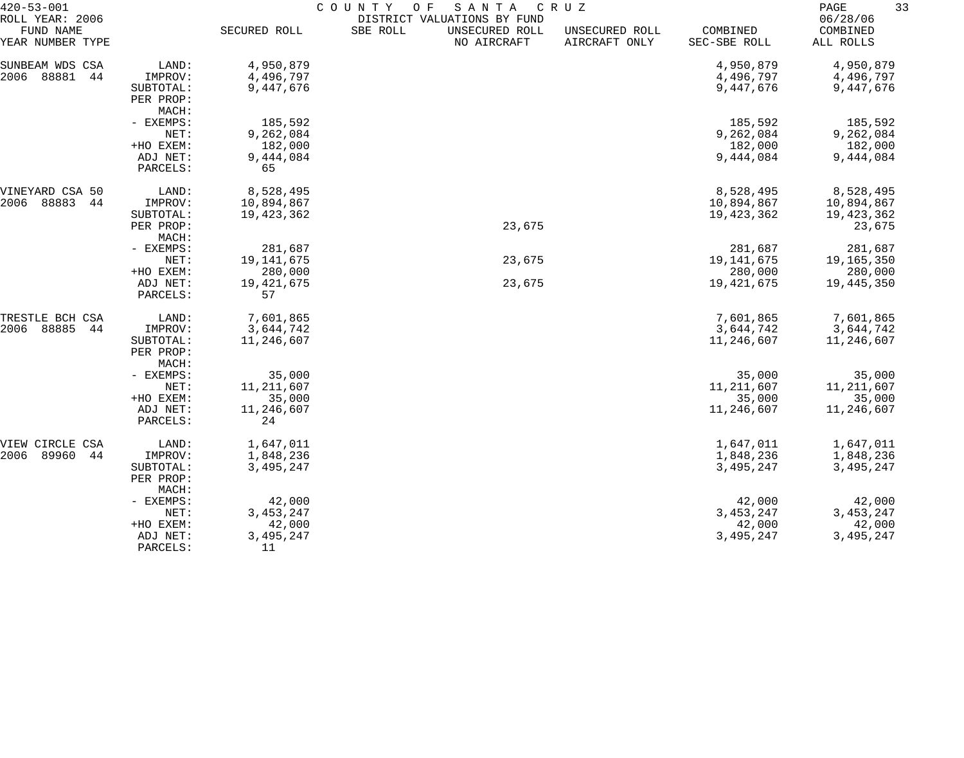| $420 - 53 - 001$<br>ROLL YEAR: 2006 |                                 | COUNTY<br>O F<br>SANTA<br>C R U Z<br>DISTRICT VALUATIONS BY FUND |          |                               |                                 |                          |                                   |  |  |
|-------------------------------------|---------------------------------|------------------------------------------------------------------|----------|-------------------------------|---------------------------------|--------------------------|-----------------------------------|--|--|
| FUND NAME<br>YEAR NUMBER TYPE       |                                 | SECURED ROLL                                                     | SBE ROLL | UNSECURED ROLL<br>NO AIRCRAFT | UNSECURED ROLL<br>AIRCRAFT ONLY | COMBINED<br>SEC-SBE ROLL | 06/28/06<br>COMBINED<br>ALL ROLLS |  |  |
| SUNBEAM WDS CSA                     | LAND:                           | 4,950,879                                                        |          |                               |                                 | 4,950,879                | 4,950,879                         |  |  |
| 88881<br>2006<br>44                 | IMPROV:                         | 4,496,797                                                        |          |                               |                                 | 4,496,797                | 4,496,797                         |  |  |
|                                     | SUBTOTAL:                       | 9,447,676                                                        |          |                               |                                 | 9,447,676                | 9,447,676                         |  |  |
|                                     | PER PROP:                       |                                                                  |          |                               |                                 |                          |                                   |  |  |
|                                     | MACH:                           |                                                                  |          |                               |                                 |                          |                                   |  |  |
|                                     | - EXEMPS:                       | 185,592                                                          |          |                               |                                 | 185,592                  | 185,592                           |  |  |
|                                     | NET:                            | 9,262,084                                                        |          |                               |                                 | 9,262,084                | 9,262,084                         |  |  |
|                                     | +HO EXEM:                       | 182,000                                                          |          |                               |                                 | 182,000                  | 182,000                           |  |  |
|                                     | ADJ NET:                        | 9,444,084                                                        |          |                               |                                 | 9,444,084                | 9,444,084                         |  |  |
|                                     | PARCELS:                        | 65                                                               |          |                               |                                 |                          |                                   |  |  |
| VINEYARD CSA 50                     | LAND:                           | 8,528,495                                                        |          |                               |                                 | 8,528,495                | 8,528,495                         |  |  |
| 88883<br>2006<br>44                 | IMPROV:                         | 10,894,867                                                       |          |                               |                                 | 10,894,867               | 10,894,867                        |  |  |
|                                     | SUBTOTAL:                       | 19, 423, 362                                                     |          |                               |                                 | 19,423,362               | 19,423,362                        |  |  |
|                                     | PER PROP:                       |                                                                  |          | 23,675                        |                                 |                          | 23,675                            |  |  |
|                                     | MACH:                           |                                                                  |          |                               |                                 |                          |                                   |  |  |
|                                     | - EXEMPS:                       | 281,687                                                          |          |                               |                                 | 281,687                  | 281,687                           |  |  |
|                                     | NET:                            | 19, 141, 675                                                     |          | 23,675                        |                                 | 19, 141, 675             | 19,165,350                        |  |  |
|                                     | +HO EXEM:                       | 280,000                                                          |          |                               |                                 | 280,000                  | 280,000                           |  |  |
|                                     | ADJ NET:<br>PARCELS:            | 19, 421, 675<br>57                                               |          | 23,675                        |                                 | 19,421,675               | 19,445,350                        |  |  |
| TRESTLE BCH CSA                     | LAND:                           | 7,601,865                                                        |          |                               |                                 | 7,601,865                | 7,601,865                         |  |  |
| 2006<br>88885<br>44                 | IMPROV:                         | 3,644,742                                                        |          |                               |                                 | 3,644,742                | 3,644,742                         |  |  |
|                                     | SUBTOTAL:<br>PER PROP:<br>MACH: | 11,246,607                                                       |          |                               |                                 | 11,246,607               | 11,246,607                        |  |  |
|                                     | - EXEMPS:                       | 35,000                                                           |          |                               |                                 | 35,000                   | 35,000                            |  |  |
|                                     | NET:                            | 11, 211, 607                                                     |          |                               |                                 | 11, 211, 607             | 11, 211, 607                      |  |  |
|                                     | +HO EXEM:                       | 35,000                                                           |          |                               |                                 | 35,000                   | 35,000                            |  |  |
|                                     | ADJ NET:                        | 11,246,607                                                       |          |                               |                                 | 11,246,607               | 11,246,607                        |  |  |
|                                     | PARCELS:                        | 24                                                               |          |                               |                                 |                          |                                   |  |  |
| VIEW CIRCLE CSA                     | LAND:                           | 1,647,011                                                        |          |                               |                                 | 1,647,011                | 1,647,011                         |  |  |
| 89960<br>2006<br>44                 | IMPROV:                         | 1,848,236                                                        |          |                               |                                 | 1,848,236                | 1,848,236                         |  |  |
|                                     | SUBTOTAL:                       | 3,495,247                                                        |          |                               |                                 | 3,495,247                | 3,495,247                         |  |  |
|                                     | PER PROP:<br>MACH:              |                                                                  |          |                               |                                 |                          |                                   |  |  |
|                                     | - EXEMPS:                       | 42,000                                                           |          |                               |                                 | 42,000                   | 42,000                            |  |  |
|                                     | NET:                            | 3, 453, 247                                                      |          |                               |                                 | 3, 453, 247              | 3, 453, 247                       |  |  |
|                                     | +HO EXEM:                       | 42,000                                                           |          |                               |                                 | 42,000                   | 42,000                            |  |  |
|                                     | ADJ NET:                        | 3,495,247                                                        |          |                               |                                 | 3,495,247                | 3,495,247                         |  |  |
|                                     | PARCELS:                        | 11                                                               |          |                               |                                 |                          |                                   |  |  |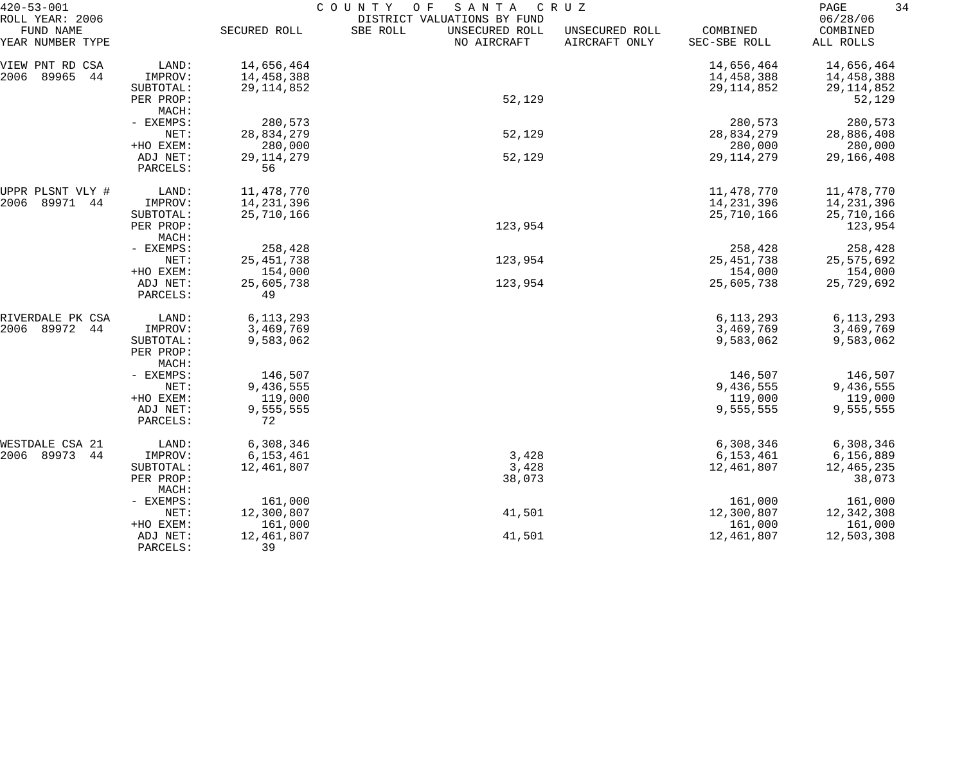| 06/28/06<br>ROLL YEAR: 2006<br>DISTRICT VALUATIONS BY FUND<br>FUND NAME<br>SECURED ROLL<br>SBE ROLL<br>UNSECURED ROLL<br>COMBINED<br>UNSECURED ROLL<br>COMBINED<br>YEAR NUMBER TYPE<br>NO AIRCRAFT<br>AIRCRAFT ONLY<br>SEC-SBE ROLL<br>ALL ROLLS<br>14,656,464<br>LAND:<br>14,656,464<br>14,656,464<br>VIEW PNT RD CSA<br>89965<br>14,458,388<br>14,458,388<br>2006<br>44<br>IMPROV:<br>14,458,388<br>29, 114, 852<br>29, 114, 852<br>29, 114, 852<br>SUBTOTAL:<br>52,129<br>52,129<br>PER PROP:<br>MACH:<br>280,573<br>280,573<br>280,573<br>- EXEMPS:<br>52,129<br>28,834,279<br>NET:<br>28,834,279<br>28,886,408<br>280,000<br>+HO EXEM:<br>280,000<br>280,000<br>52,129<br>29, 114, 279<br>ADJ NET:<br>29, 114, 279<br>29,166,408<br>56<br>PARCELS:<br>11,478,770<br>11,478,770<br>11,478,770<br>LAND:<br>UPPR PLSNT VLY #<br>89971<br>14,231,396<br>2006<br>IMPROV:<br>14, 231, 396<br>14,231,396<br>44<br>25,710,166<br>25,710,166<br>25,710,166<br>SUBTOTAL:<br>123,954<br>123,954<br>PER PROP:<br>MACH:<br>258,428<br>258,428<br>- EXEMPS:<br>258,428<br>25, 451, 738<br>123,954<br>25,575,692<br>NET:<br>25, 451, 738<br>+HO EXEM:<br>154,000<br>154,000<br>154,000<br>25,605,738<br>123,954<br>25,605,738<br>ADJ NET:<br>25,729,692<br>PARCELS:<br>49<br>6, 113, 293<br>6, 113, 293<br>RIVERDALE PK CSA<br>LAND:<br>6, 113, 293<br>89972<br>2006<br>IMPROV:<br>3,469,769<br>3,469,769<br>3,469,769<br>44<br>9,583,062<br>9,583,062<br>9,583,062<br>SUBTOTAL:<br>PER PROP:<br>MACH:<br>146,507<br>146,507<br>- EXEMPS:<br>146,507<br>9,436,555<br>9,436,555<br>NET:<br>9,436,555<br>+HO EXEM:<br>119,000<br>119,000<br>119,000<br>9,555,555<br>9,555,555<br>9,555,555<br>ADJ NET:<br>72<br>PARCELS:<br>WESTDALE CSA 21<br>LAND:<br>6,308,346<br>6,308,346<br>6,308,346<br>2006 89973<br>3,428<br>6,153,461<br>44<br>6, 153, 461<br>6,156,889<br>IMPROV:<br>3,428<br>12,461,807<br>12,461,807<br>12,465,235<br>SUBTOTAL:<br>38,073<br>38,073<br>PER PROP:<br>MACH:<br>161,000<br>161,000<br>- EXEMPS:<br>161,000<br>41,501<br>12,300,807<br>NET:<br>12,300,807<br>12,342,308<br>161,000<br>161,000<br>161,000<br>+HO EXEM:<br>12,503,308<br>12,461,807<br>41,501<br>12,461,807<br>ADJ NET: | $420 - 53 - 001$ |          | COUNTY<br>SANTA<br>C R U Z<br>O F |  |  |  |  |  |  |
|----------------------------------------------------------------------------------------------------------------------------------------------------------------------------------------------------------------------------------------------------------------------------------------------------------------------------------------------------------------------------------------------------------------------------------------------------------------------------------------------------------------------------------------------------------------------------------------------------------------------------------------------------------------------------------------------------------------------------------------------------------------------------------------------------------------------------------------------------------------------------------------------------------------------------------------------------------------------------------------------------------------------------------------------------------------------------------------------------------------------------------------------------------------------------------------------------------------------------------------------------------------------------------------------------------------------------------------------------------------------------------------------------------------------------------------------------------------------------------------------------------------------------------------------------------------------------------------------------------------------------------------------------------------------------------------------------------------------------------------------------------------------------------------------------------------------------------------------------------------------------------------------------------------------------------------------------------------------------------------------------------------------------------------------------------------------------------------------------------------------------------------------------------------------------------------------------|------------------|----------|-----------------------------------|--|--|--|--|--|--|
|                                                                                                                                                                                                                                                                                                                                                                                                                                                                                                                                                                                                                                                                                                                                                                                                                                                                                                                                                                                                                                                                                                                                                                                                                                                                                                                                                                                                                                                                                                                                                                                                                                                                                                                                                                                                                                                                                                                                                                                                                                                                                                                                                                                                    |                  |          |                                   |  |  |  |  |  |  |
|                                                                                                                                                                                                                                                                                                                                                                                                                                                                                                                                                                                                                                                                                                                                                                                                                                                                                                                                                                                                                                                                                                                                                                                                                                                                                                                                                                                                                                                                                                                                                                                                                                                                                                                                                                                                                                                                                                                                                                                                                                                                                                                                                                                                    |                  |          |                                   |  |  |  |  |  |  |
|                                                                                                                                                                                                                                                                                                                                                                                                                                                                                                                                                                                                                                                                                                                                                                                                                                                                                                                                                                                                                                                                                                                                                                                                                                                                                                                                                                                                                                                                                                                                                                                                                                                                                                                                                                                                                                                                                                                                                                                                                                                                                                                                                                                                    |                  |          |                                   |  |  |  |  |  |  |
|                                                                                                                                                                                                                                                                                                                                                                                                                                                                                                                                                                                                                                                                                                                                                                                                                                                                                                                                                                                                                                                                                                                                                                                                                                                                                                                                                                                                                                                                                                                                                                                                                                                                                                                                                                                                                                                                                                                                                                                                                                                                                                                                                                                                    |                  |          |                                   |  |  |  |  |  |  |
|                                                                                                                                                                                                                                                                                                                                                                                                                                                                                                                                                                                                                                                                                                                                                                                                                                                                                                                                                                                                                                                                                                                                                                                                                                                                                                                                                                                                                                                                                                                                                                                                                                                                                                                                                                                                                                                                                                                                                                                                                                                                                                                                                                                                    |                  |          |                                   |  |  |  |  |  |  |
|                                                                                                                                                                                                                                                                                                                                                                                                                                                                                                                                                                                                                                                                                                                                                                                                                                                                                                                                                                                                                                                                                                                                                                                                                                                                                                                                                                                                                                                                                                                                                                                                                                                                                                                                                                                                                                                                                                                                                                                                                                                                                                                                                                                                    |                  |          |                                   |  |  |  |  |  |  |
|                                                                                                                                                                                                                                                                                                                                                                                                                                                                                                                                                                                                                                                                                                                                                                                                                                                                                                                                                                                                                                                                                                                                                                                                                                                                                                                                                                                                                                                                                                                                                                                                                                                                                                                                                                                                                                                                                                                                                                                                                                                                                                                                                                                                    |                  |          |                                   |  |  |  |  |  |  |
|                                                                                                                                                                                                                                                                                                                                                                                                                                                                                                                                                                                                                                                                                                                                                                                                                                                                                                                                                                                                                                                                                                                                                                                                                                                                                                                                                                                                                                                                                                                                                                                                                                                                                                                                                                                                                                                                                                                                                                                                                                                                                                                                                                                                    |                  |          |                                   |  |  |  |  |  |  |
|                                                                                                                                                                                                                                                                                                                                                                                                                                                                                                                                                                                                                                                                                                                                                                                                                                                                                                                                                                                                                                                                                                                                                                                                                                                                                                                                                                                                                                                                                                                                                                                                                                                                                                                                                                                                                                                                                                                                                                                                                                                                                                                                                                                                    |                  |          |                                   |  |  |  |  |  |  |
|                                                                                                                                                                                                                                                                                                                                                                                                                                                                                                                                                                                                                                                                                                                                                                                                                                                                                                                                                                                                                                                                                                                                                                                                                                                                                                                                                                                                                                                                                                                                                                                                                                                                                                                                                                                                                                                                                                                                                                                                                                                                                                                                                                                                    |                  |          |                                   |  |  |  |  |  |  |
|                                                                                                                                                                                                                                                                                                                                                                                                                                                                                                                                                                                                                                                                                                                                                                                                                                                                                                                                                                                                                                                                                                                                                                                                                                                                                                                                                                                                                                                                                                                                                                                                                                                                                                                                                                                                                                                                                                                                                                                                                                                                                                                                                                                                    |                  |          |                                   |  |  |  |  |  |  |
|                                                                                                                                                                                                                                                                                                                                                                                                                                                                                                                                                                                                                                                                                                                                                                                                                                                                                                                                                                                                                                                                                                                                                                                                                                                                                                                                                                                                                                                                                                                                                                                                                                                                                                                                                                                                                                                                                                                                                                                                                                                                                                                                                                                                    |                  |          |                                   |  |  |  |  |  |  |
|                                                                                                                                                                                                                                                                                                                                                                                                                                                                                                                                                                                                                                                                                                                                                                                                                                                                                                                                                                                                                                                                                                                                                                                                                                                                                                                                                                                                                                                                                                                                                                                                                                                                                                                                                                                                                                                                                                                                                                                                                                                                                                                                                                                                    |                  |          |                                   |  |  |  |  |  |  |
|                                                                                                                                                                                                                                                                                                                                                                                                                                                                                                                                                                                                                                                                                                                                                                                                                                                                                                                                                                                                                                                                                                                                                                                                                                                                                                                                                                                                                                                                                                                                                                                                                                                                                                                                                                                                                                                                                                                                                                                                                                                                                                                                                                                                    |                  |          |                                   |  |  |  |  |  |  |
|                                                                                                                                                                                                                                                                                                                                                                                                                                                                                                                                                                                                                                                                                                                                                                                                                                                                                                                                                                                                                                                                                                                                                                                                                                                                                                                                                                                                                                                                                                                                                                                                                                                                                                                                                                                                                                                                                                                                                                                                                                                                                                                                                                                                    |                  |          |                                   |  |  |  |  |  |  |
|                                                                                                                                                                                                                                                                                                                                                                                                                                                                                                                                                                                                                                                                                                                                                                                                                                                                                                                                                                                                                                                                                                                                                                                                                                                                                                                                                                                                                                                                                                                                                                                                                                                                                                                                                                                                                                                                                                                                                                                                                                                                                                                                                                                                    |                  |          |                                   |  |  |  |  |  |  |
|                                                                                                                                                                                                                                                                                                                                                                                                                                                                                                                                                                                                                                                                                                                                                                                                                                                                                                                                                                                                                                                                                                                                                                                                                                                                                                                                                                                                                                                                                                                                                                                                                                                                                                                                                                                                                                                                                                                                                                                                                                                                                                                                                                                                    |                  |          |                                   |  |  |  |  |  |  |
|                                                                                                                                                                                                                                                                                                                                                                                                                                                                                                                                                                                                                                                                                                                                                                                                                                                                                                                                                                                                                                                                                                                                                                                                                                                                                                                                                                                                                                                                                                                                                                                                                                                                                                                                                                                                                                                                                                                                                                                                                                                                                                                                                                                                    |                  |          |                                   |  |  |  |  |  |  |
|                                                                                                                                                                                                                                                                                                                                                                                                                                                                                                                                                                                                                                                                                                                                                                                                                                                                                                                                                                                                                                                                                                                                                                                                                                                                                                                                                                                                                                                                                                                                                                                                                                                                                                                                                                                                                                                                                                                                                                                                                                                                                                                                                                                                    |                  |          |                                   |  |  |  |  |  |  |
|                                                                                                                                                                                                                                                                                                                                                                                                                                                                                                                                                                                                                                                                                                                                                                                                                                                                                                                                                                                                                                                                                                                                                                                                                                                                                                                                                                                                                                                                                                                                                                                                                                                                                                                                                                                                                                                                                                                                                                                                                                                                                                                                                                                                    |                  |          |                                   |  |  |  |  |  |  |
|                                                                                                                                                                                                                                                                                                                                                                                                                                                                                                                                                                                                                                                                                                                                                                                                                                                                                                                                                                                                                                                                                                                                                                                                                                                                                                                                                                                                                                                                                                                                                                                                                                                                                                                                                                                                                                                                                                                                                                                                                                                                                                                                                                                                    |                  |          |                                   |  |  |  |  |  |  |
|                                                                                                                                                                                                                                                                                                                                                                                                                                                                                                                                                                                                                                                                                                                                                                                                                                                                                                                                                                                                                                                                                                                                                                                                                                                                                                                                                                                                                                                                                                                                                                                                                                                                                                                                                                                                                                                                                                                                                                                                                                                                                                                                                                                                    |                  |          |                                   |  |  |  |  |  |  |
|                                                                                                                                                                                                                                                                                                                                                                                                                                                                                                                                                                                                                                                                                                                                                                                                                                                                                                                                                                                                                                                                                                                                                                                                                                                                                                                                                                                                                                                                                                                                                                                                                                                                                                                                                                                                                                                                                                                                                                                                                                                                                                                                                                                                    |                  |          |                                   |  |  |  |  |  |  |
|                                                                                                                                                                                                                                                                                                                                                                                                                                                                                                                                                                                                                                                                                                                                                                                                                                                                                                                                                                                                                                                                                                                                                                                                                                                                                                                                                                                                                                                                                                                                                                                                                                                                                                                                                                                                                                                                                                                                                                                                                                                                                                                                                                                                    |                  |          |                                   |  |  |  |  |  |  |
|                                                                                                                                                                                                                                                                                                                                                                                                                                                                                                                                                                                                                                                                                                                                                                                                                                                                                                                                                                                                                                                                                                                                                                                                                                                                                                                                                                                                                                                                                                                                                                                                                                                                                                                                                                                                                                                                                                                                                                                                                                                                                                                                                                                                    |                  |          |                                   |  |  |  |  |  |  |
|                                                                                                                                                                                                                                                                                                                                                                                                                                                                                                                                                                                                                                                                                                                                                                                                                                                                                                                                                                                                                                                                                                                                                                                                                                                                                                                                                                                                                                                                                                                                                                                                                                                                                                                                                                                                                                                                                                                                                                                                                                                                                                                                                                                                    |                  |          |                                   |  |  |  |  |  |  |
|                                                                                                                                                                                                                                                                                                                                                                                                                                                                                                                                                                                                                                                                                                                                                                                                                                                                                                                                                                                                                                                                                                                                                                                                                                                                                                                                                                                                                                                                                                                                                                                                                                                                                                                                                                                                                                                                                                                                                                                                                                                                                                                                                                                                    |                  |          |                                   |  |  |  |  |  |  |
|                                                                                                                                                                                                                                                                                                                                                                                                                                                                                                                                                                                                                                                                                                                                                                                                                                                                                                                                                                                                                                                                                                                                                                                                                                                                                                                                                                                                                                                                                                                                                                                                                                                                                                                                                                                                                                                                                                                                                                                                                                                                                                                                                                                                    |                  |          |                                   |  |  |  |  |  |  |
|                                                                                                                                                                                                                                                                                                                                                                                                                                                                                                                                                                                                                                                                                                                                                                                                                                                                                                                                                                                                                                                                                                                                                                                                                                                                                                                                                                                                                                                                                                                                                                                                                                                                                                                                                                                                                                                                                                                                                                                                                                                                                                                                                                                                    |                  |          |                                   |  |  |  |  |  |  |
|                                                                                                                                                                                                                                                                                                                                                                                                                                                                                                                                                                                                                                                                                                                                                                                                                                                                                                                                                                                                                                                                                                                                                                                                                                                                                                                                                                                                                                                                                                                                                                                                                                                                                                                                                                                                                                                                                                                                                                                                                                                                                                                                                                                                    |                  |          |                                   |  |  |  |  |  |  |
|                                                                                                                                                                                                                                                                                                                                                                                                                                                                                                                                                                                                                                                                                                                                                                                                                                                                                                                                                                                                                                                                                                                                                                                                                                                                                                                                                                                                                                                                                                                                                                                                                                                                                                                                                                                                                                                                                                                                                                                                                                                                                                                                                                                                    |                  |          |                                   |  |  |  |  |  |  |
|                                                                                                                                                                                                                                                                                                                                                                                                                                                                                                                                                                                                                                                                                                                                                                                                                                                                                                                                                                                                                                                                                                                                                                                                                                                                                                                                                                                                                                                                                                                                                                                                                                                                                                                                                                                                                                                                                                                                                                                                                                                                                                                                                                                                    |                  |          |                                   |  |  |  |  |  |  |
|                                                                                                                                                                                                                                                                                                                                                                                                                                                                                                                                                                                                                                                                                                                                                                                                                                                                                                                                                                                                                                                                                                                                                                                                                                                                                                                                                                                                                                                                                                                                                                                                                                                                                                                                                                                                                                                                                                                                                                                                                                                                                                                                                                                                    |                  |          |                                   |  |  |  |  |  |  |
|                                                                                                                                                                                                                                                                                                                                                                                                                                                                                                                                                                                                                                                                                                                                                                                                                                                                                                                                                                                                                                                                                                                                                                                                                                                                                                                                                                                                                                                                                                                                                                                                                                                                                                                                                                                                                                                                                                                                                                                                                                                                                                                                                                                                    |                  |          |                                   |  |  |  |  |  |  |
|                                                                                                                                                                                                                                                                                                                                                                                                                                                                                                                                                                                                                                                                                                                                                                                                                                                                                                                                                                                                                                                                                                                                                                                                                                                                                                                                                                                                                                                                                                                                                                                                                                                                                                                                                                                                                                                                                                                                                                                                                                                                                                                                                                                                    |                  |          |                                   |  |  |  |  |  |  |
|                                                                                                                                                                                                                                                                                                                                                                                                                                                                                                                                                                                                                                                                                                                                                                                                                                                                                                                                                                                                                                                                                                                                                                                                                                                                                                                                                                                                                                                                                                                                                                                                                                                                                                                                                                                                                                                                                                                                                                                                                                                                                                                                                                                                    |                  |          |                                   |  |  |  |  |  |  |
|                                                                                                                                                                                                                                                                                                                                                                                                                                                                                                                                                                                                                                                                                                                                                                                                                                                                                                                                                                                                                                                                                                                                                                                                                                                                                                                                                                                                                                                                                                                                                                                                                                                                                                                                                                                                                                                                                                                                                                                                                                                                                                                                                                                                    |                  |          |                                   |  |  |  |  |  |  |
|                                                                                                                                                                                                                                                                                                                                                                                                                                                                                                                                                                                                                                                                                                                                                                                                                                                                                                                                                                                                                                                                                                                                                                                                                                                                                                                                                                                                                                                                                                                                                                                                                                                                                                                                                                                                                                                                                                                                                                                                                                                                                                                                                                                                    |                  | PARCELS: | 39                                |  |  |  |  |  |  |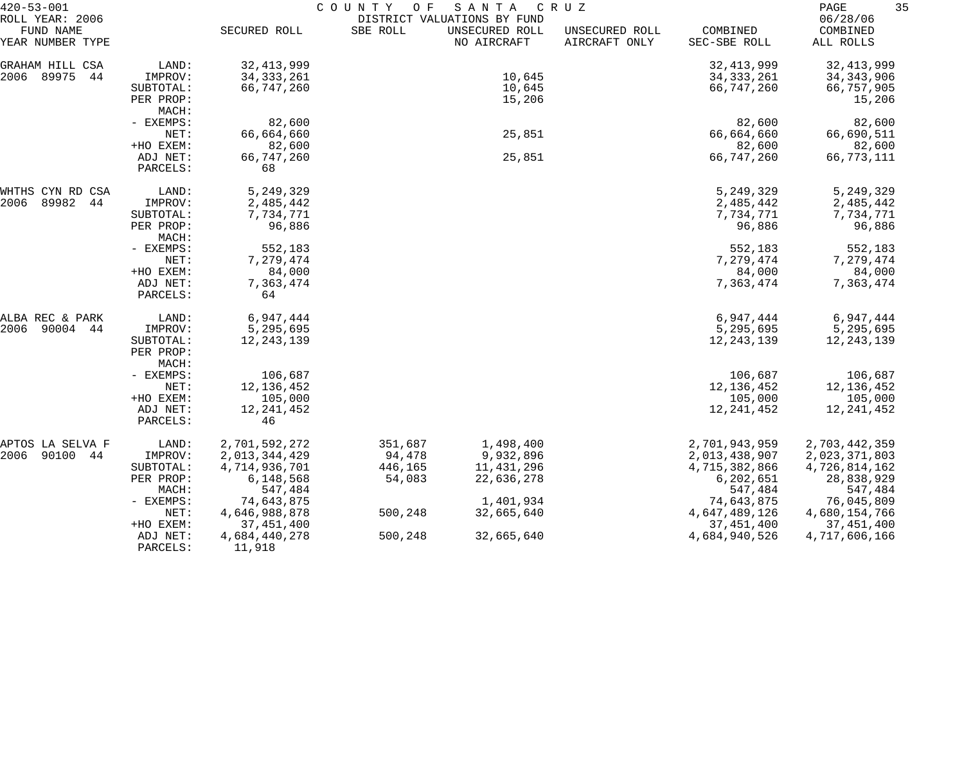| $420 - 53 - 001$                                 |                      |                         | COUNTY<br>O F | SANTA                                                        | CRUZ                            |                          | 35<br>PAGE                        |
|--------------------------------------------------|----------------------|-------------------------|---------------|--------------------------------------------------------------|---------------------------------|--------------------------|-----------------------------------|
| ROLL YEAR: 2006<br>FUND NAME<br>YEAR NUMBER TYPE |                      | SECURED ROLL            | SBE ROLL      | DISTRICT VALUATIONS BY FUND<br>UNSECURED ROLL<br>NO AIRCRAFT | UNSECURED ROLL<br>AIRCRAFT ONLY | COMBINED<br>SEC-SBE ROLL | 06/28/06<br>COMBINED<br>ALL ROLLS |
| GRAHAM HILL CSA                                  | LAND:                | 32, 413, 999            |               |                                                              |                                 | 32, 413, 999             | 32, 413, 999                      |
| 2006<br>89975<br>44                              | IMPROV:              | 34, 333, 261            |               | 10,645                                                       |                                 | 34, 333, 261             | 34, 343, 906                      |
|                                                  | SUBTOTAL:            | 66,747,260              |               | 10,645                                                       |                                 | 66,747,260               | 66,757,905                        |
|                                                  | PER PROP:            |                         |               | 15,206                                                       |                                 |                          | 15,206                            |
|                                                  | MACH:                |                         |               |                                                              |                                 |                          |                                   |
|                                                  | - EXEMPS:            | 82,600                  |               |                                                              |                                 | 82,600                   | 82,600                            |
|                                                  | NET:                 | 66,664,660              |               | 25,851                                                       |                                 | 66,664,660               | 66,690,511                        |
|                                                  | +HO EXEM:            | 82,600                  |               |                                                              |                                 | 82,600                   | 82,600                            |
|                                                  | ADJ NET:<br>PARCELS: | 66,747,260<br>68        |               | 25,851                                                       |                                 | 66,747,260               | 66,773,111                        |
|                                                  |                      |                         |               |                                                              |                                 |                          |                                   |
| WHTHS CYN RD CSA<br>2006<br>89982<br>44          | LAND:<br>IMPROV:     | 5,249,329<br>2,485,442  |               |                                                              |                                 | 5, 249, 329<br>2,485,442 | 5,249,329<br>2,485,442            |
|                                                  | SUBTOTAL:            | 7,734,771               |               |                                                              |                                 | 7,734,771                | 7,734,771                         |
|                                                  | PER PROP:            | 96,886                  |               |                                                              |                                 | 96,886                   | 96,886                            |
|                                                  | MACH:                |                         |               |                                                              |                                 |                          |                                   |
|                                                  | - EXEMPS:            | 552,183                 |               |                                                              |                                 | 552,183                  | 552,183                           |
|                                                  | NET:                 | 7,279,474               |               |                                                              |                                 | 7,279,474                | 7,279,474                         |
|                                                  | +HO EXEM:            | 84,000                  |               |                                                              |                                 | 84,000                   | 84,000                            |
|                                                  | ADJ NET:             | 7,363,474               |               |                                                              |                                 | 7,363,474                | 7,363,474                         |
|                                                  | PARCELS:             | 64                      |               |                                                              |                                 |                          |                                   |
| ALBA REC & PARK                                  | LAND:                | 6,947,444               |               |                                                              |                                 | 6,947,444                | 6,947,444                         |
| 2006<br>90004 44                                 | IMPROV:              | 5,295,695               |               |                                                              |                                 | 5,295,695                | 5,295,695                         |
|                                                  | SUBTOTAL:            | 12, 243, 139            |               |                                                              |                                 | 12, 243, 139             | 12, 243, 139                      |
|                                                  | PER PROP:            |                         |               |                                                              |                                 |                          |                                   |
|                                                  | MACH:                |                         |               |                                                              |                                 |                          |                                   |
|                                                  | - EXEMPS:            | 106,687                 |               |                                                              |                                 | 106,687                  | 106,687                           |
|                                                  | NET:<br>+HO EXEM:    | 12, 136, 452<br>105,000 |               |                                                              |                                 | 12, 136, 452<br>105,000  | 12, 136, 452<br>105,000           |
|                                                  | ADJ NET:             | 12, 241, 452            |               |                                                              |                                 | 12, 241, 452             | 12,241,452                        |
|                                                  | PARCELS:             | 46                      |               |                                                              |                                 |                          |                                   |
| APTOS LA SELVA F                                 | LAND:                | 2,701,592,272           | 351,687       | 1,498,400                                                    |                                 | 2,701,943,959            | 2,703,442,359                     |
| 2006<br>90100 44                                 | IMPROV:              | 2,013,344,429           | 94,478        | 9,932,896                                                    |                                 | 2,013,438,907            | 2,023,371,803                     |
|                                                  | SUBTOTAL:            | 4,714,936,701           | 446,165       | 11,431,296                                                   |                                 | 4,715,382,866            | 4,726,814,162                     |
|                                                  | PER PROP:            | 6,148,568               | 54,083        | 22,636,278                                                   |                                 | 6, 202, 651              | 28,838,929                        |
|                                                  | MACH:                | 547,484                 |               |                                                              |                                 | 547,484                  | 547,484                           |
|                                                  | - EXEMPS:            | 74,643,875              |               | 1,401,934                                                    |                                 | 74,643,875               | 76,045,809                        |
|                                                  | NET:                 | 4,646,988,878           | 500,248       | 32,665,640                                                   |                                 | 4,647,489,126            | 4,680,154,766                     |
|                                                  | +HO EXEM:            | 37,451,400              |               |                                                              |                                 | 37, 451, 400             | 37,451,400                        |
|                                                  | ADJ NET:             | 4,684,440,278           | 500,248       | 32,665,640                                                   |                                 | 4,684,940,526            | 4,717,606,166                     |
|                                                  | PARCELS:             | 11,918                  |               |                                                              |                                 |                          |                                   |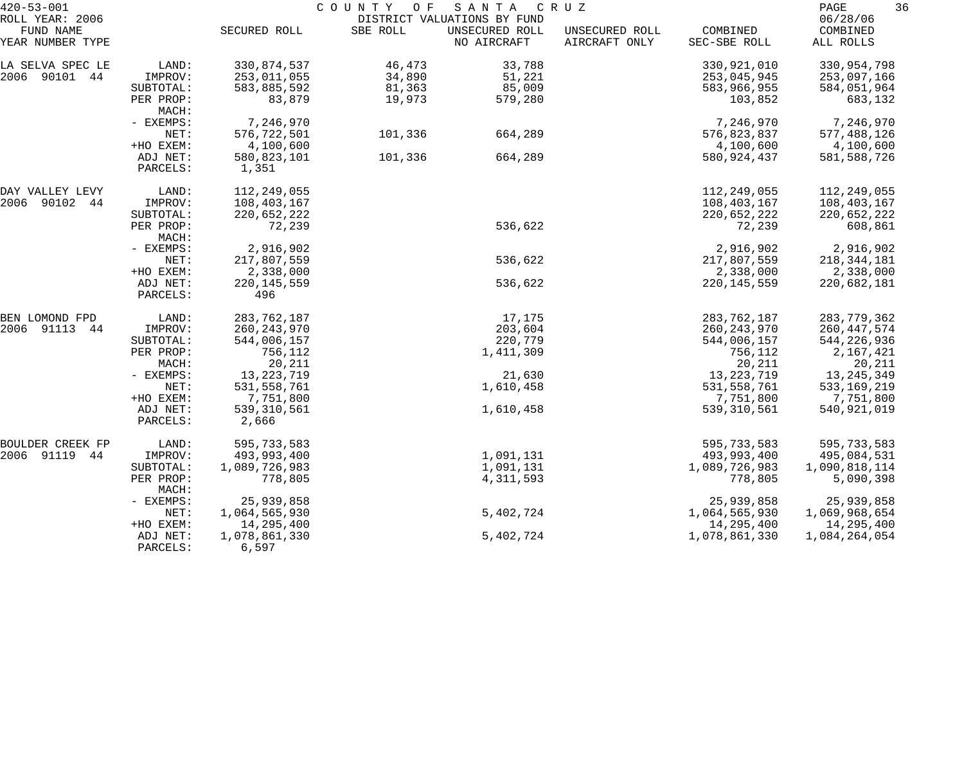| $420 - 53 - 001$                                 |                      |                        | COUNTY OF | SANTA                                                        | C R U Z                         |                          | 36<br>PAGE                        |
|--------------------------------------------------|----------------------|------------------------|-----------|--------------------------------------------------------------|---------------------------------|--------------------------|-----------------------------------|
| ROLL YEAR: 2006<br>FUND NAME<br>YEAR NUMBER TYPE |                      | SECURED ROLL           | SBE ROLL  | DISTRICT VALUATIONS BY FUND<br>UNSECURED ROLL<br>NO AIRCRAFT | UNSECURED ROLL<br>AIRCRAFT ONLY | COMBINED<br>SEC-SBE ROLL | 06/28/06<br>COMBINED<br>ALL ROLLS |
| LA SELVA SPEC LE                                 | LAND:                | 330,874,537            | 46,473    | 33,788                                                       |                                 | 330,921,010              | 330,954,798                       |
| 2006 90101 44                                    | IMPROV:              | 253,011,055            | 34,890    | 51,221                                                       |                                 | 253,045,945              | 253,097,166                       |
|                                                  | SUBTOTAL:            | 583,885,592            | 81,363    | 85,009                                                       |                                 | 583,966,955              | 584,051,964                       |
|                                                  | PER PROP:<br>MACH:   | 83,879                 | 19,973    | 579,280                                                      |                                 | 103,852                  | 683,132                           |
|                                                  | - EXEMPS:            | 7,246,970              |           |                                                              |                                 | 7,246,970                | 7,246,970                         |
|                                                  | NET:                 | 576,722,501            | 101,336   | 664,289                                                      |                                 | 576,823,837              | 577,488,126                       |
|                                                  | +HO EXEM:            | 4,100,600              |           |                                                              |                                 | 4,100,600                | 4,100,600                         |
|                                                  | ADJ NET:<br>PARCELS: | 580,823,101<br>1,351   | 101,336   | 664,289                                                      |                                 | 580,924,437              | 581, 588, 726                     |
| DAY VALLEY LEVY                                  | LAND:                | 112, 249, 055          |           |                                                              |                                 | 112,249,055              | 112,249,055                       |
| 2006 90102<br>44                                 | IMPROV:              | 108,403,167            |           |                                                              |                                 | 108,403,167              | 108,403,167                       |
|                                                  | SUBTOTAL:            | 220,652,222            |           |                                                              |                                 | 220,652,222              | 220,652,222                       |
|                                                  | PER PROP:<br>MACH:   | 72,239                 |           | 536,622                                                      |                                 | 72,239                   | 608,861                           |
|                                                  | - EXEMPS:            | 2,916,902              |           |                                                              |                                 | 2,916,902                | 2,916,902                         |
|                                                  | NET:                 | 217,807,559            |           | 536,622                                                      |                                 | 217,807,559              | 218, 344, 181                     |
|                                                  | +HO EXEM:            | 2,338,000              |           |                                                              |                                 | 2,338,000                | 2,338,000                         |
|                                                  | ADJ NET:<br>PARCELS: | 220, 145, 559<br>496   |           | 536,622                                                      |                                 | 220, 145, 559            | 220,682,181                       |
| BEN LOMOND FPD                                   | LAND:                | 283, 762, 187          |           | 17,175                                                       |                                 | 283,762,187              | 283, 779, 362                     |
| 2006<br>91113<br>44                              | IMPROV:              | 260, 243, 970          |           | 203,604                                                      |                                 | 260, 243, 970            | 260, 447, 574                     |
|                                                  | SUBTOTAL:            | 544,006,157            |           | 220,779                                                      |                                 | 544,006,157              | 544,226,936                       |
|                                                  | PER PROP:            | 756,112                |           | 1,411,309                                                    |                                 | 756,112                  | 2,167,421                         |
|                                                  | MACH:                | 20,211                 |           |                                                              |                                 | 20,211                   | 20,211                            |
|                                                  | - EXEMPS:            | 13, 223, 719           |           | 21,630                                                       |                                 | 13, 223, 719             | 13, 245, 349                      |
|                                                  | NET:                 | 531, 558, 761          |           | 1,610,458                                                    |                                 | 531, 558, 761            | 533, 169, 219                     |
|                                                  | +HO EXEM:            | 7,751,800              |           |                                                              |                                 | 7,751,800                | 7,751,800                         |
|                                                  | ADJ NET:<br>PARCELS: | 539, 310, 561<br>2,666 |           | 1,610,458                                                    |                                 | 539,310,561              | 540,921,019                       |
| BOULDER CREEK FP                                 | LAND:                | 595,733,583            |           |                                                              |                                 | 595,733,583              | 595,733,583                       |
| 2006 91119<br>44                                 | IMPROV:              | 493,993,400            |           | 1,091,131                                                    |                                 | 493,993,400              | 495,084,531                       |
|                                                  | SUBTOTAL:            | 1,089,726,983          |           | 1,091,131                                                    |                                 | 1,089,726,983            | 1,090,818,114                     |
|                                                  | PER PROP:<br>MACH:   | 778,805                |           | 4, 311, 593                                                  |                                 | 778,805                  | 5,090,398                         |
|                                                  | - EXEMPS:            | 25,939,858             |           |                                                              |                                 | 25,939,858               | 25,939,858                        |
|                                                  | NET:                 | 1,064,565,930          |           | 5,402,724                                                    |                                 | 1,064,565,930            | 1,069,968,654                     |
|                                                  | +HO EXEM:            | 14,295,400             |           |                                                              |                                 | 14,295,400               | 14,295,400                        |
|                                                  | ADJ NET:<br>PARCELS: | 1,078,861,330<br>6,597 |           | 5,402,724                                                    |                                 | 1,078,861,330            | 1,084,264,054                     |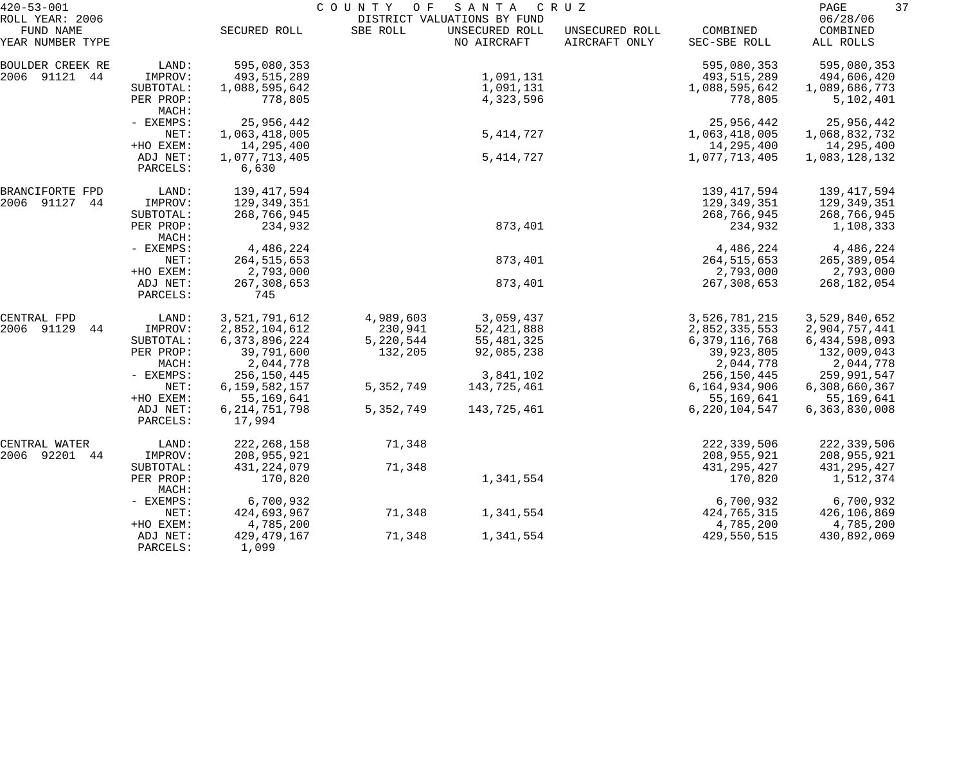| $420 - 53 - 001$              |                      | COUNTY OF<br>SANTA<br>C R U Z |           |                               |                                 |                          |                       |  |
|-------------------------------|----------------------|-------------------------------|-----------|-------------------------------|---------------------------------|--------------------------|-----------------------|--|
| ROLL YEAR: 2006               |                      |                               |           | DISTRICT VALUATIONS BY FUND   |                                 |                          | 06/28/06              |  |
| FUND NAME<br>YEAR NUMBER TYPE |                      | SECURED ROLL                  | SBE ROLL  | UNSECURED ROLL<br>NO AIRCRAFT | UNSECURED ROLL<br>AIRCRAFT ONLY | COMBINED<br>SEC-SBE ROLL | COMBINED<br>ALL ROLLS |  |
| BOULDER CREEK RE              | LAND:                | 595,080,353                   |           |                               |                                 | 595,080,353              | 595,080,353           |  |
| 2006 91121 44                 | IMPROV:              | 493,515,289                   |           | 1,091,131                     |                                 | 493,515,289              | 494,606,420           |  |
|                               | SUBTOTAL:            | 1,088,595,642                 |           | 1,091,131                     |                                 | 1,088,595,642            | 1,089,686,773         |  |
|                               | PER PROP:<br>MACH:   | 778,805                       |           | 4,323,596                     |                                 | 778,805                  | 5,102,401             |  |
|                               | - EXEMPS:            | 25,956,442                    |           |                               |                                 | 25,956,442               | 25,956,442            |  |
|                               | NET:                 | 1,063,418,005                 |           | 5, 414, 727                   |                                 | 1,063,418,005            | 1,068,832,732         |  |
|                               | +HO EXEM:            | 14,295,400                    |           |                               |                                 | 14,295,400               | 14,295,400            |  |
|                               | ADJ NET:             | 1,077,713,405                 |           | 5, 414, 727                   |                                 | 1,077,713,405            | 1,083,128,132         |  |
|                               | PARCELS:             | 6,630                         |           |                               |                                 |                          |                       |  |
| BRANCIFORTE FPD               | LAND:                | 139,417,594                   |           |                               |                                 | 139, 417, 594            | 139,417,594           |  |
| 2006 91127<br>44              | IMPROV:              | 129,349,351                   |           |                               |                                 | 129,349,351              | 129,349,351           |  |
|                               | SUBTOTAL:            | 268,766,945                   |           |                               |                                 | 268,766,945              | 268,766,945           |  |
|                               | PER PROP:<br>MACH:   | 234,932                       |           | 873,401                       |                                 | 234,932                  | 1,108,333             |  |
|                               | - EXEMPS:            | 4,486,224                     |           |                               |                                 | 4,486,224                | 4,486,224             |  |
|                               | NET:                 | 264, 515, 653                 |           | 873,401                       |                                 | 264, 515, 653            | 265,389,054           |  |
|                               | +HO EXEM:            | 2,793,000                     |           |                               |                                 | 2,793,000                | 2,793,000             |  |
|                               | ADJ NET:<br>PARCELS: | 267, 308, 653<br>745          |           | 873,401                       |                                 | 267,308,653              | 268, 182, 054         |  |
| CENTRAL FPD                   | LAND:                | 3,521,791,612                 | 4,989,603 | 3,059,437                     |                                 | 3,526,781,215            | 3,529,840,652         |  |
| 2006 91129<br>44              | IMPROV:              | 2,852,104,612                 | 230,941   | 52, 421, 888                  |                                 | 2,852,335,553            | 2,904,757,441         |  |
|                               | SUBTOTAL:            | 6, 373, 896, 224              | 5,220,544 | 55, 481, 325                  |                                 | 6,379,116,768            | 6,434,598,093         |  |
|                               | PER PROP:            | 39,791,600                    | 132,205   | 92,085,238                    |                                 | 39,923,805               | 132,009,043           |  |
|                               | MACH:                | 2,044,778                     |           |                               |                                 | 2,044,778                | 2,044,778             |  |
|                               | - EXEMPS:            | 256,150,445                   |           | 3,841,102                     |                                 | 256,150,445              | 259,991,547           |  |
|                               | NET:                 | 6,159,582,157                 | 5,352,749 | 143,725,461                   |                                 | 6,164,934,906            | 6,308,660,367         |  |
|                               | +HO EXEM:            | 55,169,641                    |           |                               |                                 | 55,169,641               | 55,169,641            |  |
|                               | ADJ NET:             | 6, 214, 751, 798              | 5,352,749 | 143,725,461                   |                                 | 6, 220, 104, 547         | 6,363,830,008         |  |
|                               | PARCELS:             | 17,994                        |           |                               |                                 |                          |                       |  |
| CENTRAL WATER                 | LAND:                | 222, 268, 158                 | 71,348    |                               |                                 | 222,339,506              | 222,339,506           |  |
| 2006 92201<br>44              | IMPROV:              | 208,955,921                   |           |                               |                                 | 208,955,921              | 208,955,921           |  |
|                               | SUBTOTAL:            | 431, 224, 079                 | 71,348    |                               |                                 | 431, 295, 427            | 431, 295, 427         |  |
|                               | PER PROP:<br>MACH:   | 170,820                       |           | 1,341,554                     |                                 | 170,820                  | 1,512,374             |  |
|                               | - EXEMPS:            | 6,700,932                     |           |                               |                                 | 6,700,932                | 6,700,932             |  |
|                               | NET:                 | 424,693,967                   | 71,348    | 1,341,554                     |                                 | 424,765,315              | 426,106,869           |  |
|                               | +HO EXEM:            | 4,785,200                     |           |                               |                                 | 4,785,200                | 4,785,200             |  |
|                               | ADJ NET:<br>PARCELS: | 429, 479, 167<br>1,099        | 71,348    | 1,341,554                     |                                 | 429,550,515              | 430,892,069           |  |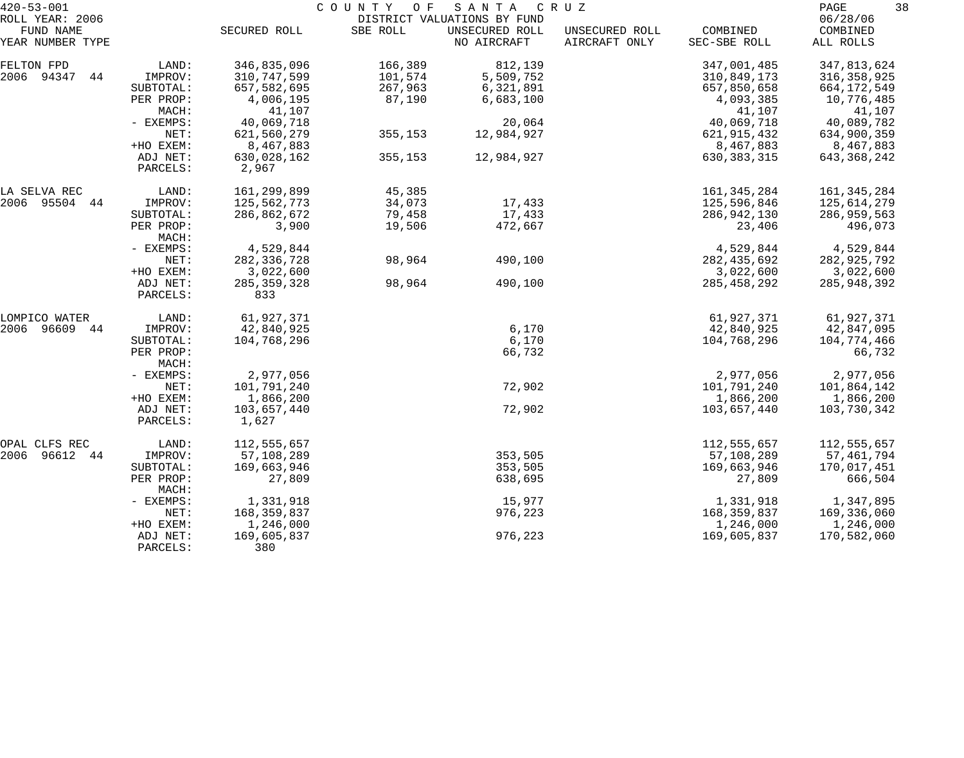| $420 - 53 - 001$             |                    |               | COUNTY OF | SANTA                                         | C R U Z        |               | 38<br>PAGE           |
|------------------------------|--------------------|---------------|-----------|-----------------------------------------------|----------------|---------------|----------------------|
| ROLL YEAR: 2006<br>FUND NAME |                    | SECURED ROLL  | SBE ROLL  | DISTRICT VALUATIONS BY FUND<br>UNSECURED ROLL | UNSECURED ROLL | COMBINED      | 06/28/06<br>COMBINED |
| YEAR NUMBER TYPE             |                    |               |           | NO AIRCRAFT                                   | AIRCRAFT ONLY  | SEC-SBE ROLL  | ALL ROLLS            |
| FELTON FPD                   | LAND:              | 346,835,096   | 166,389   | 812,139                                       |                | 347,001,485   | 347,813,624          |
| 2006 94347<br>44             | IMPROV:            | 310,747,599   | 101,574   | 5,509,752                                     |                | 310,849,173   | 316, 358, 925        |
|                              | SUBTOTAL:          | 657,582,695   | 267,963   | 6,321,891                                     |                | 657,850,658   | 664,172,549          |
|                              | PER PROP:          | 4,006,195     | 87,190    | 6,683,100                                     |                | 4,093,385     | 10,776,485           |
|                              | MACH:              | 41,107        |           |                                               |                | 41,107        | 41,107               |
|                              | - EXEMPS:          | 40,069,718    |           | 20,064                                        |                | 40,069,718    | 40,089,782           |
|                              | NET:               | 621,560,279   | 355,153   | 12,984,927                                    |                | 621, 915, 432 | 634,900,359          |
|                              | +HO EXEM:          | 8,467,883     |           |                                               |                | 8,467,883     | 8,467,883            |
|                              | ADJ NET:           | 630,028,162   | 355,153   | 12,984,927                                    |                | 630, 383, 315 | 643,368,242          |
|                              | PARCELS:           | 2,967         |           |                                               |                |               |                      |
| LA SELVA REC                 | LAND:              | 161,299,899   | 45,385    |                                               |                | 161, 345, 284 | 161, 345, 284        |
| 2006 95504 44                | IMPROV:            | 125,562,773   | 34,073    | 17,433                                        |                | 125,596,846   | 125,614,279          |
|                              | SUBTOTAL:          | 286,862,672   | 79,458    | 17,433                                        |                | 286,942,130   | 286,959,563          |
|                              | PER PROP:<br>MACH: | 3,900         | 19,506    | 472,667                                       |                | 23,406        | 496,073              |
|                              | - EXEMPS:          | 4,529,844     |           |                                               |                | 4,529,844     | 4,529,844            |
|                              | NET:               | 282, 336, 728 | 98,964    | 490,100                                       |                | 282, 435, 692 | 282,925,792          |
|                              | +HO EXEM:          | 3,022,600     |           |                                               |                | 3,022,600     | 3,022,600            |
|                              | ADJ NET:           | 285, 359, 328 | 98,964    | 490,100                                       |                | 285, 458, 292 | 285,948,392          |
|                              | PARCELS:           | 833           |           |                                               |                |               |                      |
| LOMPICO WATER                | LAND:              | 61,927,371    |           |                                               |                | 61,927,371    | 61,927,371           |
| 2006<br>96609<br>44          | IMPROV:            | 42,840,925    |           | 6,170                                         |                | 42,840,925    | 42,847,095           |
|                              | SUBTOTAL:          | 104,768,296   |           | 6,170                                         |                | 104,768,296   | 104,774,466          |
|                              | PER PROP:<br>MACH: |               |           | 66,732                                        |                |               | 66,732               |
|                              | - EXEMPS:          | 2,977,056     |           |                                               |                | 2,977,056     | 2,977,056            |
|                              | NET:               | 101,791,240   |           | 72,902                                        |                | 101,791,240   | 101,864,142          |
|                              | +HO EXEM:          | 1,866,200     |           |                                               |                | 1,866,200     | 1,866,200            |
|                              | ADJ NET:           | 103,657,440   |           | 72,902                                        |                | 103,657,440   | 103,730,342          |
|                              | PARCELS:           | 1,627         |           |                                               |                |               |                      |
| OPAL CLFS REC                | LAND:              | 112,555,657   |           |                                               |                | 112,555,657   | 112,555,657          |
| 2006 96612 44                | IMPROV:            | 57,108,289    |           | 353,505                                       |                | 57,108,289    | 57, 461, 794         |
|                              | SUBTOTAL:          | 169,663,946   |           | 353,505                                       |                | 169,663,946   | 170,017,451          |
|                              | PER PROP:<br>MACH: | 27,809        |           | 638,695                                       |                | 27,809        | 666,504              |
|                              | - EXEMPS:          | 1,331,918     |           | 15,977                                        |                | 1,331,918     | 1,347,895            |
|                              | NET:               | 168,359,837   |           | 976,223                                       |                | 168,359,837   | 169,336,060          |
|                              | +HO EXEM:          | 1,246,000     |           |                                               |                | 1,246,000     | 1,246,000            |
|                              | ADJ NET:           | 169,605,837   |           | 976,223                                       |                | 169,605,837   | 170,582,060          |
|                              | PARCELS:           | 380           |           |                                               |                |               |                      |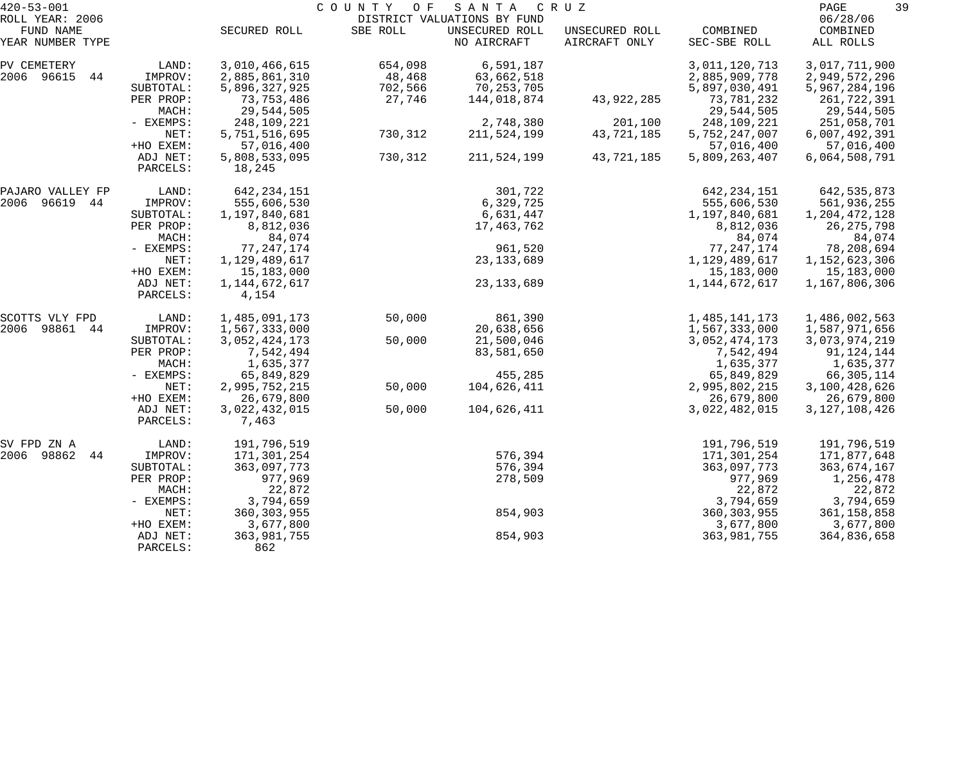| $420 - 53 - 001$              |                      |                         | COUNTY<br>O F | SANTA                         | C R U Z                         |                          | 39<br>PAGE            |
|-------------------------------|----------------------|-------------------------|---------------|-------------------------------|---------------------------------|--------------------------|-----------------------|
| ROLL YEAR: 2006               |                      |                         |               | DISTRICT VALUATIONS BY FUND   |                                 |                          | 06/28/06              |
| FUND NAME<br>YEAR NUMBER TYPE |                      | SECURED ROLL            | SBE ROLL      | UNSECURED ROLL<br>NO AIRCRAFT | UNSECURED ROLL<br>AIRCRAFT ONLY | COMBINED<br>SEC-SBE ROLL | COMBINED<br>ALL ROLLS |
| PV CEMETERY                   | LAND:                | 3,010,466,615           | 654,098       | 6,591,187                     |                                 | 3,011,120,713            | 3,017,711,900         |
| 2006 96615<br>44              | IMPROV:              | 2,885,861,310           | 48,468        | 63,662,518                    |                                 | 2,885,909,778            | 2,949,572,296         |
|                               | SUBTOTAL:            | 5,896,327,925           | 702,566       | 70,253,705                    |                                 | 5,897,030,491            | 5,967,284,196         |
|                               | PER PROP:            | 73,753,486              | 27,746        | 144,018,874                   | 43,922,285                      | 73,781,232               | 261,722,391           |
|                               | MACH:                | 29,544,505              |               |                               |                                 | 29,544,505               | 29,544,505            |
|                               | - EXEMPS:            | 248,109,221             |               | 2,748,380                     | 201,100                         | 248,109,221              | 251,058,701           |
|                               | NET:                 | 5,751,516,695           | 730,312       | 211,524,199                   | 43,721,185                      | 5,752,247,007            | 6,007,492,391         |
|                               | +HO EXEM:            | 57,016,400              |               |                               |                                 | 57,016,400               | 57,016,400            |
|                               | ADJ NET:<br>PARCELS: | 5,808,533,095<br>18,245 | 730,312       | 211,524,199                   | 43,721,185                      | 5,809,263,407            | 6,064,508,791         |
| PAJARO VALLEY FP              | LAND:                | 642, 234, 151           |               | 301,722                       |                                 | 642, 234, 151            | 642, 535, 873         |
| 2006<br>96619 44              | IMPROV:              | 555,606,530             |               | 6,329,725                     |                                 | 555,606,530              | 561,936,255           |
|                               | SUBTOTAL:            | 1,197,840,681           |               | 6,631,447                     |                                 | 1,197,840,681            | 1,204,472,128         |
|                               | PER PROP:            | 8,812,036               |               | 17,463,762                    |                                 | 8,812,036                | 26, 275, 798          |
|                               | MACH:                | 84,074                  |               |                               |                                 | 84,074                   | 84,074                |
|                               | - EXEMPS:            | 77, 247, 174            |               | 961,520                       |                                 | 77, 247, 174             | 78,208,694            |
|                               | NET:                 | 1,129,489,617           |               | 23, 133, 689                  |                                 | 1,129,489,617            | 1, 152, 623, 306      |
|                               | +HO EXEM:            | 15,183,000              |               |                               |                                 | 15,183,000               | 15,183,000            |
|                               | ADJ NET:<br>PARCELS: | 1,144,672,617<br>4,154  |               | 23, 133, 689                  |                                 | 1, 144, 672, 617         | 1,167,806,306         |
| SCOTTS VLY FPD                | LAND:                | 1,485,091,173           | 50,000        | 861,390                       |                                 | 1,485,141,173            | 1,486,002,563         |
| 2006<br>98861 44              | IMPROV:              | 1,567,333,000           |               | 20,638,656                    |                                 | 1,567,333,000            | 1,587,971,656         |
|                               | SUBTOTAL:            | 3,052,424,173           | 50,000        | 21,500,046                    |                                 | 3,052,474,173            | 3,073,974,219         |
|                               | PER PROP:            | 7,542,494               |               | 83,581,650                    |                                 | 7,542,494                | 91,124,144            |
|                               | MACH:                | 1,635,377               |               |                               |                                 | 1,635,377                | 1,635,377             |
|                               | - EXEMPS:            | 65,849,829              |               | 455,285                       |                                 | 65,849,829               | 66,305,114            |
|                               | NET:                 | 2,995,752,215           | 50,000        | 104,626,411                   |                                 | 2,995,802,215            | 3,100,428,626         |
|                               | +HO EXEM:            | 26,679,800              |               |                               |                                 | 26,679,800               | 26,679,800            |
|                               | ADJ NET:<br>PARCELS: | 3,022,432,015<br>7,463  | 50,000        | 104,626,411                   |                                 | 3,022,482,015            | 3, 127, 108, 426      |
| SV FPD ZN A                   | LAND:                | 191,796,519             |               |                               |                                 | 191,796,519              | 191,796,519           |
| 2006<br>98862<br>44           | IMPROV:              | 171,301,254             |               | 576,394                       |                                 | 171,301,254              | 171,877,648           |
|                               | SUBTOTAL:            | 363,097,773             |               | 576,394                       |                                 | 363,097,773              | 363,674,167           |
|                               | PER PROP:            | 977,969                 |               | 278,509                       |                                 | 977,969                  | 1,256,478             |
|                               | MACH:                | 22,872                  |               |                               |                                 | 22,872                   | 22,872                |
|                               | - EXEMPS:            | 3,794,659               |               |                               |                                 | 3,794,659                | 3,794,659             |
|                               | NET:                 | 360, 303, 955           |               | 854,903                       |                                 | 360, 303, 955            | 361,158,858           |
|                               | +HO EXEM:            | 3,677,800               |               |                               |                                 | 3,677,800                | 3,677,800             |
|                               | ADJ NET:<br>PARCELS: | 363,981,755<br>862      |               | 854,903                       |                                 | 363,981,755              | 364,836,658           |
|                               |                      |                         |               |                               |                                 |                          |                       |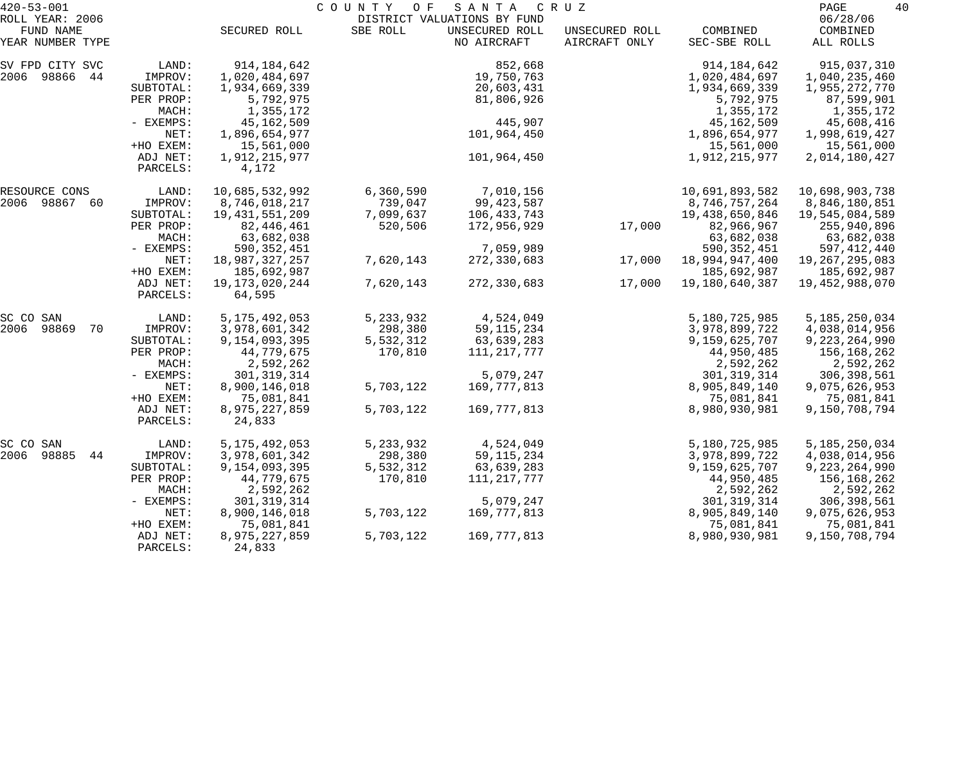| $420 - 53 - 001$             |                      |                                | COUNTY<br>O F | SANTA                                         | C R U Z        |                                | PAGE                         | 40 |
|------------------------------|----------------------|--------------------------------|---------------|-----------------------------------------------|----------------|--------------------------------|------------------------------|----|
| ROLL YEAR: 2006<br>FUND NAME |                      | SECURED ROLL                   | SBE ROLL      | DISTRICT VALUATIONS BY FUND<br>UNSECURED ROLL | UNSECURED ROLL | COMBINED                       | 06/28/06<br>COMBINED         |    |
| YEAR NUMBER TYPE             |                      |                                |               | NO AIRCRAFT                                   | AIRCRAFT ONLY  | SEC-SBE ROLL                   | ALL ROLLS                    |    |
| SV FPD CITY SVC              | LAND:                | 914,184,642                    |               | 852,668                                       |                | 914, 184, 642                  | 915,037,310                  |    |
| 2006 98866 44                | IMPROV:              | 1,020,484,697                  |               | 19,750,763                                    |                | 1,020,484,697                  | 1,040,235,460                |    |
|                              | SUBTOTAL:            | 1,934,669,339                  |               | 20,603,431                                    |                | 1,934,669,339                  | 1,955,272,770                |    |
|                              | PER PROP:            | 5,792,975                      |               | 81,806,926                                    |                | 5,792,975                      | 87,599,901                   |    |
|                              | MACH:                | 1,355,172                      |               |                                               |                | 1,355,172                      | 1,355,172                    |    |
|                              | - EXEMPS:            | 45,162,509                     |               | 445,907                                       |                | 45,162,509                     | 45,608,416                   |    |
|                              | NET:                 | 1,896,654,977                  |               | 101,964,450                                   |                | 1,896,654,977                  | 1,998,619,427                |    |
|                              | +HO EXEM:            | 15,561,000                     |               |                                               |                | 15,561,000                     | 15,561,000                   |    |
|                              | ADJ NET:<br>PARCELS: | 1,912,215,977<br>4,172         |               | 101,964,450                                   |                | 1,912,215,977                  | 2,014,180,427                |    |
| RESOURCE CONS                | LAND:                | 10,685,532,992                 | 6,360,590     | 7,010,156                                     |                | 10,691,893,582                 | 10,698,903,738               |    |
| 2006 98867 60                | IMPROV:              | 8,746,018,217                  | 739,047       | 99, 423, 587                                  |                | 8,746,757,264                  | 8,846,180,851                |    |
|                              | SUBTOTAL:            | 19, 431, 551, 209              | 7,099,637     | 106,433,743                                   |                | 19,438,650,846                 | 19,545,084,589               |    |
|                              | PER PROP:            | 82,446,461                     | 520,506       | 172,956,929                                   | 17,000         | 82,966,967                     | 255,940,896                  |    |
|                              | MACH:                | 63,682,038                     |               |                                               |                | 63,682,038                     | 63,682,038                   |    |
|                              | - EXEMPS:            | 590, 352, 451                  |               | 7,059,989                                     |                | 590, 352, 451                  | 597,412,440                  |    |
|                              | NET:                 | 18,987,327,257                 | 7,620,143     | 272,330,683                                   | 17,000         | 18,994,947,400                 | 19,267,295,083               |    |
|                              | +HO EXEM:            | 185,692,987                    |               |                                               |                | 185,692,987                    | 185,692,987                  |    |
|                              | ADJ NET:<br>PARCELS: | 19, 173, 020, 244<br>64,595    | 7,620,143     | 272,330,683                                   | 17,000         | 19,180,640,387                 | 19,452,988,070               |    |
| SC CO SAN                    | LAND:                | 5, 175, 492, 053               | 5,233,932     | 4,524,049                                     |                | 5,180,725,985                  | 5, 185, 250, 034             |    |
| 2006<br>98869<br>70          | IMPROV:              | 3,978,601,342                  | 298,380       | 59, 115, 234                                  |                | 3,978,899,722                  | 4,038,014,956                |    |
|                              | SUBTOTAL:            | 9,154,093,395                  | 5,532,312     | 63,639,283                                    |                | 9,159,625,707                  | 9,223,264,990                |    |
|                              | PER PROP:            | 44,779,675                     | 170,810       | 111,217,777                                   |                | 44,950,485                     | 156,168,262                  |    |
|                              | MACH:                | 2,592,262                      |               |                                               |                | 2,592,262                      | 2,592,262                    |    |
|                              | - EXEMPS:            | 301, 319, 314                  |               | 5,079,247                                     |                | 301, 319, 314                  | 306, 398, 561                |    |
|                              | NET:                 | 8,900,146,018                  | 5,703,122     | 169,777,813                                   |                | 8,905,849,140                  | 9,075,626,953                |    |
|                              | +HO EXEM:            | 75,081,841                     |               |                                               |                | 75,081,841                     | 75,081,841                   |    |
|                              | ADJ NET:<br>PARCELS: | 8,975,227,859<br>24,833        | 5,703,122     | 169,777,813                                   |                | 8,980,930,981                  | 9,150,708,794                |    |
|                              |                      |                                |               |                                               |                |                                |                              |    |
| SC CO SAN                    | LAND:                | 5, 175, 492, 053               | 5, 233, 932   | 4,524,049                                     |                | 5,180,725,985                  | 5, 185, 250, 034             |    |
| 2006<br>98885<br>44          | IMPROV:              | 3,978,601,342                  | 298,380       | 59, 115, 234                                  |                | 3,978,899,722                  | 4,038,014,956                |    |
|                              | SUBTOTAL:            | 9,154,093,395                  | 5,532,312     | 63,639,283                                    |                | 9,159,625,707                  | 9, 223, 264, 990             |    |
|                              | PER PROP:            | 44,779,675                     | 170,810       | 111, 217, 777                                 |                | 44,950,485                     | 156,168,262                  |    |
|                              | MACH:                | 2,592,262                      |               |                                               |                | 2,592,262                      | 2,592,262                    |    |
|                              | - EXEMPS:            | 301, 319, 314<br>8,900,146,018 | 5,703,122     | 5,079,247<br>169,777,813                      |                | 301, 319, 314<br>8,905,849,140 | 306,398,561<br>9,075,626,953 |    |
|                              | NET:<br>+HO EXEM:    | 75,081,841                     |               |                                               |                | 75,081,841                     | 75,081,841                   |    |
|                              | ADJ NET:             | 8,975,227,859                  | 5,703,122     | 169, 777, 813                                 |                | 8,980,930,981                  | 9,150,708,794                |    |
|                              | PARCELS:             | 24,833                         |               |                                               |                |                                |                              |    |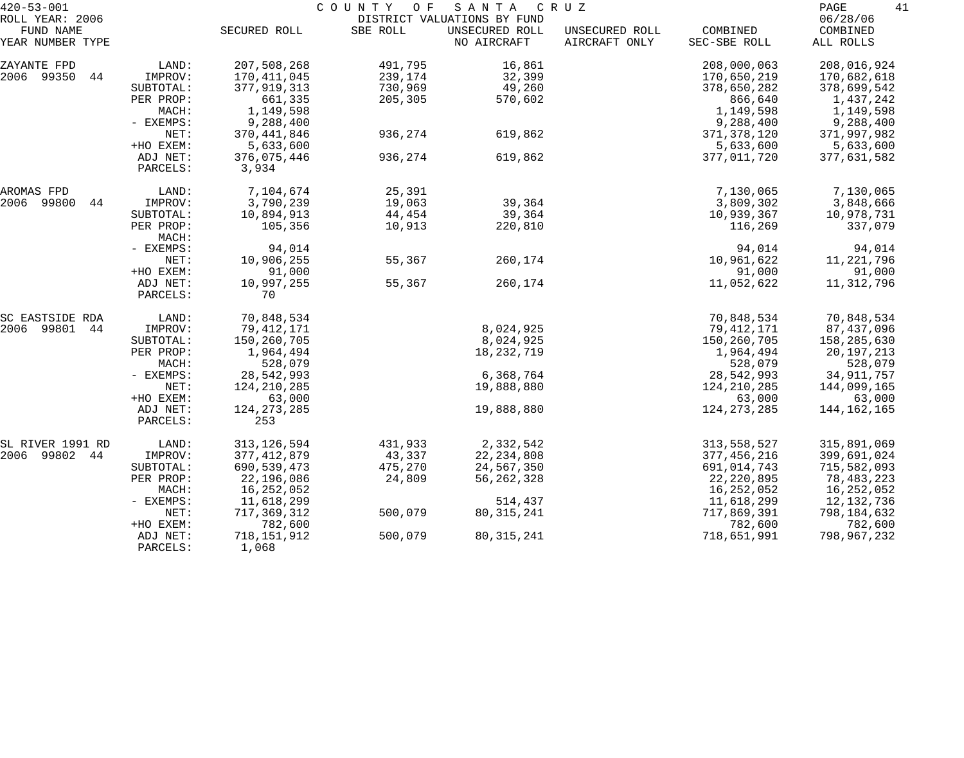| $420 - 53 - 001$             |             |               | COUNTY OF | S A N T A                                     | C R U Z        |               | PAGE<br>41           |
|------------------------------|-------------|---------------|-----------|-----------------------------------------------|----------------|---------------|----------------------|
| ROLL YEAR: 2006<br>FUND NAME |             | SECURED ROLL  | SBE ROLL  | DISTRICT VALUATIONS BY FUND<br>UNSECURED ROLL | UNSECURED ROLL | COMBINED      | 06/28/06<br>COMBINED |
| YEAR NUMBER TYPE             |             |               |           | NO AIRCRAFT                                   | AIRCRAFT ONLY  | SEC-SBE ROLL  | ALL ROLLS            |
| ZAYANTE FPD                  | LAND:       | 207,508,268   | 491,795   | 16,861                                        |                | 208,000,063   | 208,016,924          |
| 2006 99350<br>44             | IMPROV:     | 170, 411, 045 | 239,174   | 32,399                                        |                | 170,650,219   | 170,682,618          |
|                              | SUBTOTAL:   | 377,919,313   | 730,969   | 49,260                                        |                | 378,650,282   | 378,699,542          |
|                              | PER PROP:   | 661,335       | 205,305   | 570,602                                       |                | 866,640       | 1,437,242            |
|                              | MACH:       | 1,149,598     |           |                                               |                | 1,149,598     | 1,149,598            |
|                              | - EXEMPS:   | 9,288,400     |           |                                               |                | 9,288,400     | 9,288,400            |
|                              | NET:        | 370, 441, 846 | 936,274   | 619,862                                       |                | 371, 378, 120 | 371,997,982          |
|                              | +HO EXEM:   | 5,633,600     |           |                                               |                | 5,633,600     | 5,633,600            |
|                              | ADJ NET:    | 376,075,446   | 936,274   | 619,862                                       |                | 377,011,720   | 377,631,582          |
|                              | PARCELS:    | 3,934         |           |                                               |                |               |                      |
| AROMAS FPD                   | LAND:       | 7,104,674     | 25,391    |                                               |                | 7,130,065     | 7,130,065            |
| 2006 99800<br>44             | IMPROV:     | 3,790,239     | 19,063    | 39,364                                        |                | 3,809,302     | 3,848,666            |
|                              | SUBTOTAL:   | 10,894,913    | 44,454    | 39,364                                        |                | 10,939,367    | 10,978,731           |
|                              | PER PROP:   | 105,356       | 10,913    | 220,810                                       |                | 116,269       | 337,079              |
|                              | MACH:       |               |           |                                               |                |               |                      |
|                              | - EXEMPS:   | 94,014        |           |                                               |                | 94,014        | 94,014               |
|                              | NET:        | 10,906,255    | 55,367    | 260,174                                       |                | 10,961,622    | 11, 221, 796         |
|                              | +HO EXEM:   | 91,000        |           |                                               |                | 91,000        | 91,000               |
|                              | ADJ NET:    | 10,997,255    | 55,367    | 260,174                                       |                | 11,052,622    | 11,312,796           |
|                              | PARCELS:    | 70            |           |                                               |                |               |                      |
| SC EASTSIDE RDA              | LAND:       | 70,848,534    |           |                                               |                | 70,848,534    | 70,848,534           |
| 2006 99801<br>44             | IMPROV:     | 79, 412, 171  |           | 8,024,925                                     |                | 79,412,171    | 87,437,096           |
|                              | SUBTOTAL:   | 150,260,705   |           | 8,024,925                                     |                | 150,260,705   | 158,285,630          |
|                              | PER PROP:   | 1,964,494     |           | 18,232,719                                    |                | 1,964,494     | 20, 197, 213         |
|                              | MACH:       | 528,079       |           |                                               |                | 528,079       | 528,079              |
|                              | - EXEMPS:   | 28,542,993    |           | 6,368,764                                     |                | 28,542,993    | 34, 911, 757         |
|                              | NET:        | 124, 210, 285 |           | 19,888,880                                    |                | 124, 210, 285 | 144,099,165          |
|                              | +HO EXEM:   | 63,000        |           |                                               |                | 63,000        | 63,000               |
|                              | ADJ NET:    | 124, 273, 285 |           | 19,888,880                                    |                | 124, 273, 285 | 144, 162, 165        |
|                              | PARCELS:    | 253           |           |                                               |                |               |                      |
| SL RIVER 1991 RD             | LAND:       | 313, 126, 594 | 431,933   | 2,332,542                                     |                | 313,558,527   | 315,891,069          |
| 2006 99802<br>44             | IMPROV:     | 377, 412, 879 | 43,337    | 22, 234, 808                                  |                | 377, 456, 216 | 399,691,024          |
|                              | SUBTOTAL:   | 690,539,473   | 475,270   | 24,567,350                                    |                | 691,014,743   | 715,582,093          |
|                              | PER PROP:   | 22,196,086    | 24,809    | 56, 262, 328                                  |                | 22, 220, 895  | 78,483,223           |
|                              | MACH:       | 16,252,052    |           |                                               |                | 16,252,052    | 16,252,052           |
|                              | $-$ EXEMPS: | 11,618,299    |           | 514,437                                       |                | 11,618,299    | 12,132,736           |
|                              | NET:        | 717,369,312   | 500,079   | 80, 315, 241                                  |                | 717,869,391   | 798,184,632          |
|                              | +HO EXEM:   | 782,600       |           |                                               |                | 782,600       | 782,600              |
|                              | ADJ NET:    | 718,151,912   | 500,079   | 80, 315, 241                                  |                | 718,651,991   | 798,967,232          |
|                              | PARCELS:    | 1,068         |           |                                               |                |               |                      |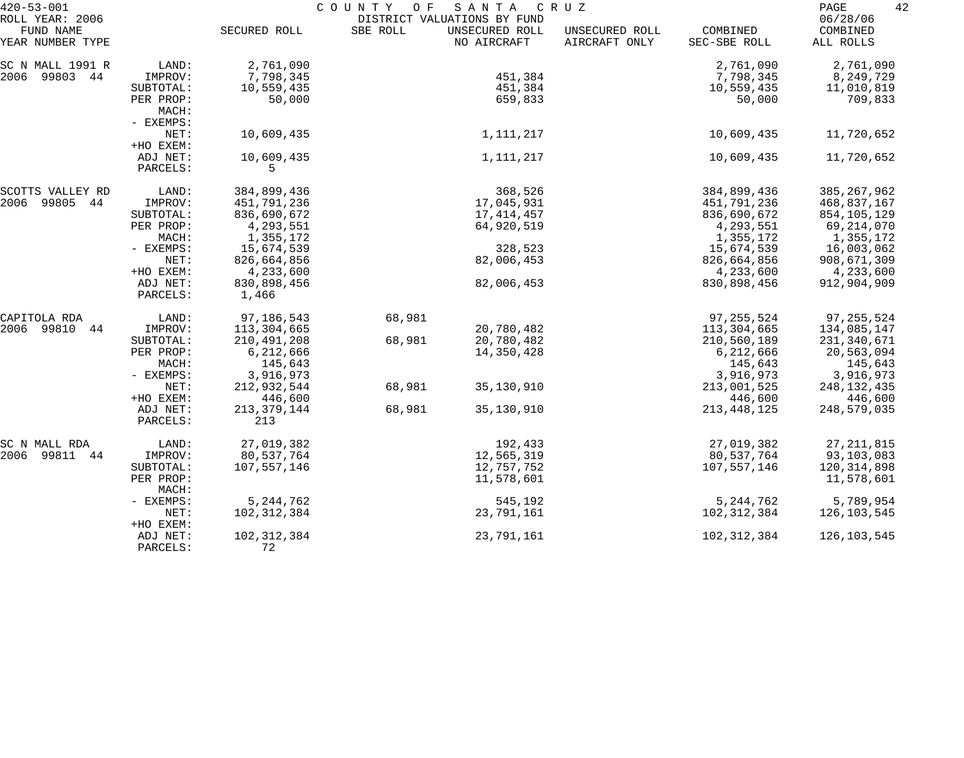| $420 - 53 - 001$                                 |                                 | COUNTY<br>O F<br>SANTA<br>C R U Z<br>DISTRICT VALUATIONS BY FUND |          |                               |                                 |                          |                                   |  |
|--------------------------------------------------|---------------------------------|------------------------------------------------------------------|----------|-------------------------------|---------------------------------|--------------------------|-----------------------------------|--|
| ROLL YEAR: 2006<br>FUND NAME<br>YEAR NUMBER TYPE |                                 | SECURED ROLL                                                     | SBE ROLL | UNSECURED ROLL<br>NO AIRCRAFT | UNSECURED ROLL<br>AIRCRAFT ONLY | COMBINED<br>SEC-SBE ROLL | 06/28/06<br>COMBINED<br>ALL ROLLS |  |
| SC N MALL 1991 R                                 | LAND:                           | 2,761,090                                                        |          |                               |                                 | 2,761,090                | 2,761,090                         |  |
| 2006 99803 44                                    | IMPROV:                         | 7,798,345                                                        |          | 451,384                       |                                 | 7,798,345                | 8,249,729                         |  |
|                                                  | SUBTOTAL:                       | 10,559,435                                                       |          | 451,384                       |                                 | 10,559,435               | 11,010,819                        |  |
|                                                  | PER PROP:<br>MACH:<br>- EXEMPS: | 50,000                                                           |          | 659,833                       |                                 | 50,000                   | 709,833                           |  |
|                                                  | NET:                            | 10,609,435                                                       |          | 1,111,217                     |                                 | 10,609,435               | 11,720,652                        |  |
|                                                  | +HO EXEM:                       |                                                                  |          |                               |                                 |                          |                                   |  |
|                                                  | ADJ NET:                        | 10,609,435                                                       |          | 1,111,217                     |                                 | 10,609,435               | 11,720,652                        |  |
|                                                  | PARCELS:                        | 5.                                                               |          |                               |                                 |                          |                                   |  |
| SCOTTS VALLEY RD                                 | LAND:                           | 384,899,436                                                      |          | 368,526                       |                                 | 384,899,436              | 385, 267, 962                     |  |
| 2006<br>99805 44                                 | IMPROV:                         | 451,791,236                                                      |          | 17,045,931                    |                                 | 451,791,236              | 468,837,167                       |  |
|                                                  | SUBTOTAL:                       | 836,690,672                                                      |          | 17, 414, 457                  |                                 | 836,690,672              | 854,105,129                       |  |
|                                                  | PER PROP:                       | 4,293,551                                                        |          | 64,920,519                    |                                 | 4,293,551                | 69,214,070                        |  |
|                                                  | MACH:                           | 1,355,172                                                        |          |                               |                                 | 1,355,172                | 1,355,172                         |  |
|                                                  | - EXEMPS:                       | 15,674,539                                                       |          | 328,523                       |                                 | 15,674,539               | 16,003,062                        |  |
|                                                  | NET:                            | 826,664,856                                                      |          | 82,006,453                    |                                 | 826,664,856              | 908,671,309                       |  |
|                                                  | +HO EXEM:                       | 4,233,600                                                        |          |                               |                                 | 4,233,600                | 4,233,600                         |  |
|                                                  | ADJ NET:<br>PARCELS:            | 830,898,456<br>1,466                                             |          | 82,006,453                    |                                 | 830,898,456              | 912,904,909                       |  |
| CAPITOLA RDA                                     | LAND:                           | 97,186,543                                                       | 68,981   |                               |                                 | 97, 255, 524             | 97, 255, 524                      |  |
| 2006 99810 44                                    | IMPROV:                         | 113,304,665                                                      |          | 20,780,482                    |                                 | 113,304,665              | 134,085,147                       |  |
|                                                  | SUBTOTAL:                       | 210,491,208                                                      | 68,981   | 20,780,482                    |                                 | 210,560,189              | 231,340,671                       |  |
|                                                  | PER PROP:                       | 6,212,666                                                        |          | 14,350,428                    |                                 | 6,212,666                | 20,563,094                        |  |
|                                                  | MACH:                           | 145,643                                                          |          |                               |                                 | 145,643                  | 145,643                           |  |
|                                                  | - EXEMPS:                       | 3,916,973                                                        |          |                               |                                 | 3,916,973                | 3,916,973                         |  |
|                                                  | NET:                            | 212,932,544                                                      | 68,981   | 35,130,910                    |                                 | 213,001,525              | 248, 132, 435                     |  |
|                                                  | +HO EXEM:                       | 446,600                                                          |          |                               |                                 | 446,600                  | 446,600                           |  |
|                                                  | ADJ NET:                        | 213, 379, 144                                                    | 68,981   | 35,130,910                    |                                 | 213, 448, 125            | 248,579,035                       |  |
|                                                  | PARCELS:                        | 213                                                              |          |                               |                                 |                          |                                   |  |
| SC N MALL RDA                                    | LAND:                           | 27,019,382                                                       |          | 192,433                       |                                 | 27,019,382               | 27, 211, 815                      |  |
| 2006 99811 44                                    | IMPROV:                         | 80,537,764                                                       |          | 12,565,319                    |                                 | 80,537,764               | 93,103,083                        |  |
|                                                  | SUBTOTAL:                       | 107,557,146                                                      |          | 12,757,752                    |                                 | 107,557,146              | 120,314,898                       |  |
|                                                  | PER PROP:<br>MACH:              |                                                                  |          | 11,578,601                    |                                 |                          | 11,578,601                        |  |
|                                                  | - EXEMPS:                       | 5, 244, 762                                                      |          | 545,192                       |                                 | 5, 244, 762              | 5,789,954                         |  |
|                                                  | NET:<br>+HO EXEM:               | 102,312,384                                                      |          | 23,791,161                    |                                 | 102,312,384              | 126,103,545                       |  |
|                                                  | ADJ NET:<br>PARCELS:            | 102,312,384<br>72                                                |          | 23,791,161                    |                                 | 102, 312, 384            | 126,103,545                       |  |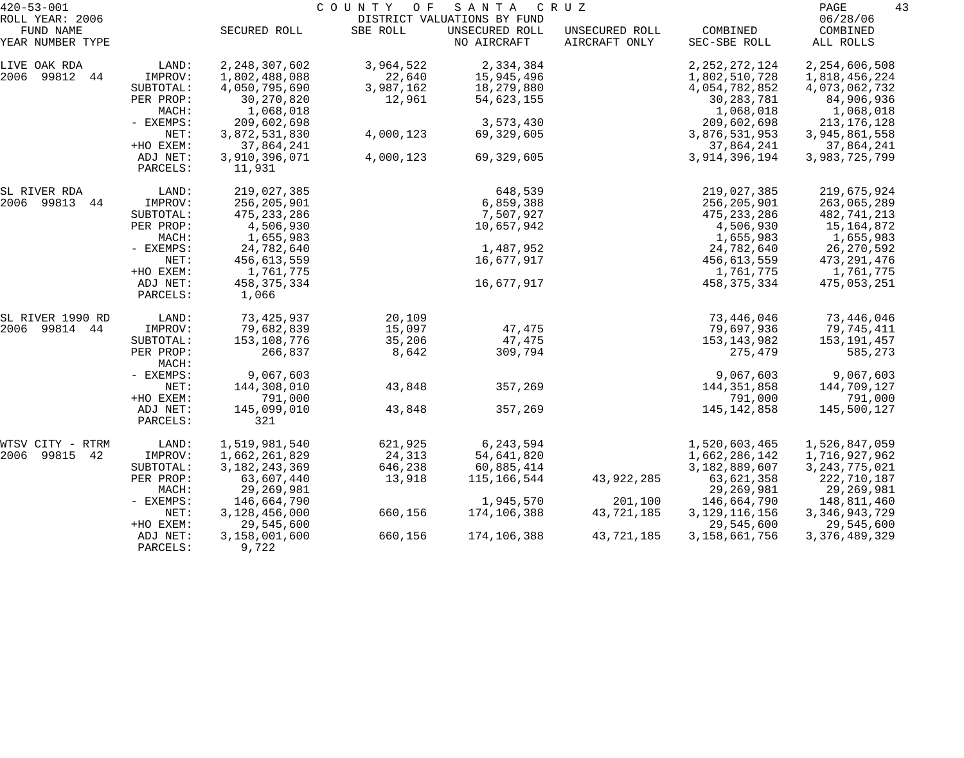| $420 - 53 - 001$              |                      | COUNTY OF<br>SANTA<br>C R U Z |           |                               |                                 |                          |                       |  |  |
|-------------------------------|----------------------|-------------------------------|-----------|-------------------------------|---------------------------------|--------------------------|-----------------------|--|--|
| ROLL YEAR: 2006               |                      |                               |           | DISTRICT VALUATIONS BY FUND   |                                 |                          | 06/28/06              |  |  |
| FUND NAME<br>YEAR NUMBER TYPE |                      | SECURED ROLL                  | SBE ROLL  | UNSECURED ROLL<br>NO AIRCRAFT | UNSECURED ROLL<br>AIRCRAFT ONLY | COMBINED<br>SEC-SBE ROLL | COMBINED<br>ALL ROLLS |  |  |
| LIVE OAK RDA                  | LAND:                | 2, 248, 307, 602              | 3,964,522 | 2,334,384                     |                                 | 2, 252, 272, 124         | 2, 254, 606, 508      |  |  |
| 2006 99812 44                 | IMPROV:              | 1,802,488,088                 | 22,640    | 15,945,496                    |                                 | 1,802,510,728            | 1,818,456,224         |  |  |
|                               | SUBTOTAL:            | 4,050,795,690                 | 3,987,162 | 18,279,880                    |                                 | 4,054,782,852            | 4,073,062,732         |  |  |
|                               | PER PROP:            | 30,270,820                    | 12,961    | 54,623,155                    |                                 | 30, 283, 781             | 84,906,936            |  |  |
|                               | MACH:                | 1,068,018                     |           |                               |                                 | 1,068,018                | 1,068,018             |  |  |
|                               | - EXEMPS:            | 209,602,698                   |           | 3,573,430                     |                                 | 209,602,698              | 213, 176, 128         |  |  |
|                               | NET:                 | 3,872,531,830                 | 4,000,123 | 69,329,605                    |                                 | 3,876,531,953            | 3,945,861,558         |  |  |
|                               | +HO EXEM:            | 37,864,241                    |           |                               |                                 | 37,864,241               | 37,864,241            |  |  |
|                               | ADJ NET:             | 3,910,396,071                 | 4,000,123 | 69,329,605                    |                                 | 3,914,396,194            | 3,983,725,799         |  |  |
|                               | PARCELS:             | 11,931                        |           |                               |                                 |                          |                       |  |  |
| SL RIVER RDA                  | LAND:                | 219,027,385                   |           | 648,539                       |                                 | 219,027,385              | 219,675,924           |  |  |
| 2006 99813<br>44              | IMPROV:              | 256,205,901                   |           | 6,859,388                     |                                 | 256,205,901              | 263,065,289           |  |  |
|                               | SUBTOTAL:            | 475, 233, 286                 |           | 7,507,927                     |                                 | 475, 233, 286            | 482,741,213           |  |  |
|                               | PER PROP:            | 4,506,930                     |           | 10,657,942                    |                                 | 4,506,930                | 15,164,872            |  |  |
|                               | MACH:                | 1,655,983                     |           |                               |                                 | 1,655,983                | 1,655,983             |  |  |
|                               | - EXEMPS:            | 24,782,640                    |           | 1,487,952                     |                                 | 24,782,640               | 26,270,592            |  |  |
|                               | NET:                 | 456,613,559                   |           | 16,677,917                    |                                 | 456,613,559              | 473,291,476           |  |  |
|                               | +HO EXEM:            | 1,761,775                     |           |                               |                                 | 1,761,775                | 1,761,775             |  |  |
|                               | ADJ NET:<br>PARCELS: | 458, 375, 334<br>1,066        |           | 16,677,917                    |                                 | 458,375,334              | 475,053,251           |  |  |
| SL RIVER 1990 RD              | LAND:                | 73,425,937                    | 20,109    |                               |                                 | 73,446,046               | 73,446,046            |  |  |
| 2006 99814 44                 | IMPROV:              | 79,682,839                    | 15,097    | 47,475                        |                                 | 79,697,936               | 79,745,411            |  |  |
|                               | SUBTOTAL:            | 153,108,776                   | 35,206    | 47,475                        |                                 | 153,143,982              | 153,191,457           |  |  |
|                               | PER PROP:<br>MACH:   | 266,837                       | 8,642     | 309,794                       |                                 | 275,479                  | 585,273               |  |  |
|                               | - EXEMPS:            | 9,067,603                     |           |                               |                                 | 9,067,603                | 9,067,603             |  |  |
|                               | NET:                 | 144,308,010                   | 43,848    | 357,269                       |                                 | 144,351,858              | 144,709,127           |  |  |
|                               | +HO EXEM:            | 791,000                       |           |                               |                                 | 791,000                  | 791,000               |  |  |
|                               | ADJ NET:             | 145,099,010                   | 43,848    | 357,269                       |                                 | 145, 142, 858            | 145,500,127           |  |  |
|                               | PARCELS:             | 321                           |           |                               |                                 |                          |                       |  |  |
| WTSV CITY -<br>RTRM           | LAND:                | 1,519,981,540                 | 621,925   | 6,243,594                     |                                 | 1,520,603,465            | 1,526,847,059         |  |  |
| 2006<br>99815<br>42           | IMPROV:              | 1,662,261,829                 | 24,313    | 54,641,820                    |                                 | 1,662,286,142            | 1,716,927,962         |  |  |
|                               | SUBTOTAL:            | 3, 182, 243, 369              | 646,238   | 60,885,414                    |                                 | 3,182,889,607            | 3, 243, 775, 021      |  |  |
|                               | PER PROP:            | 63,607,440                    | 13,918    | 115,166,544                   | 43,922,285                      | 63,621,358               | 222,710,187           |  |  |
|                               | MACH:                | 29, 269, 981                  |           |                               |                                 | 29,269,981               | 29,269,981            |  |  |
|                               | - EXEMPS:            | 146,664,790                   |           | 1,945,570                     | 201,100                         | 146,664,790              | 148,811,460           |  |  |
|                               | NET:                 | 3,128,456,000                 | 660,156   | 174,106,388                   | 43,721,185                      | 3, 129, 116, 156         | 3, 346, 943, 729      |  |  |
|                               | +HO EXEM:            | 29,545,600                    |           |                               |                                 | 29,545,600               | 29,545,600            |  |  |
|                               | ADJ NET:<br>PARCELS: | 3,158,001,600<br>9,722        | 660,156   | 174,106,388                   | 43,721,185                      | 3,158,661,756            | 3, 376, 489, 329      |  |  |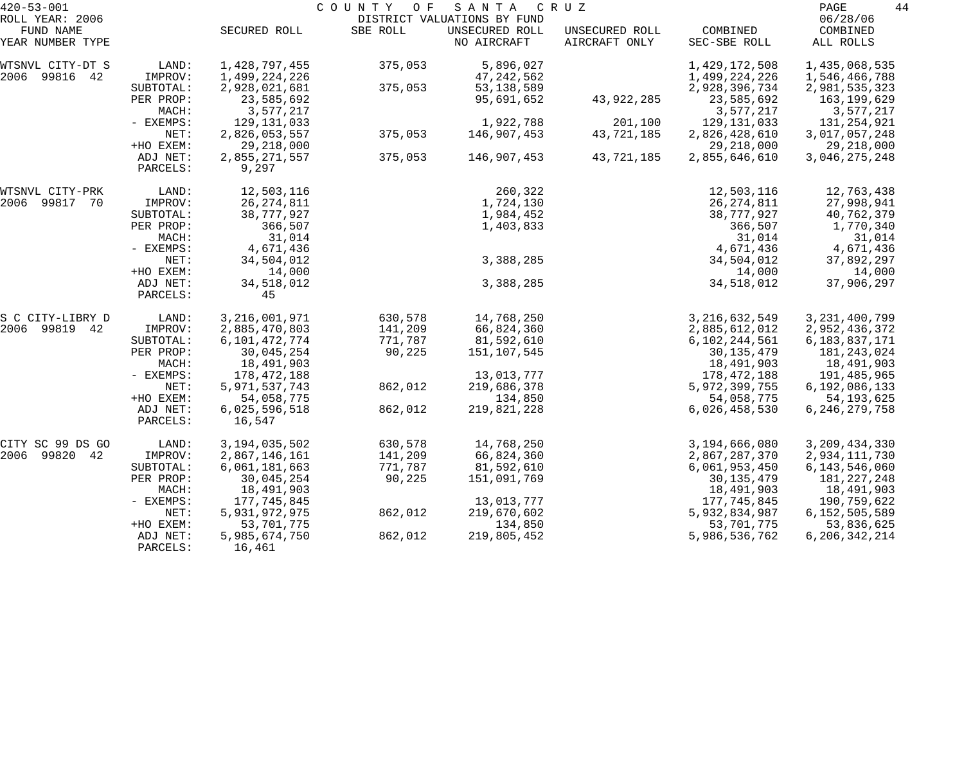| $420 - 53 - 001$             |                      |                         | COUNTY<br>O F | SANTA                                         | C R U Z        |                  | 44<br>PAGE           |
|------------------------------|----------------------|-------------------------|---------------|-----------------------------------------------|----------------|------------------|----------------------|
| ROLL YEAR: 2006<br>FUND NAME |                      | SECURED ROLL            | SBE ROLL      | DISTRICT VALUATIONS BY FUND<br>UNSECURED ROLL | UNSECURED ROLL | COMBINED         | 06/28/06<br>COMBINED |
| YEAR NUMBER TYPE             |                      |                         |               | NO AIRCRAFT                                   | AIRCRAFT ONLY  | SEC-SBE ROLL     | ALL ROLLS            |
| WTSNVL CITY-DT S             | LAND:                | 1,428,797,455           | 375,053       | 5,896,027                                     |                | 1,429,172,508    | 1,435,068,535        |
| 2006 99816 42                | IMPROV:              | 1,499,224,226           |               | 47,242,562                                    |                | 1,499,224,226    | 1,546,466,788        |
|                              | SUBTOTAL:            | 2,928,021,681           | 375,053       | 53, 138, 589                                  |                | 2,928,396,734    | 2,981,535,323        |
|                              | PER PROP:            | 23,585,692              |               | 95,691,652                                    | 43,922,285     | 23,585,692       | 163,199,629          |
|                              | MACH:                | 3,577,217               |               |                                               |                | 3,577,217        | 3,577,217            |
|                              | - EXEMPS:            | 129,131,033             |               | 1,922,788                                     | 201,100        | 129, 131, 033    | 131,254,921          |
|                              | NET:                 | 2,826,053,557           | 375,053       | 146,907,453                                   | 43,721,185     | 2,826,428,610    | 3,017,057,248        |
|                              | +HO EXEM:            | 29, 218, 000            |               |                                               |                | 29, 218, 000     | 29,218,000           |
|                              | ADJ NET:<br>PARCELS: | 2,855,271,557<br>9,297  | 375,053       | 146,907,453                                   | 43,721,185     | 2,855,646,610    | 3,046,275,248        |
| WTSNVL CITY-PRK              | LAND:                | 12,503,116              |               | 260,322                                       |                | 12,503,116       | 12,763,438           |
| 2006<br>99817 70             | IMPROV:              | 26, 274, 811            |               | 1,724,130                                     |                | 26, 274, 811     | 27,998,941           |
|                              | SUBTOTAL:            | 38,777,927              |               | 1,984,452                                     |                | 38,777,927       | 40,762,379           |
|                              | PER PROP:            | 366,507                 |               | 1,403,833                                     |                | 366,507          | 1,770,340            |
|                              | MACH:                | 31,014                  |               |                                               |                | 31,014           | 31,014               |
|                              | - EXEMPS:            | 4,671,436               |               |                                               |                | 4,671,436        | 4,671,436            |
|                              | NET:                 | 34,504,012              |               | 3,388,285                                     |                | 34,504,012       | 37,892,297           |
|                              | +HO EXEM:            | 14,000                  |               |                                               |                | 14,000           | 14,000               |
|                              | ADJ NET:             | 34,518,012              |               | 3,388,285                                     |                | 34,518,012       | 37,906,297           |
|                              | PARCELS:             | 45                      |               |                                               |                |                  |                      |
| S C CITY-LIBRY D             | LAND:                | 3,216,001,971           | 630,578       | 14,768,250                                    |                | 3, 216, 632, 549 | 3, 231, 400, 799     |
| 99819 42<br>2006             | IMPROV:              | 2,885,470,803           | 141,209       | 66,824,360                                    |                | 2,885,612,012    | 2,952,436,372        |
|                              | SUBTOTAL:            | 6,101,472,774           | 771,787       | 81,592,610                                    |                | 6,102,244,561    | 6,183,837,171        |
|                              | PER PROP:            | 30,045,254              | 90,225        | 151,107,545                                   |                | 30, 135, 479     | 181,243,024          |
|                              | MACH:                | 18,491,903              |               |                                               |                | 18,491,903       | 18,491,903           |
|                              | - EXEMPS:            | 178,472,188             |               | 13,013,777                                    |                | 178,472,188      | 191,485,965          |
|                              | NET:                 | 5, 971, 537, 743        | 862,012       | 219,686,378                                   |                | 5,972,399,755    | 6,192,086,133        |
|                              | +HO EXEM:            | 54,058,775              |               | 134,850                                       |                | 54,058,775       | 54, 193, 625         |
|                              | ADJ NET:<br>PARCELS: | 6,025,596,518<br>16,547 | 862,012       | 219,821,228                                   |                | 6,026,458,530    | 6, 246, 279, 758     |
| CITY SC 99 DS GO             | LAND:                | 3, 194, 035, 502        | 630,578       | 14,768,250                                    |                | 3,194,666,080    | 3, 209, 434, 330     |
| 2006<br>99820 42             | IMPROV:              | 2,867,146,161           | 141,209       | 66,824,360                                    |                | 2,867,287,370    | 2,934,111,730        |
|                              | SUBTOTAL:            | 6,061,181,663           | 771,787       | 81,592,610                                    |                | 6,061,953,450    | 6, 143, 546, 060     |
|                              | PER PROP:            | 30,045,254              | 90,225        | 151,091,769                                   |                | 30, 135, 479     | 181,227,248          |
|                              | MACH:                | 18,491,903              |               |                                               |                | 18,491,903       | 18,491,903           |
|                              | - EXEMPS:            | 177,745,845             |               | 13,013,777                                    |                | 177,745,845      | 190,759,622          |
|                              | NET:                 | 5,931,972,975           | 862,012       | 219,670,602                                   |                | 5,932,834,987    | 6,152,505,589        |
|                              | +HO EXEM:            | 53,701,775              |               | 134,850                                       |                | 53,701,775       | 53,836,625           |
|                              | ADJ NET:<br>PARCELS: | 5,985,674,750<br>16,461 | 862,012       | 219,805,452                                   |                | 5,986,536,762    | 6, 206, 342, 214     |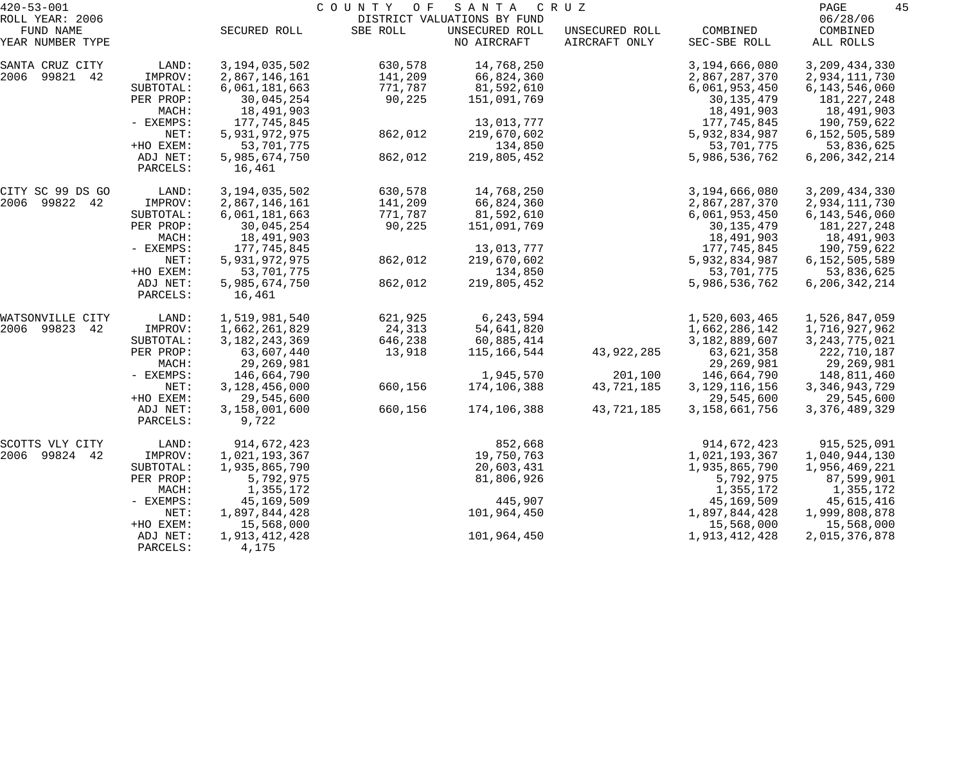| $420 - 53 - 001$             |                    | COUNTY<br>O F<br>SANTA<br>C R U Z |          |                                               |                       |                                 |                                 |  |
|------------------------------|--------------------|-----------------------------------|----------|-----------------------------------------------|-----------------------|---------------------------------|---------------------------------|--|
| ROLL YEAR: 2006<br>FUND NAME |                    | SECURED ROLL                      | SBE ROLL | DISTRICT VALUATIONS BY FUND<br>UNSECURED ROLL | UNSECURED ROLL        | COMBINED                        | 06/28/06<br>COMBINED            |  |
| YEAR NUMBER TYPE             |                    |                                   |          | NO AIRCRAFT                                   | AIRCRAFT ONLY         | SEC-SBE ROLL                    | ALL ROLLS                       |  |
| SANTA CRUZ CITY              | LAND:              | 3, 194, 035, 502                  | 630,578  | 14,768,250                                    |                       | 3,194,666,080                   | 3, 209, 434, 330                |  |
| 2006 99821 42                | IMPROV:            | 2,867,146,161                     | 141,209  | 66,824,360                                    |                       | 2,867,287,370                   | 2,934,111,730                   |  |
|                              | SUBTOTAL:          | 6,061,181,663                     | 771,787  | 81,592,610                                    |                       | 6,061,953,450                   | 6, 143, 546, 060                |  |
|                              | PER PROP:<br>MACH: | 30,045,254                        | 90,225   | 151,091,769                                   |                       | 30, 135, 479<br>18,491,903      | 181, 227, 248                   |  |
|                              | - EXEMPS:          | 18,491,903<br>177,745,845         |          | 13,013,777                                    |                       | 177,745,845                     | 18,491,903<br>190,759,622       |  |
|                              | NET:               | 5,931,972,975                     | 862,012  | 219,670,602                                   |                       | 5,932,834,987                   | 6,152,505,589                   |  |
|                              | +HO EXEM:          | 53,701,775                        |          | 134,850                                       |                       | 53,701,775                      | 53,836,625                      |  |
|                              | ADJ NET:           | 5,985,674,750                     | 862,012  | 219,805,452                                   |                       | 5,986,536,762                   | 6, 206, 342, 214                |  |
|                              | PARCELS:           | 16,461                            |          |                                               |                       |                                 |                                 |  |
| CITY SC 99 DS GO             | LAND:              | 3, 194, 035, 502                  | 630,578  | 14,768,250                                    |                       | 3,194,666,080                   | 3, 209, 434, 330                |  |
| 2006 99822 42                | IMPROV:            | 2,867,146,161                     | 141,209  | 66,824,360                                    |                       | 2,867,287,370                   | 2,934,111,730                   |  |
|                              | SUBTOTAL:          | 6,061,181,663                     | 771,787  | 81,592,610                                    |                       | 6,061,953,450                   | 6, 143, 546, 060                |  |
|                              | PER PROP:          | 30,045,254                        | 90,225   | 151,091,769                                   |                       | 30, 135, 479                    | 181,227,248                     |  |
|                              | MACH:<br>- EXEMPS: | 18,491,903<br>177,745,845         |          | 13,013,777                                    |                       | 18,491,903<br>177,745,845       | 18,491,903<br>190,759,622       |  |
|                              | NET:               | 5,931,972,975                     | 862,012  | 219,670,602                                   |                       | 5,932,834,987                   | 6,152,505,589                   |  |
|                              | +HO EXEM:          | 53,701,775                        |          | 134,850                                       |                       | 53,701,775                      | 53,836,625                      |  |
|                              | ADJ NET:           | 5,985,674,750                     | 862,012  | 219,805,452                                   |                       | 5,986,536,762                   | 6, 206, 342, 214                |  |
|                              | PARCELS:           | 16,461                            |          |                                               |                       |                                 |                                 |  |
| WATSONVILLE CITY             | LAND:              | 1,519,981,540                     | 621,925  | 6,243,594                                     |                       | 1,520,603,465                   | 1,526,847,059                   |  |
| 2006 99823<br>42             | IMPROV:            | 1,662,261,829                     | 24,313   | 54,641,820                                    |                       | 1,662,286,142                   | 1,716,927,962                   |  |
|                              | SUBTOTAL:          | 3, 182, 243, 369                  | 646,238  | 60,885,414                                    |                       | 3,182,889,607                   | 3, 243, 775, 021                |  |
|                              | PER PROP:          | 63,607,440                        | 13,918   | 115,166,544                                   | 43,922,285            | 63,621,358                      | 222,710,187                     |  |
|                              | MACH:              | 29, 269, 981                      |          |                                               |                       | 29,269,981                      | 29,269,981                      |  |
|                              | - EXEMPS:<br>NET:  | 146,664,790<br>3,128,456,000      | 660,156  | 1,945,570<br>174,106,388                      | 201,100<br>43,721,185 | 146,664,790<br>3, 129, 116, 156 | 148,811,460<br>3, 346, 943, 729 |  |
|                              | +HO EXEM:          | 29,545,600                        |          |                                               |                       | 29,545,600                      | 29,545,600                      |  |
|                              | ADJ NET:           | 3,158,001,600                     | 660,156  | 174,106,388                                   | 43,721,185            | 3,158,661,756                   | 3, 376, 489, 329                |  |
|                              | PARCELS:           | 9,722                             |          |                                               |                       |                                 |                                 |  |
| SCOTTS VLY CITY              | LAND:              | 914,672,423                       |          | 852,668                                       |                       | 914,672,423                     | 915,525,091                     |  |
| 2006 99824 42                | IMPROV:            | 1,021,193,367                     |          | 19,750,763                                    |                       | 1,021,193,367                   | 1,040,944,130                   |  |
|                              | SUBTOTAL:          | 1,935,865,790                     |          | 20,603,431                                    |                       | 1,935,865,790                   | 1,956,469,221                   |  |
|                              | PER PROP:          | 5,792,975                         |          | 81,806,926                                    |                       | 5,792,975                       | 87,599,901                      |  |
|                              | MACH:              | 1,355,172                         |          |                                               |                       | 1,355,172                       | 1,355,172                       |  |
|                              | - EXEMPS:<br>NET:  | 45,169,509<br>1,897,844,428       |          | 445,907<br>101,964,450                        |                       | 45,169,509<br>1,897,844,428     | 45,615,416<br>1,999,808,878     |  |
|                              | +HO EXEM:          | 15,568,000                        |          |                                               |                       | 15,568,000                      | 15,568,000                      |  |
|                              | ADJ NET:           | 1,913,412,428                     |          | 101,964,450                                   |                       | 1,913,412,428                   | 2,015,376,878                   |  |
|                              | PARCELS:           | 4,175                             |          |                                               |                       |                                 |                                 |  |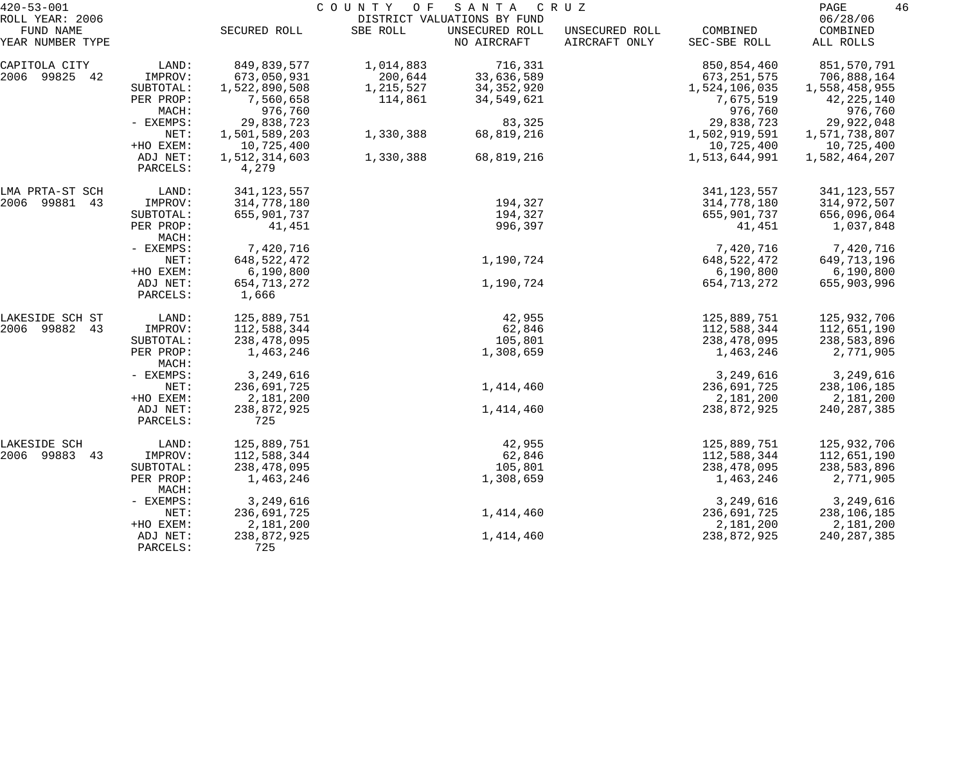| $420 - 53 - 001$              |                      | COUNTY<br>SANTA<br>O F<br>C R U Z |           |                               |                                 |                          |                         |
|-------------------------------|----------------------|-----------------------------------|-----------|-------------------------------|---------------------------------|--------------------------|-------------------------|
| ROLL YEAR: 2006               |                      |                                   |           | DISTRICT VALUATIONS BY FUND   |                                 |                          | 06/28/06                |
| FUND NAME<br>YEAR NUMBER TYPE |                      | SECURED ROLL                      | SBE ROLL  | UNSECURED ROLL<br>NO AIRCRAFT | UNSECURED ROLL<br>AIRCRAFT ONLY | COMBINED<br>SEC-SBE ROLL | COMBINED<br>ALL ROLLS   |
| CAPITOLA CITY                 | LAND:                | 849,839,577                       | 1,014,883 | 716,331                       |                                 | 850,854,460              | 851,570,791             |
| 2006 99825 42                 | IMPROV:              | 673,050,931                       | 200,644   | 33,636,589                    |                                 | 673, 251, 575            | 706,888,164             |
|                               | SUBTOTAL:            | 1,522,890,508                     | 1,215,527 | 34, 352, 920                  |                                 | 1,524,106,035            | 1,558,458,955           |
|                               | PER PROP:<br>MACH:   | 7,560,658<br>976,760              | 114,861   | 34,549,621                    |                                 | 7,675,519<br>976,760     | 42, 225, 140<br>976,760 |
|                               | - EXEMPS:            | 29,838,723                        |           | 83,325                        |                                 | 29,838,723               | 29,922,048              |
|                               | NET:                 | 1,501,589,203                     | 1,330,388 | 68,819,216                    |                                 | 1,502,919,591            | 1,571,738,807           |
|                               | +HO EXEM:            | 10,725,400                        |           |                               |                                 | 10,725,400               | 10,725,400              |
|                               | ADJ NET:<br>PARCELS: | 1,512,314,603<br>4,279            | 1,330,388 | 68,819,216                    |                                 | 1,513,644,991            | 1,582,464,207           |
| LMA PRTA-ST SCH               | LAND:                | 341, 123, 557                     |           |                               |                                 | 341, 123, 557            | 341, 123, 557           |
| 2006 99881 43                 | IMPROV:              | 314,778,180                       |           | 194,327                       |                                 | 314,778,180              | 314,972,507             |
|                               | SUBTOTAL:            | 655,901,737                       |           | 194,327                       |                                 | 655,901,737              | 656,096,064             |
|                               | PER PROP:<br>MACH:   | 41,451                            |           | 996,397                       |                                 | 41,451                   | 1,037,848               |
|                               | - EXEMPS:            | 7,420,716                         |           |                               |                                 | 7,420,716                | 7,420,716               |
|                               | NET:                 | 648,522,472                       |           | 1,190,724                     |                                 | 648, 522, 472            | 649,713,196             |
|                               | +HO EXEM:            | 6,190,800                         |           |                               |                                 | 6,190,800                | 6,190,800               |
|                               | ADJ NET:<br>PARCELS: | 654,713,272<br>1,666              |           | 1,190,724                     |                                 | 654, 713, 272            | 655,903,996             |
| LAKESIDE SCH ST               | LAND:                | 125,889,751                       |           | 42,955                        |                                 | 125,889,751              | 125,932,706             |
| 2006 99882 43                 | IMPROV:              | 112,588,344                       |           | 62,846                        |                                 | 112,588,344              | 112,651,190             |
|                               | SUBTOTAL:            | 238,478,095                       |           | 105,801                       |                                 | 238,478,095              | 238,583,896             |
|                               | PER PROP:<br>MACH:   | 1,463,246                         |           | 1,308,659                     |                                 | 1,463,246                | 2,771,905               |
|                               | - EXEMPS:            | 3,249,616                         |           |                               |                                 | 3,249,616                | 3,249,616               |
|                               | NET:                 | 236,691,725                       |           | 1,414,460                     |                                 | 236,691,725              | 238,106,185             |
|                               | +HO EXEM:            | 2,181,200                         |           |                               |                                 | 2,181,200                | 2,181,200               |
|                               | ADJ NET:<br>PARCELS: | 238,872,925<br>725                |           | 1,414,460                     |                                 | 238,872,925              | 240, 287, 385           |
| LAKESIDE SCH                  | LAND:                | 125,889,751                       |           | 42,955                        |                                 | 125,889,751              | 125,932,706             |
| 2006 99883 43                 | IMPROV:              | 112,588,344                       |           | 62,846                        |                                 | 112,588,344              | 112,651,190             |
|                               | SUBTOTAL:            | 238,478,095                       |           | 105,801                       |                                 | 238,478,095              | 238,583,896             |
|                               | PER PROP:<br>MACH:   | 1,463,246                         |           | 1,308,659                     |                                 | 1,463,246                | 2,771,905               |
|                               | - EXEMPS:            | 3,249,616                         |           |                               |                                 | 3,249,616                | 3,249,616               |
|                               | NET:                 | 236,691,725                       |           | 1,414,460                     |                                 | 236,691,725              | 238,106,185             |
|                               | +HO EXEM:            | 2,181,200                         |           |                               |                                 | 2,181,200                | 2,181,200               |
|                               | ADJ NET:<br>PARCELS: | 238,872,925<br>725                |           | 1,414,460                     |                                 | 238,872,925              | 240, 287, 385           |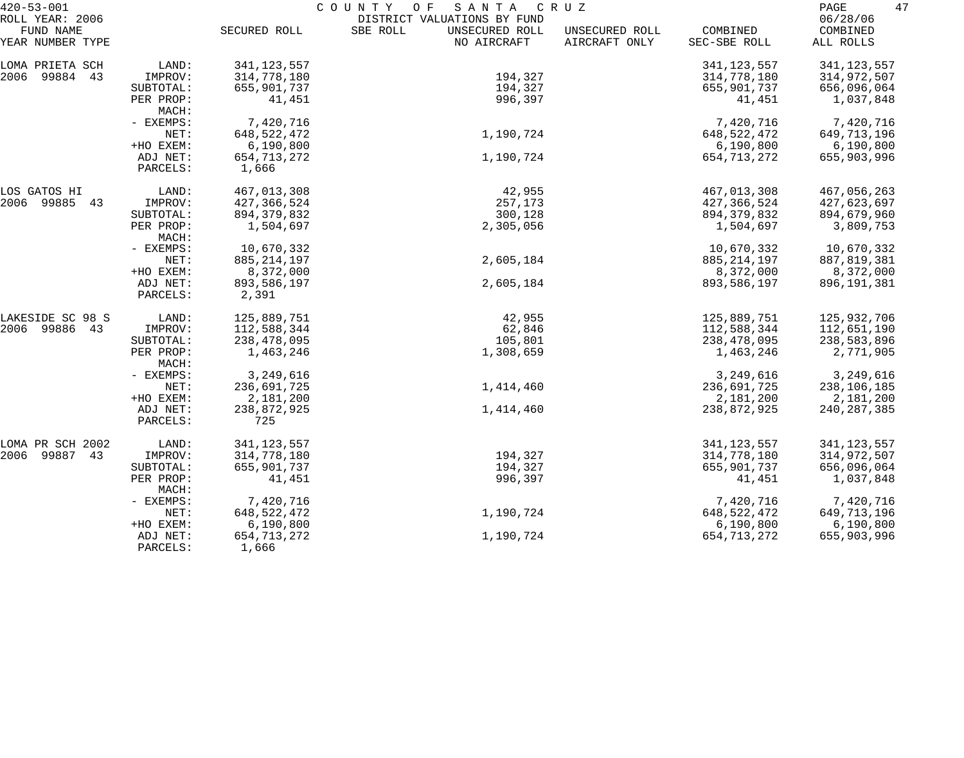| $420 - 53 - 001$             |                    | C O U N T Y<br>O F<br>SANTA<br>C R U Z |                                                           |                |               |                      |  |  |
|------------------------------|--------------------|----------------------------------------|-----------------------------------------------------------|----------------|---------------|----------------------|--|--|
| ROLL YEAR: 2006<br>FUND NAME |                    | SECURED ROLL                           | DISTRICT VALUATIONS BY FUND<br>SBE ROLL<br>UNSECURED ROLL | UNSECURED ROLL | COMBINED      | 06/28/06<br>COMBINED |  |  |
| YEAR NUMBER TYPE             |                    |                                        | NO AIRCRAFT                                               | AIRCRAFT ONLY  | SEC-SBE ROLL  | ALL ROLLS            |  |  |
| LOMA PRIETA SCH              | LAND:              | 341, 123, 557                          |                                                           |                | 341, 123, 557 | 341, 123, 557        |  |  |
| 2006 99884 43                | IMPROV:            | 314,778,180                            | 194,327                                                   |                | 314,778,180   | 314,972,507          |  |  |
|                              | SUBTOTAL:          | 655,901,737                            | 194,327                                                   |                | 655,901,737   | 656,096,064          |  |  |
|                              | PER PROP:          | 41,451                                 | 996,397                                                   |                | 41,451        | 1,037,848            |  |  |
|                              | MACH:              |                                        |                                                           |                |               |                      |  |  |
|                              | - EXEMPS:          | 7,420,716                              |                                                           |                | 7,420,716     | 7,420,716            |  |  |
|                              | NET:               | 648, 522, 472                          | 1,190,724                                                 |                | 648, 522, 472 | 649,713,196          |  |  |
|                              | +HO EXEM:          | 6,190,800                              |                                                           |                | 6,190,800     | 6,190,800            |  |  |
|                              | ADJ NET:           | 654,713,272                            | 1,190,724                                                 |                | 654, 713, 272 | 655,903,996          |  |  |
|                              | PARCELS:           | 1,666                                  |                                                           |                |               |                      |  |  |
| LOS GATOS HI                 | LAND:              | 467,013,308                            | 42,955                                                    |                | 467,013,308   | 467,056,263          |  |  |
| 2006 99885 43                | IMPROV:            | 427,366,524                            | 257,173                                                   |                | 427,366,524   | 427,623,697          |  |  |
|                              | SUBTOTAL:          | 894, 379, 832                          | 300,128                                                   |                | 894, 379, 832 | 894,679,960          |  |  |
|                              | PER PROP:          | 1,504,697                              | 2,305,056                                                 |                | 1,504,697     | 3,809,753            |  |  |
|                              | MACH:              |                                        |                                                           |                |               |                      |  |  |
|                              | - EXEMPS:          | 10,670,332                             |                                                           |                | 10,670,332    | 10,670,332           |  |  |
|                              | NET:               | 885, 214, 197                          | 2,605,184                                                 |                | 885, 214, 197 | 887,819,381          |  |  |
|                              | +HO EXEM:          | 8,372,000                              |                                                           |                | 8,372,000     | 8,372,000            |  |  |
|                              | ADJ NET:           | 893,586,197                            | 2,605,184                                                 |                | 893,586,197   | 896, 191, 381        |  |  |
|                              | PARCELS:           | 2,391                                  |                                                           |                |               |                      |  |  |
| LAKESIDE SC 98 S             | LAND:              | 125,889,751                            | 42,955                                                    |                | 125,889,751   | 125,932,706          |  |  |
| 2006 99886 43                | IMPROV:            | 112,588,344                            | 62,846                                                    |                | 112,588,344   | 112,651,190          |  |  |
|                              | SUBTOTAL:          | 238,478,095                            | 105,801                                                   |                | 238,478,095   | 238,583,896          |  |  |
|                              | PER PROP:<br>MACH: | 1,463,246                              | 1,308,659                                                 |                | 1,463,246     | 2,771,905            |  |  |
|                              | - EXEMPS:          | 3,249,616                              |                                                           |                | 3,249,616     | 3,249,616            |  |  |
|                              | NET:               | 236,691,725                            | 1,414,460                                                 |                | 236,691,725   | 238,106,185          |  |  |
|                              | +HO EXEM:          | 2,181,200                              |                                                           |                | 2,181,200     | 2,181,200            |  |  |
|                              | ADJ NET:           | 238,872,925                            | 1,414,460                                                 |                | 238,872,925   | 240, 287, 385        |  |  |
|                              | PARCELS:           | 725                                    |                                                           |                |               |                      |  |  |
| LOMA PR SCH 2002             | LAND:              | 341, 123, 557                          |                                                           |                | 341, 123, 557 | 341, 123, 557        |  |  |
| 2006 99887<br>43             | IMPROV:            | 314,778,180                            | 194,327                                                   |                | 314,778,180   | 314,972,507          |  |  |
|                              | SUBTOTAL:          | 655,901,737                            | 194,327                                                   |                | 655,901,737   | 656,096,064          |  |  |
|                              | PER PROP:          | 41,451                                 | 996,397                                                   |                | 41,451        | 1,037,848            |  |  |
|                              | MACH:              |                                        |                                                           |                |               |                      |  |  |
|                              | - EXEMPS:          | 7,420,716                              |                                                           |                | 7,420,716     | 7,420,716            |  |  |
|                              | NET:               | 648, 522, 472                          | 1,190,724                                                 |                | 648, 522, 472 | 649,713,196          |  |  |
|                              | +HO EXEM:          | 6,190,800                              |                                                           |                | 6,190,800     | 6,190,800            |  |  |
|                              | ADJ NET:           | 654,713,272                            | 1,190,724                                                 |                | 654, 713, 272 | 655,903,996          |  |  |
|                              | PARCELS:           | 1,666                                  |                                                           |                |               |                      |  |  |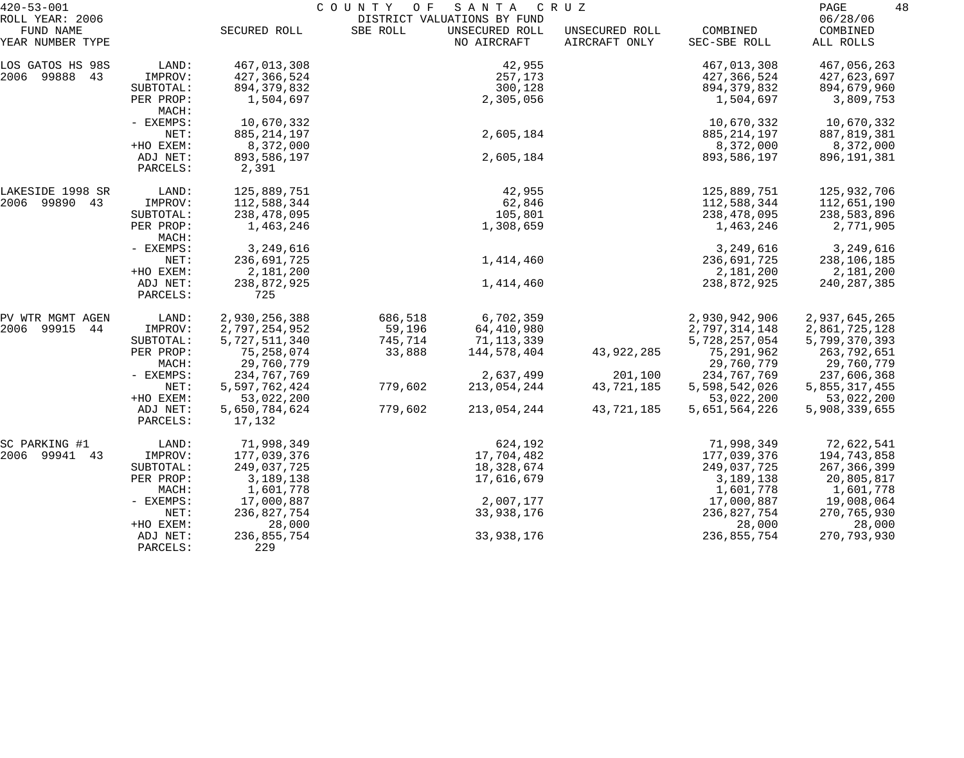| $420 - 53 - 001$                                 |                      |                         | COUNTY<br>O F | SANTA                                                        | C R U Z                         |                          | 48<br>PAGE                        |
|--------------------------------------------------|----------------------|-------------------------|---------------|--------------------------------------------------------------|---------------------------------|--------------------------|-----------------------------------|
| ROLL YEAR: 2006<br>FUND NAME<br>YEAR NUMBER TYPE |                      | SECURED ROLL            | SBE ROLL      | DISTRICT VALUATIONS BY FUND<br>UNSECURED ROLL<br>NO AIRCRAFT | UNSECURED ROLL<br>AIRCRAFT ONLY | COMBINED<br>SEC-SBE ROLL | 06/28/06<br>COMBINED<br>ALL ROLLS |
|                                                  |                      |                         |               |                                                              |                                 |                          |                                   |
| LOS GATOS HS 98S                                 | LAND:                | 467,013,308             |               | 42,955                                                       |                                 | 467,013,308              | 467,056,263                       |
| 2006 99888 43                                    | IMPROV:              | 427,366,524             |               | 257,173                                                      |                                 | 427,366,524              | 427,623,697                       |
|                                                  | SUBTOTAL:            | 894, 379, 832           |               | 300,128                                                      |                                 | 894, 379, 832            | 894,679,960                       |
|                                                  | PER PROP:<br>MACH:   | 1,504,697               |               | 2,305,056                                                    |                                 | 1,504,697                | 3,809,753                         |
|                                                  | - EXEMPS:            | 10,670,332              |               |                                                              |                                 | 10,670,332               | 10,670,332                        |
|                                                  | NET:                 | 885, 214, 197           |               | 2,605,184                                                    |                                 | 885, 214, 197            | 887,819,381                       |
|                                                  | +HO EXEM:            | 8,372,000               |               |                                                              |                                 | 8,372,000                | 8,372,000                         |
|                                                  | ADJ NET:<br>PARCELS: | 893,586,197<br>2,391    |               | 2,605,184                                                    |                                 | 893,586,197              | 896,191,381                       |
| LAKESIDE 1998 SR                                 | LAND:                | 125,889,751             |               | 42,955                                                       |                                 | 125,889,751              | 125,932,706                       |
| 2006 99890 43                                    | IMPROV:              | 112,588,344             |               | 62,846                                                       |                                 | 112,588,344              | 112,651,190                       |
|                                                  | SUBTOTAL:            | 238,478,095             |               | 105,801                                                      |                                 | 238,478,095              | 238,583,896                       |
|                                                  | PER PROP:<br>MACH:   | 1,463,246               |               | 1,308,659                                                    |                                 | 1,463,246                | 2,771,905                         |
|                                                  | - EXEMPS:            | 3,249,616               |               |                                                              |                                 | 3,249,616                | 3,249,616                         |
|                                                  | NET:                 | 236,691,725             |               | 1,414,460                                                    |                                 | 236,691,725              | 238,106,185                       |
|                                                  | +HO EXEM:            | 2,181,200               |               |                                                              |                                 | 2,181,200                | 2,181,200                         |
|                                                  | ADJ NET:<br>PARCELS: | 238,872,925<br>725      |               | 1,414,460                                                    |                                 | 238,872,925              | 240, 287, 385                     |
| PV WTR MGMT AGEN                                 | LAND:                | 2,930,256,388           | 686,518       | 6,702,359                                                    |                                 | 2,930,942,906            | 2,937,645,265                     |
| 2006 99915 44                                    | IMPROV:              | 2,797,254,952           | 59,196        | 64,410,980                                                   |                                 | 2,797,314,148            | 2,861,725,128                     |
|                                                  | SUBTOTAL:            | 5,727,511,340           | 745,714       | 71,113,339                                                   |                                 | 5,728,257,054            | 5,799,370,393                     |
|                                                  | PER PROP:            | 75,258,074              | 33,888        | 144,578,404                                                  | 43,922,285                      | 75,291,962               | 263,792,651                       |
|                                                  | MACH:                | 29,760,779              |               |                                                              |                                 | 29,760,779               | 29,760,779                        |
|                                                  | - EXEMPS:            | 234,767,769             |               | 2,637,499                                                    | 201,100                         | 234,767,769              | 237,606,368                       |
|                                                  | NET:                 | 5,597,762,424           | 779,602       | 213,054,244                                                  | 43,721,185                      | 5,598,542,026            | 5,855,317,455                     |
|                                                  | +HO EXEM:            | 53,022,200              |               |                                                              |                                 | 53,022,200               | 53,022,200                        |
|                                                  | ADJ NET:<br>PARCELS: | 5,650,784,624<br>17,132 | 779,602       | 213,054,244                                                  | 43,721,185                      | 5,651,564,226            | 5,908,339,655                     |
| SC PARKING #1                                    | LAND:                | 71,998,349              |               | 624,192                                                      |                                 | 71,998,349               | 72,622,541                        |
| 2006 99941 43                                    | IMPROV:              | 177,039,376             |               | 17,704,482                                                   |                                 | 177,039,376              | 194,743,858                       |
|                                                  | SUBTOTAL:            | 249,037,725             |               | 18,328,674                                                   |                                 | 249,037,725              | 267, 366, 399                     |
|                                                  | PER PROP:            | 3,189,138               |               | 17,616,679                                                   |                                 | 3,189,138                | 20,805,817                        |
|                                                  | MACH:                | 1,601,778               |               |                                                              |                                 | 1,601,778                | 1,601,778                         |
|                                                  | - EXEMPS:            | 17,000,887              |               | 2,007,177                                                    |                                 | 17,000,887               | 19,008,064                        |
|                                                  | NET:                 | 236,827,754             |               | 33,938,176                                                   |                                 | 236,827,754              | 270,765,930                       |
|                                                  | +HO EXEM:            | 28,000                  |               |                                                              |                                 | 28,000                   | 28,000                            |
|                                                  | ADJ NET:<br>PARCELS: | 236,855,754<br>229      |               | 33,938,176                                                   |                                 | 236,855,754              | 270,793,930                       |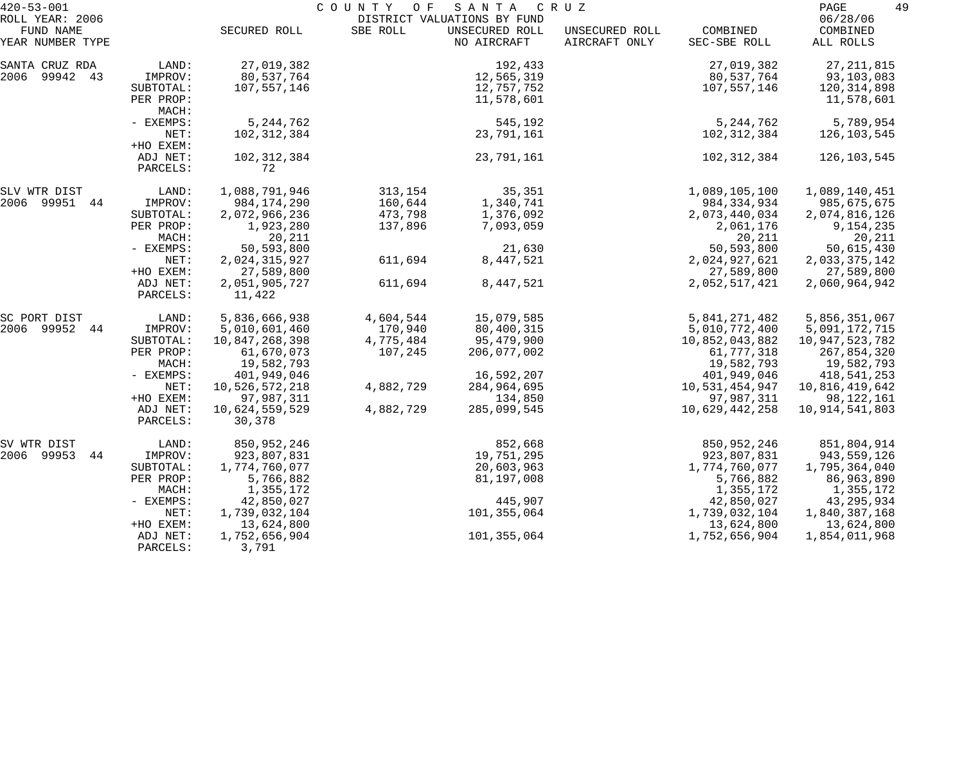| $420 - 53 - 001$                                 | COUNTY<br>O F<br>SANTA<br>C R U Z                                                                                         |                                                                                                                                                        |                                                                        |                                                                                                              |                                 | 49<br>PAGE                                                                                                                                    |                                                                                                                                                |
|--------------------------------------------------|---------------------------------------------------------------------------------------------------------------------------|--------------------------------------------------------------------------------------------------------------------------------------------------------|------------------------------------------------------------------------|--------------------------------------------------------------------------------------------------------------|---------------------------------|-----------------------------------------------------------------------------------------------------------------------------------------------|------------------------------------------------------------------------------------------------------------------------------------------------|
| ROLL YEAR: 2006<br>FUND NAME<br>YEAR NUMBER TYPE |                                                                                                                           | SECURED ROLL                                                                                                                                           | SBE ROLL                                                               | DISTRICT VALUATIONS BY FUND<br>UNSECURED ROLL<br>NO AIRCRAFT                                                 | UNSECURED ROLL<br>AIRCRAFT ONLY | COMBINED<br>SEC-SBE ROLL                                                                                                                      | 06/28/06<br>COMBINED<br>ALL ROLLS                                                                                                              |
| SANTA CRUZ RDA<br>2006 99942<br>43               | LAND:<br>IMPROV:<br>SUBTOTAL:<br>PER PROP:<br>MACH:                                                                       | 27,019,382<br>80,537,764<br>107,557,146                                                                                                                |                                                                        | 192,433<br>12,565,319<br>12,757,752<br>11,578,601                                                            |                                 | 27,019,382<br>80,537,764<br>107,557,146                                                                                                       | 27, 211, 815<br>93,103,083<br>120,314,898<br>11,578,601                                                                                        |
|                                                  | - EXEMPS:<br>NET:<br>+HO EXEM:                                                                                            | 5, 244, 762<br>102,312,384                                                                                                                             |                                                                        | 545,192<br>23,791,161                                                                                        |                                 | 5, 244, 762<br>102, 312, 384                                                                                                                  | 5,789,954<br>126,103,545                                                                                                                       |
|                                                  | ADJ NET:<br>PARCELS:                                                                                                      | 102,312,384<br>72                                                                                                                                      |                                                                        | 23,791,161                                                                                                   |                                 | 102, 312, 384                                                                                                                                 | 126,103,545                                                                                                                                    |
| SLV WTR DIST<br>2006 99951 44                    | LAND:<br>IMPROV:<br>SUBTOTAL:<br>PER PROP:<br>MACH:                                                                       | 1,088,791,946<br>984, 174, 290<br>2,072,966,236<br>1,923,280<br>20,211                                                                                 | 313,154<br>160,644<br>473,798<br>137,896                               | 35,351<br>1,340,741<br>1,376,092<br>7,093,059                                                                |                                 | 1,089,105,100<br>984, 334, 934<br>2,073,440,034<br>2,061,176<br>20,211                                                                        | 1,089,140,451<br>985,675,675<br>2,074,816,126<br>9,154,235<br>20,211                                                                           |
|                                                  | - EXEMPS:<br>NET:<br>+HO EXEM:<br>ADJ NET:<br>PARCELS:                                                                    | 50,593,800<br>2,024,315,927<br>27,589,800<br>2,051,905,727<br>11,422                                                                                   | 611,694<br>611,694                                                     | 21,630<br>8,447,521<br>8,447,521                                                                             |                                 | 50,593,800<br>2,024,927,621<br>27,589,800<br>2,052,517,421                                                                                    | 50,615,430<br>2,033,375,142<br>27,589,800<br>2,060,964,942                                                                                     |
| SC PORT DIST<br>2006 99952<br>44                 | LAND:<br>IMPROV:<br>SUBTOTAL:<br>PER PROP:<br>MACH:<br>- EXEMPS:<br>NET:<br>+HO EXEM:<br>ADJ NET:                         | 5,836,666,938<br>5,010,601,460<br>10,847,268,398<br>61,670,073<br>19,582,793<br>401,949,046<br>10,526,572,218<br>97,987,311<br>10,624,559,529          | 4,604,544<br>170,940<br>4,775,484<br>107,245<br>4,882,729<br>4,882,729 | 15,079,585<br>80,400,315<br>95,479,900<br>206,077,002<br>16,592,207<br>284,964,695<br>134,850<br>285,099,545 |                                 | 5,841,271,482<br>5,010,772,400<br>10,852,043,882<br>61,777,318<br>19,582,793<br>401,949,046<br>10,531,454,947<br>97,987,311<br>10,629,442,258 | 5,856,351,067<br>5,091,172,715<br>10,947,523,782<br>267,854,320<br>19,582,793<br>418,541,253<br>10,816,419,642<br>98,122,161<br>10,914,541,803 |
| SV WTR DIST<br>2006 99953<br>44                  | PARCELS:<br>LAND:<br>IMPROV:<br>SUBTOTAL:<br>PER PROP:<br>MACH:<br>- EXEMPS:<br>NET:<br>+HO EXEM:<br>ADJ NET:<br>PARCELS: | 30,378<br>850,952,246<br>923,807,831<br>1,774,760,077<br>5,766,882<br>1,355,172<br>42,850,027<br>1,739,032,104<br>13,624,800<br>1,752,656,904<br>3,791 |                                                                        | 852,668<br>19,751,295<br>20,603,963<br>81,197,008<br>445,907<br>101,355,064<br>101,355,064                   |                                 | 850,952,246<br>923,807,831<br>1,774,760,077<br>5,766,882<br>1,355,172<br>42,850,027<br>1,739,032,104<br>13,624,800<br>1,752,656,904           | 851,804,914<br>943,559,126<br>1,795,364,040<br>86,963,890<br>1,355,172<br>43, 295, 934<br>1,840,387,168<br>13,624,800<br>1,854,011,968         |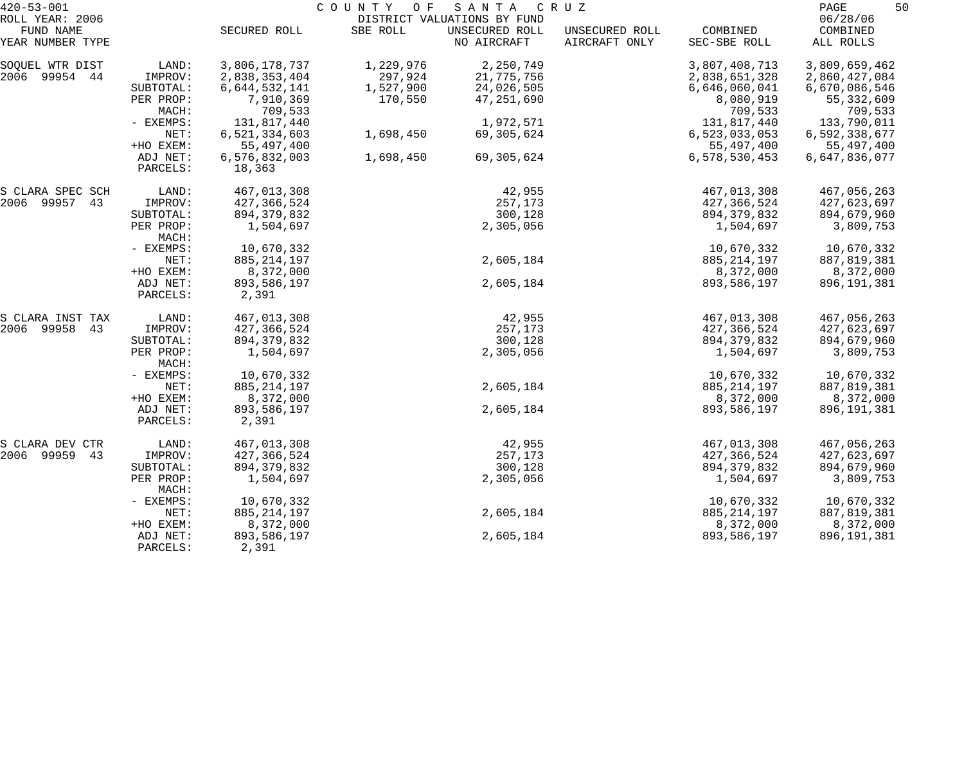| $420 - 53 - 001$              |                      | C O U N T Y<br>O F<br>SANTA<br>C R U Z |           |                               |                                 |                          |                         |
|-------------------------------|----------------------|----------------------------------------|-----------|-------------------------------|---------------------------------|--------------------------|-------------------------|
| ROLL YEAR: 2006               |                      |                                        |           | DISTRICT VALUATIONS BY FUND   |                                 |                          | 06/28/06                |
| FUND NAME<br>YEAR NUMBER TYPE |                      | SECURED ROLL                           | SBE ROLL  | UNSECURED ROLL<br>NO AIRCRAFT | UNSECURED ROLL<br>AIRCRAFT ONLY | COMBINED<br>SEC-SBE ROLL | COMBINED<br>ALL ROLLS   |
| SOQUEL WTR DIST               | LAND:                | 3,806,178,737                          | 1,229,976 | 2,250,749                     |                                 | 3,807,408,713            | 3,809,659,462           |
| 2006 99954 44                 | IMPROV:              | 2,838,353,404                          | 297,924   | 21,775,756                    |                                 | 2,838,651,328            | 2,860,427,084           |
|                               | SUBTOTAL:            | 6,644,532,141                          | 1,527,900 | 24,026,505                    |                                 | 6,646,060,041            | 6,670,086,546           |
|                               | PER PROP:<br>MACH:   | 7,910,369<br>709,533                   | 170,550   | 47,251,690                    |                                 | 8,080,919<br>709,533     | 55, 332, 609<br>709,533 |
|                               | - EXEMPS:            | 131,817,440                            |           | 1,972,571                     |                                 | 131,817,440              | 133,790,011             |
|                               | NET:                 | 6,521,334,603                          | 1,698,450 | 69,305,624                    |                                 | 6,523,033,053            | 6,592,338,677           |
|                               | +HO EXEM:            | 55,497,400                             |           |                               |                                 | 55,497,400               | 55,497,400              |
|                               | ADJ NET:             | 6,576,832,003                          | 1,698,450 | 69,305,624                    |                                 | 6,578,530,453            | 6,647,836,077           |
|                               | PARCELS:             | 18,363                                 |           |                               |                                 |                          |                         |
| S CLARA SPEC SCH              | LAND:                | 467,013,308                            |           | 42,955                        |                                 | 467,013,308              | 467,056,263             |
| 2006 99957 43                 | IMPROV:              | 427,366,524                            |           | 257,173                       |                                 | 427,366,524              | 427,623,697             |
|                               | SUBTOTAL:            | 894, 379, 832                          |           | 300,128                       |                                 | 894, 379, 832            | 894,679,960             |
|                               | PER PROP:<br>MACH:   | 1,504,697                              |           | 2,305,056                     |                                 | 1,504,697                | 3,809,753               |
|                               | - EXEMPS:            | 10,670,332                             |           |                               |                                 | 10,670,332               | 10,670,332              |
|                               | NET:                 | 885, 214, 197                          |           | 2,605,184                     |                                 | 885, 214, 197            | 887,819,381             |
|                               | +HO EXEM:            | 8,372,000                              |           |                               |                                 | 8,372,000                | 8,372,000               |
|                               | ADJ NET:<br>PARCELS: | 893,586,197<br>2,391                   |           | 2,605,184                     |                                 | 893,586,197              | 896, 191, 381           |
| S CLARA INST TAX              | LAND:                | 467,013,308                            |           | 42,955                        |                                 | 467,013,308              | 467,056,263             |
| 2006 99958 43                 | IMPROV:              | 427,366,524                            |           | 257,173                       |                                 | 427,366,524              | 427,623,697             |
|                               | SUBTOTAL:            | 894, 379, 832                          |           | 300,128                       |                                 | 894, 379, 832            | 894,679,960             |
|                               | PER PROP:<br>MACH:   | 1,504,697                              |           | 2,305,056                     |                                 | 1,504,697                | 3,809,753               |
|                               | - EXEMPS:            | 10,670,332                             |           |                               |                                 | 10,670,332               | 10,670,332              |
|                               | NET:                 | 885, 214, 197                          |           | 2,605,184                     |                                 | 885, 214, 197            | 887,819,381             |
|                               | +HO EXEM:            | 8,372,000                              |           |                               |                                 | 8,372,000                | 8,372,000               |
|                               | ADJ NET:             | 893,586,197                            |           | 2,605,184                     |                                 | 893,586,197              | 896, 191, 381           |
|                               | PARCELS:             | 2,391                                  |           |                               |                                 |                          |                         |
| S CLARA DEV CTR               | LAND:                | 467,013,308                            |           | 42,955                        |                                 | 467,013,308              | 467,056,263             |
| 2006 99959<br>43              | IMPROV:              | 427,366,524                            |           | 257,173                       |                                 | 427,366,524              | 427,623,697             |
|                               | SUBTOTAL:            | 894, 379, 832                          |           | 300,128                       |                                 | 894, 379, 832            | 894,679,960             |
|                               | PER PROP:<br>MACH:   | 1,504,697                              |           | 2,305,056                     |                                 | 1,504,697                | 3,809,753               |
|                               | - EXEMPS:            | 10,670,332                             |           |                               |                                 | 10,670,332               | 10,670,332              |
|                               | NET:                 | 885, 214, 197                          |           | 2,605,184                     |                                 | 885, 214, 197            | 887,819,381             |
|                               | +HO EXEM:            | 8,372,000                              |           |                               |                                 | 8,372,000                | 8,372,000               |
|                               | ADJ NET:<br>PARCELS: | 893,586,197<br>2,391                   |           | 2,605,184                     |                                 | 893,586,197              | 896, 191, 381           |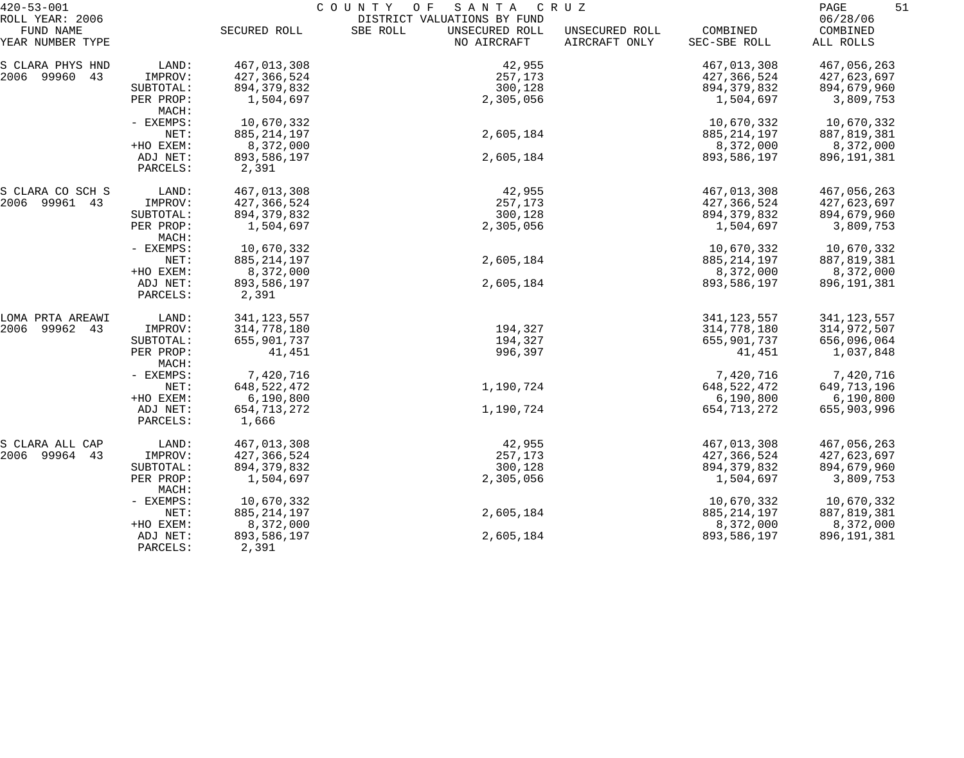| $420 - 53 - 001$              |                      |                      | COUNTY OF<br>S A N T A                    | C R U Z                         |                          | PAGE<br>51            |
|-------------------------------|----------------------|----------------------|-------------------------------------------|---------------------------------|--------------------------|-----------------------|
| ROLL YEAR: 2006               |                      |                      | DISTRICT VALUATIONS BY FUND               |                                 |                          | 06/28/06              |
| FUND NAME<br>YEAR NUMBER TYPE |                      | SECURED ROLL         | SBE ROLL<br>UNSECURED ROLL<br>NO AIRCRAFT | UNSECURED ROLL<br>AIRCRAFT ONLY | COMBINED<br>SEC-SBE ROLL | COMBINED<br>ALL ROLLS |
| S CLARA PHYS HND              | LAND:                | 467,013,308          | 42,955                                    |                                 | 467,013,308              | 467,056,263           |
| 2006 99960 43                 | IMPROV:              | 427,366,524          | 257,173                                   |                                 | 427, 366, 524            | 427,623,697           |
|                               | SUBTOTAL:            | 894, 379, 832        | 300,128                                   |                                 | 894, 379, 832            | 894,679,960           |
|                               | PER PROP:            | 1,504,697            | 2,305,056                                 |                                 | 1,504,697                | 3,809,753             |
|                               | MACH:                |                      |                                           |                                 |                          |                       |
|                               | - EXEMPS:            | 10,670,332           |                                           |                                 | 10,670,332               | 10,670,332            |
|                               | NET:                 | 885, 214, 197        | 2,605,184                                 |                                 | 885, 214, 197            | 887, 819, 381         |
|                               | +HO EXEM:            | 8,372,000            |                                           |                                 | 8,372,000                | 8,372,000             |
|                               | ADJ NET:             | 893,586,197          | 2,605,184                                 |                                 | 893,586,197              | 896,191,381           |
|                               | PARCELS:             | 2,391                |                                           |                                 |                          |                       |
| S CLARA CO SCH S              | LAND:                | 467,013,308          | 42,955                                    |                                 | 467,013,308              | 467,056,263           |
| 2006 99961 43                 | IMPROV:              | 427,366,524          | 257,173                                   |                                 | 427, 366, 524            | 427,623,697           |
|                               | SUBTOTAL:            | 894, 379, 832        | 300,128                                   |                                 | 894, 379, 832            | 894,679,960           |
|                               | PER PROP:<br>MACH:   | 1,504,697            | 2,305,056                                 |                                 | 1,504,697                | 3,809,753             |
|                               | - EXEMPS:            | 10,670,332           |                                           |                                 | 10,670,332               | 10,670,332            |
|                               | NET:                 | 885, 214, 197        | 2,605,184                                 |                                 | 885, 214, 197            | 887, 819, 381         |
|                               | +HO EXEM:            | 8,372,000            |                                           |                                 | 8,372,000                | 8,372,000             |
|                               | ADJ NET:<br>PARCELS: | 893,586,197<br>2,391 | 2,605,184                                 |                                 | 893,586,197              | 896, 191, 381         |
| LOMA PRTA AREAWI              | LAND:                | 341, 123, 557        |                                           |                                 | 341, 123, 557            | 341, 123, 557         |
| 99962 43<br>2006              | IMPROV:              | 314,778,180          | 194,327                                   |                                 | 314,778,180              | 314,972,507           |
|                               | SUBTOTAL:            | 655,901,737          | 194,327                                   |                                 | 655,901,737              | 656,096,064           |
|                               | PER PROP:<br>MACH:   | 41,451               | 996,397                                   |                                 | 41,451                   | 1,037,848             |
|                               | - EXEMPS:            | 7,420,716            |                                           |                                 | 7,420,716                | 7,420,716             |
|                               | NET:                 | 648, 522, 472        | 1,190,724                                 |                                 | 648, 522, 472            | 649,713,196           |
|                               | +HO EXEM:            | 6,190,800            |                                           |                                 | 6,190,800                | 6,190,800             |
|                               | ADJ NET:             | 654, 713, 272        | 1,190,724                                 |                                 | 654, 713, 272            | 655,903,996           |
|                               | PARCELS:             | 1,666                |                                           |                                 |                          |                       |
| S CLARA ALL CAP               | LAND:                | 467,013,308          | 42,955                                    |                                 | 467,013,308              | 467,056,263           |
| 2006 99964 43                 | IMPROV:              | 427,366,524          | 257,173                                   |                                 | 427, 366, 524            | 427,623,697           |
|                               | SUBTOTAL:            | 894, 379, 832        | 300,128                                   |                                 | 894, 379, 832            | 894,679,960           |
|                               | PER PROP:<br>MACH:   | 1,504,697            | 2,305,056                                 |                                 | 1,504,697                | 3,809,753             |
|                               | - EXEMPS:            | 10,670,332           |                                           |                                 | 10,670,332               | 10,670,332            |
|                               | NET:                 | 885, 214, 197        | 2,605,184                                 |                                 | 885, 214, 197            | 887,819,381           |
|                               | +HO EXEM:            | 8,372,000            |                                           |                                 | 8,372,000                | 8,372,000             |
|                               | ADJ NET:<br>PARCELS: | 893,586,197<br>2,391 | 2,605,184                                 |                                 | 893,586,197              | 896,191,381           |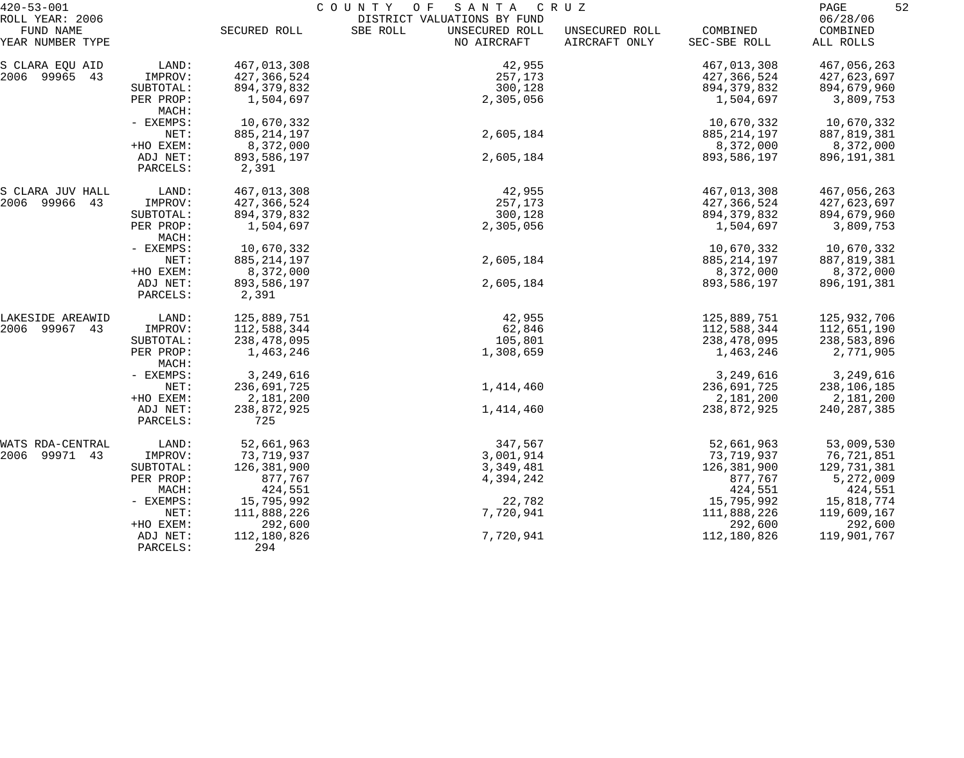| $420 - 53 - 001$              |                      | COUNTY<br>O F<br>SANTA<br>C R U Z |                                           |                                 |                          | 52<br>PAGE            |
|-------------------------------|----------------------|-----------------------------------|-------------------------------------------|---------------------------------|--------------------------|-----------------------|
| ROLL YEAR: 2006               |                      |                                   | DISTRICT VALUATIONS BY FUND               |                                 |                          | 06/28/06              |
| FUND NAME<br>YEAR NUMBER TYPE |                      | SECURED ROLL                      | SBE ROLL<br>UNSECURED ROLL<br>NO AIRCRAFT | UNSECURED ROLL<br>AIRCRAFT ONLY | COMBINED<br>SEC-SBE ROLL | COMBINED<br>ALL ROLLS |
| S CLARA EQU AID               | LAND:                | 467,013,308                       | 42,955                                    |                                 | 467,013,308              | 467,056,263           |
| 2006 99965<br>43              | IMPROV:              | 427,366,524                       | 257,173                                   |                                 | 427,366,524              | 427,623,697           |
|                               | SUBTOTAL:            | 894, 379, 832                     | 300,128                                   |                                 | 894, 379, 832            | 894,679,960           |
|                               | PER PROP:<br>MACH:   | 1,504,697                         | 2,305,056                                 |                                 | 1,504,697                | 3,809,753             |
|                               | - EXEMPS:            | 10,670,332                        |                                           |                                 | 10,670,332               | 10,670,332            |
|                               | NET:                 | 885, 214, 197                     | 2,605,184                                 |                                 | 885, 214, 197            | 887,819,381           |
|                               | +HO EXEM:            | 8,372,000                         |                                           |                                 | 8,372,000                | 8,372,000             |
|                               | ADJ NET:             | 893,586,197                       | 2,605,184                                 |                                 | 893,586,197              | 896, 191, 381         |
|                               | PARCELS:             | 2,391                             |                                           |                                 |                          |                       |
| S CLARA JUV HALL              | LAND:                | 467,013,308                       | 42,955                                    |                                 | 467,013,308              | 467,056,263           |
| 2006 99966<br>43              | IMPROV:              | 427,366,524                       | 257,173                                   |                                 | 427,366,524              | 427,623,697           |
|                               | SUBTOTAL:            | 894, 379, 832                     | 300,128                                   |                                 | 894, 379, 832            | 894,679,960           |
|                               | PER PROP:<br>MACH:   | 1,504,697                         | 2,305,056                                 |                                 | 1,504,697                | 3,809,753             |
|                               | - EXEMPS:            | 10,670,332                        |                                           |                                 | 10,670,332               | 10,670,332            |
|                               | NET:                 | 885, 214, 197                     | 2,605,184                                 |                                 | 885, 214, 197            | 887, 819, 381         |
|                               | +HO EXEM:            | 8,372,000                         |                                           |                                 | 8,372,000                | 8,372,000             |
|                               | ADJ NET:<br>PARCELS: | 893,586,197<br>2,391              | 2,605,184                                 |                                 | 893,586,197              | 896, 191, 381         |
| LAKESIDE AREAWID              | LAND:                | 125,889,751                       | 42,955                                    |                                 | 125,889,751              | 125,932,706           |
| 2006 99967 43                 | IMPROV:              | 112,588,344                       | 62,846                                    |                                 | 112,588,344              | 112,651,190           |
|                               | SUBTOTAL:            | 238,478,095                       | 105,801                                   |                                 | 238,478,095              | 238,583,896           |
|                               | PER PROP:<br>MACH:   | 1,463,246                         | 1,308,659                                 |                                 | 1,463,246                | 2,771,905             |
|                               | - EXEMPS:            | 3,249,616                         |                                           |                                 | 3,249,616                | 3,249,616             |
|                               | NET:                 | 236,691,725                       | 1,414,460                                 |                                 | 236,691,725              | 238,106,185           |
|                               | +HO EXEM:            | 2,181,200                         |                                           |                                 | 2,181,200                | 2,181,200             |
|                               | ADJ NET:             | 238,872,925                       | 1,414,460                                 |                                 | 238,872,925              | 240, 287, 385         |
|                               | PARCELS:             | 725                               |                                           |                                 |                          |                       |
| WATS RDA-CENTRAL              | LAND:                | 52,661,963                        | 347,567                                   |                                 | 52,661,963               | 53,009,530            |
| 2006 99971 43                 | IMPROV:              | 73,719,937                        | 3,001,914                                 |                                 | 73,719,937               | 76,721,851            |
|                               | SUBTOTAL:            | 126,381,900                       | 3,349,481                                 |                                 | 126,381,900              | 129,731,381           |
|                               | PER PROP:            | 877,767                           | 4,394,242                                 |                                 | 877,767                  | 5,272,009             |
|                               | MACH:                | 424,551                           |                                           |                                 | 424,551                  | 424,551               |
|                               | - EXEMPS:            | 15,795,992                        | 22,782                                    |                                 | 15,795,992               | 15,818,774            |
|                               | NET:                 | 111,888,226                       | 7,720,941                                 |                                 | 111,888,226              | 119,609,167           |
|                               | +HO EXEM:            | 292,600                           |                                           |                                 | 292,600                  | 292,600               |
|                               | ADJ NET:             | 112,180,826                       | 7,720,941                                 |                                 | 112,180,826              | 119,901,767           |
|                               | PARCELS:             | 294                               |                                           |                                 |                          |                       |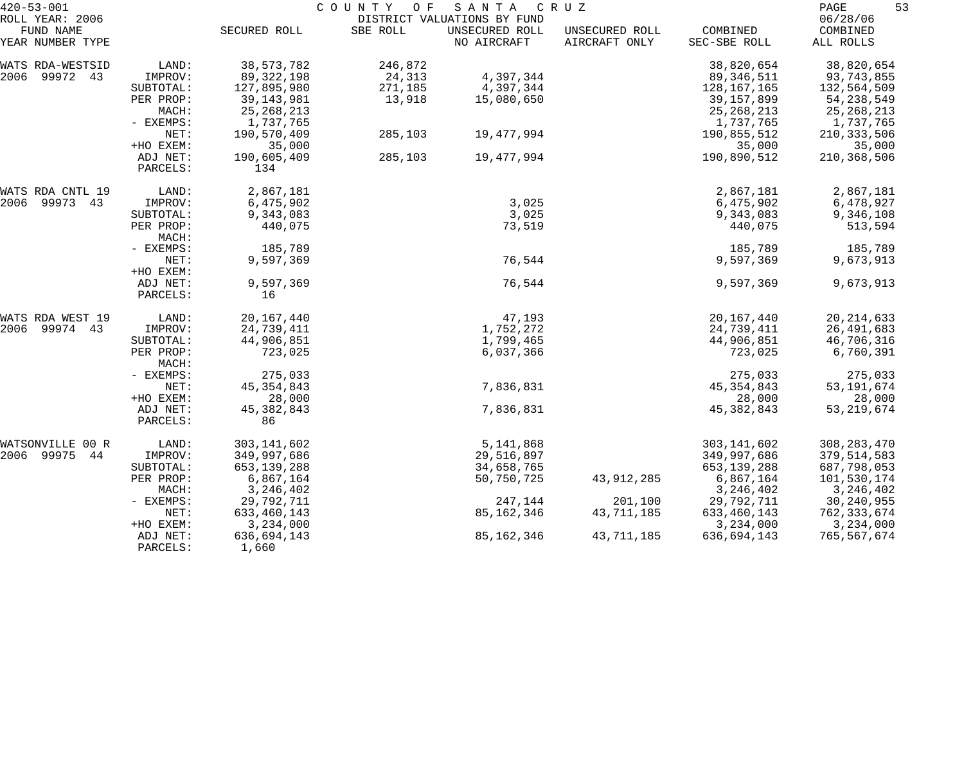| $420 - 53 - 001$              |                      | COUNTY<br>O F<br>SANTA<br>C R U Z |          |                               |                                 |                          | 53<br>PAGE            |
|-------------------------------|----------------------|-----------------------------------|----------|-------------------------------|---------------------------------|--------------------------|-----------------------|
| ROLL YEAR: 2006               |                      |                                   |          | DISTRICT VALUATIONS BY FUND   |                                 |                          | 06/28/06              |
| FUND NAME<br>YEAR NUMBER TYPE |                      | SECURED ROLL                      | SBE ROLL | UNSECURED ROLL<br>NO AIRCRAFT | UNSECURED ROLL<br>AIRCRAFT ONLY | COMBINED<br>SEC-SBE ROLL | COMBINED<br>ALL ROLLS |
| WATS RDA-WESTSID              | LAND:                | 38, 573, 782                      | 246,872  |                               |                                 | 38,820,654               | 38,820,654            |
| 2006 99972 43                 | IMPROV:              | 89,322,198                        | 24,313   | 4,397,344                     |                                 | 89,346,511               | 93,743,855            |
|                               | SUBTOTAL:            | 127,895,980                       | 271,185  | 4,397,344                     |                                 | 128,167,165              | 132,564,509           |
|                               | PER PROP:            | 39, 143, 981                      | 13,918   | 15,080,650                    |                                 | 39,157,899               | 54, 238, 549          |
|                               | MACH:                | 25, 268, 213                      |          |                               |                                 | 25, 268, 213             | 25, 268, 213          |
|                               | - EXEMPS:            | 1,737,765                         |          |                               |                                 | 1,737,765                | 1,737,765             |
|                               | NET:                 | 190,570,409                       | 285,103  | 19,477,994                    |                                 | 190,855,512              | 210, 333, 506         |
|                               | +HO EXEM:            | 35,000                            |          |                               |                                 | 35,000                   | 35,000                |
|                               | ADJ NET:<br>PARCELS: | 190,605,409<br>134                | 285,103  | 19,477,994                    |                                 | 190,890,512              | 210,368,506           |
| WATS RDA CNTL 19              | LAND:                | 2,867,181                         |          |                               |                                 | 2,867,181                | 2,867,181             |
| 2006<br>99973 43              | IMPROV:              | 6,475,902                         |          | 3,025                         |                                 | 6,475,902                | 6,478,927             |
|                               | SUBTOTAL:            | 9,343,083                         |          | 3,025                         |                                 | 9,343,083                | 9,346,108             |
|                               | PER PROP:            | 440,075                           |          | 73,519                        |                                 | 440,075                  | 513,594               |
|                               | MACH:                |                                   |          |                               |                                 |                          |                       |
|                               | - EXEMPS:            | 185,789                           |          |                               |                                 | 185,789                  | 185,789               |
|                               | NET:                 | 9,597,369                         |          | 76,544                        |                                 | 9,597,369                | 9,673,913             |
|                               | +HO EXEM:            |                                   |          |                               |                                 |                          |                       |
|                               | ADJ NET:             | 9,597,369                         |          | 76,544                        |                                 | 9,597,369                | 9,673,913             |
|                               | PARCELS:             | 16                                |          |                               |                                 |                          |                       |
| WATS RDA WEST 19              | LAND:                | 20,167,440                        |          | 47,193                        |                                 | 20,167,440               | 20, 214, 633          |
| 2006<br>99974 43              | IMPROV:              | 24,739,411                        |          | 1,752,272                     |                                 | 24,739,411               | 26,491,683            |
|                               | SUBTOTAL:            | 44,906,851                        |          | 1,799,465                     |                                 | 44,906,851               | 46,706,316            |
|                               | PER PROP:<br>MACH:   | 723,025                           |          | 6,037,366                     |                                 | 723,025                  | 6,760,391             |
|                               | - EXEMPS:            | 275,033                           |          |                               |                                 | 275,033                  | 275,033               |
|                               | NET:                 | 45, 354, 843                      |          | 7,836,831                     |                                 | 45, 354, 843             | 53, 191, 674          |
|                               | +HO EXEM:            | 28,000                            |          |                               |                                 | 28,000                   | 28,000                |
|                               | ADJ NET:             | 45, 382, 843                      |          | 7,836,831                     |                                 | 45, 382, 843             | 53, 219, 674          |
|                               | PARCELS:             | 86                                |          |                               |                                 |                          |                       |
| WATSONVILLE 00 R              | LAND:                | 303, 141, 602                     |          | 5,141,868                     |                                 | 303, 141, 602            | 308, 283, 470         |
| 2006 99975<br>44              | IMPROV:              | 349,997,686                       |          | 29,516,897                    |                                 | 349,997,686              | 379,514,583           |
|                               | SUBTOTAL:            | 653, 139, 288                     |          | 34,658,765                    |                                 | 653, 139, 288            | 687,798,053           |
|                               | PER PROP:            | 6,867,164                         |          | 50,750,725                    | 43, 912, 285                    | 6,867,164                | 101,530,174           |
|                               | MACH:                | 3, 246, 402                       |          |                               |                                 | 3, 246, 402              | 3, 246, 402           |
|                               | - EXEMPS:            | 29,792,711                        |          | 247,144                       | 201,100                         | 29,792,711               | 30, 240, 955          |
|                               | NET:                 | 633, 460, 143                     |          | 85,162,346                    | 43,711,185                      | 633, 460, 143            | 762,333,674           |
|                               | +HO EXEM:            | 3,234,000                         |          |                               |                                 | 3,234,000                | 3,234,000             |
|                               | ADJ NET:             | 636,694,143                       |          | 85,162,346                    | 43,711,185                      | 636,694,143              | 765,567,674           |
|                               | PARCELS:             | 1,660                             |          |                               |                                 |                          |                       |